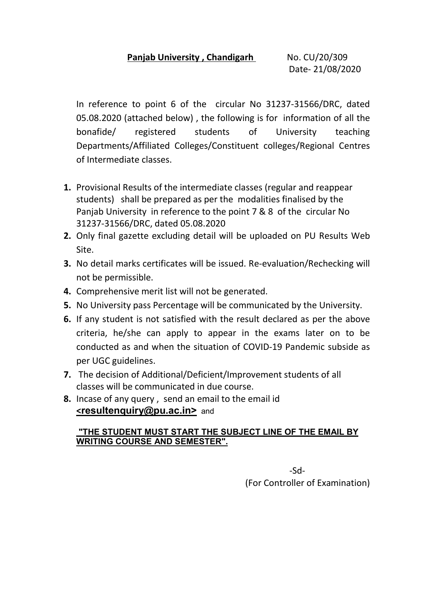In reference to point 6 of the circular No 31237-31566/DRC, dated 05.08.2020 (attached below) , the following is for information of all the bonafide/ registered students of University teaching Departments/Affiliated Colleges/Constituent colleges/Regional Centres of Intermediate classes.

- 1. Provisional Results of the intermediate classes (regular and reappear students) shall be prepared as per the modalities finalised by the Panjab University in reference to the point 7 & 8 of the circular No 31237-31566/DRC, dated 05.08.2020
- 2. Only final gazette excluding detail will be uploaded on PU Results Web Site.
- 3. No detail marks certificates will be issued. Re-evaluation/Rechecking will not be permissible.
- 4. Comprehensive merit list will not be generated.
- 5. No University pass Percentage will be communicated by the University.
- 6. If any student is not satisfied with the result declared as per the above criteria, he/she can apply to appear in the exams later on to be conducted as and when the situation of COVID-19 Pandemic subside as per UGC guidelines.
- 7. The decision of Additional/Deficient/Improvement students of all classes will be communicated in due course.
- 8. Incase of any query , send an email to the email id <resultenquiry@pu.ac.in> and

# "THE STUDENT MUST START THE SUBJECT LINE OF THE EMAIL BY WRITING COURSE AND SEMESTER".

 $-Sd-$ (For Controller of Examination)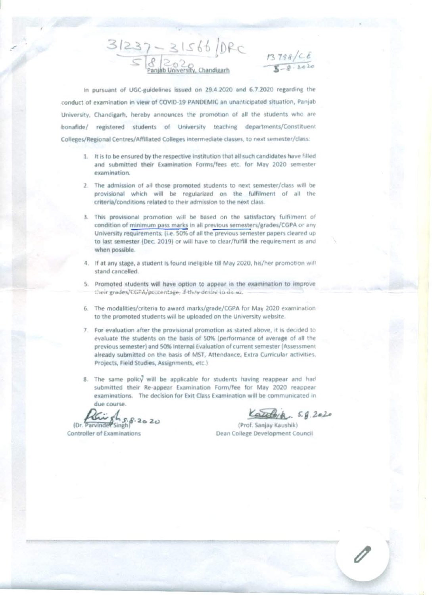$31237 - 31566$  (DRC  $\frac{13758/c6}{5-8.202}$ 

In pursuant of UGC-guidelines issued on 29.4.2020 and 6.7.2020 regarding the conduct of examination in view of COVID-19 PANDEMIC an unanticipated situation, Panjab University, Chandigarh, hereby announces the promotion of all the students who are bonafide/ registered students of University teaching departments/Constituent Colleges/Regional Centres/Affiliated Colleges intermediate classes, to next semester/class:

- 1. It is to be ensured by the respective institution that all such candidates have filled and submitted their Examination Forms/fees etc. for May 2020 semester examination.
- 2. The admission of all those promoted students to next semester/class will be provisional which will be regularized on the fulfilment of all the criteria/conditions related to their admission to the next class.
- 3. This provisional promotion will be based on the satisfactory fulfilment of condition of minimum pass marks in all previous semesters/grades/CGPA or any University requirements; (i.e. 50% of all the previous semester papers cleared up to last semester (Dec. 2019) or will have to clear/fulfill the requirement as and when possible.
- 4. If at any stage, a student is found ineligible till May 2020, his/her promotion will stand cancelled.
- 5. Promoted students will have option to appear in the examination to improve their grades/CGPA/parcentage, if they desire to do so.
- The modalities/criteria to award marks/grade/CGPA for May 2020 examination 6. to the promoted students will be uploaded on the University website.
- 7. For evaluation after the provisional promotion as stated above, it is decided to evaluate the students on the basis of 50% (performance of average of all the previous semester) and 50% Internal Evaluation of current semester (Assessment already submitted on the basis of MST, Attendance, Extra Curricular activities, Projects, Field Studies, Assignments, etc.).
- 8. The same policy will be applicable for students having reappear and had submitted their Re-appear Examination Form/fee for May 2020 reappear examinations. The decision for Exit Class Examination will be communicated in due course.

(Dr. Parvinger Singh)

Controller of Examinations

ato/a. 5.g. 2020

(Prof. Sanjay Kaushik) Dean College Development Council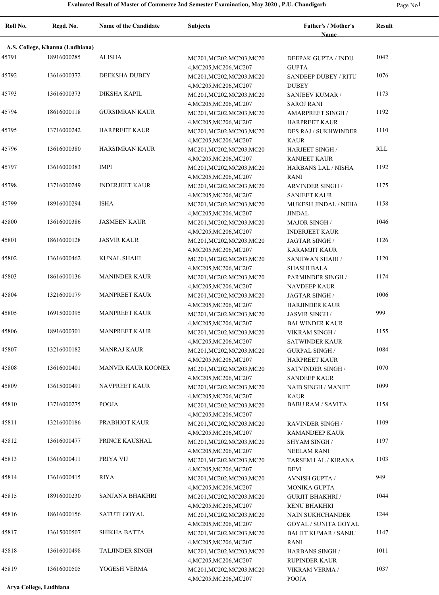| Roll No. | Regd. No.                       | Name of the Candidate     | <b>Subjects</b>                                     | Father's / Mother's<br><b>Name</b>             | <b>Result</b> |  |  |
|----------|---------------------------------|---------------------------|-----------------------------------------------------|------------------------------------------------|---------------|--|--|
|          | A.S. College, Khanna (Ludhiana) |                           |                                                     |                                                |               |  |  |
| 45791    | 18916000285                     | <b>ALISHA</b>             | MC201, MC202, MC203, MC20                           | DEEPAK GUPTA / INDU                            | 1042          |  |  |
|          |                                 |                           | 4, MC205, MC206, MC207                              | <b>GUPTA</b>                                   |               |  |  |
| 45792    | 13616000372                     | <b>DEEKSHA DUBEY</b>      | MC201, MC202, MC203, MC20                           | <b>SANDEEP DUBEY / RITU</b>                    | 1076          |  |  |
|          |                                 |                           | 4, MC205, MC206, MC207                              | <b>DUBEY</b>                                   |               |  |  |
| 45793    | 13616000373                     | <b>DIKSHA KAPIL</b>       | MC201, MC202, MC203, MC20                           | SANJEEV KUMAR /                                | 1173          |  |  |
|          |                                 |                           | 4, MC205, MC206, MC207                              | <b>SAROJ RANI</b>                              |               |  |  |
| 45794    | 18616000118                     | <b>GURSIMRAN KAUR</b>     | MC201, MC202, MC203, MC20                           | AMARPREET SINGH /                              | 1192          |  |  |
|          |                                 |                           | 4, MC205, MC206, MC207                              | <b>HARPREET KAUR</b>                           |               |  |  |
| 45795    | 13716000242                     | HARPREET KAUR             | MC201, MC202, MC203, MC20                           | <b>DES RAJ / SUKHWINDER</b>                    | 1110          |  |  |
| 45796    | 13616000380                     | HARSIMRAN KAUR            | 4, MC205, MC206, MC207                              | <b>KAUR</b>                                    | RLL           |  |  |
|          |                                 |                           | MC201, MC202, MC203, MC20<br>4, MC205, MC206, MC207 | <b>HARJEET SINGH/</b><br><b>RANJEET KAUR</b>   |               |  |  |
| 45797    | 13616000383                     | <b>IMPI</b>               | MC201, MC202, MC203, MC20                           | HARBANS LAL / NISHA                            | 1192          |  |  |
|          |                                 |                           | 4, MC205, MC206, MC207                              | <b>RANI</b>                                    |               |  |  |
| 45798    | 13716000249                     | <b>INDERJEET KAUR</b>     | MC201, MC202, MC203, MC20                           | <b>ARVINDER SINGH/</b>                         | 1175          |  |  |
|          |                                 |                           | 4, MC205, MC206, MC207                              | <b>SANJEET KAUR</b>                            |               |  |  |
| 45799    | 18916000294                     | <b>ISHA</b>               | MC201, MC202, MC203, MC20                           | MUKESH JINDAL / NEHA                           | 1158          |  |  |
|          |                                 |                           | 4, MC205, MC206, MC207                              | <b>JINDAL</b>                                  |               |  |  |
| 45800    | 13616000386                     | <b>JASMEEN KAUR</b>       | MC201, MC202, MC203, MC20                           | <b>MAJOR SINGH/</b>                            | 1046          |  |  |
|          |                                 |                           | 4, MC205, MC206, MC207                              | <b>INDERJEET KAUR</b>                          |               |  |  |
| 45801    | 18616000128                     | <b>JASVIR KAUR</b>        | MC201, MC202, MC203, MC20                           | <b>JAGTAR SINGH/</b>                           | 1126          |  |  |
|          |                                 |                           | 4, MC205, MC206, MC207                              | <b>KARAMJIT KAUR</b>                           |               |  |  |
| 45802    | 13616000462                     | <b>KUNAL SHAHI</b>        | MC201, MC202, MC203, MC20                           | SANJIWAN SHAHI /                               | 1120          |  |  |
|          |                                 |                           | 4, MC205, MC206, MC207                              | <b>SHASHI BALA</b>                             |               |  |  |
| 45803    | 18616000136                     | <b>MANINDER KAUR</b>      | MC201, MC202, MC203, MC20                           | PARMINDER SINGH /                              | 1174          |  |  |
|          |                                 |                           | 4, MC205, MC206, MC207                              | <b>NAVDEEP KAUR</b>                            |               |  |  |
| 45804    | 13216000179                     | <b>MANPREET KAUR</b>      | MC201, MC202, MC203, MC20                           | <b>JAGTAR SINGH/</b>                           | 1006          |  |  |
|          |                                 |                           | 4, MC205, MC206, MC207                              | <b>HARJINDER KAUR</b>                          | 999           |  |  |
| 45805    | 16915000395                     | <b>MANPREET KAUR</b>      | MC201, MC202, MC203, MC20                           | <b>JASVIR SINGH/</b>                           |               |  |  |
| 45806    | 18916000301                     | <b>MANPREET KAUR</b>      | 4, MC205, MC206, MC207                              | <b>BALWINDER KAUR</b>                          | 1155          |  |  |
|          |                                 |                           | MC201, MC202, MC203, MC20<br>4, MC205, MC206, MC207 | VIKRAM SINGH /<br><b>SATWINDER KAUR</b>        |               |  |  |
| 45807    | 13216000182                     | <b>MANRAJ KAUR</b>        | MC201, MC202, MC203, MC20                           | <b>GURPAL SINGH /</b>                          | 1084          |  |  |
|          |                                 |                           | 4, MC205, MC206, MC207                              | <b>HARPREET KAUR</b>                           |               |  |  |
| 45808    | 13616000401                     | <b>MANVIR KAUR KOONER</b> | MC201, MC202, MC203, MC20                           | SATVINDER SINGH /                              | 1070          |  |  |
|          |                                 |                           | 4, MC205, MC206, MC207                              | <b>SANDEEP KAUR</b>                            |               |  |  |
| 45809    | 13615000491                     | <b>NAVPREET KAUR</b>      | MC201, MC202, MC203, MC20                           | <b>NAIB SINGH / MANJIT</b>                     | 1099          |  |  |
|          |                                 |                           | 4, MC205, MC206, MC207                              | <b>KAUR</b>                                    |               |  |  |
| 45810    | 13716000275                     | POOJA                     | MC201, MC202, MC203, MC20                           | <b>BABU RAM / SAVITA</b>                       | 1158          |  |  |
|          |                                 |                           | 4, MC205, MC206, MC207                              |                                                |               |  |  |
| 45811    | 13216000186                     | PRABHJOT KAUR             | MC201, MC202, MC203, MC20                           | <b>RAVINDER SINGH/</b>                         | 1109          |  |  |
|          |                                 |                           | 4, MC205, MC206, MC207                              | <b>RAMANDEEP KAUR</b>                          |               |  |  |
| 45812    | 13616000477                     | PRINCE KAUSHAL            | MC201, MC202, MC203, MC20                           | <b>SHYAM SINGH/</b>                            | 1197          |  |  |
|          |                                 |                           | 4, MC205, MC206, MC207                              | <b>NEELAM RANI</b>                             |               |  |  |
| 45813    | 13616000411                     | PRIYA VIJ                 | MC201, MC202, MC203, MC20                           | TARSEM LAL / KIRANA                            | 1103          |  |  |
|          |                                 |                           | 4, MC205, MC206, MC207                              | DEVI                                           | 949           |  |  |
| 45814    | 13616000415                     | <b>RIYA</b>               | MC201, MC202, MC203, MC20                           | <b>AVNISH GUPTA /</b>                          |               |  |  |
| 45815    | 18916000230                     | <b>SANJANA BHAKHRI</b>    | 4, MC205, MC206, MC207                              | <b>MONIKA GUPTA</b>                            | 1044          |  |  |
|          |                                 |                           | MC201, MC202, MC203, MC20<br>4, MC205, MC206, MC207 | <b>GURJIT BHAKHRI /</b><br><b>RENU BHAKHRI</b> |               |  |  |
| 45816    | 18616000156                     | SATUTI GOYAL              | MC201, MC202, MC203, MC20                           | <b>NAIN SUKHCHANDER</b>                        | 1244          |  |  |
|          |                                 |                           | 4, MC205, MC206, MC207                              | <b>GOYAL / SUNITA GOYAL</b>                    |               |  |  |
| 45817    | 13615000507                     | SHIKHA BATTA              | MC201, MC202, MC203, MC20                           | <b>BALJIT KUMAR / SANJU</b>                    | 1147          |  |  |
|          |                                 |                           | 4, MC205, MC206, MC207                              | RANI                                           |               |  |  |
| 45818    | 13616000498                     | <b>TALJINDER SINGH</b>    | MC201, MC202, MC203, MC20                           | <b>HARBANS SINGH/</b>                          | 1011          |  |  |
|          |                                 |                           | 4, MC205, MC206, MC207                              | RUPINDER KAUR                                  |               |  |  |
| 45819    | 13616000505                     | YOGESH VERMA              | MC201, MC202, MC203, MC20                           | VIKRAM VERMA /                                 | 1037          |  |  |
|          |                                 |                           | 4, MC205, MC206, MC207                              | POOJA                                          |               |  |  |

**Arya College, Ludhiana**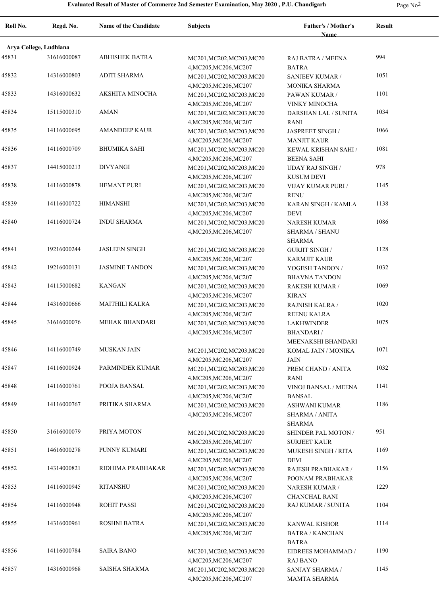| $\sim$ |  |
|--------|--|
|--------|--|

| Roll No.               | Regd. No.   | Name of the Candidate | <b>Subjects</b>                                     | Father's / Mother's<br>Name                | Result |
|------------------------|-------------|-----------------------|-----------------------------------------------------|--------------------------------------------|--------|
| Arya College, Ludhiana |             |                       |                                                     |                                            |        |
| 45831                  | 31616000087 | <b>ABHISHEK BATRA</b> | MC201, MC202, MC203, MC20                           | RAJ BATRA / MEENA                          | 994    |
|                        |             |                       | 4, MC205, MC206, MC207                              | <b>BATRA</b>                               |        |
| 45832                  | 14316000803 | <b>ADITI SHARMA</b>   | MC201, MC202, MC203, MC20                           | SANJEEV KUMAR /                            | 1051   |
|                        |             |                       | 4, MC205, MC206, MC207                              | MONIKA SHARMA                              |        |
| 45833                  | 14316000632 | AKSHITA MINOCHA       | MC201, MC202, MC203, MC20                           | PAWAN KUMAR /                              | 1101   |
|                        |             |                       | 4, MC205, MC206, MC207                              | <b>VINKY MINOCHA</b>                       |        |
| 45834                  | 15115000310 | <b>AMAN</b>           | MC201, MC202, MC203, MC20                           | DARSHAN LAL / SUNITA                       | 1034   |
| 45835                  | 14116000695 | <b>AMANDEEP KAUR</b>  | 4, MC205, MC206, MC207<br>MC201, MC202, MC203, MC20 | <b>RANI</b><br>JASPREET SINGH /            | 1066   |
|                        |             |                       | 4, MC205, MC206, MC207                              | <b>MANJIT KAUR</b>                         |        |
| 45836                  | 14116000709 | <b>BHUMIKA SAHI</b>   | MC201, MC202, MC203, MC20                           | KEWAL KRISHAN SAHI /                       | 1081   |
|                        |             |                       | 4, MC205, MC206, MC207                              | <b>BEENA SAHI</b>                          |        |
| 45837                  | 14415000213 | <b>DIVYANGI</b>       | MC201, MC202, MC203, MC20                           | <b>UDAY RAJ SINGH /</b>                    | 978    |
|                        |             |                       | 4, MC205, MC206, MC207                              | <b>KUSUM DEVI</b>                          |        |
| 45838                  | 14116000878 | <b>HEMANT PURI</b>    | MC201, MC202, MC203, MC20                           | VIJAY KUMAR PURI /                         | 1145   |
|                        |             |                       | 4, MC205, MC206, MC207                              | <b>RENU</b>                                |        |
| 45839                  | 14116000722 | <b>HIMANSHI</b>       | MC201, MC202, MC203, MC20                           | KARAN SINGH / KAMLA                        | 1138   |
|                        |             | <b>INDU SHARMA</b>    | 4, MC205, MC206, MC207                              | <b>DEVI</b>                                | 1086   |
| 45840                  | 14116000724 |                       | MC201, MC202, MC203, MC20                           | <b>NARESH KUMAR</b>                        |        |
|                        |             |                       | 4, MC205, MC206, MC207                              | <b>SHARMA / SHANU</b><br><b>SHARMA</b>     |        |
| 45841                  | 19216000244 | <b>JASLEEN SINGH</b>  | MC201, MC202, MC203, MC20                           | <b>GURJIT SINGH /</b>                      | 1128   |
|                        |             |                       | 4, MC205, MC206, MC207                              | <b>KARMJIT KAUR</b>                        |        |
| 45842                  | 19216000131 | <b>JASMINE TANDON</b> | MC201, MC202, MC203, MC20                           | YOGESH TANDON /                            | 1032   |
|                        |             |                       | 4, MC205, MC206, MC207                              | <b>BHAVNA TANDON</b>                       |        |
| 45843                  | 14115000682 | <b>KANGAN</b>         | MC201, MC202, MC203, MC20                           | RAKESH KUMAR /                             | 1069   |
|                        |             |                       | 4, MC205, MC206, MC207                              | <b>KIRAN</b>                               |        |
| 45844                  | 14316000666 | <b>MAITHILI KALRA</b> | MC201, MC202, MC203, MC20                           | RAJNISH KALRA /                            | 1020   |
|                        |             |                       | 4, MC205, MC206, MC207                              | <b>REENU KALRA</b>                         |        |
| 45845                  | 31616000076 | <b>MEHAK BHANDARI</b> | MC201, MC202, MC203, MC20                           | <b>LAKHWINDER</b>                          | 1075   |
|                        |             |                       | 4, MC205, MC206, MC207                              | <b>BHANDARI</b> /<br>MEENAKSHI BHANDARI    |        |
| 45846                  | 14116000749 | <b>MUSKAN JAIN</b>    | MC201, MC202, MC203, MC20                           | KOMAL JAIN / MONIKA                        | 1071   |
|                        |             |                       | 4, MC205, MC206, MC207                              | <b>JAIN</b>                                |        |
| 45847                  | 14116000924 | PARMINDER KUMAR       | MC201, MC202, MC203, MC20                           | PREM CHAND / ANITA                         | 1032   |
|                        |             |                       | 4, MC205, MC206, MC207                              | <b>RANI</b>                                |        |
| 45848                  | 14116000761 | POOJA BANSAL          | MC201, MC202, MC203, MC20                           | <b>VINOJ BANSAL / MEENA</b>                | 1141   |
|                        |             |                       | 4, MC205, MC206, MC207                              | <b>BANSAL</b>                              |        |
| 45849                  | 14116000767 | PRITIKA SHARMA        | MC201.MC202.MC203.MC20                              | ASHWANI KUMAR                              | 1186   |
|                        |             |                       | 4, MC205, MC206, MC207                              | <b>SHARMA / ANITA</b>                      |        |
| 45850                  | 31616000079 | PRIYA MOTON           |                                                     | SHARMA                                     | 951    |
|                        |             |                       | MC201, MC202, MC203, MC20<br>4, MC205, MC206, MC207 | SHINDER PAL MOTON /<br><b>SURJEET KAUR</b> |        |
| 45851                  | 14616000278 | PUNNY KUMARI          | MC201, MC202, MC203, MC20                           | <b>MUKESH SINGH / RITA</b>                 | 1169   |
|                        |             |                       | 4, MC205, MC206, MC207                              | <b>DEVI</b>                                |        |
| 45852                  | 14314000821 | RIDHIMA PRABHAKAR     | MC201, MC202, MC203, MC20                           | RAJESH PRABHAKAR /                         | 1156   |
|                        |             |                       | 4, MC205, MC206, MC207                              | POONAM PRABHAKAR                           |        |
| 45853                  | 14116000945 | <b>RITANSHU</b>       | MC201, MC202, MC203, MC20                           | <b>NARESH KUMAR /</b>                      | 1229   |
|                        |             |                       | 4, MC205, MC206, MC207                              | <b>CHANCHAL RANI</b>                       |        |
| 45854                  | 14116000948 | <b>ROHIT PASSI</b>    | MC201, MC202, MC203, MC20                           | RAJ KUMAR / SUNITA                         | 1104   |
|                        |             |                       | 4, MC205, MC206, MC207                              |                                            |        |
| 45855                  | 14316000961 | ROSHNI BATRA          | MC201, MC202, MC203, MC20                           | KANWAL KISHOR                              | 1114   |
|                        |             |                       | 4, MC205, MC206, MC207                              | <b>BATRA / KANCHAN</b>                     |        |
| 45856                  | 14116000784 | <b>SAIRA BANO</b>     | MC201, MC202, MC203, MC20                           | <b>BATRA</b><br>EIDREES MOHAMMAD /         | 1190   |
|                        |             |                       | 4, MC205, MC206, MC207                              | <b>RAJ BANO</b>                            |        |
| 45857                  | 14316000968 | SAISHA SHARMA         | MC201, MC202, MC203, MC20                           | SANJAY SHARMA /                            | 1145   |
|                        |             |                       | 4, MC205, MC206, MC207                              | MAMTA SHARMA                               |        |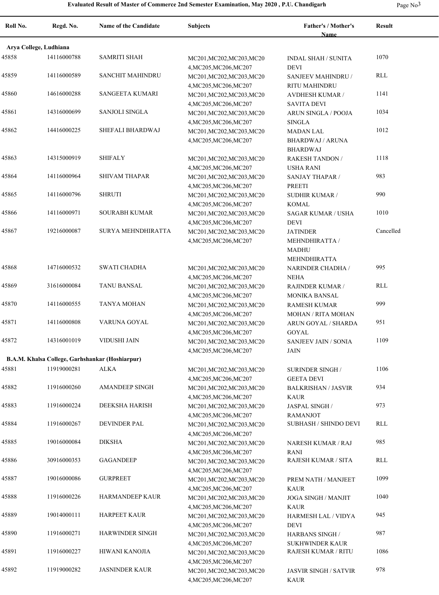| Roll No. | Regd. No.                                       | <b>Name of the Candidate</b> | Subjects                                                                      | Father's / Mother's<br><b>Name</b>                                | <b>Result</b> |
|----------|-------------------------------------------------|------------------------------|-------------------------------------------------------------------------------|-------------------------------------------------------------------|---------------|
|          | Arya College, Ludhiana                          |                              |                                                                               |                                                                   |               |
| 45858    | 14116000788                                     | <b>SAMRITI SHAH</b>          | MC201, MC202, MC203, MC20                                                     | <b>INDAL SHAH / SUNITA</b>                                        | 1070          |
| 45859    | 14116000589                                     | <b>SANCHIT MAHINDRU</b>      | 4, MC205, MC206, MC207<br>MC201, MC202, MC203, MC20                           | <b>DEVI</b><br>SANJEEV MAHINDRU /                                 | <b>RLL</b>    |
| 45860    | 14616000288                                     | <b>SANGEETA KUMARI</b>       | 4, MC205, MC206, MC207<br>MC201, MC202, MC203, MC20                           | RITU MAHINDRU<br><b>AVDHESH KUMAR /</b><br><b>SAVITA DEVI</b>     | 1141          |
| 45861    | 14316000699                                     | <b>SANJOLI SINGLA</b>        | 4, MC205, MC206, MC207<br>MC201, MC202, MC203, MC20<br>4, MC205, MC206, MC207 | <b>ARUN SINGLA / POOJA</b><br><b>SINGLA</b>                       | 1034          |
| 45862    | 14416000225                                     | SHEFALI BHARDWAJ             | MC201, MC202, MC203, MC20<br>4, MC205, MC206, MC207                           | MADAN LAL<br><b>BHARDWAJ / ARUNA</b>                              | 1012          |
| 45863    | 14315000919                                     | <b>SHIFALY</b>               | MC201, MC202, MC203, MC20<br>4, MC205, MC206, MC207                           | <b>BHARDWAJ</b><br><b>RAKESH TANDON /</b><br><b>USHA RANI</b>     | 1118          |
| 45864    | 14116000964                                     | <b>SHIVAM THAPAR</b>         | MC201, MC202, MC203, MC20<br>4, MC205, MC206, MC207                           | <b>SANJAY THAPAR/</b><br><b>PREETI</b>                            | 983           |
| 45865    | 14116000796                                     | <b>SHRUTI</b>                | MC201, MC202, MC203, MC20<br>4, MC205, MC206, MC207                           | <b>SUDHIR KUMAR /</b><br>KOMAL                                    | 990           |
| 45866    | 14116000971                                     | <b>SOURABH KUMAR</b>         | MC201, MC202, MC203, MC20<br>4, MC205, MC206, MC207                           | <b>SAGAR KUMAR / USHA</b><br>DEVI                                 | 1010          |
| 45867    | 19216000087                                     | <b>SURYA MEHNDHIRATTA</b>    | MC201, MC202, MC203, MC20<br>4, MC205, MC206, MC207                           | <b>JATINDER</b><br>MEHNDHIRATTA /<br><b>MADHU</b><br>MEHNDHIRATTA | Cancelled     |
| 45868    | 14716000532                                     | <b>SWATI CHADHA</b>          | MC201, MC202, MC203, MC20<br>4, MC205, MC206, MC207                           | NARINDER CHADHA /<br><b>NEHA</b>                                  | 995           |
| 45869    | 31616000084                                     | TANU BANSAL                  | MC201, MC202, MC203, MC20<br>4, MC205, MC206, MC207                           | <b>RAJINDER KUMAR /</b><br>MONIKA BANSAL                          | RLL           |
| 45870    | 14116000555                                     | TANYA MOHAN                  | MC201, MC202, MC203, MC20<br>4, MC205, MC206, MC207                           | <b>RAMESH KUMAR</b><br>MOHAN / RITA MOHAN                         | 999           |
| 45871    | 14116000808                                     | VARUNA GOYAL                 | MC201, MC202, MC203, MC20<br>4, MC205, MC206, MC207                           | ARUN GOYAL / SHARDA<br><b>GOYAL</b>                               | 951           |
| 45872    | 14316001019                                     | VIDUSHI JAIN                 | MC201, MC202, MC203, MC20<br>4, MC205, MC206, MC207                           | <b>SANJEEV JAIN / SONIA</b><br><b>JAIN</b>                        | 1109          |
|          | B.A.M. Khalsa College, Garhshankar (Hoshiarpur) |                              |                                                                               |                                                                   |               |
| 45881    | 11919000281                                     | <b>ALKA</b>                  | MC201, MC202, MC203, MC20<br>4, MC205, MC206, MC207                           | <b>SURINDER SINGH /</b><br><b>GEETA DEVI</b>                      | 1106          |
| 45882    | 11916000260                                     | <b>AMANDEEP SINGH</b>        | MC201, MC202, MC203, MC20<br>4, MC205, MC206, MC207                           | <b>BALKRISHAN / JASVIR</b><br><b>KAUR</b>                         | 934           |
| 45883    | 11916000224                                     | DEEKSHA HARISH               | MC201.MC202.MC203.MC20<br>4, MC205, MC206, MC207                              | JASPAL SINGH /<br><b>RAMANJOT</b>                                 | 973           |
| 45884    | 11916000267                                     | <b>DEVINDER PAL</b>          | MC201, MC202, MC203, MC20<br>4, MC205, MC206, MC207                           | <b>SUBHASH / SHINDO DEVI</b>                                      | RLL           |
| 45885    | 19016000084                                     | <b>DIKSHA</b>                | MC201, MC202, MC203, MC20<br>4, MC205, MC206, MC207                           | NARESH KUMAR / RAJ<br>RANI                                        | 985           |
| 45886    | 30916000353                                     | GAGANDEEP                    | MC201, MC202, MC203, MC20<br>4, MC205, MC206, MC207                           | RAJESH KUMAR / SITA                                               | RLL           |
| 45887    | 19016000086                                     | <b>GURPREET</b>              | MC201, MC202, MC203, MC20<br>4, MC205, MC206, MC207                           | PREM NATH / MANJEET<br><b>KAUR</b>                                | 1099          |
| 45888    | 11916000226                                     | <b>HARMANDEEP KAUR</b>       | MC201, MC202, MC203, MC20<br>4, MC205, MC206, MC207                           | JOGA SINGH / MANJIT<br><b>KAUR</b>                                | 1040          |
| 45889    | 19014000111                                     | <b>HARPEET KAUR</b>          | MC201, MC202, MC203, MC20<br>4, MC205, MC206, MC207                           | HARMESH LAL / VIDYA<br><b>DEVI</b>                                | 945           |
| 45890    | 11916000271                                     | <b>HARWINDER SINGH</b>       | MC201, MC202, MC203, MC20<br>4, MC205, MC206, MC207                           | HARBANS SINGH /<br><b>SUKHWINDER KAUR</b>                         | 987           |
| 45891    | 11916000227                                     | HIWANI KANOJIA               | MC201, MC202, MC203, MC20<br>4, MC205, MC206, MC207                           | RAJESH KUMAR / RITU                                               | 1086          |
| 45892    | 11919000282                                     | <b>JASNINDER KAUR</b>        | MC201, MC202, MC203, MC20<br>4, MC205, MC206, MC207                           | <b>JASVIR SINGH / SATVIR</b><br><b>KAUR</b>                       | 978           |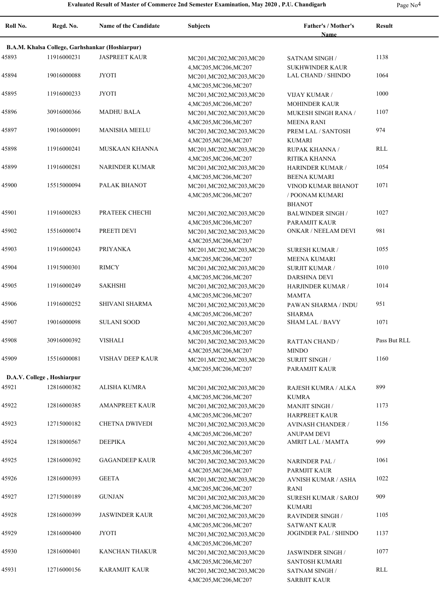| $\sim$ |  |
|--------|--|
|--------|--|

| Roll No. | Regd. No.                                       | <b>Name of the Candidate</b> | <b>Subjects</b>                                                               | <b>Father's / Mother's</b><br><b>Name</b>                        | <b>Result</b> |  |  |
|----------|-------------------------------------------------|------------------------------|-------------------------------------------------------------------------------|------------------------------------------------------------------|---------------|--|--|
|          | B.A.M. Khalsa College, Garhshankar (Hoshiarpur) |                              |                                                                               |                                                                  |               |  |  |
| 45893    | 11916000231                                     | <b>JASPREET KAUR</b>         | MC201, MC202, MC203, MC20                                                     | <b>SATNAM SINGH /</b>                                            | 1138          |  |  |
| 45894    | 19016000088                                     | <b>JYOTI</b>                 | 4, MC205, MC206, MC207<br>MC201, MC202, MC203, MC20<br>4, MC205, MC206, MC207 | <b>SUKHWINDER KAUR</b><br>LAL CHAND / SHINDO                     | 1064          |  |  |
| 45895    | 11916000233                                     | <b>JYOTI</b>                 | MC201, MC202, MC203, MC20                                                     | <b>VIJAY KUMAR /</b>                                             | 1000          |  |  |
| 45896    | 30916000366                                     | <b>MADHU BALA</b>            | 4, MC205, MC206, MC207<br>MC201, MC202, MC203, MC20<br>4, MC205, MC206, MC207 | <b>MOHINDER KAUR</b><br>MUKESH SINGH RANA /<br><b>MEENA RANI</b> | 1107          |  |  |
| 45897    | 19016000091                                     | <b>MANISHA MEELU</b>         | MC201, MC202, MC203, MC20<br>4, MC205, MC206, MC207                           | PREM LAL / SANTOSH<br><b>KUMARI</b>                              | 974           |  |  |
| 45898    | 11916000241                                     | MUSKAAN KHANNA               | MC201, MC202, MC203, MC20<br>4, MC205, MC206, MC207                           | RUPAK KHANNA /<br>RITIKA KHANNA                                  | RLL           |  |  |
| 45899    | 11916000281                                     | <b>NARINDER KUMAR</b>        | MC201, MC202, MC203, MC20<br>4, MC205, MC206, MC207                           | <b>HARINDER KUMAR /</b><br><b>BEENA KUMARI</b>                   | 1054          |  |  |
| 45900    | 15515000094                                     | PALAK BHANOT                 | MC201, MC202, MC203, MC20<br>4, MC205, MC206, MC207                           | VINOD KUMAR BHANOT<br>/ POONAM KUMARI<br><b>BHANOT</b>           | 1071          |  |  |
| 45901    | 11916000283                                     | PRATEEK CHECHI               | MC201, MC202, MC203, MC20<br>4, MC205, MC206, MC207                           | <b>BALWINDER SINGH/</b><br>PARAMJIT KAUR                         | 1027          |  |  |
| 45902    | 15516000074                                     | PREETI DEVI                  | MC201, MC202, MC203, MC20<br>4, MC205, MC206, MC207                           | ONKAR / NEELAM DEVI                                              | 981           |  |  |
| 45903    | 11916000243                                     | <b>PRIYANKA</b>              | MC201, MC202, MC203, MC20<br>4, MC205, MC206, MC207                           | <b>SURESH KUMAR /</b><br>MEENA KUMARI                            | 1055          |  |  |
| 45904    | 11915000301                                     | <b>RIMCY</b>                 | MC201, MC202, MC203, MC20<br>4, MC205, MC206, MC207                           | <b>SURJIT KUMAR /</b><br><b>DARSHNA DEVI</b>                     | 1010          |  |  |
| 45905    | 11916000249                                     | <b>SAKHSHI</b>               | MC201, MC202, MC203, MC20<br>4, MC205, MC206, MC207                           | HARJINDER KUMAR /<br><b>MAMTA</b>                                | 1014          |  |  |
| 45906    | 11916000252                                     | SHIVANI SHARMA               | MC201, MC202, MC203, MC20<br>4, MC205, MC206, MC207                           | PAWAN SHARMA / INDU<br><b>SHARMA</b>                             | 951           |  |  |
| 45907    | 19016000098                                     | <b>SULANI SOOD</b>           | MC201, MC202, MC203, MC20<br>4, MC205, MC206, MC207                           | <b>SHAM LAL / BAVY</b>                                           | 1071          |  |  |
| 45908    | 30916000392                                     | <b>VISHALI</b>               | MC201, MC202, MC203, MC20<br>4, MC205, MC206, MC207                           | <b>RATTAN CHAND /</b><br><b>MINDO</b>                            | Pass But RLL  |  |  |
| 45909    | 15516000081                                     | VISHAV DEEP KAUR             | MC201, MC202, MC203, MC20<br>4, MC205, MC206, MC207                           | <b>SURJIT SINGH/</b><br>PARAMJIT KAUR                            | 1160          |  |  |
|          | D.A.V. College, Hoshiarpur                      |                              |                                                                               |                                                                  |               |  |  |
| 45921    | 12816000382                                     | <b>ALISHA KUMRA</b>          | MC201, MC202, MC203, MC20<br>4, MC205, MC206, MC207                           | <b>RAJESH KUMRA / ALKA</b><br><b>KUMRA</b>                       | 899           |  |  |
| 45922    | 12816000385                                     | <b>AMANPREET KAUR</b>        | MC201, MC202, MC203, MC20<br>4, MC205, MC206, MC207                           | <b>MANJIT SINGH/</b><br><b>HARPREET KAUR</b>                     | 1173          |  |  |
| 45923    | 12715000182                                     | <b>CHETNA DWIVEDI</b>        | MC201, MC202, MC203, MC20<br>4, MC205, MC206, MC207                           | <b>AVINASH CHANDER /</b><br><b>ANUPAM DEVI</b>                   | 1156          |  |  |
| 45924    | 12818000567                                     | DEEPIKA                      | MC201, MC202, MC203, MC20<br>4, MC205, MC206, MC207                           | AMRIT LAL / MAMTA                                                | 999           |  |  |
| 45925    | 12816000392                                     | <b>GAGANDEEP KAUR</b>        | MC201, MC202, MC203, MC20<br>4, MC205, MC206, MC207                           | <b>NARINDER PAL/</b><br>PARMJIT KAUR                             | 1061          |  |  |
| 45926    | 12816000393                                     | <b>GEETA</b>                 | MC201, MC202, MC203, MC20<br>4, MC205, MC206, MC207                           | <b>AVNISH KUMAR / ASHA</b><br>RANI                               | 1022          |  |  |
| 45927    | 12715000189                                     | <b>GUNJAN</b>                | MC201, MC202, MC203, MC20<br>4, MC205, MC206, MC207                           | <b>SURESH KUMAR / SAROJ</b><br><b>KUMARI</b>                     | 909           |  |  |
| 45928    | 12816000399                                     | <b>JASWINDER KAUR</b>        | MC201, MC202, MC203, MC20<br>4, MC205, MC206, MC207                           | <b>RAVINDER SINGH/</b><br><b>SATWANT KAUR</b>                    | 1105          |  |  |
| 45929    | 12816000400                                     | <b>JYOTI</b>                 | MC201, MC202, MC203, MC20<br>4, MC205, MC206, MC207                           | <b>JOGINDER PAL / SHINDO</b>                                     | 1137          |  |  |
| 45930    | 12816000401                                     | KANCHAN THAKUR               | MC201, MC202, MC203, MC20<br>4, MC205, MC206, MC207                           | JASWINDER SINGH /<br><b>SANTOSH KUMARI</b>                       | 1077          |  |  |
| 45931    | 12716000156                                     | <b>KARAMJIT KAUR</b>         | MC201, MC202, MC203, MC20<br>4, MC205, MC206, MC207                           | <b>SATNAM SINGH /</b><br><b>SARBJIT KAUR</b>                     | RLL           |  |  |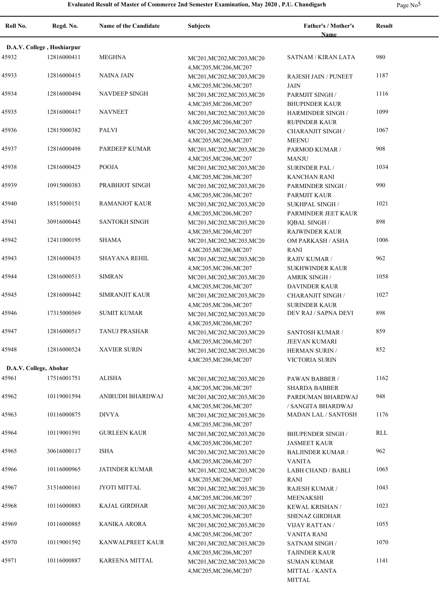|--|--|

| Roll No. | Regd. No.                          | <b>Name of the Candidate</b> | <b>Subjects</b>                                     | Father's / Mother's                              | <b>Result</b> |  |  |
|----------|------------------------------------|------------------------------|-----------------------------------------------------|--------------------------------------------------|---------------|--|--|
|          | Name<br>D.A.V. College, Hoshiarpur |                              |                                                     |                                                  |               |  |  |
| 45932    | 12816000411                        | <b>MEGHNA</b>                | MC201, MC202, MC203, MC20                           | <b>SATNAM / KIRAN LATA</b>                       | 980           |  |  |
| 45933    | 12816000415                        | NAINA JAIN                   | 4, MC205, MC206, MC207<br>MC201, MC202, MC203, MC20 | <b>RAJESH JAIN / PUNEET</b>                      | 1187          |  |  |
| 45934    | 12816000494                        | <b>NAVDEEP SINGH</b>         | 4, MC205, MC206, MC207<br>MC201, MC202, MC203, MC20 | <b>JAIN</b><br>PARMJIT SINGH /                   | 1116          |  |  |
| 45935    | 12816000417                        | <b>NAVNEET</b>               | 4, MC205, MC206, MC207<br>MC201, MC202, MC203, MC20 | <b>BHUPINDER KAUR</b><br>HARMINDER SINGH /       | 1099          |  |  |
| 45936    | 12815000382                        | <b>PALVI</b>                 | 4, MC205, MC206, MC207<br>MC201, MC202, MC203, MC20 | <b>RUPINDER KAUR</b><br><b>CHARANJIT SINGH /</b> | 1067          |  |  |
| 45937    | 12816000498                        | PARDEEP KUMAR                | 4, MC205, MC206, MC207<br>MC201, MC202, MC203, MC20 | <b>MEENU</b><br>PARMOD KUMAR /                   | 908           |  |  |
| 45938    | 12816000425                        | POOJA                        | 4, MC205, MC206, MC207<br>MC201, MC202, MC203, MC20 | <b>MANJU</b><br><b>SURINDER PAL/</b>             | 1034          |  |  |
| 45939    | 10915000383                        | PRABHJOT SINGH               | 4, MC205, MC206, MC207<br>MC201, MC202, MC203, MC20 | <b>KANCHAN RANI</b><br>PARMINDER SINGH /         | 990           |  |  |
| 45940    | 18515000151                        | <b>RAMANJOT KAUR</b>         | 4, MC205, MC206, MC207<br>MC201, MC202, MC203, MC20 | <b>PARMJIT KAUR</b><br><b>SUKHPAL SINGH /</b>    | 1021          |  |  |
| 45941    | 30916000445                        | <b>SANTOKH SINGH</b>         | 4, MC205, MC206, MC207<br>MC201, MC202, MC203, MC20 | PARMINDER JEET KAUR<br><b>IQBAL SINGH /</b>      | 898           |  |  |
| 45942    | 12411000195                        | <b>SHAMA</b>                 | 4, MC205, MC206, MC207<br>MC201, MC202, MC203, MC20 | <b>RAJWINDER KAUR</b><br>OM PARKASH / ASHA       | 1006          |  |  |
| 45943    | 12816000435                        | <b>SHAYANA REHIL</b>         | 4, MC205, MC206, MC207<br>MC201, MC202, MC203, MC20 | RANI<br>RAJIV KUMAR /                            | 962           |  |  |
| 45944    | 12816000513                        | <b>SIMRAN</b>                | 4, MC205, MC206, MC207<br>MC201, MC202, MC203, MC20 | <b>SUKHWINDER KAUR</b><br><b>AMRIK SINGH /</b>   | 1058          |  |  |
| 45945    | 12816000442                        | <b>SIMRANJIT KAUR</b>        | 4, MC205, MC206, MC207<br>MC201, MC202, MC203, MC20 | <b>DAVINDER KAUR</b><br><b>CHARANJIT SINGH /</b> | 1027          |  |  |
| 45946    | 17315000569                        | <b>SUMIT KUMAR</b>           | 4, MC205, MC206, MC207<br>MC201, MC202, MC203, MC20 | <b>SURINDER KAUR</b><br>DEV RAJ / SAPNA DEVI     | 898           |  |  |
| 45947    | 12816000517                        | <b>TANUJ PRASHAR</b>         | 4, MC205, MC206, MC207<br>MC201, MC202, MC203, MC20 | SANTOSH KUMAR /                                  | 859           |  |  |
| 45948    | 12816000524                        | <b>XAVIER SURIN</b>          | 4, MC205, MC206, MC207<br>MC201, MC202, MC203, MC20 | <b>JEEVAN KUMARI</b><br>HERMAN SURIN /           | 852           |  |  |
|          | D.A.V. College, Abohar             |                              | 4, MC205, MC206, MC207                              | VICTORIA SURIN                                   |               |  |  |
| 45961    | 17516001751                        | <b>ALISHA</b>                | MC201, MC202, MC203, MC20<br>4, MC205, MC206, MC207 | PAWAN BABBER /<br><b>SHARDA BABBER</b>           | 1162          |  |  |
| 45962    | 10119001594                        | ANIRUDH BHARDWAJ             | MC201, MC202, MC203, MC20<br>4, MC205, MC206, MC207 | PARDUMAN BHARDWAJ<br>/ SANGITA BHARDWAJ          | 948           |  |  |
| 45963    | 10116000875                        | <b>DIVYA</b>                 | MC201, MC202, MC203, MC20<br>4, MC205, MC206, MC207 | <b>MADAN LAL / SANTOSH</b>                       | 1176          |  |  |
| 45964    | 10119001591                        | <b>GURLEEN KAUR</b>          | MC201, MC202, MC203, MC20<br>4, MC205, MC206, MC207 | <b>BHUPENDER SINGH/</b><br><b>JASMEET KAUR</b>   | RLL           |  |  |
| 45965    | 30616000117                        | <b>ISHA</b>                  | MC201, MC202, MC203, MC20<br>4, MC205, MC206, MC207 | <b>BALJINDER KUMAR /</b><br><b>VANITA</b>        | 962           |  |  |
| 45966    | 10116000965                        | <b>JATINDER KUMAR</b>        | MC201, MC202, MC203, MC20<br>4, MC205, MC206, MC207 | LABH CHAND / BABLI<br>RANI                       | 1065          |  |  |
| 45967    | 31516000161                        | JYOTI MITTAL                 | MC201, MC202, MC203, MC20<br>4, MC205, MC206, MC207 | RAJESH KUMAR /<br><b>MEENAKSHI</b>               | 1043          |  |  |
| 45968    | 10116000883                        | <b>KAJAL GIRDHAR</b>         | MC201, MC202, MC203, MC20<br>4, MC205, MC206, MC207 | KEWAL KRISHAN /<br>SHENAZ GIRDHAR                | 1023          |  |  |
| 45969    | 10116000885                        | <b>KANIKA ARORA</b>          | MC201, MC202, MC203, MC20<br>4, MC205, MC206, MC207 | <b>VIJAY RATTAN/</b><br>VANITA RANI              | 1055          |  |  |
| 45970    | 10119001592                        | KANWALPREET KAUR             | MC201, MC202, MC203, MC20<br>4, MC205, MC206, MC207 | <b>SATNAM SINGH /</b><br><b>TAJINDER KAUR</b>    | 1070          |  |  |
| 45971    | 10116000887                        | KAREENA MITTAL               | MC201, MC202, MC203, MC20<br>4, MC205, MC206, MC207 | <b>SUMAN KUMAR</b><br>MITTAL / KANTA<br>MITTAL   | 1141          |  |  |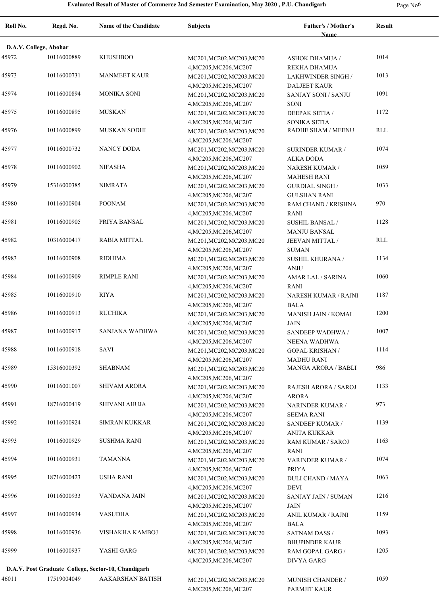| ۰. |  |
|----|--|
|----|--|

| Roll No.               | Regd. No.   | Name of the Candidate                               | <b>Subjects</b>                                     | Father's / Mother's<br><b>Name</b>               | <b>Result</b> |
|------------------------|-------------|-----------------------------------------------------|-----------------------------------------------------|--------------------------------------------------|---------------|
|                        |             |                                                     |                                                     |                                                  |               |
| D.A.V. College, Abohar |             |                                                     |                                                     |                                                  |               |
| 45972                  | 10116000889 | <b>KHUSHBOO</b>                                     | MC201, MC202, MC203, MC20<br>4, MC205, MC206, MC207 | <b>ASHOK DHAMIJA /</b><br>REKHA DHAMIJA          | 1014          |
| 45973                  | 10116000731 | <b>MANMEET KAUR</b>                                 | MC201, MC202, MC203, MC20<br>4, MC205, MC206, MC207 | <b>LAKHWINDER SINGH /</b><br><b>DALJEET KAUR</b> | 1013          |
| 45974                  | 10116000894 | <b>MONIKA SONI</b>                                  | MC201, MC202, MC203, MC20<br>4, MC205, MC206, MC207 | SANJAY SONI / SANJU<br><b>SONI</b>               | 1091          |
| 45975                  | 10116000895 | <b>MUSKAN</b>                                       | MC201, MC202, MC203, MC20                           | <b>DEEPAK SETIA /</b>                            | 1172          |
| 45976                  | 10116000899 | <b>MUSKAN SODHI</b>                                 | 4, MC205, MC206, MC207<br>MC201, MC202, MC203, MC20 | SONIKA SETIA<br>RADHE SHAM / MEENU               | RLL           |
| 45977                  | 10116000732 | <b>NANCY DODA</b>                                   | 4, MC205, MC206, MC207<br>MC201, MC202, MC203, MC20 | <b>SURINDER KUMAR /</b>                          | 1074          |
|                        |             |                                                     | 4, MC205, MC206, MC207                              | <b>ALKA DODA</b>                                 |               |
| 45978                  | 10116000902 | <b>NIFASHA</b>                                      | MC201, MC202, MC203, MC20<br>4, MC205, MC206, MC207 | NARESH KUMAR /<br><b>MAHESH RANI</b>             | 1059          |
| 45979                  | 15316000385 | <b>NIMRATA</b>                                      | MC201, MC202, MC203, MC20<br>4, MC205, MC206, MC207 | <b>GURDIAL SINGH/</b><br><b>GULSHAN RANI</b>     | 1033          |
| 45980                  | 10116000904 | <b>POONAM</b>                                       | MC201, MC202, MC203, MC20                           | RAM CHAND / KRISHNA                              | 970           |
| 45981                  | 10116000905 | PRIYA BANSAL                                        | 4, MC205, MC206, MC207                              | <b>RANI</b>                                      | 1128          |
|                        |             |                                                     | MC201, MC202, MC203, MC20<br>4, MC205, MC206, MC207 | <b>SUSHIL BANSAL /</b><br><b>MANJU BANSAL</b>    |               |
| 45982                  | 10316000417 | <b>RABIA MITTAL</b>                                 | MC201, MC202, MC203, MC20                           | JEEVAN MITTAL /                                  | RLL           |
| 45983                  | 10116000908 | <b>RIDHIMA</b>                                      | 4, MC205, MC206, MC207<br>MC201, MC202, MC203, MC20 | <b>SUMAN</b><br>SUSHIL KHURANA /                 | 1134          |
| 45984                  | 10116000909 | RIMPLE RANI                                         | 4, MC205, MC206, MC207<br>MC201, MC202, MC203, MC20 | <b>ANJU</b><br>AMAR LAL / SARINA                 | 1060          |
| 45985                  | 10116000910 | <b>RIYA</b>                                         | 4, MC205, MC206, MC207<br>MC201, MC202, MC203, MC20 | <b>RANI</b><br>NARESH KUMAR / RAJNI              | 1187          |
|                        |             |                                                     | 4, MC205, MC206, MC207                              | <b>BALA</b>                                      |               |
| 45986                  | 10116000913 | <b>RUCHIKA</b>                                      | MC201, MC202, MC203, MC20<br>4, MC205, MC206, MC207 | MANISH JAIN / KOMAL<br><b>JAIN</b>               | 1200          |
| 45987                  | 10116000917 | SANJANA WADHWA                                      | MC201, MC202, MC203, MC20                           | SANDEEP WADHWA /                                 | 1007          |
| 45988                  | 10116000918 | <b>SAVI</b>                                         | 4, MC205, MC206, MC207<br>MC201, MC202, MC203, MC20 | NEENA WADHWA<br><b>GOPAL KRISHAN/</b>            | 1114          |
|                        |             |                                                     | 4, MC205, MC206, MC207                              | <b>MADHU RANI</b>                                |               |
| 45989                  | 15316000392 | <b>SHABNAM</b>                                      | MC201, MC202, MC203, MC20<br>4, MC205, MC206, MC207 | <b>MANGA ARORA / BABLI</b>                       | 986           |
| 45990                  | 10116001007 | <b>SHIVAM ARORA</b>                                 | MC201, MC202, MC203, MC20                           | RAJESH ARORA / SAROJ                             | 1133          |
| 45991                  | 18716000419 | <b>SHIVANI AHUJA</b>                                | 4, MC205, MC206, MC207<br>MC201, MC202, MC203, MC20 | <b>ARORA</b><br>NARINDER KUMAR /                 | 973           |
|                        |             | <b>SIMRAN KUKKAR</b>                                | 4, MC205, MC206, MC207                              | <b>SEEMA RANI</b>                                |               |
| 45992                  | 10116000924 |                                                     | MC201, MC202, MC203, MC20<br>4, MC205, MC206, MC207 | SANDEEP KUMAR /<br><b>ANITA KUKKAR</b>           | 1139          |
| 45993                  | 10116000929 | SUSHMA RANI                                         | MC201, MC202, MC203, MC20<br>4, MC205, MC206, MC207 | RAM KUMAR / SAROJ<br>RANI                        | 1163          |
| 45994                  | 10116000931 | <b>TAMANNA</b>                                      | MC201, MC202, MC203, MC20                           | VARINDER KUMAR /                                 | 1074          |
| 45995                  | 18716000423 | <b>USHA RANI</b>                                    | 4, MC205, MC206, MC207<br>MC201, MC202, MC203, MC20 | <b>PRIYA</b><br><b>DULI CHAND / MAYA</b>         | 1063          |
| 45996                  | 10116000933 | VANDANA JAIN                                        | 4, MC205, MC206, MC207<br>MC201, MC202, MC203, MC20 | <b>DEVI</b><br>SANJAY JAIN / SUMAN               | 1216          |
| 45997                  | 10116000934 | <b>VASUDHA</b>                                      | 4, MC205, MC206, MC207<br>MC201, MC202, MC203, MC20 | <b>JAIN</b><br>ANIL KUMAR / RAJNI                | 1159          |
| 45998                  | 10116000936 | VISHAKHA KAMBOJ                                     | 4, MC205, MC206, MC207<br>MC201, MC202, MC203, MC20 | <b>BALA</b><br><b>SATNAM DASS /</b>              | 1093          |
|                        |             |                                                     | 4, MC205, MC206, MC207                              | <b>BHUPINDER KAUR</b>                            |               |
| 45999                  | 10116000937 | YASHI GARG                                          | MC201, MC202, MC203, MC20<br>4, MC205, MC206, MC207 | RAM GOPAL GARG /<br><b>DIVYA GARG</b>            | 1205          |
|                        |             | D.A.V. Post Graduate College, Sector-10, Chandigarh |                                                     |                                                  |               |
| 46011                  | 17519004049 | AAKARSHAN BATISH                                    | MC201, MC202, MC203, MC20<br>4, MC205, MC206, MC207 | MUNISH CHANDER /<br>PARMJIT KAUR                 | 1059          |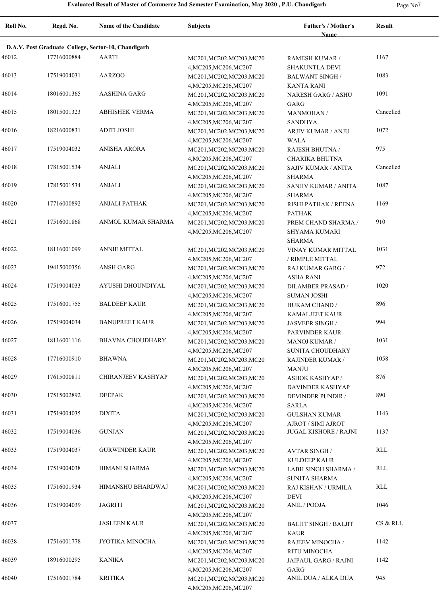**Roll No. Regd. No. Name of the Candidate Subjects Father's / Mother's Name Result D.A.V. Post Graduate College, Sector-10, Chandigarh** 46012 17716000884 AARTI MC201,MC202,MC203,MC20 RAMESH KUMAR / 1167 4,MC205,MC206,MC207 RAMESH KUMAR / SHAKUNTLA DEVI 46013 17519004031 AARZOO MC201,MC202,MC203,MC20 BALWANT SINGH 1083 4,MC205,MC206,MC207 BALWANT SINGH / KANTA RANI 46014 18016001365 AASHINA GARG MC201, MC202, MC203, MC20 MARESH GARG / ASHU 1091 4,MC205,MC206,MC207 NARESH GARG / ASHU GARG 46015 18015001323 ABHISHEK VERMA MC201,MC202,MC203,MC20 MANMOHAN / Cancelled 4,MC205,MC206,MC207 MANMOHAN / SANDHYA 46016 18216000831 ADITI JOSHI MC201,MC202,MC203,MC20 ARJIV KUMAR / ANJU 1072 4,MC205,MC206,MC207 ARJIV KUMAR / ANJU WALA 46017 17519004032 ANISHA ARORA MC201, MC202, MC203, MC20 RAJESH BHUTNA / 975 4,MC205,MC206,MC207 RAJESH BHUTNA / CHARIKA BHUTNA 46018 ANJALI MC201,MC202,MC203,MC20 17815001534 Cancelled 4,MC205,MC206,MC207 SAJIV KUMAR / ANITA SHARMA 46019 17815001534 ANJALI MC201,MC202,MC203,MC20 SANJIV KUMAR / ANITA 1087 4,MC205,MC206,MC207 SANJIV KUMAR / ANITA SHARMA 46020 17716000892 ANJALI PATHAK MC201, MC202, MC203, MC20 RISHI PATHAK / REENA 1169 4,MC205,MC206,MC207 RISHI PATHAK / REENA PATHAK 46021 17516001868 ANMOL KUMAR SHARMA MC201, MC202, MC203, MC20 PREM CHAND SHARMA / 910 4,MC205,MC206,MC207 PREM CHAND SHARMA / SHYAMA KUMARI SHARMA 46022 18116001099 ANNIE MITTAL MC201, MC202, MC203, MC20 VINAY KUMAR MITTAL 1031 4,MC205,MC206,MC207 VINAY KUMAR MITTAL / RIMPLE MITTAL 46023 19415000356 ANSH GARG MC201, MC201, MC202, MC203, MC20 RAJ KUMAR GARG / 972 4,MC205,MC206,MC207 RAJ KUMAR GARG / ASHA RANI 46024 17519004033 AYUSHI DHOUNDIYAL MC201,MC202,MC203,MC20 DILAMBER PRASAD 1020 4,MC205,MC206,MC207 DILAMBER PRASAD / SUMAN JOSHI 46025 BALDEEP KAUR MC201,MC202,MC203,MC20 17516001755 896 4,MC205,MC206,MC207 HUKAM CHAND / KAMALJEET KAUR 46026 17519004034 BANUPREET KAUR MC201, MC202, MC203, MC20 JASVEER SINGH 994 4,MC205,MC206,MC207 JASVEER SINGH / PARVINDER KAUR 46027 18116001116 BHAVNA CHOUDHARY MC201, MC202, MC203, MC20 MANOJ KUMAR / 1031 4,MC205,MC206,MC207 MANOJ KUMAR / SUNITA CHOUDHARY 46028 17716000910 BHAWNA MC201,MC202,MC203,MC20 RAJINDER KUMAR / 1058 4,MC205,MC206,MC207 RAJINDER KUMAR / MANJU 46029 17615000811 CHIRANJEEV KASHYAP MC201, MC202, MC203, MC20 ASHOK KASHYAP 876 4,MC205,MC206,MC207 ASHOK KASHYAP / DAVINDER KASHYAP 46030 17515002892 DEEPAK MC201, MC201, MC202, MC203, MC20 DEVINDER PUNDIR / 890 4,MC205,MC206,MC207 DEVINDER PUNDIR / SARLA 46031 DIXITA MC201,MC202,MC203,MC20 17519004035 1143 4,MC205,MC206,MC207 GULSHAN KUMAR AJROT / SIMI AJROT 46032 GUNJAN MC201,MC202,MC203,MC20 17519004036 JUGAL KISHORE / RAJNI 1137 4,MC205,MC206,MC207 46033 GURWINDER KAUR MC201,MC202,MC203,MC20 17519004037 RLL 4,MC205,MC206,MC207 AVTAR SINGH / KULDEEP KAUR 46034 HIMANI SHARMA MC201,MC202,MC203,MC20 17519004038 RLL 4,MC205,MC206,MC207 LABH SINGH SHARMA / SUNITA SHARMA 46035 HIMANSHU BHARDWAJ MC201,MC202,MC203,MC20 17516001934 RLL 4,MC205,MC206,MC207 RAJ KISHAN / URMILA DEVI 46036 17519004039 JAGRITI MC201,MC202,MC203,MC20 ANIL / POOJA 1046 4,MC205,MC206,MC207 46037 JASLEEN KAUR MC201,MC202,MC203,MC20 4,MC205,MC206,MC207 BALJIT SINGH / BALJIT KAUR CS & RLL 46038 JYOTIKA MINOCHA MC201,MC202,MC203,MC20 17516001778 1142 4,MC205,MC206,MC207 RAJEEV MINOCHA / RITU MINOCHA 46039 18916000295 KANIKA MC201,MC202,MC203,MC20 JAIPAUL GARG / RAJNI 1142 4,MC205,MC206,MC207 JAIPAUL GARG / RAJNI GARG 46040 KRITIKA MC201,MC202,MC203,MC20 17516001784 ANIL DUA / ALKA DUA 9454,MC205,MC206,MC207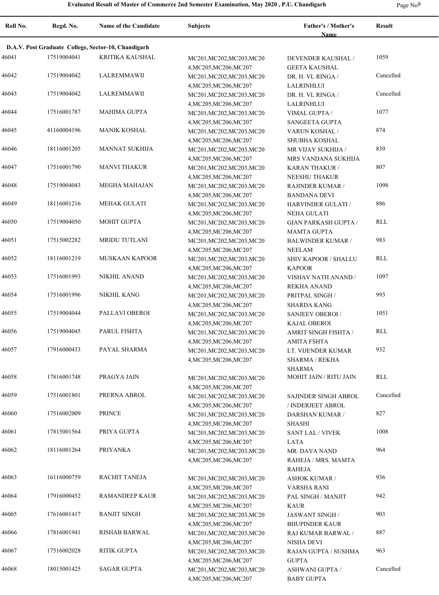**Roll No. Regd. No. Name of the Candidate Subjects Father's / Mother's Name Result D.A.V. Post Graduate College, Sector-10, Chandigarh** 46041 17519004041 KRITIKA KAUSHAL MC201, MC202, MC203, MC20 DEVENDER KAUSHAL / 1059 4,MC205,MC206,MC207 DEVENDER KAUSHAL / GEETA KAUSHAL 46042 LALREMMAWII MC201,MC202,MC203,MC20 17519004042 Cancelled 4,MC205,MC206,MC207 DR. H. VL RINGA / LALRINHLUI 46043 LALREMMAWII MC201,MC202,MC203,MC20 17519004042 Cancelled 4,MC205,MC206,MC207 DR. H. VL RINGA / LALRINHLUI 46044 17516001787 MAHIMA GUPTA MC201, MC202, MC203, MC20 VIMAL GUPTA 1077 4,MC205,MC206,MC207 VIMAL GUPTA / SANGEETA GUPTA 46045 41160004196 MANIK KOSHAL MC201, MC202, MC203, MC20 VARUN KOSHAL / 874 4,MC205,MC206,MC207 VARUN KOSHAL / SHUBHA KOSHAL 46046 18116001205 MANNAT SUKHIJA MC201, MC202, MC203, MC20 MR VIJAY SUKHIJA 839 4,MC205,MC206,MC207 MR VIJAY SUKHIJA / MRS VANDANA SUKHIJA 46047 17516001790 MANVI THAKUR MC201, MC202, MC203, MC20 KARAN THAKUR 207 4,MC205,MC206,MC207 KARAN THAKUR / NEESHU THAKUR 46048 MEGHA MAHAJAN MC201,MC202,MC203,MC20 17519004043 1098 4,MC205,MC206,MC207 RAJINDER KUMAR / BANDANA DEVI 46049 MEHAK GULATI MC201,MC202,MC203,MC20 18116001216 886 4,MC205,MC206,MC207 HARVINDER GULATI / NEHA GULATI 46050 MOHIT GUPTA MC201,MC202,MC203,MC20 17519004050 RLL 4,MC205,MC206,MC207 GIAN PARKASH GUPTA / MAMTA GUPTA 46051 17515002282 MRIDU TUTLANI MC201,MC202,MC203,MC20 BALWINDER KUMAR / 983 4,MC205,MC206,MC207 BALWINDER KUMAR / NEELAM 46052 MUSKAAN KAPOOR MC201,MC202,MC203,MC20 18116001219 RLL 4,MC205,MC206,MC207 SHIV KAPOOR / SHALLU KAPOOR 46053 17516001993 NIKHIL ANAND MC201, MC202, MC203, MC20 VISHAV NATH ANAND 1097 4,MC205,MC206,MC207 VISHAV NATH ANAND / REKHA ANAND 46054 17516001996 NIKHIL KANG MC201, MC202, MC203, MC20 PRITPAL SINGH (993 4,MC205,MC206,MC207 PRITPAL SINGH / SHARDA KANG 46055 17519004044 PALLAVI OBEROI MC201, MC202, MC203, MC20 SANJEEV OBEROI / 1051 4,MC205,MC206,MC207 SANJEEV OBEROI / KAJAL OBEROI 46056 PARUL FISHTA MC201,MC202,MC203,MC20 17519004045 RLL 4,MC205,MC206,MC207 AMRIT SINGH FISHTA / AMITA FSHTA 46057 PAYAL SHARMA MC201,MC202,MC203,MC20 17916000433 932 4,MC205,MC206,MC207 LT. VIJENDER KUMAR SHARMA / REKHA SHARMA 46058 17816001748 PRAGYA JAIN MC201, MC202, MC203, MC20 MOHIT JAIN / RITU JAIN RLL 4,MC205,MC206,MC207 46059 PRERNA ABROL MC201,MC202,MC203,MC20 17516001801 Cancelled 4,MC205,MC206,MC207 SAJINDER SINGH ABROL / INDERJEET ABROL 46060 17516002009 PRINCE MC201, MC201, MC202, MC203, MC20 DARSHAN KUMAR / 827 4,MC205,MC206,MC207 DARSHAN KUMAR / SHASHI 46061 PRIYA GUPTA MC201,MC202,MC203,MC20 17815001564 1008 4,MC205,MC206,MC207 SANT LAL / VIVEK LATA 46062 18116001264 PRIYANKA MC201,MC202,MC203,MC20 MR. DAYA NAND 964 4,MC205,MC206,MC207 MR. DAYA NAND RAHEJA / MRS. MAMTA RAHEJA 46063 16116000759 RACHIT TANEJA MC201, MC202, MC203, MC20 ASHOK KUMAR / 936 4,MC205,MC206,MC207 ASHOK KUMAR / VARSHA RANI 46064 17916000452 RAMANDEEP KAUR MC201, MC202, MC203, MC20 PAL SINGH / MANJIT 942 4,MC205,MC206,MC207 PAL SINGH / MANJIT KAUR 46065 17616001417 RANJIT SINGH MC201, MC202, MC203, MC20 JASWANT SINGH 903 4,MC205,MC206,MC207 JASWANT SINGH / BHUPINDER KAUR 46066 17816001941 RISHAB BARWAL MC201,MC202,MC203,MC20 RAJ KUMAR BARWAL 287 4,MC205,MC206,MC207 RAJ KUMAR BARWAL / NISHA DEVI 46067 17516002028 RITIK GUPTA MC201, MC201, MC203, MC20 RAJAN GUPTA / SUSHMA 963 4,MC205,MC206,MC207 RAJAN GUPTA / SUSHMA **GUPTA**  46068 SAGAR GUPTA MC201,MC202,MC203,MC20 18015001425 Cancelled4,MC205,MC206,MC207 ASHWANI GUPTA / BABY GUPTA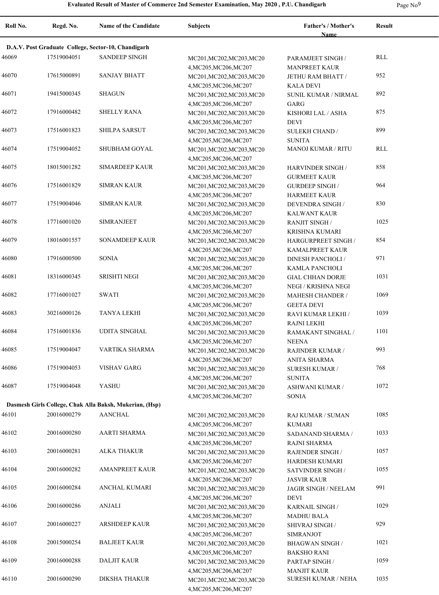$\overline{a}$ 

| $\sim$ | I |
|--------|---|
|--------|---|

| Roll No. | Regd. No.                                           | Name of the Candidate                                   | <b>Subjects</b>                                     | Father's / Mother's<br>Name          | <b>Result</b> |  |  |  |
|----------|-----------------------------------------------------|---------------------------------------------------------|-----------------------------------------------------|--------------------------------------|---------------|--|--|--|
|          | D.A.V. Post Graduate College, Sector-10, Chandigarh |                                                         |                                                     |                                      |               |  |  |  |
| 46069    | 17519004051                                         | <b>SANDEEP SINGH</b>                                    | MC201, MC202, MC203, MC20                           | PARAMJEET SINGH /                    | <b>RLL</b>    |  |  |  |
|          |                                                     |                                                         | 4, MC205, MC206, MC207                              | <b>MANPREET KAUR</b>                 |               |  |  |  |
| 46070    | 17615000891                                         | <b>SANJAY BHATT</b>                                     | MC201, MC202, MC203, MC20                           | JETHU RAM BHATT /                    | 952           |  |  |  |
|          |                                                     |                                                         | 4, MC205, MC206, MC207                              | <b>KALA DEVI</b>                     |               |  |  |  |
| 46071    | 19415000345                                         | <b>SHAGUN</b>                                           | MC201, MC202, MC203, MC20                           | SUNIL KUMAR / NIRMAL                 | 892           |  |  |  |
|          |                                                     |                                                         | 4, MC205, MC206, MC207                              | GARG                                 |               |  |  |  |
| 46072    | 17916000482                                         | <b>SHELLY RANA</b>                                      | MC201, MC202, MC203, MC20                           | KISHORI LAL / ASHA                   | 875           |  |  |  |
|          |                                                     |                                                         | 4, MC205, MC206, MC207                              | <b>DEVI</b>                          |               |  |  |  |
| 46073    | 17516001823                                         | <b>SHILPA SARSUT</b>                                    | MC201, MC202, MC203, MC20                           | <b>SULEKH CHAND /</b>                | 899           |  |  |  |
|          |                                                     |                                                         | 4, MC205, MC206, MC207                              | <b>SUNITA</b>                        |               |  |  |  |
| 46074    | 17519004052                                         | SHUBHAM GOYAL                                           | MC201, MC202, MC203, MC20                           | MANOJ KUMAR / RITU                   | RLL           |  |  |  |
|          |                                                     |                                                         | 4, MC205, MC206, MC207                              |                                      |               |  |  |  |
| 46075    | 18015001282                                         | <b>SIMARDEEP KAUR</b>                                   | MC201, MC202, MC203, MC20                           | HARVINDER SINGH /                    | 858           |  |  |  |
|          |                                                     |                                                         | 4, MC205, MC206, MC207                              | <b>GURMEET KAUR</b>                  |               |  |  |  |
| 46076    | 17516001829                                         | <b>SIMRAN KAUR</b>                                      | MC201, MC202, MC203, MC20                           | <b>GURDEEP SINGH/</b>                | 964           |  |  |  |
|          |                                                     |                                                         | 4, MC205, MC206, MC207                              | <b>HARMEET KAUR</b>                  |               |  |  |  |
| 46077    | 17519004046                                         | <b>SIMRAN KAUR</b>                                      | MC201, MC202, MC203, MC20                           | <b>DEVENDRA SINGH /</b>              | 830           |  |  |  |
|          |                                                     |                                                         | 4, MC205, MC206, MC207                              | <b>KALWANT KAUR</b>                  |               |  |  |  |
| 46078    | 17716001020                                         | <b>SIMRANJEET</b>                                       | MC201, MC202, MC203, MC20                           | <b>RANJIT SINGH/</b>                 | 1025          |  |  |  |
|          |                                                     |                                                         | 4, MC205, MC206, MC207                              | <b>KRISHNA KUMARI</b>                |               |  |  |  |
| 46079    | 18016001557                                         | <b>SONAMDEEP KAUR</b>                                   | MC201, MC202, MC203, MC20                           | <b>HARGURPREET SINGH/</b>            | 854           |  |  |  |
|          |                                                     |                                                         | 4, MC205, MC206, MC207                              | <b>KAMALPREET KAUR</b>               |               |  |  |  |
| 46080    | 17916000500                                         | <b>SONIA</b>                                            | MC201, MC202, MC203, MC20                           | <b>DINESH PANCHOLI</b> /             | 971           |  |  |  |
|          |                                                     |                                                         | 4, MC205, MC206, MC207                              | KAMLA PANCHOLI                       |               |  |  |  |
| 46081    | 18316000345                                         | <b>SRISHTI NEGI</b>                                     | MC201, MC202, MC203, MC20                           | <b>GIAL CHHAN DORJE</b>              | 1031          |  |  |  |
|          |                                                     |                                                         | 4, MC205, MC206, MC207                              | NEGI / KRISHNA NEGI                  |               |  |  |  |
| 46082    | 17716001027                                         | <b>SWATI</b>                                            | MC201, MC202, MC203, MC20                           | <b>MAHESH CHANDER /</b>              | 1069          |  |  |  |
|          |                                                     |                                                         | 4, MC205, MC206, MC207                              | <b>GEETA DEVI</b>                    |               |  |  |  |
| 46083    | 30216000126                                         | TANYA LEKHI                                             | MC201, MC202, MC203, MC20                           | RAVI KUMAR LEKHI /                   | 1039          |  |  |  |
|          |                                                     |                                                         | 4, MC205, MC206, MC207                              | <b>RAJNI LEKHI</b>                   |               |  |  |  |
| 46084    | 17516001836                                         | <b>UDITA SINGHAL</b>                                    | MC201, MC202, MC203, MC20                           | RAMAKANT SINGHAL /                   | 1101          |  |  |  |
|          |                                                     |                                                         | 4, MC205, MC206, MC207                              | <b>NEENA</b>                         |               |  |  |  |
| 46085    | 17519004047                                         | VARTIKA SHARMA                                          | MC201, MC202, MC203, MC20                           | <b>RAJINDER KUMAR /</b>              | 993           |  |  |  |
|          |                                                     |                                                         | 4, MC205, MC206, MC207                              | <b>ANITA SHARMA</b>                  |               |  |  |  |
| 46086    | 17519004053                                         | <b>VISHAV GARG</b>                                      | MC201, MC202, MC203, MC20                           | <b>SURESH KUMAR /</b>                | 768           |  |  |  |
|          |                                                     |                                                         | 4, MC205, MC206, MC207                              | <b>SUNITA</b>                        |               |  |  |  |
| 46087    | 17519004048                                         | <b>YASHU</b>                                            | MC201, MC202, MC203, MC20                           | ASHWANI KUMAR /                      | 1072          |  |  |  |
|          |                                                     |                                                         | 4, MC205, MC206, MC207                              | <b>SONIA</b>                         |               |  |  |  |
|          |                                                     | Dasmesh Girls College, Chak Alla Baksh, Mukerian, (Hsp) |                                                     |                                      |               |  |  |  |
| 46101    | 20016000279                                         | <b>AANCHAL</b>                                          | MC201, MC202, MC203, MC20                           | RAJ KUMAR / SUMAN                    | 1085          |  |  |  |
|          |                                                     |                                                         | 4, MC205, MC206, MC207                              | <b>KUMARI</b>                        |               |  |  |  |
| 46102    | 20016000280                                         | AARTI SHARMA                                            | MC201, MC202, MC203, MC20                           | SADANAND SHARMA /                    | 1033          |  |  |  |
|          |                                                     |                                                         | 4, MC205, MC206, MC207                              | <b>RAJNI SHARMA</b>                  |               |  |  |  |
| 46103    | 20016000281                                         | <b>ALKA THAKUR</b>                                      | MC201, MC202, MC203, MC20                           | RAJENDER SINGH /                     | 1057          |  |  |  |
|          |                                                     |                                                         | 4, MC205, MC206, MC207                              | HARDESH KUMARI                       |               |  |  |  |
| 46104    | 20016000282                                         | <b>AMANPREET KAUR</b>                                   | MC201, MC202, MC203, MC20                           | SATVINDER SINGH /                    | 1055          |  |  |  |
|          |                                                     |                                                         | 4, MC205, MC206, MC207                              | <b>JASVIR KAUR</b>                   |               |  |  |  |
| 46105    | 20016000284                                         | ANCHAL KUMARI                                           | MC201, MC202, MC203, MC20                           | JAGIR SINGH / NEELAM                 | 991           |  |  |  |
| 46106    |                                                     |                                                         | 4, MC205, MC206, MC207                              | <b>DEVI</b>                          |               |  |  |  |
|          | 20016000286                                         | <b>ANJALI</b>                                           | MC201, MC202, MC203, MC20                           | KARNAIL SINGH /                      | 1029          |  |  |  |
| 46107    | 20016000227                                         | <b>ARSHDEEP KAUR</b>                                    | 4, MC205, MC206, MC207                              | <b>MADHU BALA</b>                    | 929           |  |  |  |
|          |                                                     |                                                         | MC201, MC202, MC203, MC20                           | SHIVRAJ SINGH /                      |               |  |  |  |
| 46108    |                                                     |                                                         | 4, MC205, MC206, MC207                              | <b>SIMRANJOT</b>                     | 1021          |  |  |  |
|          | 20015000254                                         | <b>BALJEET KAUR</b>                                     | MC201, MC202, MC203, MC20                           | BHAGWAN SINGH /                      |               |  |  |  |
| 46109    | 20016000288                                         | <b>DALJIT KAUR</b>                                      | 4, MC205, MC206, MC207                              | <b>BAKSHO RANI</b>                   | 1059          |  |  |  |
|          |                                                     |                                                         | MC201, MC202, MC203, MC20<br>4, MC205, MC206, MC207 | PARTAP SINGH /<br><b>MANJIT KAUR</b> |               |  |  |  |
| 46110    | 20016000290                                         | DIKSHA THAKUR                                           | MC201, MC202, MC203, MC20                           | <b>SURESH KUMAR / NEHA</b>           | 1035          |  |  |  |
|          |                                                     |                                                         | 4, MC205, MC206, MC207                              |                                      |               |  |  |  |
|          |                                                     |                                                         |                                                     |                                      |               |  |  |  |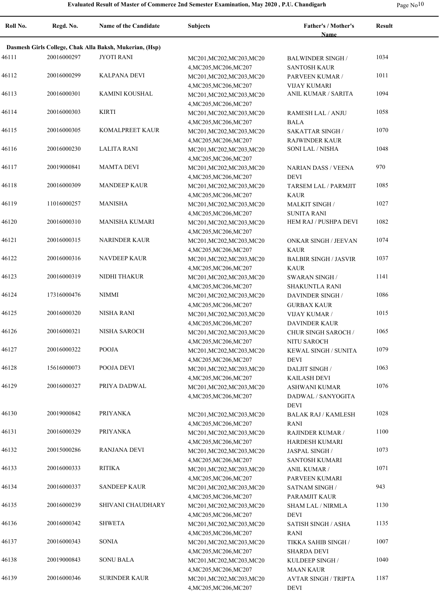| 10<br>Page No. |
|----------------|
|----------------|

| Roll No. | Regd. No.   | <b>Name of the Candidate</b>                            | <b>Subjects</b>                                                               | Father's / Mother's<br><b>Name</b>                            | <b>Result</b> |
|----------|-------------|---------------------------------------------------------|-------------------------------------------------------------------------------|---------------------------------------------------------------|---------------|
|          |             | Dasmesh Girls College, Chak Alla Baksh, Mukerian, (Hsp) |                                                                               |                                                               |               |
| 46111    | 20016000297 | <b>JYOTI RANI</b>                                       | MC201, MC202, MC203, MC20                                                     | <b>BALWINDER SINGH/</b>                                       | 1034          |
| 46112    | 20016000299 | <b>KALPANA DEVI</b>                                     | 4, MC205, MC206, MC207<br>MC201, MC202, MC203, MC20<br>4, MC205, MC206, MC207 | <b>SANTOSH KAUR</b><br>PARVEEN KUMAR /<br><b>VIJAY KUMARI</b> | 1011          |
| 46113    | 20016000301 | KAMINI KOUSHAL                                          | MC201, MC202, MC203, MC20<br>4, MC205, MC206, MC207                           | ANIL KUMAR / SARITA                                           | 1094          |
| 46114    | 20016000303 | <b>KIRTI</b>                                            | MC201, MC202, MC203, MC20<br>4, MC205, MC206, MC207                           | RAMESH LAL / ANJU<br><b>BALA</b>                              | 1058          |
| 46115    | 20016000305 | <b>KOMALPREET KAUR</b>                                  | MC201, MC202, MC203, MC20<br>4, MC205, MC206, MC207                           | <b>SAKATTAR SINGH /</b><br><b>RAJWINDER KAUR</b>              | 1070          |
| 46116    | 20016000230 | <b>LALITA RANI</b>                                      | MC201, MC202, MC203, MC20<br>4, MC205, MC206, MC207                           | SONI LAL / NISHA                                              | 1048          |
| 46117    | 20019000841 | <b>MAMTA DEVI</b>                                       | MC201, MC202, MC203, MC20<br>4, MC205, MC206, MC207                           | <b>NARIAN DASS / VEENA</b><br><b>DEVI</b>                     | 970           |
| 46118    | 20016000309 | <b>MANDEEP KAUR</b>                                     | MC201, MC202, MC203, MC20<br>4, MC205, MC206, MC207                           | TARSEM LAL / PARMJIT                                          | 1085          |
| 46119    | 11016000257 | <b>MANISHA</b>                                          | MC201, MC202, MC203, MC20                                                     | <b>KAUR</b><br><b>MALKIT SINGH/</b>                           | 1027          |
| 46120    | 20016000310 | <b>MANISHA KUMARI</b>                                   | 4, MC205, MC206, MC207<br>MC201, MC202, MC203, MC20<br>4, MC205, MC206, MC207 | <b>SUNITA RANI</b><br>HEM RAJ / PUSHPA DEVI                   | 1082          |
| 46121    | 20016000315 | <b>NARINDER KAUR</b>                                    | MC201, MC202, MC203, MC20<br>4, MC205, MC206, MC207                           | <b>ONKAR SINGH / JEEVAN</b><br><b>KAUR</b>                    | 1074          |
| 46122    | 20016000316 | <b>NAVDEEP KAUR</b>                                     | MC201, MC202, MC203, MC20<br>4, MC205, MC206, MC207                           | <b>BALBIR SINGH / JASVIR</b><br><b>KAUR</b>                   | 1037          |
| 46123    | 20016000319 | NIDHI THAKUR                                            | MC201, MC202, MC203, MC20<br>4, MC205, MC206, MC207                           | <b>SWARAN SINGH/</b><br><b>SHAKUNTLA RANI</b>                 | 1141          |
| 46124    | 17316000476 | <b>NIMMI</b>                                            | MC201, MC202, MC203, MC20<br>4, MC205, MC206, MC207                           | <b>DAVINDER SINGH/</b><br><b>GURBAX KAUR</b>                  | 1086          |
| 46125    | 20016000320 | <b>NISHA RANI</b>                                       | MC201, MC202, MC203, MC20<br>4, MC205, MC206, MC207                           | <b>VIJAY KUMAR /</b><br><b>DAVINDER KAUR</b>                  | 1015          |
| 46126    | 20016000321 | NISHA SAROCH                                            | MC201, MC202, MC203, MC20<br>4, MC205, MC206, MC207                           | <b>CHUR SINGH SAROCH /</b><br>NITU SAROCH                     | 1065          |
| 46127    | 20016000322 | POOJA                                                   | MC201, MC202, MC203, MC20                                                     | <b>KEWAL SINGH / SUNITA</b><br><b>DEVI</b>                    | 1079          |
| 46128    | 15616000073 | POOJA DEVI                                              | 4, MC205, MC206, MC207<br>MC201, MC202, MC203, MC20                           | DALJIT SINGH /                                                | 1063          |
| 46129    | 20016000327 | PRIYA DADWAL                                            | 4, MC205, MC206, MC207<br>MC201, MC202, MC203, MC20                           | <b>KAILASH DEVI</b><br><b>ASHWANI KUMAR</b>                   | 1076          |
| 46130    | 20019000842 | <b>PRIYANKA</b>                                         | 4, MC205, MC206, MC207                                                        | DADWAL / SANYOGITA<br>DEVI                                    | 1028          |
|          |             |                                                         | MC201, MC202, MC203, MC20<br>4, MC205, MC206, MC207                           | <b>BALAK RAJ / KAMLESH</b><br><b>RANI</b>                     |               |
| 46131    | 20016000329 | PRIYANKA                                                | MC201, MC202, MC203, MC20<br>4, MC205, MC206, MC207                           | <b>RAJINDER KUMAR /</b><br><b>HARDESH KUMARI</b>              | 1100          |
| 46132    | 20015000286 | <b>RANJANA DEVI</b>                                     | MC201, MC202, MC203, MC20<br>4, MC205, MC206, MC207                           | <b>JASPAL SINGH/</b><br><b>SANTOSH KUMARI</b>                 | 1073          |
| 46133    | 20016000333 | RITIKA                                                  | MC201, MC202, MC203, MC20<br>4, MC205, MC206, MC207                           | <b>ANIL KUMAR /</b><br>PARVEEN KUMARI                         | 1071          |
| 46134    | 20016000337 | SANDEEP KAUR                                            | MC201, MC202, MC203, MC20<br>4, MC205, MC206, MC207                           | SATNAM SINGH /                                                | 943           |
| 46135    | 20016000239 | SHIVANI CHAUDHARY                                       | MC201, MC202, MC203, MC20<br>4, MC205, MC206, MC207                           | PARAMJIT KAUR<br><b>SHAM LAL / NIRMLA</b><br><b>DEVI</b>      | 1130          |
| 46136    | 20016000342 | <b>SHWETA</b>                                           | MC201, MC202, MC203, MC20                                                     | <b>SATISH SINGH / ASHA</b>                                    | 1135          |
| 46137    | 20016000343 | SONIA                                                   | 4, MC205, MC206, MC207<br>MC201, MC202, MC203, MC20                           | RANI<br>TIKKA SAHIB SINGH /                                   | 1007          |
| 46138    | 20019000843 | <b>SONU BALA</b>                                        | 4, MC205, MC206, MC207<br>MC201, MC202, MC203, MC20                           | SHARDA DEVI<br>KULDEEP SINGH /                                | 1040          |
| 46139    | 20016000346 | <b>SURINDER KAUR</b>                                    | 4, MC205, MC206, MC207<br>MC201, MC202, MC203, MC20<br>4, MC205, MC206, MC207 | MAAN KAUR<br><b>AVTAR SINGH / TRIPTA</b><br>DEVI              | 1187          |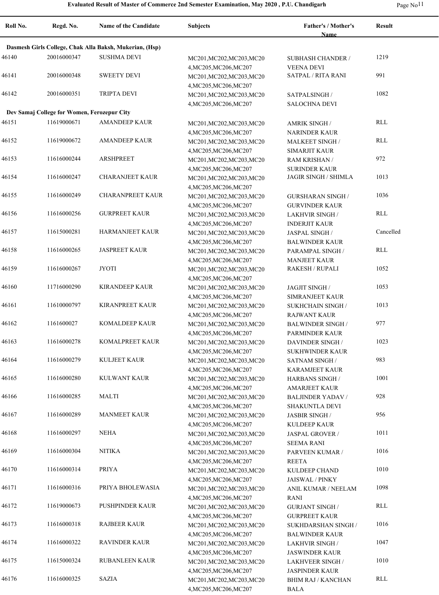| Roll No. | Regd. No.                                   | Name of the Candidate                                   | <b>Subjects</b>                                     | Father's / Mother's<br>Name                     | <b>Result</b> |
|----------|---------------------------------------------|---------------------------------------------------------|-----------------------------------------------------|-------------------------------------------------|---------------|
|          |                                             | Dasmesh Girls College, Chak Alla Baksh, Mukerian, (Hsp) |                                                     |                                                 |               |
| 46140    | 20016000347                                 | <b>SUSHMA DEVI</b>                                      | MC201, MC202, MC203, MC20                           | <b>SUBHASH CHANDER /</b>                        | 1219          |
|          |                                             |                                                         | 4, MC205, MC206, MC207                              | <b>VEENA DEVI</b>                               |               |
| 46141    | 20016000348                                 | <b>SWEETY DEVI</b>                                      | MC201, MC202, MC203, MC20                           | <b>SATPAL / RITA RANI</b>                       | 991           |
|          |                                             |                                                         | 4, MC205, MC206, MC207                              |                                                 |               |
| 46142    | 20016000351                                 | <b>TRIPTA DEVI</b>                                      | MC201, MC202, MC203, MC20                           | SATPALSINGH /                                   | 1082          |
|          |                                             |                                                         | 4, MC205, MC206, MC207                              | <b>SALOCHNA DEVI</b>                            |               |
|          | Dev Samaj College for Women, Ferozepur City |                                                         |                                                     |                                                 |               |
| 46151    | 11619000671                                 | <b>AMANDEEP KAUR</b>                                    | MC201, MC202, MC203, MC20                           | <b>AMRIK SINGH /</b>                            | <b>RLL</b>    |
|          |                                             |                                                         | 4, MC205, MC206, MC207                              | <b>NARINDER KAUR</b>                            |               |
| 46152    | 11619000672                                 | <b>AMANDEEP KAUR</b>                                    | MC201, MC202, MC203, MC20                           | <b>MALKEET SINGH/</b>                           | <b>RLL</b>    |
| 46153    | 11616000244                                 | <b>ARSHPREET</b>                                        | 4, MC205, MC206, MC207                              | <b>SIMARJIT KAUR</b>                            | 972           |
|          |                                             |                                                         | MC201, MC202, MC203, MC20<br>4, MC205, MC206, MC207 | <b>RAM KRISHAN /</b><br><b>SURINDER KAUR</b>    |               |
| 46154    | 11616000247                                 | <b>CHARANJEET KAUR</b>                                  | MC201, MC202, MC203, MC20                           | <b>JAGIR SINGH / SHIMLA</b>                     | 1013          |
|          |                                             |                                                         | 4, MC205, MC206, MC207                              |                                                 |               |
| 46155    | 11616000249                                 | <b>CHARANPREET KAUR</b>                                 | MC201, MC202, MC203, MC20                           | <b>GURSHARAN SINGH /</b>                        | 1036          |
|          |                                             |                                                         | 4, MC205, MC206, MC207                              | <b>GURVINDER KAUR</b>                           |               |
| 46156    | 11616000256                                 | <b>GURPREET KAUR</b>                                    | MC201, MC202, MC203, MC20                           | <b>LAKHVIR SINGH /</b>                          | <b>RLL</b>    |
|          |                                             |                                                         | 4, MC205, MC206, MC207                              | <b>INDERJIT KAUR</b>                            |               |
| 46157    | 11615000281                                 | <b>HARMANJEET KAUR</b>                                  | MC201, MC202, MC203, MC20                           | JASPAL SINGH /                                  | Cancelled     |
|          |                                             |                                                         | 4, MC205, MC206, MC207                              | <b>BALWINDER KAUR</b>                           |               |
| 46158    | 11616000265                                 | <b>JASPREET KAUR</b>                                    | MC201, MC202, MC203, MC20                           | PARAMPAL SINGH /                                | <b>RLL</b>    |
|          |                                             |                                                         | 4, MC205, MC206, MC207                              | <b>MANJEET KAUR</b>                             |               |
| 46159    | 11616000267                                 | JYOTI                                                   | MC201, MC202, MC203, MC20                           | <b>RAKESH / RUPALI</b>                          | 1052          |
|          |                                             |                                                         | 4, MC205, MC206, MC207                              |                                                 |               |
| 46160    | 11716000290                                 | <b>KIRANDEEP KAUR</b>                                   | MC201, MC202, MC203, MC20                           | JAGJIT SINGH /                                  | 1053          |
| 46161    | 11610000797                                 | <b>KIRANPREET KAUR</b>                                  | 4, MC205, MC206, MC207                              | SIMRANJEET KAUR                                 | 1013          |
|          |                                             |                                                         | MC201, MC202, MC203, MC20<br>4, MC205, MC206, MC207 | <b>SUKHCHAIN SINGH /</b><br><b>RAJWANT KAUR</b> |               |
| 46162    | 1161600027                                  | <b>KOMALDEEP KAUR</b>                                   | MC201, MC202, MC203, MC20                           | <b>BALWINDER SINGH/</b>                         | 977           |
|          |                                             |                                                         | 4, MC205, MC206, MC207                              | PARMINDER KAUR                                  |               |
| 46163    | 11616000278                                 | KOMALPREET KAUR                                         | MC201, MC202, MC203, MC20                           | <b>DAVINDER SINGH/</b>                          | 1023          |
|          |                                             |                                                         | 4, MC205, MC206, MC207                              | <b>SUKHWINDER KAUR</b>                          |               |
| 46164    | 11616000279                                 | <b>KULJEET KAUR</b>                                     | MC201, MC202, MC203, MC20                           | <b>SATNAM SINGH /</b>                           | 983           |
|          |                                             |                                                         | 4, MC205, MC206, MC207                              | <b>KARAMJEET KAUR</b>                           |               |
| 46165    | 11616000280                                 | <b>KULWANT KAUR</b>                                     | MC201, MC202, MC203, MC20                           | <b>HARBANS SINGH/</b>                           | 1001          |
|          |                                             |                                                         | 4, MC205, MC206, MC207                              | <b>AMARJEET KAUR</b>                            |               |
| 46166    | 11616000285                                 | <b>MALTI</b>                                            | MC201, MC202, MC203, MC20                           | <b>BALJINDER YADAV /</b>                        | 928           |
|          |                                             |                                                         | 4, MC205, MC206, MC207                              | <b>SHAKUNTLA DEVI</b>                           |               |
| 46167    | 11616000289                                 | MANMEET KAUR                                            | MC201, MC202, MC203, MC20                           | JASBIR SINGH /                                  | 956           |
| 46168    | 11616000297                                 | <b>NEHA</b>                                             | 4, MC205, MC206, MC207                              | <b>KULDEEP KAUR</b>                             | 1011          |
|          |                                             |                                                         | MC201, MC202, MC203, MC20                           | JASPAL GROVER /                                 |               |
| 46169    | 11616000304                                 | NITIKA                                                  | 4, MC205, MC206, MC207<br>MC201, MC202, MC203, MC20 | <b>SEEMA RANI</b><br>PARVEEN KUMAR /            | 1016          |
|          |                                             |                                                         | 4, MC205, MC206, MC207                              | REETA                                           |               |
| 46170    | 11616000314                                 | <b>PRIYA</b>                                            | MC201, MC202, MC203, MC20                           | KULDEEP CHAND                                   | 1010          |
|          |                                             |                                                         | 4, MC205, MC206, MC207                              | <b>JAISWAL / PINKY</b>                          |               |
| 46171    | 11616000316                                 | PRIYA BHOLEWASIA                                        | MC201, MC202, MC203, MC20                           | ANIL KUMAR / NEELAM                             | 1098          |
|          |                                             |                                                         | 4, MC205, MC206, MC207                              | RANI                                            |               |
| 46172    | 11619000673                                 | PUSHPINDER KAUR                                         | MC201, MC202, MC203, MC20                           | <b>GURJANT SINGH /</b>                          | RLL           |
|          |                                             |                                                         | 4, MC205, MC206, MC207                              | <b>GURPREET KAUR</b>                            |               |
| 46173    | 11616000318                                 | <b>RAJBEER KAUR</b>                                     | MC201, MC202, MC203, MC20                           | SUKHDARSHAN SINGH /                             | 1016          |
|          |                                             |                                                         | 4, MC205, MC206, MC207                              | <b>BALWINDER KAUR</b>                           |               |
| 46174    | 11616000322                                 | <b>RAVINDER KAUR</b>                                    | MC201, MC202, MC203, MC20                           | <b>LAKHVIR SINGH /</b>                          | 1047          |
|          |                                             |                                                         | 4, MC205, MC206, MC207                              | <b>JASWINDER KAUR</b>                           |               |
| 46175    | 11615000324                                 | RUBANLEEN KAUR                                          | MC201, MC202, MC203, MC20                           | <b>LAKHVEER SINGH/</b>                          | 1010          |
| 46176    | 11616000325                                 | <b>SAZIA</b>                                            | 4, MC205, MC206, MC207                              | <b>JASPINDER KAUR</b>                           | RLL           |
|          |                                             |                                                         | MC201, MC202, MC203, MC20                           | <b>BHIM RAJ / KANCHAN</b>                       |               |
|          |                                             |                                                         | 4, MC205, MC206, MC207                              | BALA                                            |               |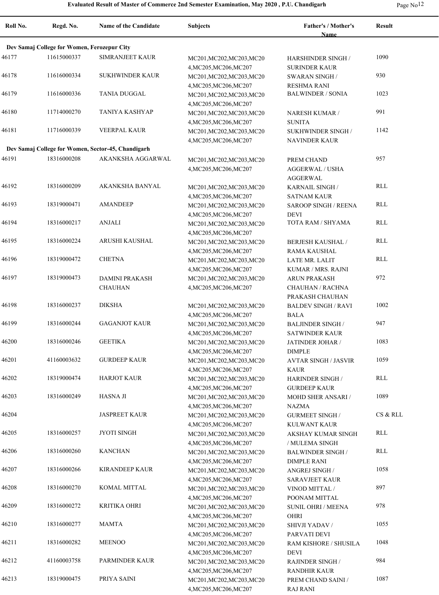| Page No |  |
|---------|--|
|---------|--|

| Roll No. | Regd. No.                                   | <b>Name of the Candidate</b>                       | <b>Subjects</b>                                     | Father's / Mother's                           | <b>Result</b> |
|----------|---------------------------------------------|----------------------------------------------------|-----------------------------------------------------|-----------------------------------------------|---------------|
|          | Dev Samaj College for Women, Ferozepur City |                                                    |                                                     | <b>Name</b>                                   |               |
| 46177    | 11615000337                                 | <b>SIMRANJEET KAUR</b>                             | MC201, MC202, MC203, MC20                           | <b>HARSHINDER SINGH/</b>                      | 1090          |
|          |                                             |                                                    | 4, MC205, MC206, MC207                              | <b>SURINDER KAUR</b>                          |               |
| 46178    | 11616000334                                 | <b>SUKHWINDER KAUR</b>                             | MC201, MC202, MC203, MC20                           | <b>SWARAN SINGH/</b>                          | 930           |
|          |                                             |                                                    | 4, MC205, MC206, MC207                              | <b>RESHMA RANI</b>                            |               |
| 46179    | 11616000336                                 | <b>TANIA DUGGAL</b>                                | MC201, MC202, MC203, MC20                           | <b>BALWINDER / SONIA</b>                      | 1023          |
|          |                                             |                                                    | 4, MC205, MC206, MC207                              |                                               |               |
| 46180    | 11714000270                                 | TANIYA KASHYAP                                     | MC201, MC202, MC203, MC20                           | <b>NARESH KUMAR /</b>                         | 991           |
|          |                                             |                                                    | 4, MC205, MC206, MC207                              | <b>SUNITA</b>                                 |               |
| 46181    | 11716000339                                 | <b>VEERPAL KAUR</b>                                | MC201, MC202, MC203, MC20                           | SUKHWINDER SINGH /                            | 1142          |
|          |                                             |                                                    | 4, MC205, MC206, MC207                              | <b>NAVINDER KAUR</b>                          |               |
|          |                                             | Dev Samaj College for Women, Sector-45, Chandigarh |                                                     |                                               |               |
| 46191    | 18316000208                                 | AKANKSHA AGGARWAL                                  | MC201, MC202, MC203, MC20                           | PREM CHAND                                    | 957           |
|          |                                             |                                                    | 4, MC205, MC206, MC207                              | <b>AGGERWAL / USHA</b><br><b>AGGERWAL</b>     |               |
| 46192    | 18316000209                                 | AKANKSHA BANYAL                                    | MC201, MC202, MC203, MC20                           | <b>KARNAIL SINGH/</b>                         | RLL           |
|          |                                             |                                                    | 4, MC205, MC206, MC207                              | <b>SATNAM KAUR</b>                            |               |
| 46193    | 18319000471                                 | <b>AMANDEEP</b>                                    | MC201, MC202, MC203, MC20                           | <b>SAROOP SINGH / REENA</b>                   | RLL           |
|          |                                             |                                                    | 4, MC205, MC206, MC207                              | <b>DEVI</b>                                   |               |
| 46194    | 18316000217                                 | <b>ANJALI</b>                                      | MC201, MC202, MC203, MC20                           | TOTA RAM / SHYAMA                             | RLL           |
|          |                                             |                                                    | 4, MC205, MC206, MC207                              |                                               |               |
| 46195    | 18316000224                                 | ARUSHI KAUSHAL                                     | MC201, MC202, MC203, MC20                           | <b>BERJESH KAUSHAL/</b>                       | RLL           |
|          |                                             |                                                    | 4, MC205, MC206, MC207                              | <b>RAMA KAUSHAL</b>                           |               |
| 46196    | 18319000472                                 | <b>CHETNA</b>                                      | MC201, MC202, MC203, MC20                           | LATE MR. LALIT                                | RLL           |
|          |                                             |                                                    | 4, MC205, MC206, MC207                              | KUMAR / MRS. RAJNI                            |               |
| 46197    | 18319000473                                 | <b>DAMINI PRAKASH</b>                              | MC201, MC202, MC203, MC20                           | <b>ARUN PRAKASH</b>                           | 972           |
|          |                                             | <b>CHAUHAN</b>                                     | 4, MC205, MC206, MC207                              | CHAUHAN / RACHNA                              |               |
| 46198    | 18316000237                                 | <b>DIKSHA</b>                                      |                                                     | PRAKASH CHAUHAN                               | 1002          |
|          |                                             |                                                    | MC201, MC202, MC203, MC20                           | <b>BALDEV SINGH / RAVI</b><br><b>BALA</b>     |               |
| 46199    | 18316000244                                 | <b>GAGANJOT KAUR</b>                               | 4, MC205, MC206, MC207<br>MC201, MC202, MC203, MC20 | <b>BALJINDER SINGH /</b>                      | 947           |
|          |                                             |                                                    | 4, MC205, MC206, MC207                              | <b>SATWINDER KAUR</b>                         |               |
| 46200    | 18316000246                                 | <b>GEETIKA</b>                                     | MC201, MC202, MC203, MC20                           | JATINDER JOHAR /                              | 1083          |
|          |                                             |                                                    | 4, MC205, MC206, MC207                              | <b>DIMPLE</b>                                 |               |
| 46201    | 41160003632                                 | <b>GURDEEP KAUR</b>                                | MC201, MC202, MC203, MC20                           | <b>AVTAR SINGH / JASVIR</b>                   | 1059          |
|          |                                             |                                                    | 4, MC205, MC206, MC207                              | <b>KAUR</b>                                   |               |
| 46202    | 18319000474                                 | <b>HARJOT KAUR</b>                                 | MC201, MC202, MC203, MC20                           | <b>HARINDER SINGH/</b>                        | <b>RLL</b>    |
|          |                                             |                                                    | 4, MC205, MC206, MC207                              | <b>GURDEEP KAUR</b>                           |               |
| 46203    | 18316000249                                 | HASNA JI                                           | MC201, MC202, MC203, MC20                           | MOHD SHER ANSARI /                            | 1089          |
|          |                                             |                                                    | 4, MC205, MC206, MC207                              | <b>NAZMA</b>                                  |               |
| 46204    |                                             | <b>JASPREET KAUR</b>                               | MC201, MC202, MC203, MC20                           | <b>GURMEET SINGH /</b>                        | CS & RLL      |
| 46205    | 18316000257                                 | <b>JYOTI SINGH</b>                                 | 4, MC205, MC206, MC207                              | KULWANT KAUR                                  | RLL           |
|          |                                             |                                                    | MC201, MC202, MC203, MC20<br>4, MC205, MC206, MC207 | AKSHAY KUMAR SINGH<br>/ MULEMA SINGH          |               |
| 46206    | 18316000260                                 | <b>KANCHAN</b>                                     | MC201, MC202, MC203, MC20                           | <b>BALWINDER SINGH/</b>                       | <b>RLL</b>    |
|          |                                             |                                                    | 4, MC205, MC206, MC207                              | <b>DIMPLE RANI</b>                            |               |
| 46207    | 18316000266                                 | <b>KIRANDEEP KAUR</b>                              | MC201, MC202, MC203, MC20                           | ANGREJ SINGH /                                | 1058          |
|          |                                             |                                                    | 4, MC205, MC206, MC207                              | <b>SARAVJEET KAUR</b>                         |               |
| 46208    | 18316000270                                 | KOMAL MITTAL                                       | MC201, MC202, MC203, MC20                           | VINOD MITTAL /                                | 897           |
|          |                                             |                                                    | 4, MC205, MC206, MC207                              | POONAM MITTAL                                 |               |
| 46209    | 18316000272                                 | KRITIKA OHRI                                       | MC201, MC202, MC203, MC20                           | <b>SUNIL OHRI / MEENA</b>                     | 978           |
|          |                                             |                                                    | 4, MC205, MC206, MC207                              | <b>OHRI</b>                                   |               |
| 46210    | 18316000277                                 | <b>MAMTA</b>                                       | MC201, MC202, MC203, MC20                           | SHIVJI YADAV /                                | 1055          |
|          |                                             |                                                    | 4, MC205, MC206, MC207                              | PARVATI DEVI                                  |               |
| 46211    | 18316000282                                 | <b>MEENOO</b>                                      | MC201, MC202, MC203, MC20                           | RAM KISHORE / SHUSILA                         | 1048          |
| 46212    | 41160003758                                 | PARMINDER KAUR                                     | 4, MC205, MC206, MC207                              | <b>DEVI</b>                                   | 984           |
|          |                                             |                                                    | MC201, MC202, MC203, MC20<br>4, MC205, MC206, MC207 | <b>RAJINDER SINGH/</b><br><b>RANDHIR KAUR</b> |               |
| 46213    | 18319000475                                 | PRIYA SAINI                                        | MC201, MC202, MC203, MC20                           | PREM CHAND SAINI /                            | 1087          |
|          |                                             |                                                    | 4, MC205, MC206, MC207                              | <b>RAJ RANI</b>                               |               |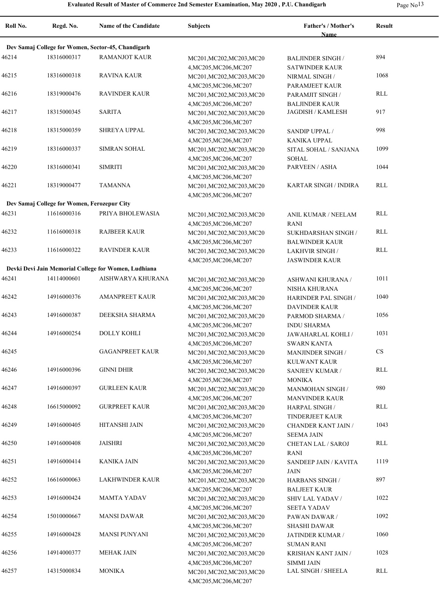**Roll No. Regd. No. Name of the Candidate Subjects Father's / Mother's Name Result Dev Samaj College for Women, Sector-45, Chandigarh** 46214 18316000317 RAMANJOT KAUR MC201, MC202, MC203, MC20 BALJINDER SINGH 894 4,MC205,MC206,MC207 BALJINDER SINGH / SATWINDER KAUR 46215 RAVINA KAUR MC201,MC202,MC203,MC20 18316000318 1068 4,MC205,MC206,MC207 NIRMAL SINGH / PARAMJEET KAUR 46216 RAVINDER KAUR MC201,MC202,MC203,MC20 18319000476 RLL 4,MC205,MC206,MC207 PARAMJIT SINGH / BALJINDER KAUR 46217 SARITA MC201,MC202,MC203,MC20 18315000345 JAGDISH / KAMLESH 917 4,MC205,MC206,MC207 46218 18315000359 SHREYA UPPAL MC201, MC202, MC203, MC20 SANDIP UPPAL / 998 4,MC205,MC206,MC207 SANDIP UPPAL / KANIKA UPPAL 46219 18316000337 SIMRAN SOHAL MC201, MC202, MC203, MC20 SITAL SOHAL / SANJANA 1099 4,MC205,MC206,MC207 SITAL SOHAL / SANJANA SOHAL 46220 18316000341 SIMRITI MC201,MC202,MC203,MC20 PARVEEN / ASHA 1044 4,MC205,MC206,MC207 46221 TAMANNA MC201,MC202,MC203,MC20 18319000477 KARTAR SINGH / INDIRA RLL 4,MC205,MC206,MC207 **Dev Samaj College for Women, Ferozepur City** 46231 PRIYA BHOLEWASIA MC201,MC202,MC203,MC20 11616000316 RLL 4,MC205,MC206,MC207 ANIL KUMAR / NEELAM RANI 46232 RAJBEER KAUR MC201,MC202,MC203,MC20 11616000318 RLL 4,MC205,MC206,MC207 SUKHDARSHAN SINGH / BALWINDER KAUR 46233 RAVINDER KAUR MC201,MC202,MC203,MC20 11616000322 RLL 4,MC205,MC206,MC207 LAKHVIR SINGH / JASWINDER KAUR **Devki Devi Jain Memorial College for Women, Ludhiana** 46241 14114000601 AISHWARYA KHURANA MC201,MC202,MC203,MC20 ASHWANI KHURANA / 1011 4,MC205,MC206,MC207 ASHWANI KHURANA / NISHA KHURANA 46242 14916000376 AMANPREET KAUR MC201, MC202, MC203, MC20 HARINDER PAL SINGH 1040 4,MC205,MC206,MC207 HARINDER PAL SINGH / DAVINDER KAUR 46243 14916000387 DEEKSHA SHARMA MC201, MC202, MC203, MC20 PARMOD SHARMA / 1056 4,MC205,MC206,MC207 PARMOD SHARMA / INDU SHARMA 46244 DOLLY KOHLI MC201,MC202,MC203,MC20 14916000254 1031 4,MC205,MC206,MC207 JAWAHARLAL KOHLI / SWARN KANTA 46245 GAGANPREET KAUR MC201,MC202,MC203,MC20 4,MC205,MC206,MC207 MANJINDER SINGH / KULWANT KAUR CS 46246 GINNI DHIR MC201,MC202,MC203,MC20 14916000396 RLL 4,MC205,MC206,MC207 SANJEEV KUMAR / MONIKA 46247 14916000397 GURLEEN KAUR MC201,MC202,MC203,MC20 MANMOHAN SINGH 980 4,MC205,MC206,MC207 MANMOHAN SINGH / MANVINDER KAUR 46248 GURPREET KAUR MC201,MC202,MC203,MC20 16615000092 RLL 4,MC205,MC206,MC207 HARPAL SINGH / TINDERJEET KAUR 46249 14916000405 HITANSHI JAIN MC201, MC202, MC203, MC20 CHANDER KANT JAIN 1043 4,MC205,MC206,MC207 CHANDER KANT JAIN / SEEMA JAIN 46250 JAISHRI MC201,MC202,MC203,MC20 14916000408 RLL 4,MC205,MC206,MC207 CHETAN LAL / SAROJ RANI 46251 14916000414 KANIKA JAIN MC201, MC202, MC203, MC203, MC20 SANDEEP JAIN / KAVITA 1119 4,MC205,MC206,MC207 SANDEEP JAIN / KAVITA JAIN 46252 16616000063 LAKHWINDER KAUR MC201,MC202,MC203,MC20 HARBANS SINGH 897 4,MC205,MC206,MC207 HARBANS SINGH / BALJEET KAUR 46253 14916000424 MAMTA YADAV MC201, MC202, MC203, MC203, MC20 SHIV LAL YADAV 1022 4,MC205,MC206,MC207 SHIV LAL YADAV / SEETA YADAV 46254 15010000667 MANSI DAWAR MC201, MC202, MC203, MC203, MC20 PAWAN DAWAR / 1092 4,MC205,MC206,MC207 PAWAN DAWAR / SHASHI DAWAR 46255 14916000428 MANSI PUNYANI MC201,MC202,MC203,MC20 JATINDER KUMAR / 1060 4,MC205,MC206,MC207 JATINDER KUMAR / SUMAN RANI 46256 14914000377 MEHAK JAIN MC201, MC201, MC203, MC203, MC20 KRISHAN KANT JAIN 1028 4,MC205,MC206,MC207 KRISHAN KANT JAIN / SIMMI JAIN 46257 MONIKA MC201,MC202,MC203,MC20 14315000834 LAL SINGH / SHEELA RLL

4,MC205,MC206,MC207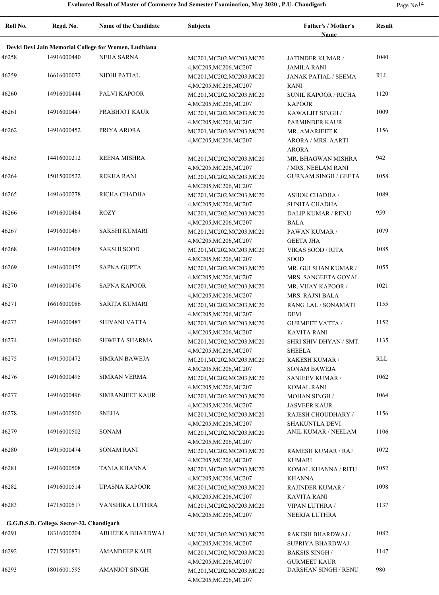| -<br>יי | u |
|---------|---|
|---------|---|

| Roll No. | Regd. No.                                 | <b>Name of the Candidate</b>                         | <b>Subjects</b>                                                               | <b>Father's / Mother's</b><br>Name                        | <b>Result</b> |
|----------|-------------------------------------------|------------------------------------------------------|-------------------------------------------------------------------------------|-----------------------------------------------------------|---------------|
|          |                                           | Devki Devi Jain Memorial College for Women, Ludhiana |                                                                               |                                                           |               |
| 46258    | 14916000440                               | <b>NEHA SARNA</b>                                    | MC201, MC202, MC203, MC20                                                     | JATINDER KUMAR /                                          | 1040          |
| 46259    | 16616000072                               | NIDHI PATIAL                                         | 4, MC205, MC206, MC207<br>MC201, MC202, MC203, MC20<br>4, MC205, MC206, MC207 | <b>JAMILA RANI</b><br><b>JANAK PATIAL / SEEMA</b><br>RANI | RLL           |
| 46260    | 14916000444                               | PALVI KAPOOR                                         | MC201, MC202, MC203, MC20<br>4, MC205, MC206, MC207                           | <b>SUNIL KAPOOR / RICHA</b><br><b>KAPOOR</b>              | 1120          |
| 46261    | 14916000447                               | PRABHJOT KAUR                                        | MC201, MC202, MC203, MC20                                                     | KAWALJIT SINGH /                                          | 1009          |
| 46262    | 14916000452                               | PRIYA ARORA                                          | 4, MC205, MC206, MC207<br>MC201, MC202, MC203, MC20<br>4, MC205, MC206, MC207 | PARMINDER KAUR<br>MR. AMARJEET K<br>ARORA / MRS. AARTI    | 1156          |
| 46263    | 14416000212                               | <b>REENA MISHRA</b>                                  | MC201, MC202, MC203, MC20                                                     | ARORA<br>MR. BHAGWAN MISHRA                               | 942           |
| 46264    | 15015000522                               | <b>REKHA RANI</b>                                    | 4, MC205, MC206, MC207<br>MC201, MC202, MC203, MC20                           | / MRS. NEELAM RANI<br><b>GURNAM SINGH / GEETA</b>         | 1058          |
| 46265    | 14916000278                               | RICHA CHADHA                                         | 4, MC205, MC206, MC207<br>MC201, MC202, MC203, MC20                           | <b>ASHOK CHADHA /</b>                                     | 1089          |
| 46266    | 14916000464                               | <b>ROZY</b>                                          | 4, MC205, MC206, MC207<br>MC201, MC202, MC203, MC20                           | <b>SUNITA CHADHA</b><br><b>DALIP KUMAR / RENU</b>         | 959           |
| 46267    | 14916000467                               | <b>SAKSHI KUMARI</b>                                 | 4, MC205, MC206, MC207<br>MC201, MC202, MC203, MC20                           | BALA<br>PAWAN KUMAR /                                     | 1079          |
| 46268    | 14916000468                               | <b>SAKSHI SOOD</b>                                   | 4, MC205, MC206, MC207<br>MC201, MC202, MC203, MC20                           | <b>GEETA JHA</b><br>VIKAS SOOD / RITA                     | 1085          |
| 46269    | 14916000475                               | <b>SAPNA GUPTA</b>                                   | 4, MC205, MC206, MC207<br>MC201, MC202, MC203, MC20                           | <b>SOOD</b><br>MR. GULSHAN KUMAR /                        | 1055          |
| 46270    | 14916000476                               | <b>SAPNA KAPOOR</b>                                  | 4, MC205, MC206, MC207<br>MC201, MC202, MC203, MC20                           | MRS. SANGEETA GOYAL<br>MR. VIJAY KAPOOR /                 | 1021          |
| 46271    | 16616000086                               | <b>SARITA KUMARI</b>                                 | 4, MC205, MC206, MC207<br>MC201, MC202, MC203, MC20                           | MRS. RAJNI BALA<br>RANG LAL / SONAMATI<br><b>DEVI</b>     | 1155          |
| 46273    | 14916000487                               | SHIVANI VATTA                                        | 4, MC205, MC206, MC207<br>MC201, MC202, MC203, MC20<br>4, MC205, MC206, MC207 | <b>GURMEET VATTA /</b><br>KAVITA RANI                     | 1152          |
| 46274    | 14916000490                               | <b>SHWETA SHARMA</b>                                 | MC201, MC202, MC203, MC20<br>4, MC205, MC206, MC207                           | SHRI SHIV DHYAN / SMT.<br><b>SHEELA</b>                   | 1135          |
| 46275    | 14915000472                               | <b>SIMRAN BAWEJA</b>                                 | MC201, MC202, MC203, MC20<br>4, MC205, MC206, MC207                           | RAKESH KUMAR /<br><b>SONAM BAWEJA</b>                     | RLL           |
| 46276    | 14916000495                               | <b>SIMRAN VERMA</b>                                  | MC201, MC202, MC203, MC20<br>4, MC205, MC206, MC207                           | <b>SANJEEV KUMAR /</b><br>KOMAL RANI                      | 1062          |
| 46277    | 14916000496                               | SIMRANJEET KAUR                                      | MC201, MC202, MC203, MC20<br>4, MC205, MC206, MC207                           | <b>MOHAN SINGH/</b><br><b>JASVEER KAUR</b>                | 1064          |
| 46278    | 14916000500                               | <b>SNEHA</b>                                         | MC201, MC202, MC203, MC20<br>4, MC205, MC206, MC207                           | RAJESH CHOUDHARY /<br>SHAKUNTLA DEVI                      | 1156          |
| 46279    | 14916000502                               | SONAM                                                | MC201, MC202, MC203, MC20<br>4, MC205, MC206, MC207                           | ANIL KUMAR / NEELAM                                       | 1106          |
| 46280    | 14915000474                               | <b>SONAM RANI</b>                                    | MC201, MC202, MC203, MC20<br>4, MC205, MC206, MC207                           | RAMESH KUMAR / RAJ<br><b>KUMARI</b>                       | 1072          |
| 46281    | 14916000508                               | <b>TANIA KHANNA</b>                                  | MC201, MC202, MC203, MC20<br>4, MC205, MC206, MC207                           | KOMAL KHANNA / RITU<br>KHANNA                             | 1052          |
| 46282    | 14916000514                               | UPASNA KAPOOR                                        | MC201, MC202, MC203, MC20<br>4, MC205, MC206, MC207                           | <b>RAJINDER KUMAR /</b><br>KAVITA RANI                    | 1098          |
| 46283    | 14715000517                               | VANSHIKA LUTHRA                                      | MC201, MC202, MC203, MC20<br>4, MC205, MC206, MC207                           | VIPAN LUTHRA /<br>NEERJA LUTHRA                           | 1137          |
|          | G.G.D.S.D. College, Sector-32, Chandigarh |                                                      |                                                                               |                                                           |               |
| 46291    | 18316000204                               | ABHEEKA BHARDWAJ                                     | MC201, MC202, MC203, MC20<br>4, MC205, MC206, MC207                           | RAKESH BHARDWAJ /<br>SUPRIYA BHARDWAJ                     | 1082          |
| 46292    | 17715000871                               | AMANDEEP KAUR                                        | MC201, MC202, MC203, MC20<br>4, MC205, MC206, MC207                           | <b>BAKSIS SINGH/</b><br><b>GURMEET KAUR</b>               | 1147          |
| 46293    | 18016001595                               | <b>AMANJOT SINGH</b>                                 | MC201, MC202, MC203, MC20<br>4, MC205, MC206, MC207                           | DARSHAN SINGH / RENU                                      | 980           |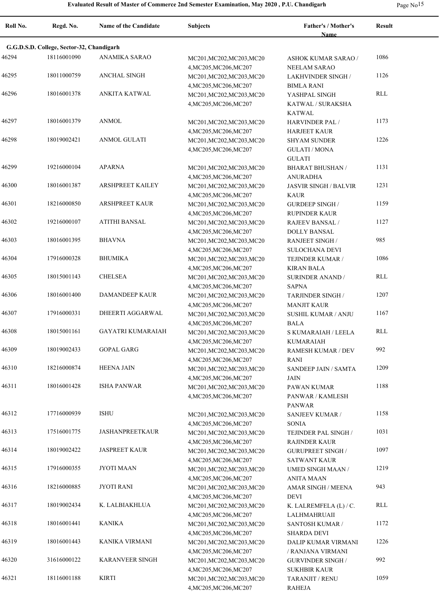|  | Page No <sup>15</sup> |
|--|-----------------------|
|--|-----------------------|

| Roll No. | Regd. No.                                 | <b>Name of the Candidate</b> | <b>Subjects</b>                                                               | Father's / Mother's<br>Name                                           | Result |
|----------|-------------------------------------------|------------------------------|-------------------------------------------------------------------------------|-----------------------------------------------------------------------|--------|
|          | G.G.D.S.D. College, Sector-32, Chandigarh |                              |                                                                               |                                                                       |        |
| 46294    | 18116001090                               | <b>ANAMIKA SARAO</b>         | MC201, MC202, MC203, MC20                                                     | <b>ASHOK KUMAR SARAO /</b>                                            | 1086   |
| 46295    | 18011000759                               | <b>ANCHAL SINGH</b>          | 4, MC205, MC206, MC207<br>MC201, MC202, MC203, MC20<br>4, MC205, MC206, MC207 | <b>NEELAM SARAO</b><br><b>LAKHVINDER SINGH /</b><br><b>BIMLA RANI</b> | 1126   |
| 46296    | 18016001378                               | ANKITA KATWAL                | MC201, MC202, MC203, MC20<br>4, MC205, MC206, MC207                           | YASHPAL SINGH<br>KATWAL / SURAKSHA                                    | RLL    |
| 46297    | 18016001379                               | <b>ANMOL</b>                 | MC201, MC202, MC203, MC20<br>4, MC205, MC206, MC207                           | <b>KATWAL</b><br><b>HARVINDER PAL /</b><br><b>HARJEET KAUR</b>        | 1173   |
| 46298    | 18019002421                               | <b>ANMOL GULATI</b>          | MC201, MC202, MC203, MC20<br>4, MC205, MC206, MC207                           | <b>SHYAM SUNDER</b><br><b>GULATI / MONA</b>                           | 1226   |
| 46299    | 19216000104                               | <b>APARNA</b>                | MC201, MC202, MC203, MC20<br>4, MC205, MC206, MC207                           | <b>GULATI</b><br><b>BHARAT BHUSHAN /</b><br><b>ANURADHA</b>           | 1131   |
| 46300    | 18016001387                               | <b>ARSHPREET KAILEY</b>      | MC201, MC202, MC203, MC20<br>4, MC205, MC206, MC207                           | <b>JASVIR SINGH / BALVIR</b><br><b>KAUR</b>                           | 1231   |
| 46301    | 18216000850                               | <b>ARSHPREET KAUR</b>        | MC201, MC202, MC203, MC20                                                     | <b>GURDEEP SINGH/</b>                                                 | 1159   |
| 46302    | 19216000107                               | <b>ATITHI BANSAL</b>         | 4, MC205, MC206, MC207<br>MC201, MC202, MC203, MC20<br>4, MC205, MC206, MC207 | RUPINDER KAUR<br><b>RAJEEV BANSAL/</b><br><b>DOLLY BANSAL</b>         | 1127   |
| 46303    | 18016001395                               | <b>BHAVNA</b>                | MC201, MC202, MC203, MC20<br>4, MC205, MC206, MC207                           | <b>RANJEET SINGH/</b><br><b>SULOCHANA DEVI</b>                        | 985    |
| 46304    | 17916000328                               | <b>BHUMIKA</b>               | MC201, MC202, MC203, MC20<br>4, MC205, MC206, MC207                           | TEJINDER KUMAR /<br><b>KIRAN BALA</b>                                 | 1086   |
| 46305    | 18015001143                               | <b>CHELSEA</b>               | MC201, MC202, MC203, MC20<br>4, MC205, MC206, MC207                           | <b>SURINDER ANAND /</b><br><b>SAPNA</b>                               | RLL    |
| 46306    | 18016001400                               | <b>DAMANDEEP KAUR</b>        | MC201, MC202, MC203, MC20<br>4, MC205, MC206, MC207                           | <b>TARJINDER SINGH /</b><br><b>MANJIT KAUR</b>                        | 1207   |
| 46307    | 17916000331                               | DHEERTI AGGARWAL             | MC201, MC202, MC203, MC20<br>4, MC205, MC206, MC207                           | <b>SUSHIL KUMAR / ANJU</b><br><b>BALA</b>                             | 1167   |
| 46308    | 18015001161                               | <b>GAYATRI KUMARAIAH</b>     | MC201, MC202, MC203, MC20<br>4, MC205, MC206, MC207                           | S KUMARAIAH / LEELA<br><b>KUMARAIAH</b>                               | RLL    |
| 46309    | 18019002433                               | <b>GOPAL GARG</b>            | MC201, MC202, MC203, MC20<br>4, MC205, MC206, MC207                           | RAMESH KUMAR / DEV<br><b>RANI</b>                                     | 992    |
| 46310    | 18216000874                               | <b>HEENA JAIN</b>            | MC201, MC202, MC203, MC20<br>4, MC205, MC206, MC207                           | SANDEEP JAIN / SAMTA<br>JAIN                                          | 1209   |
| 46311    | 18016001428                               | <b>ISHA PANWAR</b>           | MC201, MC202, MC203, MC20<br>4, MC205, MC206, MC207                           | PAWAN KUMAR<br>PANWAR / KAMLESH<br>PANWAR                             | 1188   |
| 46312    | 17716000939                               | <b>ISHU</b>                  | MC201, MC202, MC203, MC20<br>4, MC205, MC206, MC207                           | <b>SANJEEV KUMAR /</b><br><b>SONIA</b>                                | 1158   |
| 46313    | 17516001775                               | <b>JASHANPREETKAUR</b>       | MC201, MC202, MC203, MC20<br>4, MC205, MC206, MC207                           | TEJINDER PAL SINGH /<br><b>RAJINDER KAUR</b>                          | 1031   |
| 46314    | 18019002422                               | <b>JASPREET KAUR</b>         | MC201, MC202, MC203, MC20<br>4, MC205, MC206, MC207                           | <b>GURUPREET SINGH /</b><br><b>SATWANT KAUR</b>                       | 1097   |
| 46315    | 17916000355                               | <b>JYOTI MAAN</b>            | MC201, MC202, MC203, MC20<br>4, MC205, MC206, MC207                           | <b>UMED SINGH MAAN /</b><br><b>ANITA MAAN</b>                         | 1219   |
| 46316    | 18216000885                               | <b>JYOTI RANI</b>            | MC201, MC202, MC203, MC20<br>4, MC205, MC206, MC207                           | <b>AMAR SINGH / MEENA</b><br>DEVI                                     | 943    |
| 46317    | 18019002434                               | K. LALBIAKHLUA               | MC201, MC202, MC203, MC20<br>4, MC205, MC206, MC207                           | K. LALREMFELA (L) / C.<br>LALHMAHRUAII                                | RLL    |
| 46318    | 18016001441                               | <b>KANIKA</b>                | MC201, MC202, MC203, MC20<br>4, MC205, MC206, MC207                           | SANTOSH KUMAR /<br><b>SHARDA DEVI</b>                                 | 1172   |
| 46319    | 18016001443                               | KANIKA VIRMANI               | MC201, MC202, MC203, MC20<br>4, MC205, MC206, MC207                           | DALIP KUMAR VIRMANI<br>/ RANJANA VIRMANI                              | 1226   |
| 46320    | 31616000122                               | <b>KARANVEER SINGH</b>       | MC201, MC202, MC203, MC20<br>4, MC205, MC206, MC207                           | <b>GURVINDER SINGH /</b><br><b>SUKHBIR KAUR</b>                       | 992    |
| 46321    | 18116001188                               | <b>KIRTI</b>                 | MC201, MC202, MC203, MC20<br>4, MC205, MC206, MC207                           | TARANJIT / RENU<br>RAHEJA                                             | 1059   |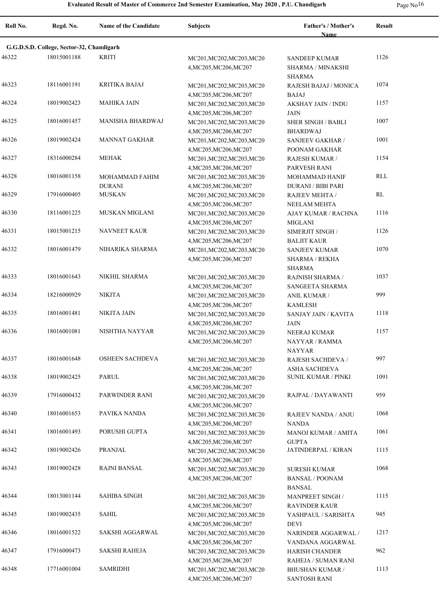| rage | NC |
|------|----|
|------|----|

÷

| Roll No. | Regd. No.                                 | <b>Name of the Candidate</b>    | Subjects                                                                      | <b>Father's / Mother's</b><br><b>Name</b>                         | Result     |
|----------|-------------------------------------------|---------------------------------|-------------------------------------------------------------------------------|-------------------------------------------------------------------|------------|
|          | G.G.D.S.D. College, Sector-32, Chandigarh |                                 |                                                                               |                                                                   |            |
| 46322    | 18015001188                               | <b>KRITI</b>                    | MC201, MC202, MC203, MC20<br>4, MC205, MC206, MC207                           | <b>SANDEEP KUMAR</b><br><b>SHARMA / MINAKSHI</b><br><b>SHARMA</b> | 1126       |
| 46323    | 18116001191                               | <b>KRITIKA BAJAJ</b>            | MC201, MC202, MC203, MC20<br>4, MC205, MC206, MC207                           | RAJESH BAJAJ / MONICA<br>BAJAJ                                    | 1074       |
| 46324    | 18019002423                               | <b>MAHIKA JAIN</b>              | MC201, MC202, MC203, MC20<br>4, MC205, MC206, MC207                           | <b>AKSHAY JAIN / INDU</b><br><b>JAIN</b>                          | 1157       |
| 46325    | 18016001457                               | <b>MANISHA BHARDWAJ</b>         | MC201, MC202, MC203, MC20<br>4, MC205, MC206, MC207                           | <b>SHER SINGH / BABLI</b><br><b>BHARDWAJ</b>                      | 1007       |
| 46326    | 18019002424                               | <b>MANNAT GAKHAR</b>            | MC201, MC202, MC203, MC20<br>4, MC205, MC206, MC207                           | <b>SANJEEV GAKHAR /</b><br>POONAM GAKHAR                          | 1001       |
| 46327    | 18316000284                               | <b>MEHAK</b>                    | MC201, MC202, MC203, MC20<br>4, MC205, MC206, MC207                           | <b>RAJESH KUMAR /</b><br>PARVESH RANI                             | 1154       |
| 46328    | 18016001158                               | MOHAMMAD FAHIM<br><b>DURANI</b> | MC201, MC202, MC203, MC20<br>4, MC205, MC206, MC207                           | MOHAMMAD HANIF<br><b>DURANI / BIBI PARI</b>                       | <b>RLL</b> |
| 46329    | 17916000405                               | <b>MUSKAN</b>                   | MC201, MC202, MC203, MC20<br>4, MC205, MC206, MC207                           | RAJEEV MEHTA /<br><b>NEELAM MEHTA</b>                             | RL         |
| 46330    | 18116001225                               | MUSKAN MIGLANI                  | MC201, MC202, MC203, MC20<br>4, MC205, MC206, MC207                           | <b>AJAY KUMAR / RACHNA</b><br><b>MIGLANI</b>                      | 1116       |
| 46331    | 18015001215                               | <b>NAVNEET KAUR</b>             | MC201, MC202, MC203, MC20<br>4, MC205, MC206, MC207                           | SIMERJIT SINGH /<br><b>BALJIT KAUR</b>                            | 1126       |
| 46332    | 18016001479                               | NIHARIKA SHARMA                 | MC201, MC202, MC203, MC20<br>4, MC205, MC206, MC207                           | <b>SANJEEV KUMAR</b><br>SHARMA / REKHA<br><b>SHARMA</b>           | 1070       |
| 46333    | 18016001643                               | NIKHIL SHARMA                   | MC201, MC202, MC203, MC20<br>4, MC205, MC206, MC207                           | RAJNISH SHARMA /<br>SANGEETA SHARMA                               | 1037       |
| 46334    | 18216000929                               | <b>NIKITA</b>                   | MC201, MC202, MC203, MC20<br>4, MC205, MC206, MC207                           | ANIL KUMAR /<br><b>KAMLESH</b>                                    | 999        |
| 46335    | 18016001481                               | NIKITA JAIN                     | MC201, MC202, MC203, MC20<br>4, MC205, MC206, MC207                           | SANJAY JAIN / KAVITA<br>JAIN                                      | 1118       |
| 46336    | 18016001081                               | NISHTHA NAYYAR                  | MC201, MC202, MC203, MC20<br>4, MC205, MC206, MC207                           | NEERAJ KUMAR<br>NAYYAR / RAMMA<br><b>NAYYAR</b>                   | 1157       |
| 46337    | 18016001648                               | <b>OSHEEN SACHDEVA</b>          | MC201, MC202, MC203, MC20<br>4, MC205, MC206, MC207                           | RAJESH SACHDEVA /<br><b>ASHA SACHDEVA</b>                         | 997        |
| 46338    | 18019002425                               | <b>PARUL</b>                    | MC201, MC202, MC203, MC20<br>4, MC205, MC206, MC207                           | SUNIL KUMAR / PINKI                                               | 1091       |
| 46339    | 17916000432                               | PARWINDER RANI                  | MC201, MC202, MC203, MC20<br>4, MC205, MC206, MC207                           | RAJPAL / DAYAWANTI                                                | 959        |
| 46340    | 18016001653                               | PAVIKA NANDA                    | MC201, MC202, MC203, MC20<br>4, MC205, MC206, MC207                           | RAJEEV NANDA / ANJU<br><b>NANDA</b>                               | 1068       |
| 46341    | 18016001493                               | PORUSHI GUPTA                   | MC201, MC202, MC203, MC20<br>4, MC205, MC206, MC207                           | MANOJ KUMAR / AMITA<br><b>GUPTA</b>                               | 1061       |
| 46342    | 18019002426                               | <b>PRANJAL</b>                  | MC201, MC202, MC203, MC20<br>4, MC205, MC206, MC207                           | JATINDERPAL / KIRAN                                               | 1115       |
| 46343    | 18019002428                               | <b>RAJNI BANSAL</b>             | MC201, MC202, MC203, MC20<br>4, MC205, MC206, MC207                           | <b>SURESH KUMAR</b><br><b>BANSAL / POONAM</b><br><b>BANSAL</b>    | 1068       |
| 46344    | 18013001144                               | <b>SAHIBA SINGH</b>             | MC201, MC202, MC203, MC20                                                     | MANPREET SINGH /                                                  | 1115       |
| 46345    | 18019002435                               | <b>SAHIL</b>                    | 4, MC205, MC206, MC207<br>MC201, MC202, MC203, MC20                           | <b>RAVINDER KAUR</b><br>YASHPAUL / SARISHTA                       | 945        |
| 46346    | 18016001522                               | SAKSHI AGGARWAL                 | 4, MC205, MC206, MC207<br>MC201, MC202, MC203, MC20                           | <b>DEVI</b><br>NARINDER AGGARWAL /                                | 1217       |
| 46347    | 17916000473                               | <b>SAKSHI RAHEJA</b>            | 4, MC205, MC206, MC207<br>MC201, MC202, MC203, MC20                           | VANDANA AGGARWAL<br>HARISH CHANDER                                | 962        |
| 46348    | 17716001004                               | <b>SAMRIDHI</b>                 | 4, MC205, MC206, MC207<br>MC201, MC202, MC203, MC20<br>4, MC205, MC206, MC207 | RAHEJA / SUMAN RANI<br>BHUSHAN KUMAR /<br>SANTOSH RANI            | 1113       |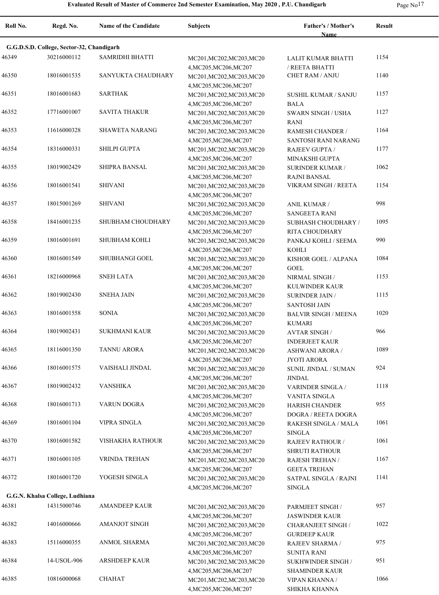|  | Page No <sup>17</sup> |
|--|-----------------------|
|--|-----------------------|

| Roll No. | Regd. No.                                 | <b>Name of the Candidate</b> | <b>Subjects</b>                                                               | <b>Father's / Mother's</b><br>Name                 | <b>Result</b> |
|----------|-------------------------------------------|------------------------------|-------------------------------------------------------------------------------|----------------------------------------------------|---------------|
|          | G.G.D.S.D. College, Sector-32, Chandigarh |                              |                                                                               |                                                    |               |
| 46349    | 30216000112                               | SAMRIDHI BHATTI              | MC201, MC202, MC203, MC20                                                     | LALIT KUMAR BHATTI                                 | 1154          |
| 46350    | 18016001535                               | SANYUKTA CHAUDHARY           | 4, MC205, MC206, MC207<br>MC201, MC202, MC203, MC20<br>4, MC205, MC206, MC207 | / REETA BHATTI<br><b>CHET RAM / ANJU</b>           | 1140          |
| 46351    | 18016001683                               | SARTHAK                      | MC201, MC202, MC203, MC20<br>4, MC205, MC206, MC207                           | SUSHIL KUMAR / SANJU<br><b>BALA</b>                | 1157          |
| 46352    | 17716001007                               | <b>SAVITA THAKUR</b>         | MC201, MC202, MC203, MC20<br>4, MC205, MC206, MC207                           | <b>SWARN SINGH / USHA</b><br><b>RANI</b>           | 1127          |
| 46353    | 11616000328                               | <b>SHAWETA NARANG</b>        | MC201, MC202, MC203, MC20                                                     | RAMESH CHANDER /                                   | 1164          |
| 46354    | 18316000331                               | SHILPI GUPTA                 | 4, MC205, MC206, MC207<br>MC201, MC202, MC203, MC20                           | SANTOSH RANI NARANG<br><b>RAJEEV GUPTA /</b>       | 1177          |
| 46355    | 18019002429                               | SHIPRA BANSAL                | 4, MC205, MC206, MC207<br>MC201, MC202, MC203, MC20                           | MINAKSHI GUPTA<br><b>SURINDER KUMAR /</b>          | 1062          |
| 46356    | 18016001541                               | <b>SHIVANI</b>               | 4, MC205, MC206, MC207<br>MC201, MC202, MC203, MC20                           | <b>RAJNI BANSAL</b><br>VIKRAM SINGH / REETA        | 1154          |
| 46357    | 18015001269                               | <b>SHIVANI</b>               | 4, MC205, MC206, MC207<br>MC201, MC202, MC203, MC20                           | ANIL KUMAR /                                       | 998           |
| 46358    | 18416001235                               | <b>SHUBHAM CHOUDHARY</b>     | 4, MC205, MC206, MC207<br>MC201, MC202, MC203, MC20                           | <b>SANGEETA RANI</b><br>SUBHASH CHOUDHARY /        | 1095          |
| 46359    | 18016001691                               | SHUBHAM KOHLI                | 4, MC205, MC206, MC207<br>MC201, MC202, MC203, MC20                           | RITA CHOUDHARY<br>PANKAJ KOHLI / SEEMA             | 990           |
| 46360    | 18016001549                               | SHUBHANGI GOEL               | 4, MC205, MC206, MC207<br>MC201, MC202, MC203, MC20                           | KOHLI<br>KISHOR GOEL / ALPANA                      | 1084          |
| 46361    | 18216000968                               | <b>SNEH LATA</b>             | 4, MC205, MC206, MC207<br>MC201, MC202, MC203, MC20                           | <b>GOEL</b><br>NIRMAL SINGH /                      | 1153          |
| 46362    | 18019002430                               | <b>SNEHA JAIN</b>            | 4, MC205, MC206, MC207<br>MC201, MC202, MC203, MC20                           | KULWINDER KAUR<br><b>SURINDER JAIN /</b>           | 1115          |
| 46363    | 18016001558                               | SONIA                        | 4, MC205, MC206, MC207<br>MC201, MC202, MC203, MC20                           | <b>SANTOSH JAIN</b><br><b>BALVIR SINGH / MEENA</b> | 1020          |
| 46364    | 18019002431                               | <b>SUKHMANI KAUR</b>         | 4, MC205, MC206, MC207<br>MC201, MC202, MC203, MC20                           | <b>KUMARI</b><br><b>AVTAR SINGH/</b>               | 966           |
| 46365    | 18116001350                               | <b>TANNU ARORA</b>           | 4, MC205, MC206, MC207<br>MC201, MC202, MC203, MC20                           | <b>INDERJEET KAUR</b><br><b>ASHWANI ARORA /</b>    | 1089          |
| 46366    | 18016001575                               | VAISHALI JINDAL              | 4, MC205, MC206, MC207<br>MC201, MC202, MC203, MC20                           | <b>JYOTI ARORA</b><br>SUNIL JINDAL / SUMAN         | 924           |
| 46367    | 18019002432                               | <b>VANSHIKA</b>              | 4, MC205, MC206, MC207<br>MC201, MC202, MC203, MC20                           | <b>JINDAL</b><br><b>VARINDER SINGLA /</b>          | 1118          |
| 46368    | 18016001713                               | VARUN DOGRA                  | 4, MC205, MC206, MC207<br>MC201, MC202, MC203, MC20                           | VANITA SINGLA<br><b>HARISH CHANDER</b>             | 955           |
| 46369    | 18016001104                               | VIPRA SINGLA                 | 4, MC205, MC206, MC207<br>MC201, MC202, MC203, MC20                           | DOGRA / REETA DOGRA<br>RAKESH SINGLA / MALA        | 1061          |
| 46370    | 18016001582                               | VISHAKHA RATHOUR             | 4, MC205, MC206, MC207<br>MC201, MC202, MC203, MC20                           | SINGLA<br>RAJEEV RATHOUR /                         | 1061          |
| 46371    | 18016001105                               | <b>VRINDA TREHAN</b>         | 4, MC205, MC206, MC207<br>MC201, MC202, MC203, MC20                           | <b>SHRUTI RATHOUR</b><br>RAJESH TREHAN /           | 1167          |
| 46372    | 18016001720                               | YOGESH SINGLA                | 4, MC205, MC206, MC207<br>MC201, MC202, MC203, MC20                           | <b>GEETA TREHAN</b><br>SATPAL SINGLA / RAJNI       | 1141          |
|          | G.G.N. Khalsa College, Ludhiana           |                              | 4, MC205, MC206, MC207                                                        | <b>SINGLA</b>                                      |               |
| 46381    | 14315000746                               | <b>AMANDEEP KAUR</b>         | MC201, MC202, MC203, MC20                                                     | PARMJEET SINGH /                                   | 957           |
| 46382    | 14016000666                               | AMANJOT SINGH                | 4, MC205, MC206, MC207<br>MC201, MC202, MC203, MC20                           | <b>JASWINDER KAUR</b><br><b>CHARANJEET SINGH /</b> | 1022          |
| 46383    | 15116000355                               | ANMOL SHARMA                 | 4, MC205, MC206, MC207<br>MC201, MC202, MC203, MC20                           | <b>GURDEEP KAUR</b><br>RAJEEV SHARMA /             | 975           |
| 46384    | 14-USOL-906                               | <b>ARSHDEEP KAUR</b>         | 4, MC205, MC206, MC207<br>MC201, MC202, MC203, MC20                           | <b>SUNITA RANI</b><br>SUKHWINDER SINGH /           | 951           |
| 46385    | 10816000068                               | <b>CHAHAT</b>                | 4, MC205, MC206, MC207<br>MC201, MC202, MC203, MC20                           | <b>SHAMINDER KAUR</b><br><b>VIPAN KHANNA /</b>     | 1066          |
|          |                                           |                              | 4, MC205, MC206, MC207                                                        | SHIKHA KHANNA                                      |               |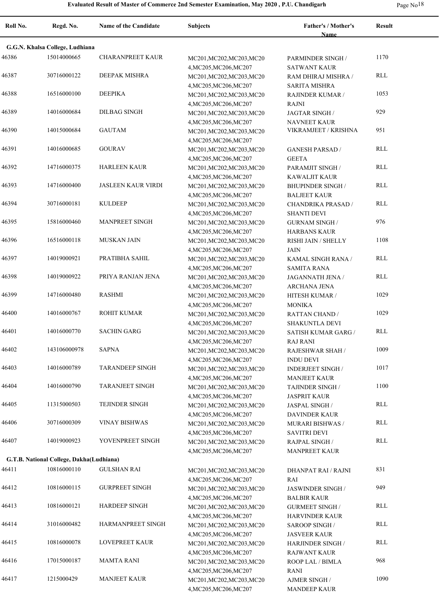|  | Page No <sup>18</sup> |
|--|-----------------------|
|--|-----------------------|

| Roll No. | Regd. No.                                | <b>Name of the Candidate</b> | <b>Subjects</b>                                     | Father's / Mother's<br><b>Name</b>              | <b>Result</b> |
|----------|------------------------------------------|------------------------------|-----------------------------------------------------|-------------------------------------------------|---------------|
|          | G.G.N. Khalsa College, Ludhiana          |                              |                                                     |                                                 |               |
| 46386    | 15014000665                              | <b>CHARANPREET KAUR</b>      | MC201, MC202, MC203, MC20                           | PARMINDER SINGH /                               | 1170          |
|          |                                          |                              | 4, MC205, MC206, MC207                              | <b>SATWANT KAUR</b>                             |               |
| 46387    | 30716000122                              | DEEPAK MISHRA                | MC201, MC202, MC203, MC20                           | RAM DHIRAJ MISHRA /                             | <b>RLL</b>    |
|          |                                          |                              | 4, MC205, MC206, MC207                              | <b>SARITA MISHRA</b>                            |               |
| 46388    | 16516000100                              | <b>DEEPIKA</b>               | MC201, MC202, MC203, MC20                           | RAJINDER KUMAR /                                | 1053          |
|          |                                          |                              | 4, MC205, MC206, MC207                              | RAJNI                                           |               |
| 46389    | 14016000684                              | <b>DILBAG SINGH</b>          | MC201, MC202, MC203, MC20                           | JAGTAR SINGH /                                  | 929           |
|          |                                          |                              | 4, MC205, MC206, MC207                              | <b>NAVNEET KAUR</b>                             |               |
| 46390    | 14015000684                              | <b>GAUTAM</b>                | MC201, MC202, MC203, MC20                           | VIKRAMJEET / KRISHNA                            | 951           |
|          |                                          |                              | 4, MC205, MC206, MC207                              |                                                 |               |
| 46391    | 14016000685                              | <b>GOURAV</b>                | MC201, MC202, MC203, MC20                           | <b>GANESH PARSAD /</b>                          | <b>RLL</b>    |
|          |                                          |                              | 4, MC205, MC206, MC207                              | <b>GEETA</b>                                    |               |
| 46392    | 14716000375                              | <b>HARLEEN KAUR</b>          | MC201, MC202, MC203, MC20                           | PARAMJIT SINGH /                                | <b>RLL</b>    |
|          |                                          |                              | 4, MC205, MC206, MC207                              | KAWALJIT KAUR                                   |               |
| 46393    | 14716000400                              | <b>JASLEEN KAUR VIRDI</b>    | MC201, MC202, MC203, MC20                           | <b>BHUPINDER SINGH /</b>                        | <b>RLL</b>    |
|          |                                          |                              | 4, MC205, MC206, MC207                              | <b>BALJEET KAUR</b>                             |               |
| 46394    | 30716000181                              | <b>KULDEEP</b>               | MC201, MC202, MC203, MC20                           | CHANDRIKA PRASAD /                              | <b>RLL</b>    |
| 46395    | 15816000460                              | MANPREET SINGH               | 4, MC205, MC206, MC207                              | <b>SHANTI DEVI</b>                              | 976           |
|          |                                          |                              | MC201, MC202, MC203, MC20                           | <b>GURNAM SINGH /</b>                           |               |
| 46396    | 16516000118                              | <b>MUSKAN JAIN</b>           | 4, MC205, MC206, MC207                              | <b>HARBANS KAUR</b><br>RISHI JAIN / SHELLY      | 1108          |
|          |                                          |                              | MC201, MC202, MC203, MC20<br>4, MC205, MC206, MC207 | <b>JAIN</b>                                     |               |
| 46397    | 14019000921                              | PRATIBHA SAHIL               | MC201, MC202, MC203, MC20                           | KAMAL SINGH RANA /                              | <b>RLL</b>    |
|          |                                          |                              | 4, MC205, MC206, MC207                              | <b>SAMITA RANA</b>                              |               |
| 46398    | 14019000922                              | PRIYA RANJAN JENA            | MC201, MC202, MC203, MC20                           | JAGANNATH JENA /                                | <b>RLL</b>    |
|          |                                          |                              | 4, MC205, MC206, MC207                              | ARCHANA JENA                                    |               |
| 46399    | 14716000480                              | <b>RASHMI</b>                | MC201, MC202, MC203, MC20                           | HITESH KUMAR /                                  | 1029          |
|          |                                          |                              | 4, MC205, MC206, MC207                              | <b>MONIKA</b>                                   |               |
| 46400    | 14016000767                              | <b>ROHIT KUMAR</b>           | MC201, MC202, MC203, MC20                           | <b>RATTAN CHAND /</b>                           | 1029          |
|          |                                          |                              | 4, MC205, MC206, MC207                              | SHAKUNTLA DEVI                                  |               |
| 46401    | 14016000770                              | <b>SACHIN GARG</b>           | MC201, MC202, MC203, MC20                           | SATISH KUMAR GARG /                             | <b>RLL</b>    |
|          |                                          |                              | 4, MC205, MC206, MC207                              | <b>RAJ RANI</b>                                 |               |
| 46402    | 143106000978                             | <b>SAPNA</b>                 | MC201, MC202, MC203, MC20                           | RAJESHWAR SHAH /                                | 1009          |
|          |                                          |                              | 4, MC205, MC206, MC207                              | <b>INDU DEVI</b>                                |               |
| 46403    | 14016000789                              | <b>TARANDEEP SINGH</b>       | MC201, MC202, MC203, MC20                           | <b>INDERJEET SINGH /</b>                        | 1017          |
|          |                                          |                              | 4, MC205, MC206, MC207                              | <b>MANJEET KAUR</b>                             |               |
| 46404    | 14016000790                              | <b>TARANJEET SINGH</b>       | MC201, MC202, MC203, MC20                           | TAJINDER SINGH /                                | 1100          |
|          |                                          |                              | 4, MC205, MC206, MC207                              | <b>JASPRIT KAUR</b>                             |               |
| 46405    | 11315000503                              | TEJINDER SINGH               | MC201, MC202, MC203, MC20                           | JASPAL SINGH /                                  | RLL           |
|          |                                          |                              | 4, MC205, MC206, MC207                              | DAVINDER KAUR                                   |               |
| 46406    | 30716000309                              | <b>VINAY BISHWAS</b>         | MC201, MC202, MC203, MC20                           | MURARI BISHWAS /                                | RLL           |
|          |                                          |                              | 4, MC205, MC206, MC207                              | <b>SAVITRI DEVI</b>                             |               |
| 46407    | 14019000923                              | YOVENPREET SINGH             | MC201, MC202, MC203, MC20                           | RAJPAL SINGH /                                  | RLL           |
|          |                                          |                              | 4, MC205, MC206, MC207                              | <b>MANPREET KAUR</b>                            |               |
|          | G.T.B. National College, Dakha(Ludhiana) |                              |                                                     |                                                 |               |
| 46411    | 10816000110                              | <b>GULSHAN RAI</b>           | MC201, MC202, MC203, MC20                           | DHANPAT RAI / RAJNI                             | 831           |
|          |                                          | <b>GURPREET SINGH</b>        | 4, MC205, MC206, MC207                              | RAI                                             |               |
| 46412    | 10816000115                              |                              | MC201, MC202, MC203, MC20                           | JASWINDER SINGH /                               | 949           |
| 46413    | 10816000121                              | <b>HARDEEP SINGH</b>         | 4, MC205, MC206, MC207                              | <b>BALBIR KAUR</b>                              | RLL           |
|          |                                          |                              | MC201, MC202, MC203, MC20<br>4, MC205, MC206, MC207 | <b>GURMEET SINGH /</b><br><b>HARVINDER KAUR</b> |               |
| 46414    | 31016000482                              | HARMANPREET SINGH            |                                                     |                                                 | <b>RLL</b>    |
|          |                                          |                              | MC201, MC202, MC203, MC20<br>4, MC205, MC206, MC207 | <b>SAROOP SINGH/</b><br><b>JASVEER KAUR</b>     |               |
| 46415    | 10816000078                              | <b>LOVEPREET KAUR</b>        | MC201, MC202, MC203, MC20                           | <b>HARJINDER SINGH /</b>                        | <b>RLL</b>    |
|          |                                          |                              | 4, MC205, MC206, MC207                              | <b>RAJWANT KAUR</b>                             |               |
| 46416    | 17015000187                              | <b>MAMTA RANI</b>            | MC201, MC202, MC203, MC20                           | ROOP LAL / BIMLA                                | 968           |
|          |                                          |                              | 4, MC205, MC206, MC207                              | <b>RANI</b>                                     |               |
| 46417    | 1215000429                               | <b>MANJEET KAUR</b>          | MC201, MC202, MC203, MC20                           | AJMER SINGH /                                   | 1090          |
|          |                                          |                              | 4, MC205, MC206, MC207                              | <b>MANDEEP KAUR</b>                             |               |
|          |                                          |                              |                                                     |                                                 |               |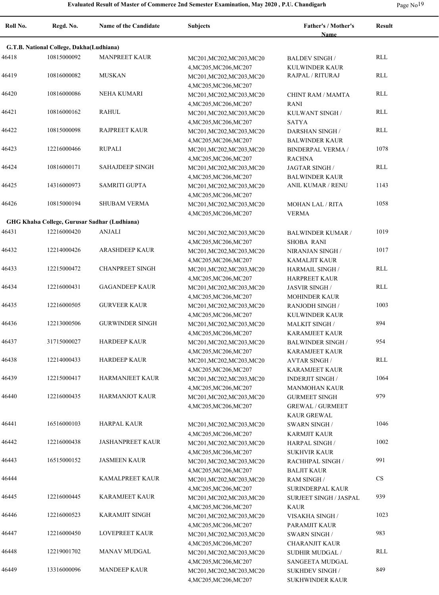|  | Page No <sup>19</sup> |
|--|-----------------------|
|--|-----------------------|

| Roll No. | Regd. No.                                | <b>Name of the Candidate</b>                  | <b>Subjects</b>                                                               | Father's / Mother's<br><b>Name</b>                                      | <b>Result</b> |
|----------|------------------------------------------|-----------------------------------------------|-------------------------------------------------------------------------------|-------------------------------------------------------------------------|---------------|
|          | G.T.B. National College, Dakha(Ludhiana) |                                               |                                                                               |                                                                         |               |
| 46418    | 10815000092                              | <b>MANPREET KAUR</b>                          | MC201, MC202, MC203, MC20<br>4, MC205, MC206, MC207                           | <b>BALDEV SINGH/</b><br><b>KULWINDER KAUR</b>                           | RLL           |
| 46419    | 10816000082                              | <b>MUSKAN</b>                                 | MC201, MC202, MC203, MC20<br>4, MC205, MC206, MC207                           | <b>RAJPAL / RITURAJ</b>                                                 | <b>RLL</b>    |
| 46420    | 10816000086                              | <b>NEHA KUMARI</b>                            | MC201, MC202, MC203, MC20                                                     | CHINT RAM / MAMTA<br><b>RANI</b>                                        | RLL           |
| 46421    | 10816000162                              | <b>RAHUL</b>                                  | 4, MC205, MC206, MC207<br>MC201, MC202, MC203, MC20<br>4, MC205, MC206, MC207 | KULWANT SINGH /<br><b>SATYA</b>                                         | <b>RLL</b>    |
| 46422    | 10815000098                              | <b>RAJPREET KAUR</b>                          | MC201, MC202, MC203, MC20<br>4, MC205, MC206, MC207                           | <b>DARSHAN SINGH /</b><br><b>BALWINDER KAUR</b>                         | <b>RLL</b>    |
| 46423    | 12216000466                              | <b>RUPALI</b>                                 | MC201, MC202, MC203, MC20<br>4, MC205, MC206, MC207                           | <b>BINDERPAL VERMA /</b>                                                | 1078          |
| 46424    | 10816000171                              | <b>SAHAJDEEP SINGH</b>                        | MC201, MC202, MC203, MC20<br>4, MC205, MC206, MC207                           | <b>RACHNA</b><br><b>JAGTAR SINGH/</b><br><b>BALWINDER KAUR</b>          | RLL           |
| 46425    | 14316000973                              | <b>SAMRITI GUPTA</b>                          | MC201, MC202, MC203, MC20                                                     | ANIL KUMAR / RENU                                                       | 1143          |
| 46426    | 10815000194                              | <b>SHUBAM VERMA</b>                           | 4, MC205, MC206, MC207<br>MC201, MC202, MC203, MC20                           | <b>MOHAN LAL / RITA</b><br><b>VERMA</b>                                 | 1058          |
|          |                                          | GHG Khalsa College, Gurusar Sadhar (Ludhiana) | 4, MC205, MC206, MC207                                                        |                                                                         |               |
| 46431    | 12216000420                              | <b>ANJALI</b>                                 | MC201, MC202, MC203, MC20<br>4, MC205, MC206, MC207                           | <b>BALWINDER KUMAR /</b><br><b>SHOBA RANI</b>                           | 1019          |
| 46432    | 12214000426                              | <b>ARASHDEEP KAUR</b>                         | MC201, MC202, MC203, MC20<br>4, MC205, MC206, MC207                           | NIRANJAN SINGH /<br><b>KAMALJIT KAUR</b>                                | 1017          |
| 46433    | 12215000472                              | <b>CHANPREET SINGH</b>                        | MC201, MC202, MC203, MC20<br>4, MC205, MC206, MC207                           | <b>HARMAIL SINGH/</b><br><b>HARPREET KAUR</b>                           | <b>RLL</b>    |
| 46434    | 12216000431                              | <b>GAGANDEEP KAUR</b>                         | MC201, MC202, MC203, MC20                                                     | <b>JASVIR SINGH/</b><br><b>MOHINDER KAUR</b>                            | <b>RLL</b>    |
| 46435    | 12216000505                              | <b>GURVEER KAUR</b>                           | 4, MC205, MC206, MC207<br>MC201, MC202, MC203, MC20<br>4, MC205, MC206, MC207 | <b>RANJODH SINGH /</b><br><b>KULWINDER KAUR</b>                         | 1003          |
| 46436    | 12213000506                              | <b>GURWINDER SINGH</b>                        | MC201, MC202, MC203, MC20                                                     | <b>MALKIT SINGH/</b><br><b>KARAMJEET KAUR</b>                           | 894           |
| 46437    | 31715000027                              | <b>HARDEEP KAUR</b>                           | 4, MC205, MC206, MC207<br>MC201, MC202, MC203, MC20<br>4, MC205, MC206, MC207 | <b>BALWINDER SINGH/</b><br><b>KARAMJEET KAUR</b>                        | 954           |
| 46438    | 12214000433                              | <b>HARDEEP KAUR</b>                           | MC201, MC202, MC203, MC20                                                     | <b>AVTAR SINGH/</b>                                                     | <b>RLL</b>    |
| 46439    | 12215000417                              | HARMANJEET KAUR                               | 4, MC205, MC206, MC207<br>MC201, MC202, MC203, MC20<br>4, MC205, MC206, MC207 | <b>KARAMJEET KAUR</b><br><b>INDERJIT SINGH/</b><br><b>MANMOHAN KAUR</b> | 1064          |
| 46440    | 12216000435                              | <b>HARMANJOT KAUR</b>                         | MC201, MC202, MC203, MC20<br>4, MC205, MC206, MC207                           | <b>GURMEET SINGH</b><br><b>GREWAL / GURMEET</b><br><b>KAUR GREWAL</b>   | 979           |
| 46441    | 16516000103                              | HARPAL KAUR                                   | MC201, MC202, MC203, MC20<br>4, MC205, MC206, MC207                           | <b>SWARN SINGH/</b><br><b>KARMJIT KAUR</b>                              | 1046          |
| 46442    | 12216000438                              | JASHANPREET KAUR                              | MC201, MC202, MC203, MC20<br>4, MC205, MC206, MC207                           | <b>HARPAL SINGH /</b>                                                   | 1002          |
| 46443    | 16515000152                              | <b>JASMEEN KAUR</b>                           | MC201, MC202, MC203, MC20<br>4, MC205, MC206, MC207                           | <b>SUKHVIR KAUR</b><br>RACHHPAL SINGH /<br><b>BALJIT KAUR</b>           | 991           |
| 46444    |                                          | KAMALPREET KAUR                               | MC201, MC202, MC203, MC20<br>4, MC205, MC206, MC207                           | <b>RAM SINGH/</b><br>SURINDERPAL KAUR                                   | <b>CS</b>     |
| 46445    | 12216000445                              | KARAMJEET KAUR                                | MC201, MC202, MC203, MC20                                                     | SURJEET SINGH / JASPAL                                                  | 939           |
| 46446    | 12216000523                              | KARAMJIT SINGH                                | 4, MC205, MC206, MC207<br>MC201, MC202, MC203, MC20                           | <b>KAUR</b><br>VISAKHA SINGH /                                          | 1023          |
| 46447    | 12216000450                              | <b>LOVEPREET KAUR</b>                         | 4, MC205, MC206, MC207<br>MC201, MC202, MC203, MC20                           | PARAMJIT KAUR<br><b>SWARN SINGH/</b>                                    | 983           |
| 46448    | 12219001702                              | MANAV MUDGAL                                  | 4, MC205, MC206, MC207<br>MC201, MC202, MC203, MC20                           | <b>CHARANJIT KAUR</b><br>SUDHIR MUDGAL /                                | RLL           |
| 46449    | 13316000096                              | <b>MANDEEP KAUR</b>                           | 4, MC205, MC206, MC207<br>MC201, MC202, MC203, MC20<br>4, MC205, MC206, MC207 | SANGEETA MUDGAL<br><b>SUKHDEV SINGH/</b><br><b>SUKHWINDER KAUR</b>      | 849           |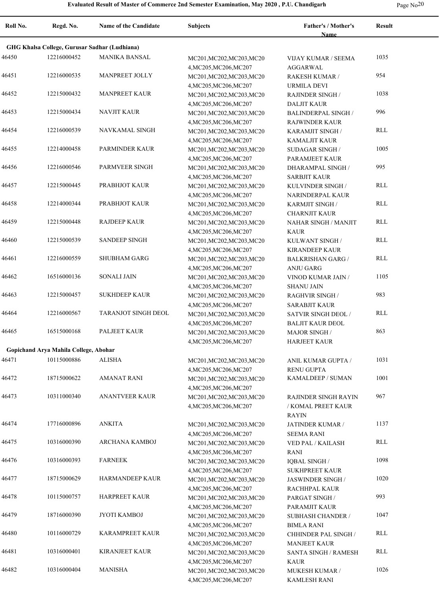|  | Page No <sup>20</sup> |
|--|-----------------------|
|--|-----------------------|

| Roll No. | Regd. No.                             | <b>Name of the Candidate</b>                  | <b>Subjects</b>                                     | <b>Father's / Mother's</b><br>Name        | <b>Result</b> |
|----------|---------------------------------------|-----------------------------------------------|-----------------------------------------------------|-------------------------------------------|---------------|
|          |                                       | GHG Khalsa College, Gurusar Sadhar (Ludhiana) |                                                     |                                           |               |
| 46450    | 12216000452                           | <b>MANIKA BANSAL</b>                          | MC201, MC202, MC203, MC20                           | <b>VIJAY KUMAR / SEEMA</b>                | 1035          |
|          |                                       |                                               | 4, MC205, MC206, MC207                              | AGGARWAL                                  |               |
| 46451    | 12216000535                           | MANPREET JOLLY                                | MC201, MC202, MC203, MC20                           | RAKESH KUMAR /                            | 954           |
|          |                                       |                                               | 4, MC205, MC206, MC207                              | URMILA DEVI                               |               |
| 46452    | 12215000432                           | <b>MANPREET KAUR</b>                          | MC201, MC202, MC203, MC20                           | <b>RAJINDER SINGH /</b>                   | 1038          |
|          |                                       |                                               | 4, MC205, MC206, MC207                              | <b>DALJIT KAUR</b>                        |               |
| 46453    | 12215000434                           | <b>NAVJIT KAUR</b>                            | MC201, MC202, MC203, MC20                           | <b>BALINDERPAL SINGH /</b>                | 996           |
|          |                                       |                                               | 4, MC205, MC206, MC207                              | <b>RAJWINDER KAUR</b>                     |               |
| 46454    | 12216000539                           | NAVKAMAL SINGH                                | MC201, MC202, MC203, MC20                           | KARAMJIT SINGH /                          | <b>RLL</b>    |
|          |                                       |                                               | 4, MC205, MC206, MC207                              | KAMALJIT KAUR                             |               |
| 46455    | 12214000458                           | PARMINDER KAUR                                | MC201, MC202, MC203, MC20                           | <b>SUDAGAR SINGH /</b>                    | 1005          |
|          |                                       |                                               | 4, MC205, MC206, MC207                              | PARAMJEET KAUR                            |               |
| 46456    | 12216000546                           | PARMVEER SINGH                                | MC201, MC202, MC203, MC20                           | DHARAMPAL SINGH /                         | 995           |
|          |                                       |                                               | 4, MC205, MC206, MC207                              | <b>SARBJIT KAUR</b>                       |               |
| 46457    | 12215000445                           | PRABHJOT KAUR                                 | MC201, MC202, MC203, MC20                           | KULVINDER SINGH /                         | <b>RLL</b>    |
|          |                                       |                                               | 4, MC205, MC206, MC207                              | NARINDERPAL KAUR                          |               |
| 46458    | 12214000344                           | PRABHJOT KAUR                                 | MC201, MC202, MC203, MC20                           | KARMJIT SINGH /                           | <b>RLL</b>    |
| 46459    | 12215000448                           | <b>RAJDEEP KAUR</b>                           | 4, MC205, MC206, MC207                              | <b>CHARNJIT KAUR</b>                      | RLL           |
|          |                                       |                                               | MC201, MC202, MC203, MC20                           | NAHAR SINGH / MANJIT                      |               |
| 46460    | 12215000539                           | <b>SANDEEP SINGH</b>                          | 4, MC205, MC206, MC207                              | <b>KAUR</b>                               | <b>RLL</b>    |
|          |                                       |                                               | MC201, MC202, MC203, MC20<br>4, MC205, MC206, MC207 | KULWANT SINGH /<br><b>KIRANDEEP KAUR</b>  |               |
| 46461    | 12216000559                           | <b>SHUBHAM GARG</b>                           | MC201, MC202, MC203, MC20                           | <b>BALKRISHAN GARG /</b>                  | <b>RLL</b>    |
|          |                                       |                                               | 4, MC205, MC206, MC207                              | <b>ANJU GARG</b>                          |               |
| 46462    | 16516000136                           | SONALI JAIN                                   | MC201, MC202, MC203, MC20                           | VINOD KUMAR JAIN /                        | 1105          |
|          |                                       |                                               | 4, MC205, MC206, MC207                              | <b>SHANU JAIN</b>                         |               |
| 46463    | 12215000457                           | <b>SUKHDEEP KAUR</b>                          | MC201, MC202, MC203, MC20                           | <b>RAGHVIR SINGH /</b>                    | 983           |
|          |                                       |                                               | 4, MC205, MC206, MC207                              | <b>SARABJIT KAUR</b>                      |               |
| 46464    | 12216000567                           | <b>TARANJOT SINGH DEOL</b>                    | MC201, MC202, MC203, MC20                           | SATVIR SINGH DEOL /                       | <b>RLL</b>    |
|          |                                       |                                               | 4, MC205, MC206, MC207                              | <b>BALJIT KAUR DEOL</b>                   |               |
| 46465    | 16515000168                           | PALJEET KAUR                                  | MC201, MC202, MC203, MC20                           | <b>MAJOR SINGH/</b>                       | 863           |
|          |                                       |                                               | 4, MC205, MC206, MC207                              | <b>HARJEET KAUR</b>                       |               |
|          | Gopichand Arya Mahila College, Abohar |                                               |                                                     |                                           |               |
| 46471    | 10115000886                           | <b>ALISHA</b>                                 | MC201, MC202, MC203, MC20                           | ANIL KUMAR GUPTA /                        | 1031          |
|          |                                       |                                               | 4, MC205, MC206, MC207                              | <b>RENU GUPTA</b>                         |               |
| 46472    | 18715000622                           | <b>AMANAT RANI</b>                            | MC201, MC202, MC203, MC20                           | KAMALDEEP / SUMAN                         | 1001          |
|          |                                       |                                               | 4, MC205, MC206, MC207                              |                                           |               |
| 46473    | 10311000340                           | <b>ANANTVEER KAUR</b>                         | MC201, MC202, MC203, MC20                           | <b>RAJINDER SINGH RAYIN</b>               | 967           |
|          |                                       |                                               | 4, MC205, MC206, MC207                              | / KOMAL PREET KAUR                        |               |
|          |                                       |                                               |                                                     | RAYIN                                     |               |
| 46474    | 17716000896                           | ANKITA                                        | MC201, MC202, MC203, MC20                           | JATINDER KUMAR /                          | 1137          |
|          |                                       |                                               | 4, MC205, MC206, MC207                              | <b>SEEMA RANI</b>                         |               |
| 46475    | 10316000390                           | ARCHANA KAMBOJ                                | MC201, MC202, MC203, MC20                           | VED PAL / KAILASH                         | RLL           |
|          |                                       |                                               | 4, MC205, MC206, MC207                              | RANI                                      |               |
| 46476    | 10316000393                           | <b>FARNEEK</b>                                | MC201, MC202, MC203, MC20                           | <b>IQBAL SINGH/</b>                       | 1098          |
|          |                                       |                                               | 4, MC205, MC206, MC207                              | <b>SUKHPREET KAUR</b>                     |               |
| 46477    | 18715000629                           | HARMANDEEP KAUR                               | MC201, MC202, MC203, MC20                           | <b>JASWINDER SINGH/</b>                   | 1020          |
|          | 10115000757                           | <b>HARPREET KAUR</b>                          | 4, MC205, MC206, MC207                              | RACHHPAL KAUR                             | 993           |
| 46478    |                                       |                                               | MC201, MC202, MC203, MC20                           | PARGAT SINGH /<br>PARAMJIT KAUR           |               |
| 46479    | 18716000390                           | <b>JYOTI KAMBOJ</b>                           | 4, MC205, MC206, MC207                              |                                           | 1047          |
|          |                                       |                                               | MC201, MC202, MC203, MC20                           | <b>SUBHASH CHANDER /</b>                  |               |
| 46480    | 10116000729                           | KARAMPREET KAUR                               | 4, MC205, MC206, MC207<br>MC201, MC202, MC203, MC20 | <b>BIMLA RANI</b><br>CHHINDER PAL SINGH / | RLL           |
|          |                                       |                                               | 4, MC205, MC206, MC207                              | <b>MANJEET KAUR</b>                       |               |
| 46481    | 10316000401                           | KIRANJEET KAUR                                | MC201, MC202, MC203, MC20                           | <b>SANTA SINGH / RAMESH</b>               | RLL           |
|          |                                       |                                               | 4, MC205, MC206, MC207                              | KAUR                                      |               |
| 46482    | 10316000404                           | MANISHA                                       | MC201, MC202, MC203, MC20                           | MUKESH KUMAR /                            | 1026          |
|          |                                       |                                               | 4, MC205, MC206, MC207                              | KAMLESH RANI                              |               |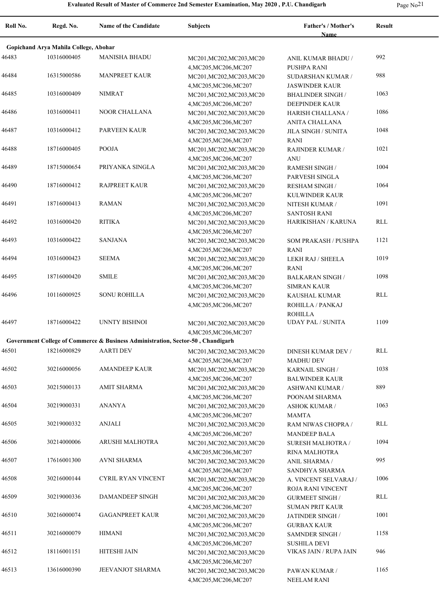**Roll No. Regd. No. Name of the Candidate Subjects Father's / Mother's** 

|       |                                       |                                                                                 |                           | Name                      |                      |
|-------|---------------------------------------|---------------------------------------------------------------------------------|---------------------------|---------------------------|----------------------|
|       | Gopichand Arya Mahila College, Abohar |                                                                                 |                           |                           |                      |
| 46483 | 10316000405                           | <b>MANISHA BHADU</b>                                                            | MC201, MC202, MC203, MC20 | ANIL KUMAR BHADU /        | 992                  |
|       |                                       |                                                                                 | 4, MC205, MC206, MC207    | PUSHPA RANI               |                      |
| 46484 | 16315000586                           | <b>MANPREET KAUR</b>                                                            | MC201, MC202, MC203, MC20 | SUDARSHAN KUMAR /         | 988                  |
|       |                                       |                                                                                 | 4, MC205, MC206, MC207    | <b>JASWINDER KAUR</b>     |                      |
| 46485 | 10316000409                           | <b>NIMRAT</b>                                                                   | MC201, MC202, MC203, MC20 | <b>BHALINDER SINGH /</b>  | 1063                 |
|       |                                       |                                                                                 |                           |                           |                      |
| 46486 | 10316000411                           | NOOR CHALLANA                                                                   | 4, MC205, MC206, MC207    | DEEPINDER KAUR            | 1086                 |
|       |                                       |                                                                                 | MC201, MC202, MC203, MC20 | HARISH CHALLANA /         |                      |
| 46487 | 10316000412                           | PARVEEN KAUR                                                                    | 4, MC205, MC206, MC207    | ANITA CHALLANA            | 1048                 |
|       |                                       |                                                                                 | MC201, MC202, MC203, MC20 | JILA SINGH / SUNITA       |                      |
|       |                                       |                                                                                 | 4, MC205, MC206, MC207    | RANI                      |                      |
| 46488 | 18716000405                           | POOJA                                                                           | MC201, MC202, MC203, MC20 | RAJINDER KUMAR /          | 1021                 |
|       |                                       |                                                                                 | 4, MC205, MC206, MC207    | <b>ANU</b>                |                      |
| 46489 | 18715000654                           | PRIYANKA SINGLA                                                                 | MC201, MC202, MC203, MC20 | <b>RAMESH SINGH /</b>     | 1004                 |
|       |                                       |                                                                                 | 4, MC205, MC206, MC207    | PARVESH SINGLA            |                      |
| 46490 | 18716000412                           | <b>RAJPREET KAUR</b>                                                            | MC201, MC202, MC203, MC20 | <b>RESHAM SINGH /</b>     | 1064                 |
|       |                                       |                                                                                 | 4, MC205, MC206, MC207    | KULWINDER KAUR            |                      |
| 46491 | 18716000413                           | <b>RAMAN</b>                                                                    | MC201, MC202, MC203, MC20 | NITESH KUMAR /            | 1091                 |
|       |                                       |                                                                                 | 4, MC205, MC206, MC207    | <b>SANTOSH RANI</b>       |                      |
| 46492 | 10316000420                           | <b>RITIKA</b>                                                                   | MC201, MC202, MC203, MC20 | HARIKISHAN / KARUNA       | <b>RLL</b>           |
|       |                                       |                                                                                 | 4, MC205, MC206, MC207    |                           |                      |
| 46493 | 10316000422                           | <b>SANJANA</b>                                                                  | MC201, MC202, MC203, MC20 | SOM PRAKASH / PUSHPA      | 1121                 |
|       |                                       |                                                                                 | 4, MC205, MC206, MC207    | RANI                      |                      |
| 46494 | 10316000423                           | <b>SEEMA</b>                                                                    | MC201, MC202, MC203, MC20 | LEKH RAJ / SHEELA         | 1019                 |
|       |                                       |                                                                                 | 4, MC205, MC206, MC207    | RANI                      |                      |
| 46495 | 18716000420                           | <b>SMILE</b>                                                                    | MC201, MC202, MC203, MC20 | <b>BALKARAN SINGH /</b>   | 1098                 |
|       |                                       |                                                                                 | 4, MC205, MC206, MC207    | <b>SIMRAN KAUR</b>        |                      |
| 46496 | 10116000925                           | <b>SONU ROHILLA</b>                                                             | MC201, MC202, MC203, MC20 | KAUSHAL KUMAR             | <b>RLL</b>           |
|       |                                       |                                                                                 | 4, MC205, MC206, MC207    | ROHILLA / PANKAJ          |                      |
|       |                                       |                                                                                 |                           | <b>ROHILLA</b>            |                      |
| 46497 | 18716000422                           | UNNTY BISHNOI                                                                   | MC201, MC202, MC203, MC20 | <b>UDAY PAL / SUNITA</b>  | 1109                 |
|       |                                       |                                                                                 | 4, MC205, MC206, MC207    |                           |                      |
|       |                                       | Government College of Commerce & Business Administration, Sector-50, Chandigarh |                           |                           |                      |
| 46501 | 18216000829                           | <b>AARTI DEV</b>                                                                | MC201, MC202, MC203, MC20 | <b>DINESH KUMAR DEV /</b> | RLL                  |
|       |                                       |                                                                                 | 4, MC205, MC206, MC207    | <b>MADHU DEV</b>          |                      |
| 46502 | 30216000056                           | <b>AMANDEEP KAUR</b>                                                            | MC201, MC202, MC203, MC20 | KARNAIL SINGH /           | 1038                 |
|       |                                       |                                                                                 | 4, MC205, MC206, MC207    | <b>BALWINDER KAUR</b>     |                      |
| 46503 | 30215000133                           | <b>AMIT SHARMA</b>                                                              | MC201, MC202, MC203, MC20 | <b>ASHWANI KUMAR /</b>    | 889                  |
|       |                                       |                                                                                 | 4, MC205, MC206, MC207    | POONAM SHARMA             |                      |
| 46504 | 30219000331                           | <b>ANANYA</b>                                                                   | MC201, MC202, MC203, MC20 | <b>ASHOK KUMAR /</b>      | 1063                 |
|       |                                       |                                                                                 | 4, MC205, MC206, MC207    | <b>MAMTA</b>              |                      |
| 46505 | 30219000332                           | <b>ANJALI</b>                                                                   | MC201, MC202, MC203, MC20 | RAM NIWAS CHOPRA /        | $\operatorname{RLL}$ |
|       |                                       |                                                                                 | 4, MC205, MC206, MC207    | <b>MANDEEP BALA</b>       |                      |
| 46506 | 30214000006                           | ARUSHI MALHOTRA                                                                 | MC201, MC202, MC203, MC20 | <b>SURESH MALHOTRA /</b>  | 1094                 |
|       |                                       |                                                                                 | 4, MC205, MC206, MC207    | RINA MALHOTRA             |                      |
| 46507 | 17616001300                           | AVNI SHARMA                                                                     | MC201, MC202, MC203, MC20 | ANIL SHARMA /             | 995                  |
|       |                                       |                                                                                 | 4, MC205, MC206, MC207    | SANDHYA SHARMA            |                      |
| 46508 | 30216000144                           | CYRIL RYAN VINCENT                                                              | MC201, MC202, MC203, MC20 | A. VINCENT SELVARAJ /     | 1006                 |
|       |                                       |                                                                                 | 4, MC205, MC206, MC207    |                           |                      |
| 46509 | 30219000336                           | DAMANDEEP SINGH                                                                 |                           | ROJA RANI VINCENT         | RLL                  |
|       |                                       |                                                                                 | MC201, MC202, MC203, MC20 | <b>GURMEET SINGH /</b>    |                      |
| 46510 | 30216000074                           | <b>GAGANPREET KAUR</b>                                                          | 4, MC205, MC206, MC207    | <b>SUMAN PRIT KAUR</b>    | 1001                 |
|       |                                       |                                                                                 | MC201, MC202, MC203, MC20 | JATINDER SINGH /          |                      |
|       |                                       |                                                                                 | 4, MC205, MC206, MC207    | <b>GURBAX KAUR</b>        |                      |
| 46511 | 30216000079                           | <b>HIMANI</b>                                                                   | MC201, MC202, MC203, MC20 | SAMNDER SINGH /           | 1158                 |
|       |                                       |                                                                                 | 4, MC205, MC206, MC207    | <b>SUSHILA DEVI</b>       |                      |
| 46512 | 18116001151                           | HITESHI JAIN                                                                    | MC201, MC202, MC203, MC20 | VIKAS JAIN / RUPA JAIN    | 946                  |
|       |                                       |                                                                                 | 4, MC205, MC206, MC207    |                           |                      |
| 46513 | 13616000390                           | JEEVANJOT SHARMA                                                                | MC201, MC202, MC203, MC20 | PAWAN KUMAR /             | 1165                 |
|       |                                       |                                                                                 | 4, MC205, MC206, MC207    | <b>NEELAM RANI</b>        |                      |

**Result**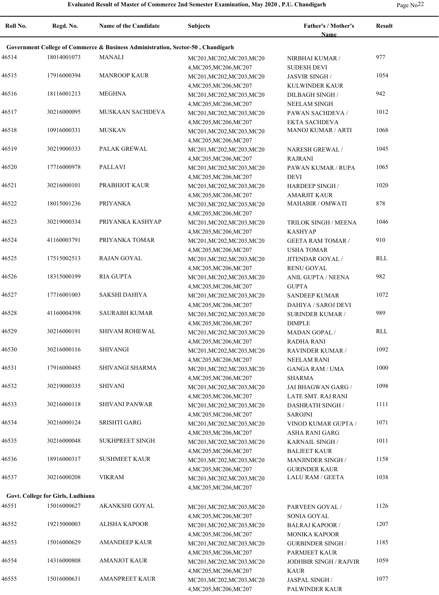| Roll No. | Regd. No.                         | Name of the Candidate                                                           | <b>Subjects</b>                                     | Father's / Mother's<br>Name                     | Result |
|----------|-----------------------------------|---------------------------------------------------------------------------------|-----------------------------------------------------|-------------------------------------------------|--------|
|          |                                   | Government College of Commerce & Business Administration, Sector-50, Chandigarh |                                                     |                                                 |        |
| 46514    | 18014001073                       | MANALI                                                                          | MC201, MC202, MC203, MC20                           | NIRBHAI KUMAR /                                 | 977    |
|          |                                   |                                                                                 | 4, MC205, MC206, MC207                              | <b>SUDESH DEVI</b>                              |        |
| 46515    | 17916000394                       | <b>MANROOP KAUR</b>                                                             | MC201, MC202, MC203, MC20                           | <b>JASVIR SINGH/</b>                            | 1054   |
|          |                                   |                                                                                 | 4, MC205, MC206, MC207                              | KULWINDER KAUR                                  |        |
| 46516    | 18116001213                       | <b>MEGHNA</b>                                                                   | MC201, MC202, MC203, MC20                           | DILBAGH SINGH /                                 | 942    |
|          |                                   |                                                                                 | 4, MC205, MC206, MC207                              | <b>NEELAM SINGH</b>                             |        |
| 46517    | 30216000095                       | <b>MUSKAAN SACHDEVA</b>                                                         | MC201, MC202, MC203, MC20                           | PAWAN SACHDEVA /                                | 1012   |
|          |                                   |                                                                                 | 4, MC205, MC206, MC207                              | EKTA SACHDEVA                                   |        |
| 46518    | 10916000331                       | <b>MUSKAN</b>                                                                   | MC201, MC202, MC203, MC20                           | <b>MANOJ KUMAR / ARTI</b>                       | 1068   |
|          |                                   |                                                                                 | 4, MC205, MC206, MC207                              |                                                 |        |
| 46519    | 30219000333                       | PALAK GREWAL                                                                    | MC201, MC202, MC203, MC20                           | NARESH GREWAL /                                 | 1045   |
|          |                                   | <b>PALLAVI</b>                                                                  | 4, MC205, MC206, MC207                              | <b>RAJRANI</b>                                  |        |
| 46520    | 17716000978                       |                                                                                 | MC201, MC202, MC203, MC20                           | PAWAN KUMAR / RUPA                              | 1065   |
| 46521    | 30216000101                       | PRABHJOT KAUR                                                                   | 4, MC205, MC206, MC207                              | <b>DEVI</b>                                     | 1020   |
|          |                                   |                                                                                 | MC201, MC202, MC203, MC20                           | <b>HARDEEP SINGH/</b>                           |        |
| 46522    | 18015001236                       | PRIYANKA                                                                        | 4, MC205, MC206, MC207                              | <b>AMARJIT KAUR</b><br>MAHABIR / OMWATI         | 878    |
|          |                                   |                                                                                 | MC201, MC202, MC203, MC20                           |                                                 |        |
| 46523    | 30219000334                       | PRIYANKA KASHYAP                                                                | 4, MC205, MC206, MC207<br>MC201, MC202, MC203, MC20 | TRILOK SINGH / MEENA                            | 1046   |
|          |                                   |                                                                                 | 4, MC205, MC206, MC207                              | <b>KASHYAP</b>                                  |        |
| 46524    | 41160003791                       | PRIYANKA TOMAR                                                                  | MC201, MC202, MC203, MC20                           | <b>GEETA RAM TOMAR /</b>                        | 910    |
|          |                                   |                                                                                 | 4, MC205, MC206, MC207                              | <b>USHA TOMAR</b>                               |        |
| 46525    | 17515002513                       | <b>RAJAN GOYAL</b>                                                              | MC201, MC202, MC203, MC20                           | JITENDAR GOYAL /                                | RLL    |
|          |                                   |                                                                                 | 4, MC205, MC206, MC207                              | <b>RENU GOYAL</b>                               |        |
| 46526    | 18315000199                       | <b>RIA GUPTA</b>                                                                | MC201, MC202, MC203, MC20                           | ANIL GUPTA / NEENA                              | 982    |
|          |                                   |                                                                                 | 4, MC205, MC206, MC207                              | <b>GUPTA</b>                                    |        |
| 46527    | 17716001003                       | SAKSHI DAHIYA                                                                   | MC201, MC202, MC203, MC20                           | <b>SANDEEP KUMAR</b>                            | 1072   |
|          |                                   |                                                                                 | 4, MC205, MC206, MC207                              | DAHIYA / SAROJ DEVI                             |        |
| 46528    | 41160004398                       | <b>SAURABH KUMAR</b>                                                            | MC201, MC202, MC203, MC20                           | <b>SURINDER KUMAR /</b>                         | 989    |
|          |                                   |                                                                                 | 4, MC205, MC206, MC207                              | <b>DIMPLE</b>                                   |        |
| 46529    | 30216000191                       | <b>SHIVAM ROHEWAL</b>                                                           | MC201, MC202, MC203, MC20                           | <b>MADAN GOPAL /</b>                            | RLL    |
|          |                                   |                                                                                 | 4, MC205, MC206, MC207                              | <b>RADHA RANI</b>                               |        |
| 46530    | 30216000116                       | SHIVANGI                                                                        | MC201, MC202, MC203, MC20                           | RAVINDER KUMAR /                                | 1092   |
|          |                                   |                                                                                 | 4, MC205, MC206, MC207                              | <b>NEELAM RANI</b>                              |        |
| 46531    | 17916000485                       | SHIVANGI SHARMA                                                                 | MC201, MC202, MC203, MC20                           | <b>GANGA RAM / UMA</b>                          | 1000   |
|          |                                   |                                                                                 | 4, MC205, MC206, MC207                              | <b>SHARMA</b>                                   |        |
| 46532    | 30219000335                       | <b>SHIVANI</b>                                                                  | MC201, MC202, MC203, MC20                           | JAI BHAGWAN GARG /                              | 1098   |
|          |                                   |                                                                                 | 4, MC205, MC206, MC207                              | LATE SMT. RAJ RANI                              |        |
| 46533    | 30216000118                       | <b>SHIVANI PANWAR</b>                                                           | MC201, MC202, MC203, MC20                           | <b>DASHRATH SINGH /</b>                         | 1111   |
|          |                                   |                                                                                 | 4, MC205, MC206, MC207                              | <b>SAROJNI</b>                                  |        |
| 46534    | 30216000124                       | <b>SRISHTI GARG</b>                                                             | MC201, MC202, MC203, MC20                           | VINOD KUMAR GUPTA /                             | 1071   |
|          |                                   |                                                                                 | 4, MC205, MC206, MC207                              | ASHA RANI GARG                                  |        |
| 46535    | 30216000048                       | <b>SUKHPREET SINGH</b>                                                          | MC201, MC202, MC203, MC20                           | KARNAIL SINGH /                                 | 1011   |
|          |                                   |                                                                                 | 4, MC205, MC206, MC207                              | <b>BALJEET KAUR</b>                             |        |
| 46536    | 18916000317                       | <b>SUSHMEET KAUR</b>                                                            | MC201, MC202, MC203, MC20                           | MANJINDER SINGH /                               | 1158   |
| 46537    | 30216000208                       | <b>VIKRAM</b>                                                                   | 4, MC205, MC206, MC207                              | <b>GURINDER KAUR</b><br><b>LALU RAM / GEETA</b> | 1038   |
|          |                                   |                                                                                 | MC201, MC202, MC203, MC20                           |                                                 |        |
|          | Govt. College for Girls, Ludhiana |                                                                                 | 4, MC205, MC206, MC207                              |                                                 |        |
| 46551    | 15016000627                       | AKANKSHI GOYAL                                                                  |                                                     |                                                 | 1126   |
|          |                                   |                                                                                 | MC201, MC202, MC203, MC20                           | PARVEEN GOYAL /                                 |        |
| 46552    | 19215000003                       | ALISHA KAPOOR                                                                   | 4, MC205, MC206, MC207<br>MC201, MC202, MC203, MC20 | SONIA GOYAL<br><b>BALRAJ KAPOOR /</b>           | 1207   |
|          |                                   |                                                                                 | 4, MC205, MC206, MC207                              | <b>MONIKA KAPOOR</b>                            |        |
| 46553    | 15016000629                       | <b>AMANDEEP KAUR</b>                                                            | MC201, MC202, MC203, MC20                           | <b>GURBINDER SINGH /</b>                        | 1185   |
|          |                                   |                                                                                 | 4, MC205, MC206, MC207                              | PARMJEET KAUR                                   |        |
| 46554    | 14316000808                       | <b>AMANJOT KAUR</b>                                                             | MC201, MC202, MC203, MC20                           | <b>JODHBIR SINGH / RAJVIR</b>                   | 1059   |
|          |                                   |                                                                                 | 4, MC205, MC206, MC207                              | <b>KAUR</b>                                     |        |
| 46555    | 15016000631                       | <b>AMANPREET KAUR</b>                                                           | MC201, MC202, MC203, MC20                           | JASPAL SINGH /                                  | 1077   |
|          |                                   |                                                                                 | 4, MC205, MC206, MC207                              | PALWINDER KAUR                                  |        |
|          |                                   |                                                                                 |                                                     |                                                 |        |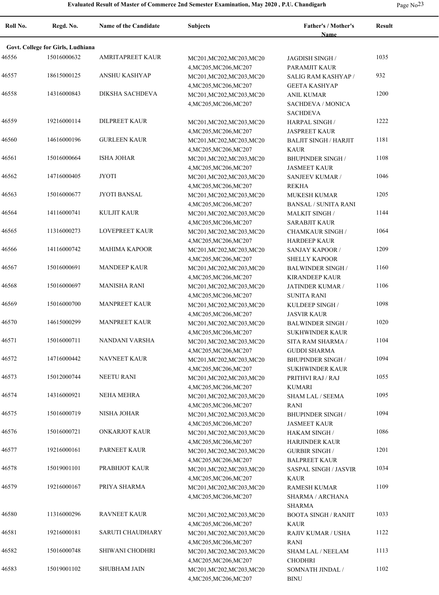| Roll No. | Regd. No.                         | <b>Name of the Candidate</b> | Subjects                                            | Father's / Mother's<br><b>Name</b>          | <b>Result</b> |
|----------|-----------------------------------|------------------------------|-----------------------------------------------------|---------------------------------------------|---------------|
|          | Govt. College for Girls, Ludhiana |                              |                                                     |                                             |               |
| 46556    | 15016000632                       | <b>AMRITAPREET KAUR</b>      | MC201, MC202, MC203, MC20                           | JAGDISH SINGH /                             | 1035          |
|          |                                   |                              | 4, MC205, MC206, MC207                              | PARAMJIT KAUR                               |               |
| 46557    | 18615000125                       | ANSHU KASHYAP                | MC201, MC202, MC203, MC20                           | SALIG RAM KASHYAP /                         | 932           |
|          |                                   |                              | 4, MC205, MC206, MC207                              | <b>GEETA KASHYAP</b>                        |               |
| 46558    | 14316000843                       | DIKSHA SACHDEVA              | MC201, MC202, MC203, MC20                           | <b>ANIL KUMAR</b>                           | 1200          |
|          |                                   |                              | 4, MC205, MC206, MC207                              | SACHDEVA / MONICA<br><b>SACHDEVA</b>        |               |
| 46559    | 19216000114                       | <b>DILPREET KAUR</b>         | MC201, MC202, MC203, MC20<br>4, MC205, MC206, MC207 | HARPAL SINGH /<br><b>JASPREET KAUR</b>      | 1222          |
| 46560    | 14616000196                       | <b>GURLEEN KAUR</b>          | MC201, MC202, MC203, MC20                           | <b>BALJIT SINGH / HARJIT</b>                | 1181          |
|          |                                   |                              | 4, MC205, MC206, MC207                              | <b>KAUR</b>                                 |               |
| 46561    | 15016000664                       | <b>ISHA JOHAR</b>            | MC201, MC202, MC203, MC20                           | <b>BHUPINDER SINGH /</b>                    | 1108          |
| 46562    | 14716000405                       | <b>JYOTI</b>                 | 4, MC205, MC206, MC207                              | <b>JASMEET KAUR</b>                         | 1046          |
|          |                                   |                              | MC201, MC202, MC203, MC20<br>4, MC205, MC206, MC207 | SANJEEV KUMAR /<br><b>REKHA</b>             |               |
| 46563    | 15016000677                       | JYOTI BANSAL                 | MC201, MC202, MC203, MC20                           | <b>MUKESH KUMAR</b>                         | 1205          |
|          |                                   |                              | 4, MC205, MC206, MC207                              | <b>BANSAL / SUNITA RANI</b>                 |               |
| 46564    | 14116000741                       | KULJIT KAUR                  | MC201, MC202, MC203, MC20                           | <b>MALKIT SINGH/</b>                        | 1144          |
|          |                                   |                              | 4, MC205, MC206, MC207                              | <b>SARABJIT KAUR</b>                        |               |
| 46565    | 11316000273                       | <b>LOVEPREET KAUR</b>        | MC201, MC202, MC203, MC20                           | <b>CHAMKAUR SINGH /</b>                     | 1064          |
|          |                                   |                              | 4, MC205, MC206, MC207                              | <b>HARDEEP KAUR</b>                         |               |
| 46566    | 14116000742                       | <b>MAHIMA KAPOOR</b>         | MC201, MC202, MC203, MC20                           | <b>SANJAY KAPOOR /</b>                      | 1209          |
|          |                                   |                              | 4, MC205, MC206, MC207                              | <b>SHELLY KAPOOR</b>                        |               |
| 46567    | 15016000691                       | <b>MANDEEP KAUR</b>          | MC201, MC202, MC203, MC20                           | <b>BALWINDER SINGH/</b>                     | 1160          |
|          |                                   |                              | 4, MC205, MC206, MC207                              | <b>KIRANDEEP KAUR</b>                       |               |
| 46568    | 15016000697                       | <b>MANISHA RANI</b>          | MC201, MC202, MC203, MC20                           | JATINDER KUMAR /                            | 1106          |
|          |                                   |                              | 4, MC205, MC206, MC207                              | <b>SUNITA RANI</b>                          |               |
| 46569    | 15016000700                       | <b>MANPREET KAUR</b>         | MC201, MC202, MC203, MC20                           | KULDEEP SINGH /                             | 1098          |
|          |                                   |                              | 4, MC205, MC206, MC207                              | <b>JASVIR KAUR</b>                          |               |
| 46570    | 14615000299                       | <b>MANPREET KAUR</b>         | MC201, MC202, MC203, MC20                           | <b>BALWINDER SINGH/</b>                     | 1020          |
| 46571    | 15016000711                       | NANDANI VARSHA               | 4, MC205, MC206, MC207<br>MC201, MC202, MC203, MC20 | <b>SUKHWINDER KAUR</b><br>SITA RAM SHARMA / | 1104          |
|          |                                   |                              | 4, MC205, MC206, MC207                              | <b>GUDDI SHARMA</b>                         |               |
| 46572    | 14716000442                       | <b>NAVNEET KAUR</b>          | MC201, MC202, MC203, MC20                           | <b>BHUPINDER SINGH /</b>                    | 1094          |
|          |                                   |                              | 4, MC205, MC206, MC207                              | <b>SUKHWINDER KAUR</b>                      |               |
| 46573    | 15012000744                       | <b>NEETU RANI</b>            | MC201, MC202, MC203, MC20                           | PRITHVI RAJ / RAJ                           | 1055          |
|          |                                   |                              | 4, MC205, MC206, MC207                              | <b>KUMARI</b>                               |               |
| 46574    | 14316000921                       | <b>NEHA MEHRA</b>            | MC201, MC202, MC203, MC20                           | <b>SHAM LAL / SEEMA</b>                     | 1095          |
|          |                                   |                              | 4, MC205, MC206, MC207                              | <b>RANI</b>                                 |               |
| 46575    | 15016000719                       | NISHA JOHAR                  | MC201, MC202, MC203, MC20                           | <b>BHUPINDER SINGH /</b>                    | 1094          |
|          |                                   |                              | 4, MC205, MC206, MC207                              | <b>JASMEET KAUR</b>                         |               |
| 46576    | 15016000721                       | ONKARJOT KAUR                | MC201, MC202, MC203, MC20                           | HAKAM SINGH /                               | 1086          |
|          |                                   |                              | 4, MC205, MC206, MC207                              | <b>HARJINDER KAUR</b>                       |               |
| 46577    | 19216000161                       | PARNEET KAUR                 | MC201, MC202, MC203, MC20                           | <b>GURBIR SINGH/</b>                        | 1201          |
| 46578    | 15019001101                       | PRABHJOT KAUR                | 4, MC205, MC206, MC207                              | <b>BALPREET KAUR</b>                        | 1034          |
|          |                                   |                              | MC201, MC202, MC203, MC20<br>4, MC205, MC206, MC207 | <b>SASPAL SINGH / JASVIR</b><br><b>KAUR</b> |               |
| 46579    | 19216000167                       | PRIYA SHARMA                 | MC201, MC202, MC203, MC20                           | <b>RAMESH KUMAR</b>                         | 1109          |
|          |                                   |                              | 4, MC205, MC206, MC207                              | SHARMA / ARCHANA                            |               |
|          |                                   |                              |                                                     | <b>SHARMA</b>                               |               |
| 46580    | 11316000296                       | <b>RAVNEET KAUR</b>          | MC201, MC202, MC203, MC20                           | <b>BOOTA SINGH / RANJIT</b>                 | 1033          |
|          |                                   |                              | 4, MC205, MC206, MC207                              | <b>KAUR</b>                                 |               |
| 46581    | 19216000181                       | SARUTI CHAUDHARY             | MC201, MC202, MC203, MC20                           | RAJIV KUMAR / USHA                          | 1122          |
|          |                                   |                              | 4, MC205, MC206, MC207                              | RANI                                        |               |
| 46582    | 15016000748                       | SHIWANI CHODHRI              | MC201, MC202, MC203, MC20                           | <b>SHAM LAL / NEELAM</b>                    | 1113          |
|          |                                   |                              | 4, MC205, MC206, MC207                              | <b>CHODHRI</b>                              |               |
| 46583    | 15019001102                       | <b>SHUBHAM JAIN</b>          | MC201, MC202, MC203, MC20                           | SOMNATH JINDAL /                            | 1102          |
|          |                                   |                              | 4, MC205, MC206, MC207                              | <b>BINU</b>                                 |               |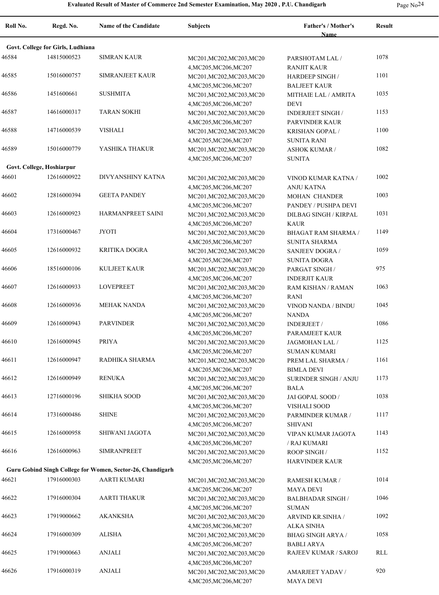$\overline{a}$ 

| ÷ | N |
|---|---|
|---|---|

| Roll No.                  | Regd. No.                         | <b>Name of the Candidate</b>                               | <b>Subjects</b>           | Father's / Mother's<br><b>Name</b> | <b>Result</b> |
|---------------------------|-----------------------------------|------------------------------------------------------------|---------------------------|------------------------------------|---------------|
|                           | Govt. College for Girls, Ludhiana |                                                            |                           |                                    |               |
| 46584                     | 14815000523                       | <b>SIMRAN KAUR</b>                                         | MC201, MC202, MC203, MC20 | PARSHOTAM LAL /                    | 1078          |
|                           |                                   |                                                            | 4, MC205, MC206, MC207    | <b>RANJIT KAUR</b>                 |               |
| 46585                     | 15016000757                       | <b>SIMRANJEET KAUR</b>                                     | MC201, MC202, MC203, MC20 | <b>HARDEEP SINGH/</b>              | 1101          |
|                           |                                   |                                                            | 4, MC205, MC206, MC207    | <b>BALJEET KAUR</b>                |               |
| 46586                     | 1451600661                        | <b>SUSHMITA</b>                                            | MC201, MC202, MC203, MC20 | MITHAIE LAL / AMRITA               | 1035          |
|                           |                                   |                                                            | 4, MC205, MC206, MC207    | <b>DEVI</b>                        |               |
| 46587                     | 14616000317                       | <b>TARAN SOKHI</b>                                         | MC201, MC202, MC203, MC20 | <b>INDERJEET SINGH /</b>           | 1153          |
|                           |                                   |                                                            | 4, MC205, MC206, MC207    | PARVINDER KAUR                     |               |
| 46588                     | 14716000539                       | VISHALI                                                    | MC201, MC202, MC203, MC20 | KRISHAN GOPAL /                    | 1100          |
|                           |                                   |                                                            | 4, MC205, MC206, MC207    | <b>SUNITA RANI</b>                 |               |
| 46589                     | 15016000779                       | YASHIKA THAKUR                                             | MC201, MC202, MC203, MC20 | <b>ASHOK KUMAR /</b>               | 1082          |
|                           |                                   |                                                            | 4, MC205, MC206, MC207    | <b>SUNITA</b>                      |               |
| Govt. College, Hoshiarpur |                                   |                                                            |                           |                                    |               |
| 46601                     | 12616000922                       | DIVYANSHINY KATNA                                          | MC201, MC202, MC203, MC20 | VINOD KUMAR KATNA /                | 1002          |
|                           |                                   |                                                            | 4, MC205, MC206, MC207    | <b>ANJU KATNA</b>                  |               |
| 46602                     | 12816000394                       | <b>GEETA PANDEY</b>                                        | MC201, MC202, MC203, MC20 | <b>MOHAN CHANDER</b>               | 1003          |
|                           |                                   |                                                            | 4, MC205, MC206, MC207    | PANDEY / PUSHPA DEVI               |               |
| 46603                     | 12616000923                       | HARMANPREET SAINI                                          | MC201, MC202, MC203, MC20 | DILBAG SINGH / KIRPAL              | 1031          |
|                           |                                   |                                                            | 4, MC205, MC206, MC207    | <b>KAUR</b>                        |               |
| 46604                     | 17316000467                       | JYOTI                                                      | MC201, MC202, MC203, MC20 | <b>BHAGAT RAM SHARMA /</b>         | 1149          |
|                           |                                   |                                                            | 4, MC205, MC206, MC207    | SUNITA SHARMA                      |               |
| 46605                     | 12616000932                       | <b>KRITIKA DOGRA</b>                                       | MC201, MC202, MC203, MC20 | <b>SANJEEV DOGRA/</b>              | 1059          |
|                           |                                   |                                                            | 4, MC205, MC206, MC207    | <b>SUNITA DOGRA</b>                |               |
| 46606                     | 18516000106                       | <b>KULJEET KAUR</b>                                        | MC201, MC202, MC203, MC20 | PARGAT SINGH /                     | 975           |
|                           |                                   |                                                            | 4, MC205, MC206, MC207    | <b>INDERJIT KAUR</b>               |               |
| 46607                     | 12616000933                       | <b>LOVEPREET</b>                                           | MC201, MC202, MC203, MC20 | RAM KISHAN / RAMAN                 | 1063          |
|                           |                                   |                                                            | 4, MC205, MC206, MC207    | RANI                               |               |
| 46608                     | 12616000936                       | <b>MEHAK NANDA</b>                                         | MC201, MC202, MC203, MC20 | VINOD NANDA / BINDU                | 1045          |
|                           |                                   |                                                            | 4, MC205, MC206, MC207    | NANDA                              |               |
| 46609                     | 12616000943                       | <b>PARVINDER</b>                                           | MC201, MC202, MC203, MC20 | <b>INDERJEET</b> /                 | 1086          |
|                           |                                   |                                                            | 4, MC205, MC206, MC207    | PARAMJEET KAUR                     |               |
| 46610                     | 12616000945                       | <b>PRIYA</b>                                               | MC201, MC202, MC203, MC20 | JAGMOHAN LAL /                     | 1125          |
|                           |                                   |                                                            | 4, MC205, MC206, MC207    | <b>SUMAN KUMARI</b>                |               |
| 46611                     | 12616000947                       | RADHIKA SHARMA                                             | MC201, MC202, MC203, MC20 | PREM LAL SHARMA /                  | 1161          |
|                           |                                   |                                                            | 4, MC205, MC206, MC207    | <b>BIMLA DEVI</b>                  |               |
| 46612                     | 12616000949                       | <b>RENUKA</b>                                              | MC201, MC202, MC203, MC20 | <b>SURINDER SINGH / ANJU</b>       | 1173          |
|                           |                                   |                                                            | 4, MC205, MC206, MC207    | <b>BALA</b>                        |               |
| 46613                     | 12716000196                       | <b>SHIKHA SOOD</b>                                         | MC201, MC202, MC203, MC20 | JAI GOPAL SOOD /                   | 1038          |
|                           |                                   |                                                            | 4, MC205, MC206, MC207    | VISHALI SOOD                       |               |
| 46614                     | 17316000486                       | <b>SHINE</b>                                               | MC201, MC202, MC203, MC20 | PARMINDER KUMAR /                  | 1117          |
|                           |                                   |                                                            | 4, MC205, MC206, MC207    | <b>SHIVANI</b>                     |               |
| 46615                     | 12616000958                       | SHIWANI JAGOTA                                             | MC201, MC202, MC203, MC20 | VIPAN KUMAR JAGOTA                 | 1143          |
|                           |                                   |                                                            | 4, MC205, MC206, MC207    | / RAJ KUMARI                       |               |
| 46616                     | 12616000963                       | <b>SIMRANPREET</b>                                         | MC201, MC202, MC203, MC20 | ROOP SINGH /                       | 1152          |
|                           |                                   |                                                            | 4, MC205, MC206, MC207    | <b>HARVINDER KAUR</b>              |               |
|                           |                                   | Guru Gobind Singh College for Women, Sector-26, Chandigarh |                           |                                    |               |
| 46621                     | 17916000303                       | <b>AARTI KUMARI</b>                                        | MC201, MC202, MC203, MC20 | RAMESH KUMAR /                     | 1014          |
|                           |                                   |                                                            | 4, MC205, MC206, MC207    | <b>MAYA DEVI</b>                   |               |
| 46622                     | 17916000304                       | <b>AARTI THAKUR</b>                                        | MC201, MC202, MC203, MC20 | <b>BALBHADAR SINGH /</b>           | 1046          |
|                           |                                   |                                                            | 4, MC205, MC206, MC207    | <b>SUMAN</b>                       |               |
| 46623                     | 17919000662                       | <b>AKANKSHA</b>                                            | MC201, MC202, MC203, MC20 | <b>ARVIND KR.SINHA /</b>           | 1092          |
|                           |                                   |                                                            | 4, MC205, MC206, MC207    | ALKA SINHA                         |               |
| 46624                     | 17916000309                       | <b>ALISHA</b>                                              | MC201, MC202, MC203, MC20 | <b>BHAG SINGH ARYA /</b>           | 1058          |
|                           |                                   |                                                            | 4, MC205, MC206, MC207    | <b>BABLI ARYA</b>                  |               |
| 46625                     | 17919000663                       | ANJALI                                                     | MC201, MC202, MC203, MC20 | <b>RAJEEV KUMAR / SAROJ</b>        | RLL           |
|                           |                                   |                                                            | 4, MC205, MC206, MC207    |                                    |               |
| 46626                     | 17916000319                       | ANJALI                                                     | MC201, MC202, MC203, MC20 | <b>AMARJEET YADAV /</b>            | 920           |
|                           |                                   |                                                            | 4, MC205, MC206, MC207    | <b>MAYA DEVI</b>                   |               |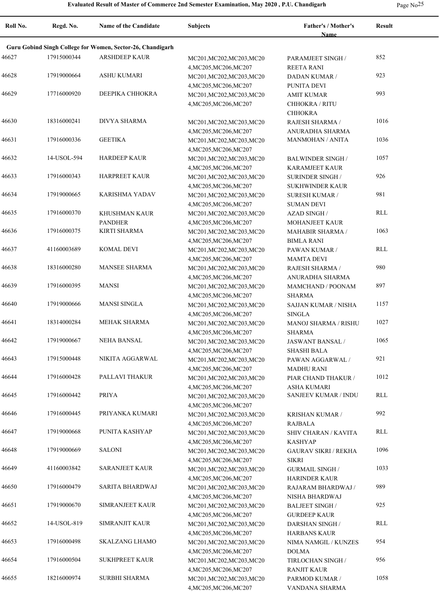| Roll No. | Regd. No.   | <b>Name of the Candidate</b>                               | <b>Subjects</b>                                     | Father's / Mother's              | <b>Result</b> |  |
|----------|-------------|------------------------------------------------------------|-----------------------------------------------------|----------------------------------|---------------|--|
|          |             |                                                            |                                                     | <b>Name</b>                      |               |  |
|          |             | Guru Gobind Singh College for Women, Sector-26, Chandigarh |                                                     |                                  |               |  |
| 46627    | 17915000344 | <b>ARSHDEEP KAUR</b>                                       | MC201, MC202, MC203, MC20                           | PARAMJEET SINGH /                | 852           |  |
|          |             |                                                            | 4, MC205, MC206, MC207                              | <b>REETA RANI</b>                |               |  |
| 46628    | 17919000664 | <b>ASHU KUMARI</b>                                         | MC201, MC202, MC203, MC20                           | <b>DADAN KUMAR /</b>             | 923           |  |
|          |             |                                                            | 4, MC205, MC206, MC207                              | PUNITA DEVI                      |               |  |
| 46629    | 17716000920 | DEEPIKA CHHOKRA                                            | MC201, MC202, MC203, MC20                           | AMIT KUMAR                       | 993           |  |
|          |             |                                                            | 4, MC205, MC206, MC207                              | <b>CHHOKRA / RITU</b>            |               |  |
|          |             |                                                            |                                                     | <b>CHHOKRA</b>                   |               |  |
| 46630    | 18316000241 | <b>DIVYA SHARMA</b>                                        | MC201, MC202, MC203, MC20                           | RAJESH SHARMA /                  | 1016          |  |
|          |             |                                                            | 4, MC205, MC206, MC207                              | ANURADHA SHARMA                  |               |  |
| 46631    | 17916000336 | <b>GEETIKA</b>                                             | MC201, MC202, MC203, MC20                           | MANMOHAN / ANITA                 | 1036          |  |
|          |             |                                                            | 4, MC205, MC206, MC207                              |                                  |               |  |
| 46632    | 14-USOL-594 | <b>HARDEEP KAUR</b>                                        | MC201, MC202, MC203, MC20                           | <b>BALWINDER SINGH/</b>          | 1057          |  |
|          |             |                                                            | 4, MC205, MC206, MC207                              | <b>KARAMJEET KAUR</b>            |               |  |
| 46633    | 17916000343 | <b>HARPREET KAUR</b>                                       | MC201, MC202, MC203, MC20                           | <b>SURINDER SINGH /</b>          | 926           |  |
|          |             |                                                            | 4, MC205, MC206, MC207                              | SUKHWINDER KAUR                  |               |  |
| 46634    | 17919000665 | <b>KARISHMA YADAV</b>                                      | MC201, MC202, MC203, MC20                           | <b>SURESH KUMAR /</b>            | 981           |  |
|          |             |                                                            | 4, MC205, MC206, MC207                              | <b>SUMAN DEVI</b>                |               |  |
| 46635    | 17916000370 | <b>KHUSHMAN KAUR</b>                                       | MC201, MC202, MC203, MC20                           | <b>AZAD SINGH /</b>              | <b>RLL</b>    |  |
|          |             | <b>PANDHER</b>                                             | 4, MC205, MC206, MC207                              | MOHANJEET KAUR                   |               |  |
| 46636    | 17916000375 | <b>KIRTI SHARMA</b>                                        | MC201, MC202, MC203, MC20                           | <b>MAHABIR SHARMA /</b>          | 1063          |  |
|          |             |                                                            | 4, MC205, MC206, MC207                              | <b>BIMLA RANI</b>                |               |  |
| 46637    | 41160003689 | <b>KOMAL DEVI</b>                                          | MC201, MC202, MC203, MC20                           | PAWAN KUMAR /                    | RLL           |  |
|          |             |                                                            | 4, MC205, MC206, MC207                              | <b>MAMTA DEVI</b>                |               |  |
| 46638    | 18316000280 | <b>MANSEE SHARMA</b>                                       | MC201, MC202, MC203, MC20                           | RAJESH SHARMA /                  | 980           |  |
|          |             |                                                            | 4, MC205, MC206, MC207                              | ANURADHA SHARMA                  |               |  |
| 46639    | 17916000395 | <b>MANSI</b>                                               | MC201, MC202, MC203, MC20                           | MAMCHAND / POONAM                | 897           |  |
|          |             |                                                            | 4, MC205, MC206, MC207                              | <b>SHARMA</b>                    |               |  |
| 46640    | 17919000666 | <b>MANSI SINGLA</b>                                        | MC201, MC202, MC203, MC20                           | SAJJAN KUMAR / NISHA             | 1157          |  |
|          |             |                                                            | 4, MC205, MC206, MC207                              | <b>SINGLA</b>                    |               |  |
| 46641    | 18314000284 | <b>MEHAK SHARMA</b>                                        | MC201, MC202, MC203, MC20                           | MANOJ SHARMA / RISHU             | 1027          |  |
|          |             |                                                            | 4, MC205, MC206, MC207                              | <b>SHARMA</b>                    |               |  |
| 46642    | 17919000667 | <b>NEHA BANSAL</b>                                         | MC201, MC202, MC203, MC20                           | JASWANT BANSAL /                 | 1065          |  |
|          |             |                                                            | 4, MC205, MC206, MC207                              | <b>SHASHI BALA</b>               |               |  |
| 46643    | 17915000448 | NIKITA AGGARWAL                                            | MC201, MC202, MC203, MC20                           | PAWAN AGGARWAL /                 | 921           |  |
|          |             |                                                            | 4, MC205, MC206, MC207                              | <b>MADHU RANI</b>                |               |  |
| 46644    | 17916000428 | PALLAVI THAKUR                                             | MC201, MC202, MC203, MC20                           | PIAR CHAND THAKUR /              | 1012          |  |
|          |             |                                                            | 4, MC205, MC206, MC207                              | <b>ASHA KUMARI</b>               |               |  |
| 46645    | 17916000442 | <b>PRIYA</b>                                               | MC201, MC202, MC203, MC20                           | <b>SANJEEV KUMAR / INDU</b>      | RLL           |  |
|          |             |                                                            | 4, MC205, MC206, MC207                              |                                  |               |  |
| 46646    | 17916000445 | PRIYANKA KUMARI                                            | MC201, MC202, MC203, MC20                           | KRISHAN KUMAR /                  | 992           |  |
|          |             |                                                            | 4, MC205, MC206, MC207                              | RAJBALA                          |               |  |
| 46647    | 17919000668 | PUNITA KASHYAP                                             | MC201, MC202, MC203, MC20                           | SHIV CHARAN / KAVITA             | RLL           |  |
|          |             |                                                            | 4, MC205, MC206, MC207                              | <b>KASHYAP</b>                   |               |  |
| 46648    | 17919000669 | <b>SALONI</b>                                              | MC201, MC202, MC203, MC20                           | <b>GAURAV SIKRI / REKHA</b>      | 1096          |  |
|          |             |                                                            | 4, MC205, MC206, MC207                              | SIKRI                            |               |  |
| 46649    | 41160003842 | <b>SARANJEET KAUR</b>                                      | MC201, MC202, MC203, MC20                           | <b>GURMAIL SINGH /</b>           | 1033          |  |
|          |             |                                                            | 4, MC205, MC206, MC207                              | <b>HARINDER KAUR</b>             | 989           |  |
| 46650    | 17916000479 | SARITA BHARDWAJ                                            | MC201, MC202, MC203, MC20                           | RAJARAM BHARDWAJ /               |               |  |
|          | 17919000670 | SIMRANJEET KAUR                                            | 4, MC205, MC206, MC207                              | NISHA BHARDWAJ                   | 925           |  |
| 46651    |             |                                                            | MC201, MC202, MC203, MC20                           | <b>BALJEET SINGH/</b>            |               |  |
| 46652    | 14-USOL-819 | <b>SIMRANJIT KAUR</b>                                      | 4, MC205, MC206, MC207                              | <b>GURDEEP KAUR</b>              | RLL           |  |
|          |             |                                                            | MC201, MC202, MC203, MC20                           | <b>DARSHAN SINGH /</b>           |               |  |
|          | 17916000498 | <b>SKALZANG LHAMO</b>                                      | 4, MC205, MC206, MC207                              | <b>HARBANS KAUR</b>              | 954           |  |
| 46653    |             |                                                            | MC201, MC202, MC203, MC20                           | NIMA NAMGIL / KUNZES             |               |  |
| 46654    | 17916000504 | <b>SUKHPREET KAUR</b>                                      | 4, MC205, MC206, MC207                              | <b>DOLMA</b>                     | 956           |  |
|          |             |                                                            | MC201, MC202, MC203, MC20                           | TIRLOCHAN SINGH /                |               |  |
| 46655    | 18216000974 | SURBHI SHARMA                                              | 4, MC205, MC206, MC207                              | <b>RANJIT KAUR</b>               | 1058          |  |
|          |             |                                                            | MC201, MC202, MC203, MC20<br>4, MC205, MC206, MC207 | PARMOD KUMAR /<br>VANDANA SHARMA |               |  |
|          |             |                                                            |                                                     |                                  |               |  |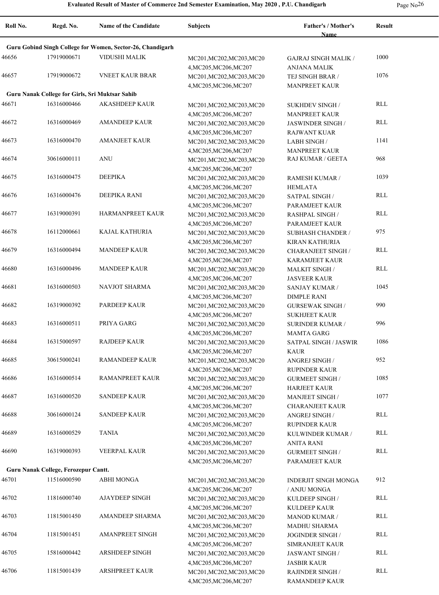| rage No |  |
|---------|--|
|---------|--|

| Roll No. | Regd. No.                                       | <b>Name of the Candidate</b>                               | <b>Subjects</b>                                     | Father's / Mother's<br>Name                   | <b>Result</b>  |
|----------|-------------------------------------------------|------------------------------------------------------------|-----------------------------------------------------|-----------------------------------------------|----------------|
|          |                                                 | Guru Gobind Singh College for Women, Sector-26, Chandigarh |                                                     |                                               |                |
| 46656    | 17919000671                                     | VIDUSHI MALIK                                              | MC201, MC202, MC203, MC20                           | <b>GAJRAJ SINGH MALIK /</b>                   | 1000           |
| 46657    | 17919000672                                     | <b>VNEET KAUR BRAR</b>                                     | 4, MC205, MC206, MC207<br>MC201, MC202, MC203, MC20 | ANJANA MALIK<br>TEJ SINGH BRAR /              | 1076           |
|          | Guru Nanak College for Girls, Sri Muktsar Sahib |                                                            | 4, MC205, MC206, MC207                              | <b>MANPREET KAUR</b>                          |                |
| 46671    | 16316000466                                     | <b>AKASHDEEP KAUR</b>                                      | MC201, MC202, MC203, MC20                           | <b>SUKHDEV SINGH/</b>                         | RLL            |
|          |                                                 |                                                            | 4, MC205, MC206, MC207                              | <b>MANPREET KAUR</b>                          |                |
| 46672    | 16316000469                                     | <b>AMANDEEP KAUR</b>                                       | MC201, MC202, MC203, MC20                           | JASWINDER SINGH /                             | RLL            |
|          |                                                 |                                                            | 4, MC205, MC206, MC207                              | <b>RAJWANT KUAR</b>                           |                |
| 46673    | 16316000470                                     | <b>AMANJEET KAUR</b>                                       | MC201, MC202, MC203, MC20                           | <b>LABH SINGH /</b>                           | 1141           |
|          |                                                 |                                                            | 4, MC205, MC206, MC207                              | <b>MANPREET KAUR</b>                          |                |
| 46674    | 30616000111                                     | <b>ANU</b>                                                 | MC201, MC202, MC203, MC20                           | RAJ KUMAR / GEETA                             | 968            |
|          |                                                 |                                                            | 4, MC205, MC206, MC207                              |                                               |                |
| 46675    | 16316000475                                     | <b>DEEPIKA</b>                                             | MC201, MC202, MC203, MC20                           | RAMESH KUMAR /                                | 1039           |
| 46676    | 16316000476                                     | DEEPIKA RANI                                               | 4, MC205, MC206, MC207<br>MC201, MC202, MC203, MC20 | <b>HEMLATA</b><br><b>SATPAL SINGH/</b>        | RLL            |
|          |                                                 |                                                            | 4, MC205, MC206, MC207                              | PARAMJEET KAUR                                |                |
| 46677    | 16319000391                                     | HARMANPREET KAUR                                           | MC201, MC202, MC203, MC20                           | <b>RASHPAL SINGH/</b>                         | RLL            |
|          |                                                 |                                                            | 4, MC205, MC206, MC207                              | PARAMJEET KAUR                                |                |
| 46678    | 16112000661                                     | KAJAL KATHURIA                                             | MC201, MC202, MC203, MC20                           | <b>SUBHASH CHANDER /</b>                      | 975            |
|          |                                                 |                                                            | 4, MC205, MC206, MC207                              | <b>KIRAN KATHURIA</b>                         |                |
| 46679    | 16316000494                                     | <b>MANDEEP KAUR</b>                                        | MC201, MC202, MC203, MC20                           | <b>CHARANJEET SINGH /</b>                     | <b>RLL</b>     |
|          |                                                 |                                                            | 4, MC205, MC206, MC207                              | <b>KARAMJEET KAUR</b>                         |                |
| 46680    | 16316000496                                     | <b>MANDEEP KAUR</b>                                        | MC201, MC202, MC203, MC20                           | <b>MALKIT SINGH/</b>                          | RLL            |
|          |                                                 |                                                            | 4, MC205, MC206, MC207                              | <b>JASVEER KAUR</b>                           |                |
| 46681    | 16316000503                                     | NAVJOT SHARMA                                              | MC201, MC202, MC203, MC20                           | SANJAY KUMAR /                                | 1045           |
| 46682    | 16319000392                                     | PARDEEP KAUR                                               | 4, MC205, MC206, MC207<br>MC201, MC202, MC203, MC20 | <b>DIMPLE RANI</b><br><b>GURSEWAK SINGH /</b> | 990            |
|          |                                                 |                                                            | 4, MC205, MC206, MC207                              | <b>SUKHJEET KAUR</b>                          |                |
| 46683    | 16316000511                                     | PRIYA GARG                                                 | MC201, MC202, MC203, MC20                           | <b>SURINDER KUMAR /</b>                       | 996            |
|          |                                                 |                                                            | 4, MC205, MC206, MC207                              | <b>MAMTA GARG</b>                             |                |
| 46684    | 16315000597                                     | <b>RAJDEEP KAUR</b>                                        | MC201, MC202, MC203, MC20                           | <b>SATPAL SINGH / JASWIR</b>                  | 1086           |
|          |                                                 |                                                            | 4, MC205, MC206, MC207                              | KAUR                                          |                |
| 46685    | 30615000241                                     | <b>RAMANDEEP KAUR</b>                                      | MC201, MC202, MC203, MC20                           | ANGREJ SINGH /                                | 952            |
|          |                                                 |                                                            | 4, MC205, MC206, MC207                              | <b>RUPINDER KAUR</b>                          |                |
| 46686    | 16316000514                                     | RAMANPREET KAUR                                            | MC201, MC202, MC203, MC20                           | <b>GURMEET SINGH/</b>                         | 1085           |
|          | 16316000520                                     | <b>SANDEEP KAUR</b>                                        | 4, MC205, MC206, MC207                              | <b>HARJEET KAUR</b>                           | 1077           |
| 46687    |                                                 |                                                            | MC201, MC202, MC203, MC20                           | <b>MANJEET SINGH/</b>                         |                |
| 46688    | 30616000124                                     | <b>SANDEEP KAUR</b>                                        | 4, MC205, MC206, MC207<br>MC201, MC202, MC203, MC20 | <b>CHARANJEET KAUR</b><br>ANGREJ SINGH /      | $\mathsf{RLL}$ |
|          |                                                 |                                                            | 4, MC205, MC206, MC207                              | <b>RUPINDER KAUR</b>                          |                |
| 46689    | 16316000529                                     | <b>TANIA</b>                                               | MC201, MC202, MC203, MC20                           | KULWINDER KUMAR /                             | <b>RLL</b>     |
|          |                                                 |                                                            | 4, MC205, MC206, MC207                              | ANITA RANI                                    |                |
| 46690    | 16319000393                                     | <b>VEERPAL KAUR</b>                                        | MC201, MC202, MC203, MC20                           | <b>GURMEET SINGH/</b>                         | RLL            |
|          |                                                 |                                                            | 4, MC205, MC206, MC207                              | PARAMJEET KAUR                                |                |
|          | Guru Nanak College, Ferozepur Cantt.            |                                                            |                                                     |                                               |                |
| 46701    | 11516000590                                     | <b>ABHI MONGA</b>                                          | MC201, MC202, MC203, MC20                           | <b>INDERJIT SINGH MONGA</b>                   | 912            |
|          |                                                 |                                                            | 4, MC205, MC206, MC207                              | / ANJU MONGA                                  |                |
| 46702    | 11816000740                                     | <b>AJAYDEEP SINGH</b>                                      | MC201, MC202, MC203, MC20                           | KULDEEP SINGH /                               | <b>RLL</b>     |
|          |                                                 |                                                            | 4, MC205, MC206, MC207                              | <b>KULDEEP KAUR</b>                           |                |
| 46703    | 11815001450                                     | AMANDEEP SHARMA                                            | MC201, MC202, MC203, MC20                           | MANOD KUMAR /                                 | RLL            |
| 46704    | 11815001451                                     | <b>AMANPREET SINGH</b>                                     | 4, MC205, MC206, MC207<br>MC201, MC202, MC203, MC20 | MADHU SHARMA<br>JOGINDER SINGH /              | RLL            |
|          |                                                 |                                                            | 4, MC205, MC206, MC207                              | SIMRANJEET KAUR                               |                |
| 46705    | 15816000442                                     | ARSHDEEP SINGH                                             | MC201, MC202, MC203, MC20                           | <b>JASWANT SINGH/</b>                         | RLL            |
|          |                                                 |                                                            | 4, MC205, MC206, MC207                              | <b>JASBIR KAUR</b>                            |                |
| 46706    | 11815001439                                     | <b>ARSHPREET KAUR</b>                                      | MC201, MC202, MC203, MC20                           | <b>RAJINDER SINGH/</b>                        | $\mathsf{RLL}$ |
|          |                                                 |                                                            | 4, MC205, MC206, MC207                              | RAMANDEEP KAUR                                |                |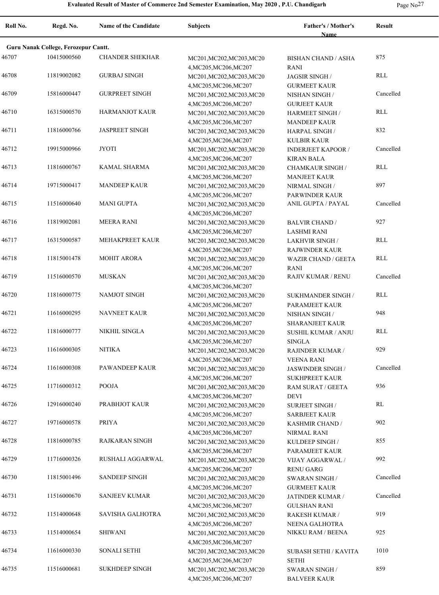| Roll No. | Regd. No.                            | <b>Name of the Candidate</b> | <b>Subjects</b>                                     | Father's / Mother's<br><b>Name</b>              | <b>Result</b> |
|----------|--------------------------------------|------------------------------|-----------------------------------------------------|-------------------------------------------------|---------------|
|          | Guru Nanak College, Ferozepur Cantt. |                              |                                                     |                                                 |               |
| 46707    | 10415000560                          | <b>CHANDER SHEKHAR</b>       | MC201, MC202, MC203, MC20<br>4, MC205, MC206, MC207 | <b>BISHAN CHAND / ASHA</b><br><b>RANI</b>       | 875           |
| 46708    | 11819002082                          | <b>GURBAJ SINGH</b>          | MC201, MC202, MC203, MC20<br>4, MC205, MC206, MC207 | <b>JAGSIR SINGH/</b><br><b>GURMEET KAUR</b>     | RLL           |
| 46709    | 15816000447                          | <b>GURPREET SINGH</b>        | MC201, MC202, MC203, MC20<br>4, MC205, MC206, MC207 | NISHAN SINGH /<br><b>GURJEET KAUR</b>           | Cancelled     |
| 46710    | 16315000570                          | <b>HARMANJOT KAUR</b>        | MC201, MC202, MC203, MC20<br>4, MC205, MC206, MC207 | <b>HARMEET SINGH/</b><br><b>MANDEEP KAUR</b>    | <b>RLL</b>    |
| 46711    | 11816000766                          | <b>JASPREET SINGH</b>        | MC201, MC202, MC203, MC20<br>4, MC205, MC206, MC207 | <b>HARPAL SINGH/</b><br><b>KULBIR KAUR</b>      | 832           |
| 46712    | 19915000966                          | <b>JYOTI</b>                 | MC201, MC202, MC203, MC20<br>4, MC205, MC206, MC207 | <b>INDERJEET KAPOOR /</b><br><b>KIRAN BALA</b>  | Cancelled     |
| 46713    | 11816000767                          | KAMAL SHARMA                 | MC201, MC202, MC203, MC20<br>4, MC205, MC206, MC207 | <b>CHAMKAUR SINGH /</b><br><b>MANJEET KAUR</b>  | RLL           |
| 46714    | 19715000417                          | <b>MANDEEP KAUR</b>          | MC201, MC202, MC203, MC20<br>4, MC205, MC206, MC207 | NIRMAL SINGH /<br><b>PARWINDER KAUR</b>         | 897           |
| 46715    | 11516000640                          | <b>MANI GUPTA</b>            | MC201, MC202, MC203, MC20<br>4, MC205, MC206, MC207 | ANIL GUPTA / PAYAL                              | Cancelled     |
| 46716    | 11819002081                          | <b>MEERA RANI</b>            | MC201, MC202, MC203, MC20<br>4, MC205, MC206, MC207 | <b>BALVIR CHAND /</b><br><b>LASHMI RANI</b>     | 927           |
| 46717    | 16315000587                          | <b>MEHAKPREET KAUR</b>       | MC201, MC202, MC203, MC20<br>4, MC205, MC206, MC207 | <b>LAKHVIR SINGH /</b><br><b>RAJWINDER KAUR</b> | RLL           |
| 46718    | 11815001478                          | <b>MOHIT ARORA</b>           | MC201, MC202, MC203, MC20<br>4, MC205, MC206, MC207 | <b>WAZIR CHAND / GEETA</b><br><b>RANI</b>       | RLL           |
| 46719    | 11516000570                          | <b>MUSKAN</b>                | MC201, MC202, MC203, MC20<br>4, MC205, MC206, MC207 | <b>RAJIV KUMAR / RENU</b>                       | Cancelled     |
| 46720    | 11816000775                          | NAMJOT SINGH                 | MC201, MC202, MC203, MC20<br>4, MC205, MC206, MC207 | <b>SUKHMANDER SINGH /</b><br>PARAMJEET KAUR     | RLL           |
| 46721    | 11616000295                          | <b>NAVNEET KAUR</b>          | MC201, MC202, MC203, MC20<br>4, MC205, MC206, MC207 | NISHAN SINGH /<br><b>SHARANJEET KAUR</b>        | 948           |
| 46722    | 11816000777                          | <b>NIKHIL SINGLA</b>         | MC201, MC202, MC203, MC20<br>4, MC205, MC206, MC207 | <b>SUSHIL KUMAR / ANJU</b><br><b>SINGLA</b>     | RLL           |
| 46723    | 11616000305                          | <b>NITIKA</b>                | MC201, MC202, MC203, MC20<br>4, MC205, MC206, MC207 | RAJINDER KUMAR /<br><b>VEENA RANI</b>           | 929           |
| 46724    | 11616000308                          | PAWANDEEP KAUR               | MC201, MC202, MC203, MC20<br>4, MC205, MC206, MC207 | JASWINDER SINGH /<br><b>SUKHPREET KAUR</b>      | Cancelled     |
| 46725    | 11716000312                          | POOJA                        | MC201, MC202, MC203, MC20<br>4, MC205, MC206, MC207 | RAM SURAT / GEETA<br><b>DEVI</b>                | 936           |
| 46726    | 12916000240                          | PRABHJOT KAUR                | MC201,MC202,MC203,MC20<br>4, MC205, MC206, MC207    | <b>SURJEET SINGH/</b><br><b>SARBJEET KAUR</b>   | RL            |
| 46727    | 19716000578                          | PRIYA                        | MC201, MC202, MC203, MC20<br>4, MC205, MC206, MC207 | KASHMIR CHAND /<br>NIRMAL RANI                  | 902           |
| 46728    | 11816000785                          | RAJKARAN SINGH               | MC201, MC202, MC203, MC20<br>4, MC205, MC206, MC207 | KULDEEP SINGH /<br>PARAMJEET KAUR               | 855           |
| 46729    | 11716000326                          | RUSHALI AGGARWAL             | MC201, MC202, MC203, MC20<br>4, MC205, MC206, MC207 | <b>VIJAY AGGARWAL /</b><br><b>RENU GARG</b>     | 992           |
| 46730    | 11815001496                          | <b>SANDEEP SINGH</b>         | MC201, MC202, MC203, MC20<br>4, MC205, MC206, MC207 | <b>SWARAN SINGH/</b><br><b>GURMEET KAUR</b>     | Cancelled     |
| 46731    | 11516000670                          | <b>SANJEEV KUMAR</b>         | MC201, MC202, MC203, MC20<br>4, MC205, MC206, MC207 | JATINDER KUMAR /<br><b>GULSHAN RANI</b>         | Cancelled     |
| 46732    | 11514000648                          | SAVISHA GALHOTRA             | MC201, MC202, MC203, MC20<br>4, MC205, MC206, MC207 | RAKESH KUMAR /<br>NEENA GALHOTRA                | 919           |
| 46733    | 11514000654                          | <b>SHIWANI</b>               | MC201, MC202, MC203, MC20<br>4, MC205, MC206, MC207 | NIKKU RAM / BEENA                               | 925           |
| 46734    | 11616000330                          | SONALI SETHI                 | MC201, MC202, MC203, MC20<br>4, MC205, MC206, MC207 | SUBASH SETHI / KAVITA<br><b>SETHI</b>           | 1010          |
| 46735    | 11516000681                          | <b>SUKHDEEP SINGH</b>        | MC201, MC202, MC203, MC20<br>4, MC205, MC206, MC207 | <b>SWARAN SINGH/</b><br><b>BALVEER KAUR</b>     | 859           |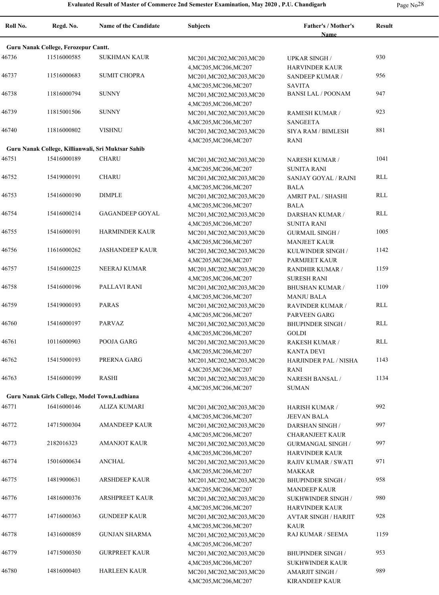| Page Ne |  |
|---------|--|
|---------|--|

| Roll No. | Regd. No.                            | <b>Name of the Candidate</b>                       | <b>Subjects</b>                                     | Father's / Mother's                             | <b>Result</b> |
|----------|--------------------------------------|----------------------------------------------------|-----------------------------------------------------|-------------------------------------------------|---------------|
|          | Guru Nanak College, Ferozepur Cantt. |                                                    |                                                     | <b>Name</b>                                     |               |
| 46736    | 11516000585                          | <b>SUKHMAN KAUR</b>                                | MC201, MC202, MC203, MC20                           | <b>UPKAR SINGH /</b>                            | 930           |
| 46737    | 11516000683                          | <b>SUMIT CHOPRA</b>                                | 4, MC205, MC206, MC207<br>MC201, MC202, MC203, MC20 | <b>HARVINDER KAUR</b><br><b>SANDEEP KUMAR /</b> | 956           |
| 46738    | 11816000794                          | <b>SUNNY</b>                                       | 4, MC205, MC206, MC207<br>MC201, MC202, MC203, MC20 | <b>SAVITA</b><br><b>BANSI LAL / POONAM</b>      | 947           |
| 46739    | 11815001506                          | <b>SUNNY</b>                                       | 4, MC205, MC206, MC207<br>MC201, MC202, MC203, MC20 | RAMESH KUMAR /                                  | 923           |
| 46740    | 11816000802                          | <b>VISHNU</b>                                      | 4, MC205, MC206, MC207<br>MC201, MC202, MC203, MC20 | <b>SANGEETA</b><br><b>SIYA RAM / BIMLESH</b>    | 881           |
|          |                                      |                                                    | 4, MC205, MC206, MC207                              | RANI                                            |               |
|          |                                      | Guru Nanak College, Killianwali, Sri Muktsar Sahib |                                                     |                                                 |               |
| 46751    | 15416000189                          | <b>CHARU</b>                                       | MC201, MC202, MC203, MC20<br>4, MC205, MC206, MC207 | <b>NARESH KUMAR /</b><br><b>SUNITA RANI</b>     | 1041          |
| 46752    | 15419000191                          | <b>CHARU</b>                                       | MC201, MC202, MC203, MC20<br>4, MC205, MC206, MC207 | SANJAY GOYAL / RAJNI<br><b>BALA</b>             | RLL           |
| 46753    | 15416000190                          | <b>DIMPLE</b>                                      | MC201, MC202, MC203, MC20                           | AMRIT PAL / SHASHI                              | RLL           |
|          |                                      |                                                    | 4, MC205, MC206, MC207                              | <b>BALA</b>                                     |               |
| 46754    | 15416000214                          | <b>GAGANDEEP GOYAL</b>                             | MC201, MC202, MC203, MC20                           | <b>DARSHAN KUMAR /</b>                          | RLL           |
|          |                                      |                                                    | 4, MC205, MC206, MC207                              | <b>SUNITA RANI</b>                              |               |
| 46755    | 15416000191                          | <b>HARMINDER KAUR</b>                              | MC201, MC202, MC203, MC20                           | <b>GURMAIL SINGH /</b>                          | 1005          |
|          |                                      |                                                    | 4, MC205, MC206, MC207                              | <b>MANJEET KAUR</b>                             |               |
| 46756    | 11616000262                          | <b>JASHANDEEP KAUR</b>                             | MC201, MC202, MC203, MC20                           | KULWINDER SINGH /                               | 1142          |
|          |                                      |                                                    | 4, MC205, MC206, MC207                              | PARMJEET KAUR                                   |               |
| 46757    | 15416000225                          | NEERAJ KUMAR                                       | MC201, MC202, MC203, MC20                           | RANDHIR KUMAR /                                 | 1159          |
|          |                                      |                                                    | 4, MC205, MC206, MC207                              | <b>SURESH RANI</b>                              |               |
| 46758    | 15416000196                          | PALLAVI RANI                                       | MC201, MC202, MC203, MC20                           | <b>BHUSHAN KUMAR /</b>                          | 1109          |
|          |                                      |                                                    | 4, MC205, MC206, MC207                              | <b>MANJU BALA</b>                               |               |
| 46759    | 15419000193                          | <b>PARAS</b>                                       | MC201, MC202, MC203, MC20                           | <b>RAVINDER KUMAR /</b>                         | RLL           |
| 46760    | 15416000197                          | <b>PARVAZ</b>                                      | 4, MC205, MC206, MC207                              | PARVEEN GARG                                    | RLL           |
|          |                                      |                                                    | MC201, MC202, MC203, MC20<br>4, MC205, MC206, MC207 | <b>BHUPINDER SINGH /</b><br><b>GOLDI</b>        |               |
| 46761    | 10116000903                          | POOJA GARG                                         | MC201, MC202, MC203, MC20                           | RAKESH KUMAR /                                  | RLL           |
|          |                                      |                                                    | 4, MC205, MC206, MC207                              | <b>KANTA DEVI</b>                               |               |
| 46762    | 15415000193                          | PRERNA GARG                                        | MC201, MC202, MC203, MC20                           | <b>HARJINDER PAL / NISHA</b>                    | 1143          |
|          |                                      |                                                    | 4, MC205, MC206, MC207                              | RANI                                            |               |
| 46763    | 15416000199                          | <b>RASHI</b>                                       | MC201, MC202, MC203, MC20                           | <b>NARESH BANSAL /</b>                          | 1134          |
|          |                                      |                                                    | 4, MC205, MC206, MC207                              | <b>SUMAN</b>                                    |               |
|          |                                      | Guru Nanak Girls College, Model Town, Ludhiana     |                                                     |                                                 |               |
| 46771    | 16416000146                          | ALIZA KUMARI                                       | MC201, MC202, MC203, MC20                           | <b>HARISH KUMAR /</b>                           | 992           |
|          |                                      |                                                    | 4, MC205, MC206, MC207                              | <b>JEEVAN BALA</b>                              |               |
| 46772    | 14715000304                          | <b>AMANDEEP KAUR</b>                               | MC201, MC202, MC203, MC20                           | DARSHAN SINGH /                                 | 997           |
|          |                                      |                                                    | 4, MC205, MC206, MC207                              | <b>CHARANJEET KAUR</b>                          |               |
| 46773    | 2182016323                           | <b>AMANJOT KAUR</b>                                | MC201, MC202, MC203, MC20                           | <b>GURMANGAL SINGH /</b>                        | 997           |
|          |                                      |                                                    | 4, MC205, MC206, MC207                              | <b>HARVINDER KAUR</b>                           |               |
| 46774    | 15016000634                          | <b>ANCHAL</b>                                      | MC201, MC202, MC203, MC20                           | RAJIV KUMAR / SWATI                             | 971           |
|          | 14819000631                          |                                                    | 4, MC205, MC206, MC207                              | <b>MAKKAR</b>                                   | 958           |
| 46775    |                                      | <b>ARSHDEEP KAUR</b>                               | MC201, MC202, MC203, MC20<br>4, MC205, MC206, MC207 | <b>BHUPINDER SINGH /</b>                        |               |
| 46776    | 14816000376                          | <b>ARSHPREET KAUR</b>                              | MC201, MC202, MC203, MC20                           | <b>MANDEEP KAUR</b><br>SUKHWINDER SINGH /       | 980           |
|          |                                      |                                                    | 4, MC205, MC206, MC207                              | <b>HARVINDER KAUR</b>                           |               |
| 46777    | 14716000363                          | <b>GUNDEEP KAUR</b>                                | MC201, MC202, MC203, MC20                           | <b>AVTAR SINGH / HARJIT</b>                     | 928           |
|          |                                      |                                                    | 4, MC205, MC206, MC207                              | <b>KAUR</b>                                     |               |
| 46778    | 14316000859                          | <b>GUNJAN SHARMA</b>                               | MC201, MC202, MC203, MC20                           | RAJ KUMAR / SEEMA                               | 1159          |
|          |                                      |                                                    | 4, MC205, MC206, MC207                              |                                                 |               |
| 46779    | 14715000350                          | <b>GURPREET KAUR</b>                               | MC201, MC202, MC203, MC20                           | <b>BHUPINDER SINGH /</b>                        | 953           |
|          |                                      |                                                    | 4, MC205, MC206, MC207                              | SUKHWINDER KAUR                                 |               |
| 46780    | 14816000403                          | <b>HARLEEN KAUR</b>                                | MC201, MC202, MC203, MC20                           | AMARJIT SINGH /                                 | 989           |
|          |                                      |                                                    | 4, MC205, MC206, MC207                              | <b>KIRANDEEP KAUR</b>                           |               |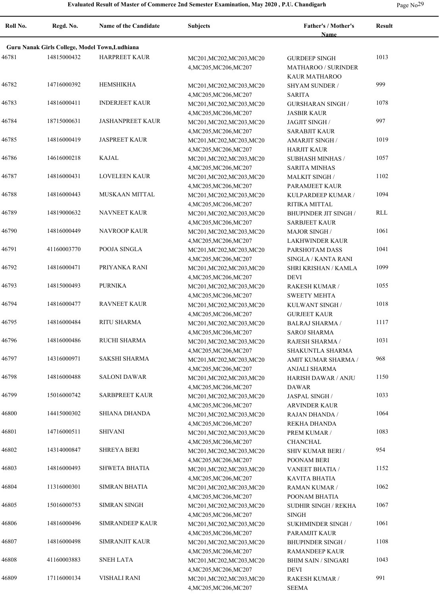**Roll No. Regd. No. Name of the Candidate Subjects Father's / Mother's Name Result Guru Nanak Girls College, Model Town,Ludhiana** 46781 14815000432 HARPREET KAUR MC201, MC202, MC203, MC20 GURDEEP SINGH 1013 4,MC205,MC206,MC207 GURDEEP SINGH MATHAROO / SURINDER KAUR MATHAROO 46782 14716000392 HEMSHIKHA MC201, MC202, MC203, MC20 SHYAM SUNDER / 999 4,MC205,MC206,MC207 SHYAM SUNDER / SARITA 46783 14816000411 INDERJEET KAUR MC201, MC202, MC203, MC20 GURSHARAN SINGH 1078 4,MC205,MC206,MC207 GURSHARAN SINGH / JASBIR KAUR 46784 18715000631 JASHANPREET KAUR MC201, MC202, MC203, MC20 JAGJIT SINGH 997 4,MC205,MC206,MC207 JAGJIT SINGH / SARABJIT KAUR 46785 JASPREET KAUR MC201,MC202,MC203,MC20 14816000419 1019 4,MC205,MC206,MC207 AMARJIT SINGH / HARJIT KAUR 46786 14616000218 KAJAL MC201,MC202,MC203,MC20 SUBHASH MINHAS / 1057 4,MC205,MC206,MC207 SUBHASH MINHAS / SARITA MINHAS 46787 LOVELEEN KAUR MC201,MC202,MC203,MC20 14816000431 1102 4,MC205,MC206,MC207 MALKIT SINGH / PARAMJEET KAUR 46788 MUSKAAN MITTAL MC201,MC202,MC203,MC20 14816000443 1094 4,MC205,MC206,MC207 KULPARDEEP KUMAR / RITIKA MITTAL 46789 14819000632 NAVNEET KAUR MC201, MC202, MC203, MC20 BHUPINDER JIT SINGH RLL 4,MC205,MC206,MC207 BHUPINDER JIT SINGH / SARBJEET KAUR 46790 NAVROOP KAUR MC201,MC202,MC203,MC20 14816000449 1061 4,MC205,MC206,MC207 MAJOR SINGH / LAKHWINDER KAUR 46791 41160003770 POOJA SINGLA MC201, MC202, MC203, MC20 PARSHOTAM DASS 1041 4,MC205,MC206,MC207 PARSHOTAM DASS SINGLA / KANTA RANI 46792 14816000471 PRIYANKA RANI MC201,MC202,MC203,MC20 SHRI KRISHAN / KAMLA 1099 4,MC205,MC206,MC207 SHRI KRISHAN / KAMLA DEVI 46793 PURNIKA MC201,MC202,MC203,MC20 14815000493 1055 4,MC205,MC206,MC207 RAKESH KUMAR / SWEETY MEHTA 46794 14816000477 RAVNEET KAUR MC201, MC202, MC203, MC20 KULWANT SINGH 1018 4,MC205,MC206,MC207 KULWANT SINGH / GURJEET KAUR 46795 14816000484 RITU SHARMA MC201, MC202, MC203, MC20 BALRAJ SHARMA 1117 4,MC205,MC206,MC207 BALRAJ SHARMA / SAROJ SHARMA 46796 RUCHI SHARMA MC201,MC202,MC203,MC20 14816000486 1031 4,MC205,MC206,MC207 RAJESH SHARMA / SHAKUNTLA SHARMA 46797 14316000971 SAKSHI SHARMA MC201, MC202, MC203, MC20 AMIT KUMAR SHARMA / 968 4,MC205,MC206,MC207 AMIT KUMAR SHARMA / ANJALI SHARMA 46798 SALONI DAWAR MC201,MC202,MC203,MC20 4,MC205,MC206,MC207 HARISH DAWAR / ANJU 14816000488 1150 DAWAR 46799 15016000742 SARBPREET KAUR MC201, MC202, MC203, MC20 JASPAL SINGH 1033 4,MC205,MC206,MC207 JASPAL SINGH / ARVINDER KAUR 46800 14415000302 SHIANA DHANDA MC201,MC202,MC203,MC20 RAJAN DHANDA 1064 4,MC205,MC206,MC207 RAJAN DHANDA / REKHA DHANDA 46801 14716000511 SHIVANI MC201,MC202,MC203,MC20 PREM KUMAR / 1083 4,MC205,MC206,MC207 PREM KUMAR / CHANCHAL 46802 14314000847 SHREYA BERI MC201, MC202, MC203, MC20 SHIV KUMAR BERI / 954 4,MC205,MC206,MC207 SHIV KUMAR BERI / POONAM BERI 46803 SHWETA BHATIA MC201,MC202,MC203,MC20 14816000493 1152 4,MC205,MC206,MC207 VANEET BHATIA / KAVITA BHATIA 46804 11316000301 SIMRAN BHATIA MC201,MC202,MC203,MC20 RAMAN KUMAR / 1062 4,MC205,MC206,MC207 RAMAN KUMAR / POONAM BHATIA 46805 15016000753 SIMRAN SINGH MC201, MC202, MC203, MC20 SUDHIR SINGH / REKHA 1067 4,MC205,MC206,MC207 SUDHIR SINGH / REKHA SINGH 46806 14816000496 SIMRANDEEP KAUR MC201, MC202, MC203, MC20 SUKHMINDER SINGH 1061 4,MC205,MC206,MC207 SUKHMINDER SINGH / PARAMJIT KAUR 46807 14816000498 SIMRANJIT KAUR MC201, MC202, MC203, MC20 BHUPINDER SINGH 1108 4,MC205,MC206,MC207 BHUPINDER SINGH / RAMANDEEP KAUR 46808 41160003883 SNEH LATA MC201,MC202,MC203,MC20 BHIM SAIN / SINGARI 1043 4,MC205,MC206,MC207 BHIM SAIN / SINGARI DEVI 46809 17116000134 VISHALI RANI MC201, MC202, MC203, MC20 RAKESH KUMAR / 991 4,MC205,MC206,MC207 RAKESH KUMAR / SEEMA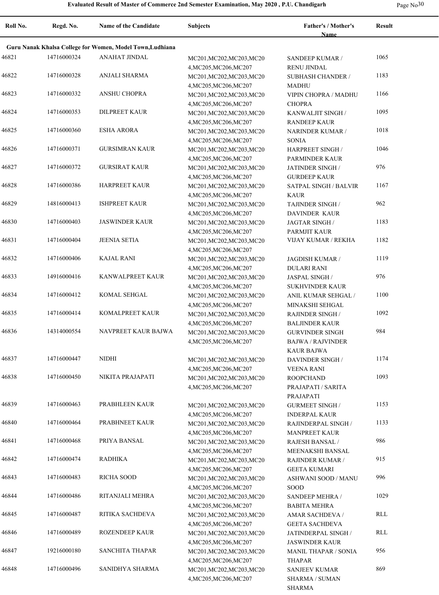|  | Page $No30$ |
|--|-------------|
|--|-------------|

| Roll No. | Regd. No.   | <b>Name of the Candidate</b>                              | <b>Subjects</b>                                                               | Father's / Mother's<br><b>Name</b>                                      | <b>Result</b> |
|----------|-------------|-----------------------------------------------------------|-------------------------------------------------------------------------------|-------------------------------------------------------------------------|---------------|
|          |             | Guru Nanak Khalsa College for Women, Model Town, Ludhiana |                                                                               |                                                                         |               |
| 46821    | 14716000324 | <b>ANAHAT JINDAL</b>                                      | MC201, MC202, MC203, MC20                                                     | SANDEEP KUMAR /                                                         | 1065          |
| 46822    | 14716000328 | ANJALI SHARMA                                             | 4, MC205, MC206, MC207<br>MC201, MC202, MC203, MC20<br>4, MC205, MC206, MC207 | <b>RENU JINDAL</b><br><b>SUBHASH CHANDER /</b><br><b>MADHU</b>          | 1183          |
| 46823    | 14716000332 | ANSHU CHOPRA                                              | MC201, MC202, MC203, MC20<br>4, MC205, MC206, MC207                           | VIPIN CHOPRA / MADHU<br><b>CHOPRA</b>                                   | 1166          |
| 46824    | 14716000353 | <b>DILPREET KAUR</b>                                      | MC201, MC202, MC203, MC20<br>4, MC205, MC206, MC207                           | KANWALJIT SINGH /<br><b>RANDEEP KAUR</b>                                | 1095          |
| 46825    | 14716000360 | <b>ESHA ARORA</b>                                         | MC201, MC202, MC203, MC20<br>4, MC205, MC206, MC207                           | <b>NARINDER KUMAR /</b><br><b>SONIA</b>                                 | 1018          |
| 46826    | 14716000371 | <b>GURSIMRAN KAUR</b>                                     | MC201, MC202, MC203, MC20<br>4, MC205, MC206, MC207                           | HARPREET SINGH /<br>PARMINDER KAUR                                      | 1046          |
| 46827    | 14716000372 | <b>GURSIRAT KAUR</b>                                      | MC201, MC202, MC203, MC20<br>4, MC205, MC206, MC207                           | JATINDER SINGH /<br><b>GURDEEP KAUR</b>                                 | 976           |
| 46828    | 14716000386 | <b>HARPREET KAUR</b>                                      | MC201, MC202, MC203, MC20<br>4, MC205, MC206, MC207                           | <b>SATPAL SINGH / BALVIR</b><br><b>KAUR</b>                             | 1167          |
| 46829    | 14816000413 | <b>ISHPREET KAUR</b>                                      | MC201, MC202, MC203, MC20<br>4, MC205, MC206, MC207                           | TAJINDER SINGH /<br><b>DAVINDER KAUR</b>                                | 962           |
| 46830    | 14716000403 | <b>JASWINDER KAUR</b>                                     | MC201, MC202, MC203, MC20<br>4, MC205, MC206, MC207                           | <b>JAGTAR SINGH/</b><br>PARMJIT KAUR                                    | 1183          |
| 46831    | 14716000404 | <b>JEENIA SETIA</b>                                       | MC201, MC202, MC203, MC20<br>4, MC205, MC206, MC207                           | VIJAY KUMAR / REKHA                                                     | 1182          |
| 46832    | 14716000406 | <b>KAJAL RANI</b>                                         | MC201, MC202, MC203, MC20<br>4, MC205, MC206, MC207                           | JAGDISH KUMAR /<br><b>DULARI RANI</b>                                   | 1119          |
| 46833    | 14916000416 | KANWALPREET KAUR                                          | MC201, MC202, MC203, MC20<br>4, MC205, MC206, MC207                           | JASPAL SINGH /<br><b>SUKHVINDER KAUR</b>                                | 976           |
| 46834    | 14716000412 | KOMAL SEHGAL                                              | MC201, MC202, MC203, MC20<br>4, MC205, MC206, MC207                           | ANIL KUMAR SEHGAL /<br>MINAKSHI SEHGAL                                  | 1100          |
| 46835    | 14716000414 | KOMALPREET KAUR                                           | MC201, MC202, MC203, MC20<br>4, MC205, MC206, MC207                           | <b>RAJINDER SINGH /</b><br><b>BALJINDER KAUR</b>                        | 1092          |
| 46836    | 14314000554 | NAVPREET KAUR BAJWA                                       | MC201, MC202, MC203, MC20<br>4, MC205, MC206, MC207                           | <b>GURVINDER SINGH</b><br><b>BAJWA / RAJVINDER</b><br><b>KAUR BAJWA</b> | 984           |
| 46837    | 14716000447 | <b>NIDHI</b>                                              | MC201, MC202, MC203, MC20<br>4, MC205, MC206, MC207                           | <b>DAVINDER SINGH/</b><br><b>VEENA RANI</b>                             | 1174          |
| 46838    | 14716000450 | NIKITA PRAJAPATI                                          | MC201, MC202, MC203, MC20<br>4, MC205, MC206, MC207                           | <b>ROOPCHAND</b><br>PRAJAPATI / SARITA<br>PRAJAPATI                     | 1093          |
| 46839    | 14716000463 | PRABHLEEN KAUR                                            | MC201, MC202, MC203, MC20<br>4, MC205, MC206, MC207                           | <b>GURMEET SINGH/</b><br><b>INDERPAL KAUR</b>                           | 1153          |
| 46840    | 14716000464 | PRABHNEET KAUR                                            | MC201, MC202, MC203, MC20<br>4, MC205, MC206, MC207                           | RAJINDERPAL SINGH /<br><b>MANPREET KAUR</b>                             | 1133          |
| 46841    | 14716000468 | PRIYA BANSAL                                              | MC201, MC202, MC203, MC20<br>4, MC205, MC206, MC207                           | RAJESH BANSAL /<br>MEENAKSHI BANSAL                                     | 986           |
| 46842    | 14716000474 | <b>RADHIKA</b>                                            | MC201, MC202, MC203, MC20<br>4, MC205, MC206, MC207                           | <b>RAJINDER KUMAR /</b><br><b>GEETA KUMARI</b>                          | 915           |
| 46843    | 14716000483 | RICHA SOOD                                                | MC201, MC202, MC203, MC20<br>4, MC205, MC206, MC207                           | ASHWANI SOOD / MANU<br>SOOD                                             | 996           |
| 46844    | 14716000486 | RITANJALI MEHRA                                           | MC201, MC202, MC203, MC20<br>4, MC205, MC206, MC207                           | SANDEEP MEHRA /<br><b>BABITA MEHRA</b>                                  | 1029          |
| 46845    | 14716000487 | RITIKA SACHDEVA                                           | MC201, MC202, MC203, MC20<br>4, MC205, MC206, MC207                           | AMAR SACHDEVA /<br><b>GEETA SACHDEVA</b>                                | RLL           |
| 46846    | 14716000489 | ROZENDEEP KAUR                                            | MC201, MC202, MC203, MC20<br>4, MC205, MC206, MC207                           | JATINDERPAL SINGH /<br><b>JASWINDER KAUR</b>                            | RLL           |
| 46847    | 19216000180 | SANCHITA THAPAR                                           | MC201, MC202, MC203, MC20<br>4, MC205, MC206, MC207                           | <b>MANIL THAPAR / SONIA</b><br>THAPAR                                   | 956           |
| 46848    | 14716000496 | SANIDHYA SHARMA                                           | MC201, MC202, MC203, MC20<br>4, MC205, MC206, MC207                           | <b>SANJEEV KUMAR</b><br><b>SHARMA / SUMAN</b><br>SHARMA                 | 869           |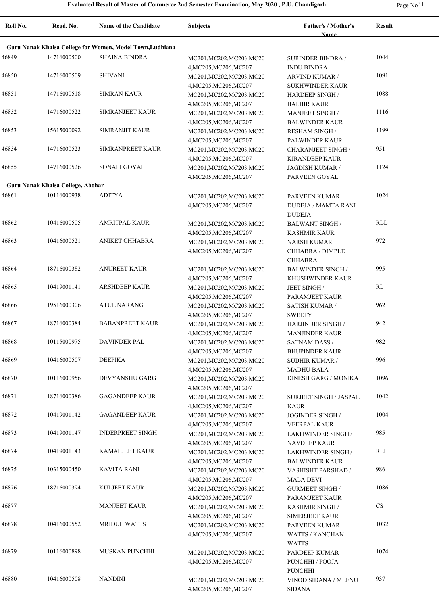| Roll No. | Regd. No.                         | <b>Name of the Candidate</b>                              | <b>Subjects</b>                                     | <b>Father's / Mother's</b><br>Name             | <b>Result</b> |
|----------|-----------------------------------|-----------------------------------------------------------|-----------------------------------------------------|------------------------------------------------|---------------|
|          |                                   |                                                           |                                                     |                                                |               |
|          |                                   | Guru Nanak Khalsa College for Women, Model Town, Ludhiana |                                                     |                                                |               |
| 46849    | 14716000500                       | <b>SHAINA BINDRA</b>                                      | MC201, MC202, MC203, MC20                           | <b>SURINDER BINDRA /</b>                       | 1044          |
|          |                                   |                                                           | 4, MC205, MC206, MC207                              | <b>INDU BINDRA</b>                             |               |
| 46850    | 14716000509                       | <b>SHIVANI</b>                                            | MC201, MC202, MC203, MC20                           | ARVIND KUMAR /                                 | 1091          |
|          |                                   |                                                           | 4, MC205, MC206, MC207                              | <b>SUKHWINDER KAUR</b>                         |               |
| 46851    | 14716000518                       | <b>SIMRAN KAUR</b>                                        | MC201, MC202, MC203, MC20                           | <b>HARDEEP SINGH/</b>                          | 1088          |
| 46852    | 14716000522                       | SIMRANJEET KAUR                                           | 4, MC205, MC206, MC207                              | <b>BALBIR KAUR</b>                             | 1116          |
|          |                                   |                                                           | MC201, MC202, MC203, MC20<br>4, MC205, MC206, MC207 | <b>MANJEET SINGH/</b><br><b>BALWINDER KAUR</b> |               |
| 46853    | 15615000092                       | <b>SIMRANJIT KAUR</b>                                     | MC201, MC202, MC203, MC20                           | <b>RESHAM SINGH /</b>                          | 1199          |
|          |                                   |                                                           | 4, MC205, MC206, MC207                              | PALWINDER KAUR                                 |               |
| 46854    | 14716000523                       | SIMRANPREET KAUR                                          | MC201, MC202, MC203, MC20                           | <b>CHARANJEET SINGH/</b>                       | 951           |
|          |                                   |                                                           | 4, MC205, MC206, MC207                              | <b>KIRANDEEP KAUR</b>                          |               |
| 46855    | 14716000526                       | SONALI GOYAL                                              | MC201, MC202, MC203, MC20                           | JAGDISH KUMAR /                                | 1124          |
|          |                                   |                                                           | 4, MC205, MC206, MC207                              | PARVEEN GOYAL                                  |               |
|          | Guru Nanak Khalsa College, Abohar |                                                           |                                                     |                                                |               |
| 46861    | 10116000938                       | <b>ADITYA</b>                                             | MC201, MC202, MC203, MC20                           | PARVEEN KUMAR                                  | 1024          |
|          |                                   |                                                           | 4, MC205, MC206, MC207                              | <b>DUDEJA / MAMTA RANI</b>                     |               |
|          |                                   |                                                           |                                                     | <b>DUDEJA</b>                                  |               |
| 46862    | 10416000505                       | <b>AMRITPAL KAUR</b>                                      | MC201, MC202, MC203, MC20                           | <b>BALWANT SINGH /</b>                         | <b>RLL</b>    |
|          |                                   |                                                           | 4, MC205, MC206, MC207                              | <b>KASHMIR KAUR</b>                            |               |
| 46863    | 10416000521                       | <b>ANIKET CHHABRA</b>                                     | MC201, MC202, MC203, MC20                           | <b>NARSH KUMAR</b>                             | 972           |
|          |                                   |                                                           | 4, MC205, MC206, MC207                              | CHHABRA / DIMPLE                               |               |
|          |                                   |                                                           |                                                     | <b>CHHABRA</b>                                 |               |
| 46864    | 18716000382                       | <b>ANUREET KAUR</b>                                       | MC201, MC202, MC203, MC20                           | <b>BALWINDER SINGH/</b>                        | 995           |
|          |                                   |                                                           | 4, MC205, MC206, MC207                              | KHUSHWINDER KAUR                               |               |
| 46865    | 10419001141                       | <b>ARSHDEEP KAUR</b>                                      | MC201, MC202, MC203, MC20                           | JEET SINGH /                                   | RL            |
|          |                                   |                                                           | 4, MC205, MC206, MC207                              | PARAMJEET KAUR                                 |               |
| 46866    | 19516000306                       | <b>ATUL NARANG</b>                                        | MC201, MC202, MC203, MC20                           | <b>SATISH KUMAR /</b>                          | 962           |
|          |                                   |                                                           | 4, MC205, MC206, MC207                              | <b>SWEETY</b>                                  |               |
| 46867    | 18716000384                       | <b>BABANPREET KAUR</b>                                    | MC201, MC202, MC203, MC20                           | <b>HARJINDER SINGH/</b>                        | 942           |
| 46868    | 10115000975                       | <b>DAVINDER PAL</b>                                       | 4, MC205, MC206, MC207                              | <b>MANJINDER KAUR</b>                          | 982           |
|          |                                   |                                                           | MC201, MC202, MC203, MC20                           | <b>SATNAM DASS /</b>                           |               |
| 46869    | 10416000507                       | <b>DEEPIKA</b>                                            | 4, MC205, MC206, MC207<br>MC201, MC202, MC203, MC20 | <b>BHUPINDER KAUR</b><br><b>SUDHIR KUMAR /</b> | 996           |
|          |                                   |                                                           | 4, MC205, MC206, MC207                              | <b>MADHU BALA</b>                              |               |
| 46870    | 10116000956                       | DEVYANSHU GARG                                            | MC201, MC202, MC203, MC20                           | <b>DINESH GARG / MONIKA</b>                    | 1096          |
|          |                                   |                                                           | 4, MC205, MC206, MC207                              |                                                |               |
| 46871    | 18716000386                       | <b>GAGANDEEP KAUR</b>                                     | MC201, MC202, MC203, MC20                           | <b>SURJEET SINGH / JASPAL</b>                  | 1042          |
|          |                                   |                                                           | 4, MC205, MC206, MC207                              | <b>KAUR</b>                                    |               |
| 46872    | 10419001142                       | <b>GAGANDEEP KAUR</b>                                     | MC201, MC202, MC203, MC20                           | JOGINDER SINGH /                               | 1004          |
|          |                                   |                                                           | 4, MC205, MC206, MC207                              | VEERPAL KAUR                                   |               |
| 46873    | 10419001147                       | <b>INDERPREET SINGH</b>                                   | MC201, MC202, MC203, MC20                           | <b>LAKHWINDER SINGH /</b>                      | 985           |
|          |                                   |                                                           | 4, MC205, MC206, MC207                              | <b>NAVDEEP KAUR</b>                            |               |
| 46874    | 10419001143                       | <b>KAMALJEET KAUR</b>                                     | MC201, MC202, MC203, MC20                           | <b>LAKHWINDER SINGH /</b>                      | RLL           |
|          |                                   |                                                           | 4, MC205, MC206, MC207                              | <b>BALWINDER KAUR</b>                          |               |
| 46875    | 10315000450                       | <b>KAVITA RANI</b>                                        | MC201, MC202, MC203, MC20                           | VASHISHT PARSHAD /                             | 986           |
|          |                                   |                                                           | 4, MC205, MC206, MC207                              | <b>MALA DEVI</b>                               |               |
| 46876    | 18716000394                       | <b>KULJEET KAUR</b>                                       | MC201, MC202, MC203, MC20                           | <b>GURMEET SINGH/</b>                          | 1086          |
|          |                                   |                                                           | 4, MC205, MC206, MC207                              | PARAMJEET KAUR                                 |               |
| 46877    |                                   | <b>MANJEET KAUR</b>                                       | MC201, MC202, MC203, MC20                           | <b>KASHMIR SINGH /</b>                         | <b>CS</b>     |
|          |                                   |                                                           | 4, MC205, MC206, MC207                              | <b>SIMERJEET KAUR</b>                          |               |
| 46878    | 10416000552                       | <b>MRIDUL WATTS</b>                                       | MC201, MC202, MC203, MC20                           | PARVEEN KUMAR                                  | 1032          |
|          |                                   |                                                           | 4, MC205, MC206, MC207                              | <b>WATTS / KANCHAN</b>                         |               |
|          |                                   |                                                           |                                                     | <b>WATTS</b>                                   |               |
| 46879    | 10116000898                       | MUSKAN PUNCHHI                                            | MC201, MC202, MC203, MC20                           | PARDEEP KUMAR                                  | 1074          |
|          |                                   |                                                           | 4, MC205, MC206, MC207                              | PUNCHHI / POOJA                                |               |
| 46880    | 10416000508                       | <b>NANDINI</b>                                            |                                                     | <b>PUNCHHI</b>                                 | 937           |
|          |                                   |                                                           | MC201, MC202, MC203, MC20<br>4, MC205, MC206, MC207 | VINOD SIDANA / MEENU<br><b>SIDANA</b>          |               |
|          |                                   |                                                           |                                                     |                                                |               |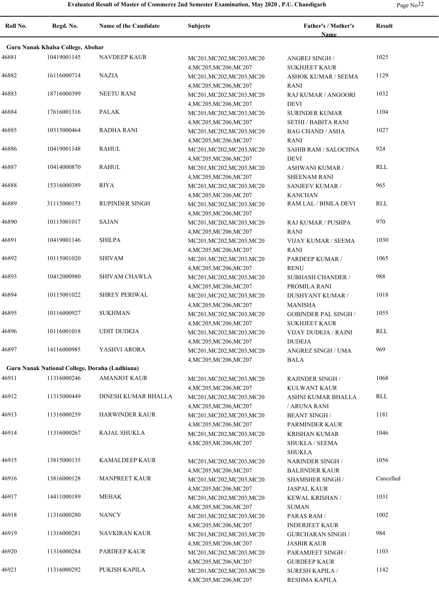| Roll No. | Regd. No.                                      | Name of the Candidate      | <b>Subjects</b>                                     | Father's / Mother's<br>Name                       | <b>Result</b> |
|----------|------------------------------------------------|----------------------------|-----------------------------------------------------|---------------------------------------------------|---------------|
|          | Guru Nanak Khalsa College, Abohar              |                            |                                                     |                                                   |               |
| 46881    | 10419001145                                    | <b>NAVDEEP KAUR</b>        | MC201, MC202, MC203, MC20                           | ANGREJ SINGH /                                    | 1025          |
|          |                                                |                            | 4, MC205, MC206, MC207                              | <b>SUKHJEET KAUR</b>                              |               |
| 46882    | 16116000714                                    | <b>NAZIA</b>               | MC201, MC202, MC203, MC20                           | <b>ASHOK KUMAR / SEEMA</b>                        | 1129          |
|          |                                                |                            | 4, MC205, MC206, MC207                              | RANI                                              |               |
| 46883    | 18716000399                                    | <b>NEETU RANI</b>          | MC201, MC202, MC203, MC20                           | RAJ KUMAR / ANGOORI                               | 1032          |
|          |                                                |                            | 4, MC205, MC206, MC207                              | <b>DEVI</b>                                       |               |
| 46884    | 17616001316                                    | <b>PALAK</b>               | MC201, MC202, MC203, MC20                           | <b>SURINDER KUMAR</b>                             | 1104          |
|          |                                                |                            | 4, MC205, MC206, MC207                              | <b>SETHI / BABITA RANI</b>                        |               |
| 46885    | 10315000464                                    | RADHA RANI                 | MC201, MC202, MC203, MC20                           | <b>BAG CHAND / ASHA</b>                           | 1027          |
|          |                                                |                            | 4, MC205, MC206, MC207                              | RANI                                              |               |
| 46886    | 10419001148                                    | <b>RAHUL</b>               | MC201, MC202, MC203, MC20                           | SAHIB RAM / SALOCHNA                              | 924           |
| 46887    | 10414000870                                    | <b>RAHUL</b>               | 4, MC205, MC206, MC207                              | <b>DEVI</b>                                       | RLL           |
|          |                                                |                            | MC201, MC202, MC203, MC20<br>4, MC205, MC206, MC207 | <b>ASHWANI KUMAR /</b><br><b>SHEENAM RANI</b>     |               |
| 46888    | 15316000389                                    | <b>RIYA</b>                | MC201, MC202, MC203, MC20                           | SANJEEV KUMAR /                                   | 965           |
|          |                                                |                            | 4, MC205, MC206, MC207                              | <b>KANCHAN</b>                                    |               |
| 46889    | 31115000173                                    | <b>RUPINDER SINGH</b>      | MC201, MC202, MC203, MC20                           | RAM LAL / BIMLA DEVI                              | RLL           |
|          |                                                |                            | 4, MC205, MC206, MC207                              |                                                   |               |
| 46890    | 10115001017                                    | <b>SAJAN</b>               | MC201, MC202, MC203, MC20                           | RAJ KUMAR / PUSHPA                                | 970           |
|          |                                                |                            | 4, MC205, MC206, MC207                              | RANI                                              |               |
| 46891    | 10419001146                                    | <b>SHILPA</b>              | MC201, MC202, MC203, MC20                           | VIJAY KUMAR / SEEMA                               | 1030          |
|          |                                                |                            | 4, MC205, MC206, MC207                              | RANI                                              |               |
| 46892    | 10115001020                                    | <b>SHIVAM</b>              | MC201, MC202, MC203, MC20                           | PARDEEP KUMAR /                                   | 1065          |
|          |                                                |                            | 4, MC205, MC206, MC207                              | <b>RENU</b>                                       |               |
| 46893    | 10412000980                                    | SHIVAM CHAWLA              | MC201, MC202, MC203, MC20                           | <b>SUBHASH CHANDER /</b>                          | 988           |
|          |                                                |                            | 4, MC205, MC206, MC207                              | PROMILA RANI                                      |               |
| 46894    | 10115001022                                    | <b>SHREY PERIWAL</b>       | MC201, MC202, MC203, MC20                           | <b>DUSHYANT KUMAR /</b>                           | 1018          |
|          |                                                |                            | 4, MC205, MC206, MC207                              | <b>MANISHA</b>                                    |               |
| 46895    | 10116000927                                    | <b>SUKHMAN</b>             | MC201, MC202, MC203, MC20                           | <b>GOBINDER PAL SINGH /</b>                       | 1055          |
|          | 10116001018                                    |                            | 4, MC205, MC206, MC207                              | <b>SUKHJEET KAUR</b>                              | RLL           |
| 46896    |                                                | <b>UDIT DUDEJA</b>         | MC201, MC202, MC203, MC20                           | VIJAY DUDEJA / RAJNI                              |               |
| 46897    | 14116000985                                    | YASHVI ARORA               | 4, MC205, MC206, MC207<br>MC201, MC202, MC203, MC20 | <b>DUDEJA</b><br>ANGREZ SINGH / UMA               | 969           |
|          |                                                |                            | 4, MC205, MC206, MC207                              | <b>BALA</b>                                       |               |
|          | Guru Nanak National College, Doraha (Ludhiana) |                            |                                                     |                                                   |               |
| 46911    | 11316000246                                    | <b>AMANJOT KAUR</b>        | MC201, MC202, MC203, MC20                           | <b>RAJINDER SINGH /</b>                           | 1068          |
|          |                                                |                            | 4, MC205, MC206, MC207                              | <b>KULWANT KAUR</b>                               |               |
| 46912    | 11315000449                                    | <b>DINESH KUMAR BHALLA</b> | MC201, MC202, MC203, MC20                           | ASHNI KUMAR BHALLA                                | <b>RLL</b>    |
|          |                                                |                            | 4, MC205, MC206, MC207                              | / ARUNA RANI                                      |               |
| 46913    | 11316000259                                    | <b>HARWINDER KAUR</b>      | MC201, MC202, MC203, MC20                           | <b>BEANT SINGH /</b>                              | 1181          |
|          |                                                |                            | 4, MC205, MC206, MC207                              | PARMINDER KAUR                                    |               |
| 46914    | 11316000267                                    | <b>KAJAL SHUKLA</b>        | MC201, MC202, MC203, MC20                           | <b>KRISHAN KUMAR</b>                              | 1046          |
|          |                                                |                            | 4, MC205, MC206, MC207                              | <b>SHUKLA / SEEMA</b>                             |               |
|          |                                                |                            |                                                     | SHUKLA                                            |               |
| 46915    | 13815000135                                    | KAMALDEEP KAUR             | MC201, MC202, MC203, MC20                           | NARINDER SINGH /                                  | 1056          |
|          |                                                |                            | 4, MC205, MC206, MC207                              | <b>BALJINDER KAUR</b>                             |               |
| 46916    | 13816000128                                    | <b>MANPREET KAUR</b>       | MC201, MC202, MC203, MC20                           | <b>SHAMSHER SINGH /</b>                           | Cancelled     |
|          |                                                |                            | 4, MC205, MC206, MC207                              | <b>JASPAL KAUR</b>                                |               |
| 46917    | 14411000189                                    | <b>MEHAK</b>               | MC201, MC202, MC203, MC20                           | KEWAL KRISHAN /                                   | 1031          |
|          |                                                |                            | 4, MC205, MC206, MC207                              | <b>SUMAN</b>                                      |               |
| 46918    | 11316000280                                    | <b>NANCY</b>               | MC201, MC202, MC203, MC20                           | PARAS RAM /                                       | 1002          |
| 46919    | 11316000281                                    | NAVKIRAN KAUR              | 4, MC205, MC206, MC207                              | <b>INDERJEET KAUR</b><br><b>GURCHARAN SINGH /</b> | 984           |
|          |                                                |                            | MC201, MC202, MC203, MC20<br>4, MC205, MC206, MC207 | <b>JASBIR KAUR</b>                                |               |
| 46920    | 11316000284                                    | PARDEEP KAUR               | MC201, MC202, MC203, MC20                           | PARAMJEET SINGH /                                 | 1103          |
|          |                                                |                            | 4, MC205, MC206, MC207                              | <b>GURDEEP KAUR</b>                               |               |
| 46921    | 11316000292                                    | PUKISH KAPILA              | MC201, MC202, MC203, MC20                           | <b>SURESH KAPILA /</b>                            | 1142          |
|          |                                                |                            | 4, MC205, MC206, MC207                              | RESHMA KAPILA                                     |               |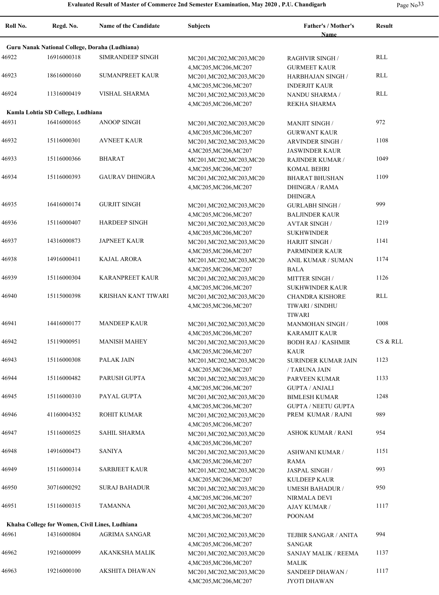| `<br>- |  |
|--------|--|
|--------|--|

| Roll No. | Regd. No.                                       | <b>Name of the Candidate</b>                   | <b>Subjects</b>           | Father's / Mother's        | Result     |
|----------|-------------------------------------------------|------------------------------------------------|---------------------------|----------------------------|------------|
|          |                                                 | Guru Nanak National College, Doraha (Ludhiana) |                           | <b>Name</b>                |            |
| 46922    | 16916000318                                     | <b>SIMRANDEEP SINGH</b>                        | MC201, MC202, MC203, MC20 | <b>RAGHVIR SINGH /</b>     | RLL        |
|          |                                                 |                                                | 4, MC205, MC206, MC207    | <b>GURMEET KAUR</b>        |            |
| 46923    | 18616000160                                     | <b>SUMANPREET KAUR</b>                         | MC201, MC202, MC203, MC20 | HARBHAJAN SINGH /          | RLL        |
|          |                                                 |                                                | 4, MC205, MC206, MC207    | <b>INDERJIT KAUR</b>       |            |
| 46924    | 11316000419                                     | <b>VISHAL SHARMA</b>                           | MC201, MC202, MC203, MC20 | <b>NANDU SHARMA /</b>      | <b>RLL</b> |
|          |                                                 |                                                | 4, MC205, MC206, MC207    | REKHA SHARMA               |            |
|          | Kamla Lohtia SD College, Ludhiana               |                                                |                           |                            |            |
| 46931    | 16416000165                                     | <b>ANOOP SINGH</b>                             | MC201, MC202, MC203, MC20 | <b>MANJIT SINGH /</b>      | 972        |
|          |                                                 |                                                | 4, MC205, MC206, MC207    | <b>GURWANT KAUR</b>        |            |
| 46932    | 15116000301                                     | <b>AVNEET KAUR</b>                             | MC201, MC202, MC203, MC20 | <b>ARVINDER SINGH/</b>     | 1108       |
|          |                                                 |                                                | 4, MC205, MC206, MC207    | <b>JASWINDER KAUR</b>      |            |
| 46933    | 15116000366                                     | <b>BHARAT</b>                                  | MC201, MC202, MC203, MC20 | <b>RAJINDER KUMAR /</b>    | 1049       |
|          |                                                 |                                                | 4, MC205, MC206, MC207    | <b>KOMAL BEHRI</b>         |            |
| 46934    | 15116000393                                     | <b>GAURAV DHINGRA</b>                          | MC201, MC202, MC203, MC20 | <b>BHARAT BHUSHAN</b>      | 1109       |
|          |                                                 |                                                | 4, MC205, MC206, MC207    | <b>DHINGRA / RAMA</b>      |            |
|          |                                                 |                                                |                           | <b>DHINGRA</b>             |            |
| 46935    | 16416000174                                     | <b>GURJIT SINGH</b>                            | MC201, MC202, MC203, MC20 | <b>GURLABH SINGH /</b>     | 999        |
|          |                                                 |                                                | 4, MC205, MC206, MC207    | <b>BALJINDER KAUR</b>      |            |
| 46936    | 15116000407                                     | <b>HARDEEP SINGH</b>                           | MC201, MC202, MC203, MC20 | <b>AVTAR SINGH/</b>        | 1219       |
|          |                                                 |                                                | 4, MC205, MC206, MC207    | <b>SUKHWINDER</b>          |            |
| 46937    | 14316000873                                     | <b>JAPNEET KAUR</b>                            | MC201, MC202, MC203, MC20 | <b>HARJIT SINGH/</b>       | 1141       |
|          |                                                 |                                                | 4, MC205, MC206, MC207    | PARMINDER KAUR             |            |
| 46938    | 14916000411                                     | <b>KAJAL ARORA</b>                             | MC201, MC202, MC203, MC20 | <b>ANIL KUMAR / SUMAN</b>  | 1174       |
|          |                                                 |                                                | 4, MC205, MC206, MC207    | <b>BALA</b>                |            |
| 46939    | 15116000304                                     | <b>KARANPREET KAUR</b>                         | MC201, MC202, MC203, MC20 | <b>MITTER SINGH/</b>       | 1126       |
|          |                                                 |                                                | 4, MC205, MC206, MC207    | <b>SUKHWINDER KAUR</b>     |            |
| 46940    | 15115000398                                     | KRISHAN KANT TIWARI                            | MC201, MC202, MC203, MC20 | <b>CHANDRA KISHORE</b>     | <b>RLL</b> |
|          |                                                 |                                                | 4, MC205, MC206, MC207    | TIWARI / SINDHU            |            |
|          |                                                 |                                                |                           | <b>TIWARI</b>              |            |
| 46941    | 14416000177                                     | <b>MANDEEP KAUR</b>                            | MC201, MC202, MC203, MC20 | <b>MANMOHAN SINGH /</b>    | 1008       |
|          |                                                 |                                                | 4, MC205, MC206, MC207    | <b>KARAMJIT KAUR</b>       |            |
| 46942    | 15119000951                                     | <b>MANISH MAHEY</b>                            | MC201, MC202, MC203, MC20 | <b>BODH RAJ / KASHMIR</b>  | CS & RLL   |
|          |                                                 |                                                | 4, MC205, MC206, MC207    | <b>KAUR</b>                |            |
| 46943    | 15116000308                                     | PALAK JAIN                                     | MC201, MC202, MC203, MC20 | SURINDER KUMAR JAIN        | 1123       |
|          |                                                 |                                                | 4, MC205, MC206, MC207    | / TARUNA JAIN              |            |
| 46944    | 15116000482                                     | PARUSH GUPTA                                   | MC201, MC202, MC203, MC20 | PARVEEN KUMAR              | 1133       |
|          |                                                 |                                                | 4, MC205, MC206, MC207    | <b>GUPTA / ANJALI</b>      |            |
| 46945    | 15116000310                                     | PAYAL GUPTA                                    | MC201, MC202, MC203, MC20 | <b>BIMLESH KUMAR</b>       | 1248       |
|          |                                                 |                                                | 4, MC205, MC206, MC207    | <b>GUPTA / NEETU GUPTA</b> |            |
| 46946    | 41160004352                                     | ROHIT KUMAR                                    | MC201, MC202, MC203, MC20 | PREM KUMAR / RAJNI         | 989        |
|          |                                                 |                                                | 4, MC205, MC206, MC207    |                            |            |
| 46947    | 15116000525                                     | SAHIL SHARMA                                   | MC201, MC202, MC203, MC20 | <b>ASHOK KUMAR / RANI</b>  | 954        |
|          |                                                 |                                                | 4, MC205, MC206, MC207    |                            |            |
| 46948    | 14916000473                                     | <b>SANIYA</b>                                  | MC201, MC202, MC203, MC20 | ASHWANI KUMAR /            | 1151       |
|          |                                                 |                                                | 4, MC205, MC206, MC207    | RAMA                       |            |
| 46949    | 15116000314                                     | <b>SARBJEET KAUR</b>                           | MC201, MC202, MC203, MC20 | JASPAL SINGH /             | 993        |
|          |                                                 |                                                | 4, MC205, MC206, MC207    | <b>KULDEEP KAUR</b>        |            |
| 46950    | 30716000292                                     | <b>SURAJ BAHADUR</b>                           | MC201, MC202, MC203, MC20 | <b>UMESH BAHADUR /</b>     | 950        |
|          |                                                 |                                                | 4, MC205, MC206, MC207    | NIRMALA DEVI               |            |
| 46951    | 15116000315                                     | <b>TAMANNA</b>                                 | MC201, MC202, MC203, MC20 | AJAY KUMAR /               | 1117       |
|          |                                                 |                                                | 4, MC205, MC206, MC207    | <b>POONAM</b>              |            |
|          | Khalsa College for Women, Civil Lines, Ludhiana |                                                |                           |                            |            |
| 46961    | 14316000804                                     | AGRIMA SANGAR                                  | MC201, MC202, MC203, MC20 | TEJBIR SANGAR / ANITA      | 994        |
|          |                                                 |                                                | 4, MC205, MC206, MC207    | <b>SANGAR</b>              |            |
| 46962    | 19216000099                                     | AKANKSHA MALIK                                 | MC201, MC202, MC203, MC20 | SANJAY MALIK / REEMA       | 1137       |
|          |                                                 |                                                | 4, MC205, MC206, MC207    | <b>MALIK</b>               |            |
| 46963    | 19216000100                                     | AKSHITA DHAWAN                                 | MC201, MC202, MC203, MC20 | SANDEEP DHAWAN /           | 1117       |
|          |                                                 |                                                | 4, MC205, MC206, MC207    | JYOTI DHAWAN               |            |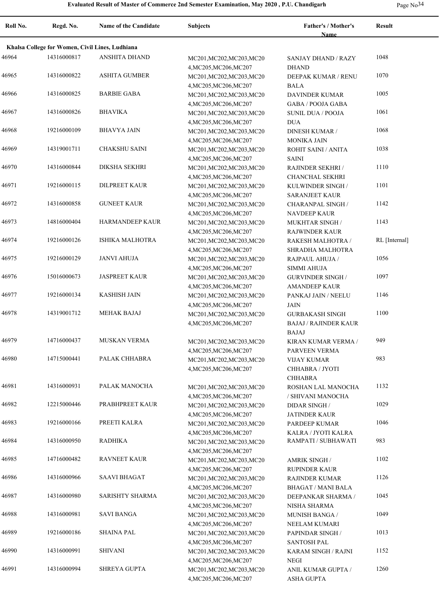| Page No <sup>3</sup> |  |
|----------------------|--|
|----------------------|--|

| Roll No. | Regd. No.                                       | <b>Name of the Candidate</b> | Subjects                                            | Father's / Mother's<br><b>Name</b>                                     | <b>Result</b> |
|----------|-------------------------------------------------|------------------------------|-----------------------------------------------------|------------------------------------------------------------------------|---------------|
|          | Khalsa College for Women, Civil Lines, Ludhiana |                              |                                                     |                                                                        |               |
| 46964    | 14316000817                                     | ANSHITA DHAND                | MC201, MC202, MC203, MC20<br>4, MC205, MC206, MC207 | <b>SANJAY DHAND / RAZY</b><br><b>DHAND</b>                             | 1048          |
| 46965    | 14316000822                                     | <b>ASHITA GUMBER</b>         | MC201, MC202, MC203, MC20<br>4, MC205, MC206, MC207 | DEEPAK KUMAR / RENU<br><b>BALA</b>                                     | 1070          |
| 46966    | 14316000825                                     | <b>BARBIE GABA</b>           | MC201, MC202, MC203, MC20<br>4, MC205, MC206, MC207 | <b>DAVINDER KUMAR</b><br><b>GABA / POOJA GABA</b>                      | 1005          |
| 46967    | 14316000826                                     | <b>BHAVIKA</b>               | MC201, MC202, MC203, MC20<br>4, MC205, MC206, MC207 | <b>SUNIL DUA / POOJA</b><br><b>DUA</b>                                 | 1061          |
| 46968    | 19216000109                                     | <b>BHAVYA JAIN</b>           | MC201, MC202, MC203, MC20<br>4, MC205, MC206, MC207 | <b>DINESH KUMAR /</b><br><b>MONIKA JAIN</b>                            | 1068          |
| 46969    | 14319001711                                     | <b>CHAKSHU SAINI</b>         | MC201, MC202, MC203, MC20<br>4, MC205, MC206, MC207 | ROHIT SAINI / ANITA<br><b>SAINI</b>                                    | 1038          |
| 46970    | 14316000844                                     | <b>DIKSHA SEKHRI</b>         | MC201, MC202, MC203, MC20<br>4, MC205, MC206, MC207 | RAJINDER SEKHRI /<br>CHANCHAL SEKHRI                                   | 1110          |
| 46971    | 19216000115                                     | <b>DILPREET KAUR</b>         | MC201, MC202, MC203, MC20<br>4, MC205, MC206, MC207 | KULWINDER SINGH /<br><b>SARANJEET KAUR</b>                             | 1101          |
| 46972    | 14316000858                                     | <b>GUNEET KAUR</b>           | MC201, MC202, MC203, MC20<br>4, MC205, MC206, MC207 | <b>CHARANPAL SINGH /</b><br><b>NAVDEEP KAUR</b>                        | 1142          |
| 46973    | 14816000404                                     | <b>HARMANDEEP KAUR</b>       | MC201, MC202, MC203, MC20<br>4, MC205, MC206, MC207 | MUKHTAR SINGH /<br><b>RAJWINDER KAUR</b>                               | 1143          |
| 46974    | 19216000126                                     | <b>ISHIKA MALHOTRA</b>       | MC201, MC202, MC203, MC20<br>4, MC205, MC206, MC207 | RAKESH MALHOTRA /<br>SHRADHA MALHOTRA                                  | RL [Internal] |
| 46975    | 19216000129                                     | <b>JANVI AHUJA</b>           | MC201, MC202, MC203, MC20<br>4, MC205, MC206, MC207 | RAJPAUL AHUJA /<br><b>SIMMI AHUJA</b>                                  | 1056          |
| 46976    | 15016000673                                     | <b>JASPREET KAUR</b>         | MC201, MC202, MC203, MC20<br>4, MC205, MC206, MC207 | <b>GURVINDER SINGH /</b><br><b>AMANDEEP KAUR</b>                       | 1097          |
| 46977    | 19216000134                                     | KASHISH JAIN                 | MC201, MC202, MC203, MC20<br>4, MC205, MC206, MC207 | PANKAJ JAIN / NEELU<br><b>JAIN</b>                                     | 1146          |
| 46978    | 14319001712                                     | <b>MEHAK BAJAJ</b>           | MC201, MC202, MC203, MC20<br>4, MC205, MC206, MC207 | <b>GURBAKASH SINGH</b><br><b>BAJAJ / RAJINDER KAUR</b><br><b>BAJAJ</b> | 1100          |
| 46979    | 14716000437                                     | <b>MUSKAN VERMA</b>          | MC201, MC202, MC203, MC20<br>4, MC205, MC206, MC207 | KIRAN KUMAR VERMA /<br>PARVEEN VERMA                                   | 949           |
| 46980    | 14715000441                                     | PALAK CHHABRA                | MC201, MC202, MC203, MC20<br>4, MC205, MC206, MC207 | <b>VIJAY KUMAR</b><br>CHHABRA / JYOTI<br><b>CHHABRA</b>                | 983           |
| 46981    | 14316000931                                     | PALAK MANOCHA                | MC201, MC202, MC203, MC20<br>4, MC205, MC206, MC207 | ROSHAN LAL MANOCHA<br>/ SHIVANI MANOCHA                                | 1132          |
| 46982    | 12215000446                                     | PRABHPREET KAUR              | MC201, MC202, MC203, MC20<br>4, MC205, MC206, MC207 | $\ensuremath{\mathsf{DIDAR}}$ SINGH /<br><b>JATINDER KAUR</b>          | 1029          |
| 46983    | 19216000166                                     | PREETI KALRA                 | MC201, MC202, MC203, MC20<br>4, MC205, MC206, MC207 | PARDEEP KUMAR<br>KALRA / JYOTI KALRA                                   | 1046          |
| 46984    | 14316000950                                     | <b>RADHIKA</b>               | MC201, MC202, MC203, MC20<br>4, MC205, MC206, MC207 | RAMPATI / SUBHAWATI                                                    | 983           |
| 46985    | 14716000482                                     | <b>RAVNEET KAUR</b>          | MC201, MC202, MC203, MC20<br>4, MC205, MC206, MC207 | <b>AMRIK SINGH /</b><br>RUPINDER KAUR                                  | 1102          |
| 46986    | 14316000966                                     | SAAVI BHAGAT                 | MC201, MC202, MC203, MC20<br>4, MC205, MC206, MC207 | RAJINDER KUMAR<br><b>BHAGAT / MANI BALA</b>                            | 1126          |
| 46987    | 14316000980                                     | <b>SARISHTY SHARMA</b>       | MC201, MC202, MC203, MC20<br>4, MC205, MC206, MC207 | DEEPANKAR SHARMA /<br>NISHA SHARMA                                     | 1045          |
| 46988    | 14316000981                                     | <b>SAVI BANGA</b>            | MC201, MC202, MC203, MC20<br>4, MC205, MC206, MC207 | MUNISH BANGA /<br>NEELAM KUMARI                                        | 1049          |
| 46989    | 19216000186                                     | <b>SHAINA PAL</b>            | MC201, MC202, MC203, MC20<br>4, MC205, MC206, MC207 | PAPINDAR SINGH /<br><b>SANTOSH PAL</b>                                 | 1013          |
| 46990    | 14316000991                                     | <b>SHIVANI</b>               | MC201, MC202, MC203, MC20<br>4, MC205, MC206, MC207 | KARAM SINGH / RAJNI<br><b>NEGI</b>                                     | 1152          |
| 46991    | 14316000994                                     | <b>SHREYA GUPTA</b>          | MC201, MC202, MC203, MC20<br>4, MC205, MC206, MC207 | ANIL KUMAR GUPTA /<br>ASHA GUPTA                                       | 1260          |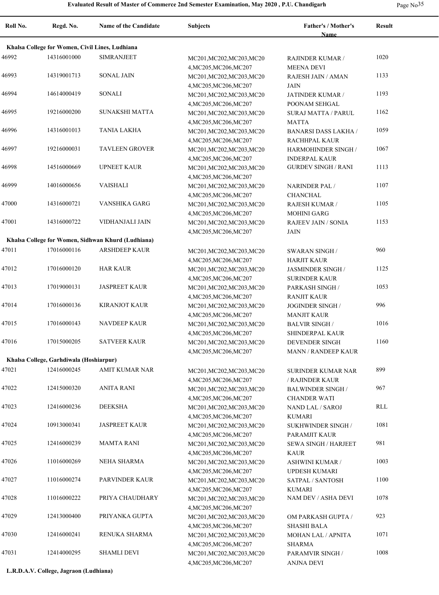|  | Page No <sup>55</sup> |
|--|-----------------------|
|--|-----------------------|

| Roll No. | Regd. No.                               | <b>Name of the Candidate</b>                       | <b>Subjects</b>                                                               | Father's / Mother's<br><b>Name</b>                       | <b>Result</b>        |
|----------|-----------------------------------------|----------------------------------------------------|-------------------------------------------------------------------------------|----------------------------------------------------------|----------------------|
|          |                                         | Khalsa College for Women, Civil Lines, Ludhiana    |                                                                               |                                                          |                      |
| 46992    | 14316001000                             | <b>SIMRANJEET</b>                                  | MC201, MC202, MC203, MC20<br>4, MC205, MC206, MC207                           | <b>RAJINDER KUMAR /</b><br><b>MEENA DEVI</b>             | 1020                 |
| 46993    | 14319001713                             | <b>SONAL JAIN</b>                                  | MC201, MC202, MC203, MC20<br>4, MC205, MC206, MC207                           | RAJESH JAIN / AMAN<br>JAIN                               | 1133                 |
| 46994    | 14614000419                             | <b>SONALI</b>                                      | MC201, MC202, MC203, MC20<br>4, MC205, MC206, MC207                           | JATINDER KUMAR /<br>POONAM SEHGAL                        | 1193                 |
| 46995    | 19216000200                             | SUNAKSHI MATTA                                     | MC201, MC202, MC203, MC20<br>4, MC205, MC206, MC207                           | <b>SURAJ MATTA / PARUL</b><br><b>MATTA</b>               | 1162                 |
| 46996    | 14316001013                             | <b>TANIA LAKHA</b>                                 | MC201, MC202, MC203, MC20<br>4, MC205, MC206, MC207                           | <b>BANARSI DASS LAKHA /</b><br>RACHHPAL KAUR             | 1059                 |
| 46997    | 19216000031                             | <b>TAVLEEN GROVER</b>                              | MC201, MC202, MC203, MC20                                                     | HARMOHINDER SINGH /                                      | 1067                 |
| 46998    | 14516000669                             | <b>UPNEET KAUR</b>                                 | 4, MC205, MC206, MC207<br>MC201, MC202, MC203, MC20                           | <b>INDERPAL KAUR</b><br><b>GURDEV SINGH / RANI</b>       | 1113                 |
| 46999    | 14016000656                             | VAISHALI                                           | 4, MC205, MC206, MC207<br>MC201, MC202, MC203, MC20                           | NARINDER PAL /                                           | 1107                 |
| 47000    | 14316000721                             | <b>VANSHIKA GARG</b>                               | 4, MC205, MC206, MC207<br>MC201, MC202, MC203, MC20                           | CHANCHAL<br><b>RAJESH KUMAR /</b>                        | 1105                 |
| 47001    | 14316000722                             | VIDHANJALI JAIN                                    | 4, MC205, MC206, MC207<br>MC201, MC202, MC203, MC20<br>4, MC205, MC206, MC207 | <b>MOHINI GARG</b><br><b>RAJEEV JAIN / SONIA</b><br>JAIN | 1153                 |
|          |                                         | Khalsa College for Women, Sidhwan Khurd (Ludhiana) |                                                                               |                                                          |                      |
| 47011    | 17016000116                             | <b>ARSHDEEP KAUR</b>                               | MC201, MC202, MC203, MC20<br>4, MC205, MC206, MC207                           | <b>SWARAN SINGH/</b><br><b>HARJIT KAUR</b>               | 960                  |
| 47012    | 17016000120                             | <b>HAR KAUR</b>                                    | MC201, MC202, MC203, MC20<br>4, MC205, MC206, MC207                           | <b>JASMINDER SINGH/</b><br><b>SURINDER KAUR</b>          | 1125                 |
| 47013    | 17019000131                             | <b>JASPREET KAUR</b>                               | MC201, MC202, MC203, MC20<br>4, MC205, MC206, MC207                           | PARKASH SINGH /<br><b>RANJIT KAUR</b>                    | 1053                 |
| 47014    | 17016000136                             | <b>KIRANJOT KAUR</b>                               | MC201, MC202, MC203, MC20<br>4, MC205, MC206, MC207                           | <b>JOGINDER SINGH /</b><br><b>MANJIT KAUR</b>            | 996                  |
| 47015    | 17016000143                             | <b>NAVDEEP KAUR</b>                                | MC201, MC202, MC203, MC20<br>4, MC205, MC206, MC207                           | <b>BALVIR SINGH/</b><br><b>SHINDERPAL KAUR</b>           | 1016                 |
| 47016    | 17015000205                             | <b>SATVEER KAUR</b>                                | MC201, MC202, MC203, MC20<br>4, MC205, MC206, MC207                           | <b>DEVENDER SINGH</b><br><b>MANN / RANDEEP KAUR</b>      | 1160                 |
|          | Khalsa College, Garhdiwala (Hoshiarpur) |                                                    |                                                                               |                                                          |                      |
| 47021    | 12416000245                             | <b>AMIT KUMAR NAR</b>                              | MC201, MC202, MC203, MC20                                                     | SURINDER KUMAR NAR<br>/ RAJINDER KAUR                    | 899                  |
| 47022    | 12415000320                             | <b>ANITA RANI</b>                                  | 4, MC205, MC206, MC207<br>MC201, MC202, MC203, MC20                           | <b>BALWINDER SINGH/</b>                                  | 967                  |
| 47023    | 12416000236                             | <b>DEEKSHA</b>                                     | 4, MC205, MC206, MC207<br>MC201, MC202, MC203, MC20                           | <b>CHANDER WATI</b><br>NAND LAL / SAROJ                  | $\operatorname{RLL}$ |
| 47024    | 10913000341                             | <b>JASPREET KAUR</b>                               | 4, MC205, MC206, MC207<br>MC201, MC202, MC203, MC20                           | <b>KUMARI</b><br>SUKHWINDER SINGH /                      | 1081                 |
| 47025    | 12416000239                             | <b>MAMTA RANI</b>                                  | 4, MC205, MC206, MC207<br>MC201, MC202, MC203, MC20                           | PARAMJIT KAUR<br><b>SEWA SINGH / HARJEET</b>             | 981                  |
| 47026    | 11016000269                             | NEHA SHARMA                                        | 4, MC205, MC206, MC207<br>MC201, MC202, MC203, MC20                           | <b>KAUR</b><br><b>ASHWINI KUMAR /</b>                    | 1003                 |
| 47027    | 11016000274                             | PARVINDER KAUR                                     | 4, MC205, MC206, MC207<br>MC201, MC202, MC203, MC20                           | UPDESH KUMARI<br>SATPAL / SANTOSH                        | 1100                 |
| 47028    | 11016000222                             | PRIYA CHAUDHARY                                    | 4, MC205, MC206, MC207<br>MC201, MC202, MC203, MC20                           | <b>KUMARI</b><br>NAM DEV / ASHA DEVI                     | 1078                 |
| 47029    | 12413000400                             | PRIYANKA GUPTA                                     | 4, MC205, MC206, MC207<br>MC201, MC202, MC203, MC20                           | OM PARKASH GUPTA /                                       | 923                  |
| 47030    | 12416000241                             | RENUKA SHARMA                                      | 4, MC205, MC206, MC207<br>MC201, MC202, MC203, MC20                           | <b>SHASHI BALA</b><br>MOHAN LAL / APNITA                 | 1071                 |
| 47031    | 12414000295                             | <b>SHAMLI DEVI</b>                                 | 4, MC205, MC206, MC207<br>MC201, MC202, MC203, MC20<br>4, MC205, MC206, MC207 | <b>SHARMA</b><br>PARAMVIR SINGH /<br>ANJNA DEVI          | 1008                 |

**L.R.D.A.V. College, Jagraon (Ludhiana)**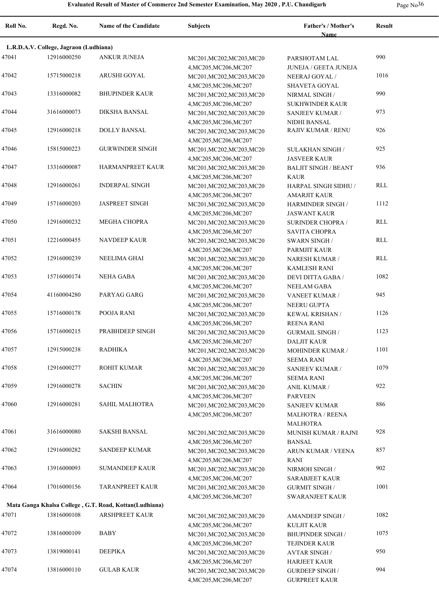**Roll No. Regd. No. Name of the Candidate Subjects Father's / Mother's Name Result L.R.D.A.V. College, Jagraon (Ludhiana)** 47041 12916000250 ANKUR JUNEJA MC201,MC202,MC203,MC20 PARSHOTAM LAL 990 4,MC205,MC206,MC207 PARSHOTAM LAL JUNEJA / GEETA JUNEJA 47042 15715000218 ARUSHI GOYAL MC201, MC202, MC203, MC20 MEERAJ GOYAL 1016 4,MC205,MC206,MC207 NEERAJ GOYAL / SHAVETA GOYAL 47043 13316000082 BHUPINDER KAUR MC201, MC202, MC203, MC20 NIRMAL SINGH (990 4,MC205,MC206,MC207 NIRMAL SINGH / SUKHWINDER KAUR 47044 31616000073 DIKSHA BANSAL MC201, MC202, MC203, MC20 SANJEEV KUMAR / 973 4,MC205,MC206,MC207 SANJEEV KUMAR / NIDHI BANSAL 47045 DOLLY BANSAL MC201,MC202,MC203,MC20 12916000218 RAJIV KUMAR / RENU 926 4,MC205,MC206,MC207 47046 15815000223 GURWINDER SINGH MC201, MC202, MC203, MC20 SULAKHAN SINGH 925 4,MC205,MC206,MC207 SULAKHAN SINGH / JASVEER KAUR 47047 13316000087 HARMANPREET KAUR MC201, MC202, MC203, MC20 BALJIT SINGH / BEANT 936 4,MC205,MC206,MC207 BALJIT SINGH / BEANT KAUR 47048 INDERPAL SINGH MC201,MC202,MC203,MC20 12916000261 RLL 4,MC205,MC206,MC207 HARPAL SINGH SIDHU / AMARJIT KAUR 47049 15716000203 JASPREET SINGH MC201, MC202, MC203, MC20 HARMINDER SINGH 1112 4,MC205,MC206,MC207 HARMINDER SINGH / JASWANT KAUR 47050 MEGHA CHOPRA MC201,MC202,MC203,MC20 12916000232 RLL 4,MC205,MC206,MC207 SURINDER CHOPRA / SAVITA CHOPRA 47051 NAVDEEP KAUR MC201,MC202,MC203,MC20 12216000455 RLL 4,MC205,MC206,MC207 SWARN SINGH / PARMJIT KAUR 47052 NEELIMA GHAI MC201,MC202,MC203,MC20 12916000239 RLL 4,MC205,MC206,MC207 NARESH KUMAR / KAMLESH RANI 47053 NEHA GABA MC201,MC202,MC203,MC20 15716000174 1082 4,MC205,MC206,MC207 DEVI DITTA GABA / NEELAM GABA 47054 **41160004280** PARYAG GARG MC201, MC202, MC203, MC20 VANEET KUMAR / 945 4,MC205,MC206,MC207 VANEET KUMAR / NEERU GUPTA 47055 POOJA RANI MC201,MC202,MC203,MC20 15716000178 1126 4,MC205,MC206,MC207 KEWAL KRISHAN / REENA RANI 47056 PRABHDEEP SINGH MC201,MC202,MC203,MC20 15716000215 1123 4,MC205,MC206,MC207 GURMAIL SINGH / DALJIT KAUR 47057 12915000238 RADHIKA MC201,MC202,MC203,MC20 MOHINDER KUMAR / 1101 4,MC205,MC206,MC207 MOHINDER KUMAR / SEEMA RANI 47058 12916000277 ROHIT KUMAR MC201, MC202, MC203, MC20 SANJEEV KUMAR / 1079 4,MC205,MC206,MC207 SANJEEV KUMAR / SEEMA RANI 47059 SACHIN MC201,MC202,MC203,MC20 12916000278 922 4,MC205,MC206,MC207 ANIL KUMAR / PARVEEN 47060 SAHIL MALHOTRA MC201,MC202,MC203,MC20 12916000281 886 4,MC205,MC206,MC207 SANJEEV KUMAR MALHOTRA / REENA MALHOTRA 47061 SAKSHI BANSAL MC201,MC202,MC203,MC20 31616000080 928 4,MC205,MC206,MC207 MUNISH KUMAR / RAJNI BANSAL 47062 SANDEEP KUMAR MC201,MC202,MC203,MC20 12916000282 857 4,MC205,MC206,MC207 ARUN KUMAR / VEENA RANI 47063 13916000093 SUMANDEEP KAUR MC201, MC202, MC203, MC20 NIRMOH SINGH / 902 4,MC205,MC206,MC207 NIRMOH SINGH / SARABJEET KAUR 47064 17016000156 TARANPREET KAUR MC201, MC202, MC203, MC20 GURMIT SINGH 1001 4,MC205,MC206,MC207 GURMIT SINGH / SWARANJEET KAUR **Mata Ganga Khalsa College , G.T. Road, Kottan(Ludhiana)** 47071 13816000108 ARSHPREET KAUR MC201, MC202, MC203, MC20 AMANDEEP SINGH 1082 4,MC205,MC206,MC207 AMANDEEP SINGH / KULJIT KAUR 47072 13816000109 BABY MC201, MC201, MC202, MC203, MC20 BHUPINDER SINGH 1075 4,MC205,MC206,MC207 BHUPINDER SINGH / TEJINDER KAUR 47073 13819000141 DEEPIKA MC201,MC202,MC203,MC20 AVTAR SINGH 950 4,MC205,MC206,MC207 AVTAR SINGH / HARJEET KAUR 47074 GULAB KAUR MC201,MC202,MC203,MC20 13816000110 9944,MC205,MC206,MC207 GURDEEP SINGH / GURPREET KAUR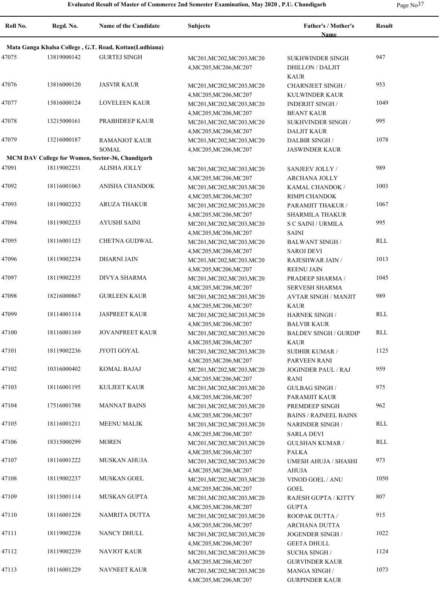| Page No <sup>3</sup> |  |
|----------------------|--|
|----------------------|--|

| Roll No. | Regd. No.   | Name of the Candidate                                  | <b>Subjects</b>                                                               | Father's / Mother's<br>Name                                   | <b>Result</b> |
|----------|-------------|--------------------------------------------------------|-------------------------------------------------------------------------------|---------------------------------------------------------------|---------------|
|          |             | Mata Ganga Khalsa College, G.T. Road, Kottan(Ludhiana) |                                                                               |                                                               |               |
| 47075    | 13819000142 | <b>GURTEJ SINGH</b>                                    | MC201, MC202, MC203, MC20<br>4, MC205, MC206, MC207                           | SUKHWINDER SINGH<br><b>DHILLON / DALJIT</b><br><b>KAUR</b>    | 947           |
| 47076    | 13816000120 | <b>JASVIR KAUR</b>                                     | MC201, MC202, MC203, MC20                                                     | <b>CHARNJEET SINGH /</b>                                      | 953           |
| 47077    | 13816000124 | <b>LOVELEEN KAUR</b>                                   | 4, MC205, MC206, MC207<br>MC201, MC202, MC203, MC20<br>4, MC205, MC206, MC207 | KULWINDER KAUR<br><b>INDERJIT SINGH/</b><br><b>BEANT KAUR</b> | 1049          |
| 47078    | 13215000161 | PRABHDEEP KAUR                                         | MC201, MC202, MC203, MC20<br>4, MC205, MC206, MC207                           | SUKHVINDER SINGH /<br><b>DALJIT KAUR</b>                      | 995           |
| 47079    | 13216000187 | <b>RAMANJOT KAUR</b><br><b>SOMAL</b>                   | MC201, MC202, MC203, MC20<br>4, MC205, MC206, MC207                           | <b>DALBIR SINGH/</b><br><b>JASWINDER KAUR</b>                 | 1078          |
|          |             | MCM DAV College for Women, Sector-36, Chandigarh       |                                                                               |                                                               |               |
| 47091    | 18119002231 | ALISHA JOLLY                                           | MC201, MC202, MC203, MC20<br>4, MC205, MC206, MC207                           | SANJEEV JOLLY /<br>ARCHANA JOLLY                              | 989           |
| 47092    | 18116001063 | <b>ANISHA CHANDOK</b>                                  | MC201, MC202, MC203, MC20<br>4, MC205, MC206, MC207                           | KAMAL CHANDOK /<br>RIMPI CHANDOK                              | 1003          |
| 47093    | 18119002232 | <b>ARUZA THAKUR</b>                                    | MC201, MC202, MC203, MC20<br>4, MC205, MC206, MC207                           | PARAMJIT THAKUR /<br><b>SHARMILA THAKUR</b>                   | 1067          |
| 47094    | 18119002233 | <b>AYUSHI SAINI</b>                                    | MC201, MC202, MC203, MC20<br>4, MC205, MC206, MC207                           | S C SAINI / URMILA<br><b>SAINI</b>                            | 995           |
| 47095    | 18116001123 | CHETNA GUDWAL                                          | MC201, MC202, MC203, MC20<br>4, MC205, MC206, MC207                           | <b>BALWANT SINGH /</b><br><b>SAROJ DEVI</b>                   | RLL           |
| 47096    | 18119002234 | <b>DHARNI JAIN</b>                                     | MC201, MC202, MC203, MC20<br>4, MC205, MC206, MC207                           | RAJESHWAR JAIN /<br><b>REENU JAIN</b>                         | 1013          |
| 47097    | 18119002235 | DIVYA SHARMA                                           | MC201, MC202, MC203, MC20<br>4, MC205, MC206, MC207                           | PRADEEP SHARMA /<br><b>SERVESH SHARMA</b>                     | 1045          |
| 47098    | 18216000867 | <b>GURLEEN KAUR</b>                                    | MC201, MC202, MC203, MC20<br>4, MC205, MC206, MC207                           | <b>AVTAR SINGH / MANJIT</b><br>KAUR                           | 989           |
| 47099    | 18114001114 | <b>JASPREET KAUR</b>                                   | MC201, MC202, MC203, MC20<br>4, MC205, MC206, MC207                           | <b>HARNEK SINGH /</b><br><b>BALVIR KAUR</b>                   | RLL           |
| 47100    | 18116001169 | <b>JOVANPREET KAUR</b>                                 | MC201, MC202, MC203, MC20<br>4, MC205, MC206, MC207                           | <b>BALDEV SINGH / GURDIP</b><br><b>KAUR</b>                   | <b>RLL</b>    |
| 47101    | 18119002236 | JYOTI GOYAL                                            | MC201, MC202, MC203, MC20<br>4, MC205, MC206, MC207                           | <b>SUDHIR KUMAR /</b><br>PARVEEN RANI                         | 1125          |
| 47102    | 10316000402 | <b>KOMAL BAJAJ</b>                                     | MC201, MC202, MC203, MC20<br>4, MC205, MC206, MC207                           | <b>JOGINDER PAUL / RAJ</b><br>RANI                            | 959           |
| 47103    | 18116001195 | <b>KULJEET KAUR</b>                                    | MC201, MC202, MC203, MC20<br>4, MC205, MC206, MC207                           | <b>GULBAG SINGH /</b><br>PARAMJIT KAUR                        | 975           |
| 47104    | 17516001788 | <b>MANNAT BAINS</b>                                    | MC201, MC202, MC203, MC20<br>4, MC205, MC206, MC207                           | PREMDEEP SINGH<br><b>BAINS / RAJNEEL BAINS</b>                | 962           |
| 47105    | 18116001211 | <b>MEENU MALIK</b>                                     | MC201, MC202, MC203, MC20<br>4, MC205, MC206, MC207                           | <b>NARINDER SINGH/</b><br><b>SARLA DEVI</b>                   | RLL           |
| 47106    | 18315000299 | <b>MOREN</b>                                           | MC201, MC202, MC203, MC20<br>4, MC205, MC206, MC207                           | <b>GULSHAN KUMAR /</b><br>PALKA                               | <b>RLL</b>    |
| 47107    | 18116001222 | <b>MUSKAN AHUJA</b>                                    | MC201, MC202, MC203, MC20<br>4, MC205, MC206, MC207                           | UMESH AHUJA / SHASHI<br>AHUJA                                 | 973           |
| 47108    | 18119002237 | <b>MUSKAN GOEL</b>                                     | MC201, MC202, MC203, MC20<br>4, MC205, MC206, MC207                           | VINOD GOEL / ANU<br>GOEL                                      | 1050          |
| 47109    | 18115001114 | MUSKAN GUPTA                                           | MC201, MC202, MC203, MC20<br>4, MC205, MC206, MC207                           | RAJESH GUPTA / KITTY<br><b>GUPTA</b>                          | 807           |
| 47110    | 18116001228 | NAMRITA DUTTA                                          | MC201, MC202, MC203, MC20<br>4, MC205, MC206, MC207                           | ROOPAK DUTTA /<br>ARCHANA DUTTA                               | 915           |
| 47111    | 18119002238 | NANCY DHULL                                            | MC201, MC202, MC203, MC20<br>4, MC205, MC206, MC207                           | JOGENDER SINGH /<br><b>GEETA DHULL</b>                        | 1022          |
| 47112    | 18119002239 | <b>NAVJOT KAUR</b>                                     | MC201, MC202, MC203, MC20<br>4, MC205, MC206, MC207                           | <b>SUCHA SINGH /</b><br><b>GURVINDER KAUR</b>                 | 1124          |
| 47113    | 18116001229 | <b>NAVNEET KAUR</b>                                    | MC201, MC202, MC203, MC20<br>4, MC205, MC206, MC207                           | <b>MANGA SINGH/</b><br><b>GURPINDER KAUR</b>                  | 1073          |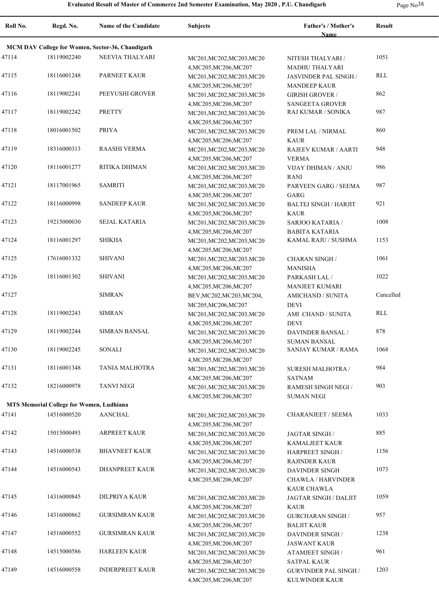**Roll No. Regd. No. Name of the Candidate Subjects Father's / Mother's Name Result MCM DAV College for Women, Sector-36, Chandigarh** 47114 18119002240 NEEVIA THALYARI MC201, MC202, MC203, MC20 NITESH THALYARI 1051 4,MC205,MC206,MC207 NITESH THALYARI / MADHU THALYARI 47115 18116001248 PARNEET KAUR MC201, MC202, MC203, MC20 4,MC205,MC206,MC207 18116001248 PARNEET KAUR MC201,MC202,MC203,MC20 JASVINDER PAL SINGH / RLL MANDEEP KAUR 47116 18119002241 PEEYUSHI GROVER MC201, MC202, MC203, MC20 GIRISH GROVER 862 4,MC205,MC206,MC207 GIRISH GROVER / SANGEETA GROVER 47117 18119002242 PRETTY MC201,MC202,MC203,MC20 RAJ KUMAR / SONIKA 987 4,MC205,MC206,MC207 47118 18016001502 PRIYA MC201, MC201, MC202, MC203, MC20 PREM LAL / NIRMAL 860 4,MC205,MC206,MC207 PREM LAL / NIRMAL KAUR 47119 RAASHI VERMA MC201,MC202,MC203,MC20 18316000313 948 4,MC205,MC206,MC207 RAJEEV KUMAR / AARTI VERMA 47120 18116001277 RITIKA DHIMAN MC201,MC202,MC203,MC20 VIJAY DHIMAN / ANJU 986 4,MC205,MC206,MC207 VIJAY DHIMAN / ANJU RANI 47121 18117001965 SAMRITI MC201, MC201, MC202, MC203, MC20 PARVEEN GARG / SEEMA 987 4,MC205,MC206,MC207 PARVEEN GARG / SEEMA GARG 17122 18116000998 SANDEEP KAUR MC201, MC202, MC203, MC20 BALTEJ SINGH / HARJIT 921 4,MC205,MC206,MC207 BALTEJ SINGH / HARJIT KAUR 47123 19215000030 SEJAL KATARIA MC201,MC202,MC203,MC20 SARJOO KATARIA 1008 4,MC205,MC206,MC207 SARJOO KATARIA / BABITA KATARIA 47124 SHIKHA MC201,MC202,MC203,MC20 18116001297 KAMAL RAJU / SUSHMA 1153 4,MC205,MC206,MC207 47125 SHIVANI MC201,MC202,MC203,MC20 17616001332 1061 4,MC205,MC206,MC207 CHARAN SINGH / MANISHA 47126 18116001302 SHIVANI MC201,MC202,MC203,MC20 PARKASH LAL 1022 4,MC205,MC206,MC207 PARKASH LAL / MANJEET KUMARI 47127 SIMRAN BEV,MC202,MC203,MC204, MC205,MC206,MC207 AMICHAND / SUNITA DEVI Cancelled 47128 SIMRAN MC201,MC202,MC203,MC20 18119002243 RLL 4,MC205,MC206,MC207 AMI CHAND / SUNITA DEVI 47129 SIMRAN BANSAL MC201,MC202,MC203,MC20 18119002244 878 4,MC205,MC206,MC207 DAVINDER BANSAL / SUMAN BANSAL 47130 SONALI MC201,MC202,MC203,MC20 18119002245 SANJAY KUMAR / RAMA 1068 4,MC205,MC206,MC207 47131 18116001348 TANIA MALHOTRA MC201, MC202, MC203, MC20 SURESH MALHOTRA 1984 4,MC205,MC206,MC207 SURESH MALHOTRA / SATNAM 47132 18216000978 TANVI NEGI MC201, MC202, MC203, MC20 RAMESH SINGH NEGI 903 4,MC205,MC206,MC207 RAMESH SINGH NEGI / SUMAN NEGI **MTS Memorial College for Women, Ludhiana** 47141 14516000520 AANCHAL MC201,MC202,MC203,MC20 CHARANJEET / SEEMA 1033 4,MC205,MC206,MC207 47142 ARPREET KAUR MC201,MC202,MC203,MC20 15015000493 885 4,MC205,MC206,MC207 JAGTAR SINGH / KAMALJEET KAUR 47143 14516000538 BHAVNEET KAUR MC201, MC202, MC203, MC20 HARPREET SINGH 1156 4,MC205,MC206,MC207 HARPREET SINGH / RAJINDER KAUR 47144 14516000543 DHANPREET KAUR MC201, MC202, MC203, MC20 DAVINDER SINGH 1073 4,MC205,MC206,MC207 DAVINDER SINGH CHAWLA / HARVINDER KAUR CHAWLA 47145 14316000845 DILPRIYA KAUR MC201, MC202, MC203, MC20 JAGTAR SINGH / DALJIT 1059 4,MC205,MC206,MC207 JAGTAR SINGH / DALJIT KAUR 47146 14316000862 GURSIMRAN KAUR MC201,MC202,MC203,MC20 GURCHARAN SINGH 957 4,MC205,MC206,MC207 GURCHARAN SINGH / BALJIT KAUR 47147 14516000552 GURSIMRAN KAUR MC201, MC202, MC203, MC20 DAVINDER SINGH 1238 4,MC205,MC206,MC207 DAVINDER SINGH / JASWANT KAUR 47148 14515000586 HARLEEN KAUR MC201,MC202,MC203,MC20 ATAMJEET SINGH 961 4,MC205,MC206,MC207 ATAMJEET SINGH / SATPAL KAUR 47149 14516000558 INDERPREET KAUR MC201, MC202, MC203, MC20 GURVINDER PAL SINGH 1203 4,MC205,MC206,MC207 GURVINDER PAL SINGH / KULWINDER KAUR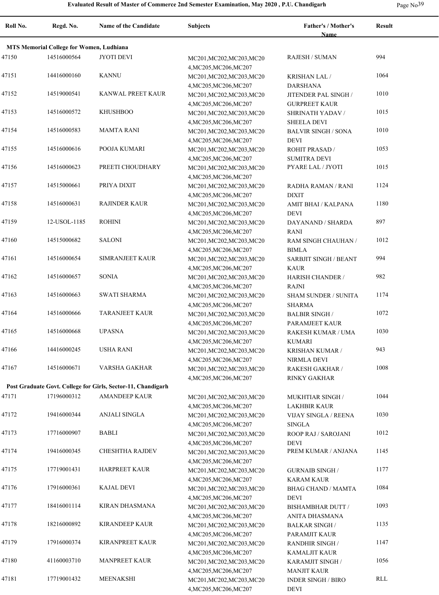|  | Page $No39$ |
|--|-------------|
|--|-------------|

| Roll No. | Regd. No.                                       | <b>Name of the Candidate</b>                                 | <b>Subjects</b>                                                               | Father's / Mother's                                     | <b>Result</b> |
|----------|-------------------------------------------------|--------------------------------------------------------------|-------------------------------------------------------------------------------|---------------------------------------------------------|---------------|
|          |                                                 |                                                              |                                                                               | <b>Name</b>                                             |               |
|          | <b>MTS Memorial College for Women, Ludhiana</b> |                                                              |                                                                               |                                                         |               |
| 47150    | 14516000564                                     | <b>JYOTI DEVI</b>                                            | MC201, MC202, MC203, MC20<br>4, MC205, MC206, MC207                           | <b>RAJESH / SUMAN</b>                                   | 994           |
| 47151    | 14416000160                                     | <b>KANNU</b>                                                 | MC201, MC202, MC203, MC20<br>4, MC205, MC206, MC207                           | <b>KRISHAN LAL/</b><br><b>DARSHANA</b>                  | 1064          |
| 47152    | 14519000541                                     | KANWAL PREET KAUR                                            | MC201, MC202, MC203, MC20<br>4, MC205, MC206, MC207                           | JITENDER PAL SINGH /<br><b>GURPREET KAUR</b>            | 1010          |
| 47153    | 14516000572                                     | <b>KHUSHBOO</b>                                              | MC201, MC202, MC203, MC20<br>4, MC205, MC206, MC207                           | SHRINATH YADAV /<br><b>SHEELA DEVI</b>                  | 1015          |
| 47154    | 14516000583                                     | <b>MAMTA RANI</b>                                            | MC201, MC202, MC203, MC20<br>4, MC205, MC206, MC207                           | <b>BALVIR SINGH / SONA</b><br><b>DEVI</b>               | 1010          |
| 47155    | 14516000616                                     | POOJA KUMARI                                                 | MC201, MC202, MC203, MC20<br>4, MC205, MC206, MC207                           | <b>ROHIT PRASAD /</b><br><b>SUMITRA DEVI</b>            | 1053          |
| 47156    | 14516000623                                     | PREETI CHOUDHARY                                             | MC201, MC202, MC203, MC20                                                     | PYARE LAL / JYOTI                                       | 1015          |
| 47157    | 14515000661                                     | PRIYA DIXIT                                                  | 4, MC205, MC206, MC207<br>MC201, MC202, MC203, MC20                           | RADHA RAMAN / RANI                                      | 1124          |
| 47158    | 14516000631                                     | <b>RAJINDER KAUR</b>                                         | 4, MC205, MC206, MC207<br>MC201, MC202, MC203, MC20                           | <b>DIXIT</b><br>AMIT BHAI / KALPANA                     | 1180          |
| 47159    | 12-USOL-1185                                    | <b>ROHINI</b>                                                | 4, MC205, MC206, MC207<br>MC201, MC202, MC203, MC20                           | <b>DEVI</b><br>DAYANAND / SHARDA                        | 897           |
| 47160    | 14515000682                                     | <b>SALONI</b>                                                | 4, MC205, MC206, MC207<br>MC201, MC202, MC203, MC20                           | <b>RANI</b><br>RAM SINGH CHAUHAN /                      | 1012          |
| 47161    | 14516000654                                     | SIMRANJEET KAUR                                              | 4, MC205, MC206, MC207<br>MC201, MC202, MC203, MC20                           | <b>BIMLA</b><br><b>SARBJIT SINGH / BEANT</b>            | 994           |
| 47162    | 14516000657                                     | <b>SONIA</b>                                                 | 4, MC205, MC206, MC207<br>MC201, MC202, MC203, MC20                           | <b>KAUR</b><br><b>HARISH CHANDER /</b>                  | 982           |
| 47163    | 14516000663                                     | <b>SWATI SHARMA</b>                                          | 4, MC205, MC206, MC207<br>MC201, MC202, MC203, MC20                           | <b>RAJNI</b><br><b>SHAM SUNDER / SUNITA</b>             | 1174          |
| 47164    | 14516000666                                     | <b>TARANJEET KAUR</b>                                        | 4, MC205, MC206, MC207<br>MC201, MC202, MC203, MC20                           | <b>SHARMA</b><br><b>BALBIR SINGH/</b>                   | 1072          |
| 47165    | 14516000668                                     | <b>UPASNA</b>                                                | 4, MC205, MC206, MC207<br>MC201, MC202, MC203, MC20                           | PARAMJEET KAUR<br>RAKESH KUMAR / UMA                    | 1030          |
| 47166    | 14416000245                                     | USHA RANI                                                    | 4, MC205, MC206, MC207<br>MC201, MC202, MC203, MC20                           | <b>KUMARI</b><br>KRISHAN KUMAR /                        | 943           |
| 47167    | 14516000671                                     | VARSHA GAKHAR                                                | 4, MC205, MC206, MC207<br>MC201, MC202, MC203, MC20<br>4, MC205, MC206, MC207 | NIRMLA DEVI<br><b>RAKESH GAKHAR /</b>                   | 1008          |
|          |                                                 | Post Graduate Govt. College for Girls, Sector-11, Chandigarh |                                                                               | <b>RINKY GAKHAR</b>                                     |               |
| 47171    | 17196000312                                     | <b>AMANDEEP KAUR</b>                                         | MC201, MC202, MC203, MC20                                                     | <b>MUKHTIAR SINGH /</b>                                 | 1044          |
| 47172    | 19416000344                                     | <b>ANJALI SINGLA</b>                                         | 4, MC205, MC206, MC207<br>MC201, MC202, MC203, MC20                           | <b>LAKHBIR KAUR</b><br><b>VIJAY SINGLA / REENA</b>      | 1030          |
| 47173    | 17716000907                                     | <b>BABLI</b>                                                 | 4, MC205, MC206, MC207<br>MC201, MC202, MC203, MC20                           | <b>SINGLA</b><br>ROOP RAJ / SAROJANI                    | 1012          |
| 47174    | 19416000345                                     | CHESHTHA RAJDEV                                              | 4, MC205, MC206, MC207<br>MC201, MC202, MC203, MC20                           | <b>DEVI</b><br>PREM KUMAR / ANJANA                      | 1145          |
| 47175    | 17719001431                                     | <b>HARPREET KAUR</b>                                         | 4, MC205, MC206, MC207<br>MC201, MC202, MC203, MC20                           | <b>GURNAIB SINGH /</b>                                  | 1177          |
| 47176    | 17916000361                                     | <b>KAJAL DEVI</b>                                            | 4, MC205, MC206, MC207<br>MC201, MC202, MC203, MC20                           | <b>KARAM KAUR</b><br><b>BHAG CHAND / MAMTA</b>          | 1084          |
| 47177    | 18416001114                                     | <b>KIRAN DHASMANA</b>                                        | 4, MC205, MC206, MC207<br>MC201, MC202, MC203, MC20                           | <b>DEVI</b><br><b>BISHAMBHAR DUTT /</b>                 | 1093          |
| 47178    | 18216000892                                     | KIRANDEEP KAUR                                               | 4, MC205, MC206, MC207<br>MC201, MC202, MC203, MC20                           | ANITA DHASMANA<br><b>BALKAR SINGH /</b>                 | 1135          |
| 47179    | 17916000374                                     | KIRANPREET KAUR                                              | 4, MC205, MC206, MC207<br>MC201, MC202, MC203, MC20                           | PARAMJIT KAUR<br><b>RANDHIR SINGH /</b>                 | 1147          |
| 47180    | 41160003710                                     | <b>MANPREET KAUR</b>                                         | 4, MC205, MC206, MC207<br>MC201, MC202, MC203, MC20                           | KAMALJIT KAUR<br>KARAMJIT SINGH /                       | 1056          |
| 47181    | 17719001432                                     | MEENAKSHI                                                    | 4, MC205, MC206, MC207<br>MC201, MC202, MC203, MC20<br>4, MC205, MC206, MC207 | <b>MANJIT KAUR</b><br><b>INDER SINGH / BIRO</b><br>DEVI | RLL           |
|          |                                                 |                                                              |                                                                               |                                                         |               |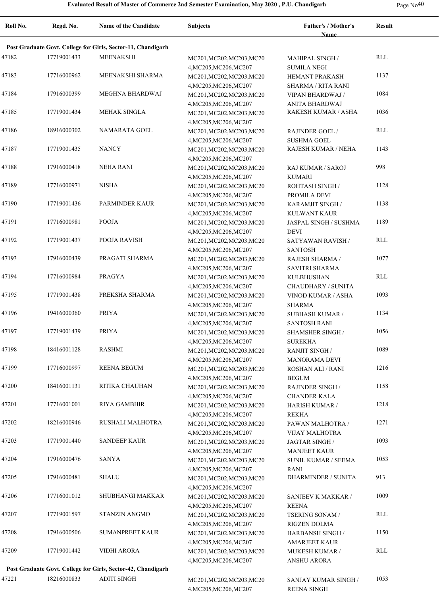|  | Page $No40$ |
|--|-------------|
|--|-------------|

| Roll No. | Regd. No.   | <b>Name of the Candidate</b>                                 | <b>Subjects</b>                                     | Father's / Mother's<br><b>Name</b>           | <b>Result</b> |
|----------|-------------|--------------------------------------------------------------|-----------------------------------------------------|----------------------------------------------|---------------|
|          |             | Post Graduate Govt. College for Girls, Sector-11, Chandigarh |                                                     |                                              |               |
| 47182    | 17719001433 | <b>MEENAKSHI</b>                                             |                                                     | <b>MAHIPAL SINGH /</b>                       | RLL           |
|          |             |                                                              | MC201, MC202, MC203, MC20<br>4, MC205, MC206, MC207 | <b>SUMILA NEGI</b>                           |               |
| 47183    | 17716000962 | MEENAKSHI SHARMA                                             | MC201, MC202, MC203, MC20                           | HEMANT PRAKASH                               | 1137          |
|          |             |                                                              | 4, MC205, MC206, MC207                              | <b>SHARMA / RITA RANI</b>                    |               |
| 47184    | 17916000399 | MEGHNA BHARDWAJ                                              |                                                     | VIPAN BHARDWAJ /                             | 1084          |
|          |             |                                                              | MC201, MC202, MC203, MC20<br>4, MC205, MC206, MC207 | ANITA BHARDWAJ                               |               |
| 47185    | 17719001434 | <b>MEHAK SINGLA</b>                                          | MC201, MC202, MC203, MC20                           | RAKESH KUMAR / ASHA                          | 1036          |
|          |             |                                                              |                                                     |                                              |               |
| 47186    | 18916000302 | NAMARATA GOEL                                                | 4, MC205, MC206, MC207                              |                                              | RLL           |
|          |             |                                                              | MC201, MC202, MC203, MC20<br>4, MC205, MC206, MC207 | <b>RAJINDER GOEL /</b><br><b>SUSHMA GOEL</b> |               |
| 47187    | 17719001435 | <b>NANCY</b>                                                 |                                                     | RAJESH KUMAR / NEHA                          | 1143          |
|          |             |                                                              | MC201, MC202, MC203, MC20<br>4, MC205, MC206, MC207 |                                              |               |
| 47188    | 17916000418 | <b>NEHA RANI</b>                                             |                                                     |                                              | 998           |
|          |             |                                                              | MC201, MC202, MC203, MC20                           | RAJ KUMAR / SAROJ                            |               |
| 47189    | 17716000971 | NISHA                                                        | 4, MC205, MC206, MC207                              | <b>KUMARI</b>                                | 1128          |
|          |             |                                                              | MC201, MC202, MC203, MC20                           | ROHTASH SINGH /                              |               |
| 47190    | 17719001436 | <b>PARMINDER KAUR</b>                                        | 4, MC205, MC206, MC207                              | PROMILA DEVI                                 | 1138          |
|          |             |                                                              | MC201, MC202, MC203, MC20                           | KARAMJIT SINGH /                             |               |
|          | 17716000981 |                                                              | 4, MC205, MC206, MC207                              | <b>KULWANT KAUR</b>                          |               |
| 47191    |             | POOJA                                                        | MC201, MC202, MC203, MC20                           | JASPAL SINGH / SUSHMA                        | 1189          |
|          |             |                                                              | 4, MC205, MC206, MC207                              | <b>DEVI</b>                                  |               |
| 47192    | 17719001437 | POOJA RAVISH                                                 | MC201, MC202, MC203, MC20                           | SATYAWAN RAVISH /                            | RLL           |
|          |             |                                                              | 4, MC205, MC206, MC207                              | <b>SANTOSH</b>                               |               |
| 47193    | 17916000439 | PRAGATI SHARMA                                               | MC201, MC202, MC203, MC20                           | RAJESH SHARMA /                              | 1077          |
|          |             |                                                              | 4, MC205, MC206, MC207                              | SAVITRI SHARMA                               |               |
| 47194    | 17716000984 | PRAGYA                                                       | MC201, MC202, MC203, MC20                           | <b>KULBHUSHAN</b>                            | RLL           |
|          |             |                                                              | 4, MC205, MC206, MC207                              | CHAUDHARY / SUNITA                           |               |
| 47195    | 17719001438 | PREKSHA SHARMA                                               | MC201, MC202, MC203, MC20                           | VINOD KUMAR / ASHA                           | 1093          |
|          |             |                                                              | 4, MC205, MC206, MC207                              | <b>SHARMA</b>                                |               |
| 47196    | 19416000360 | <b>PRIYA</b>                                                 | MC201, MC202, MC203, MC20                           | <b>SUBHASH KUMAR /</b>                       | 1134          |
|          |             |                                                              | 4, MC205, MC206, MC207                              | <b>SANTOSH RANI</b>                          |               |
| 47197    | 17719001439 | <b>PRIYA</b>                                                 | MC201, MC202, MC203, MC20                           | <b>SHAMSHER SINGH /</b>                      | 1056          |
|          |             |                                                              | 4, MC205, MC206, MC207                              | <b>SUREKHA</b>                               |               |
| 47198    | 18416001128 | <b>RASHMI</b>                                                | MC201, MC202, MC203, MC20                           | <b>RANJIT SINGH /</b>                        | 1089          |
|          |             |                                                              | 4, MC205, MC206, MC207                              | MANORAMA DEVI                                |               |
| 47199    | 17716000997 | <b>REENA BEGUM</b>                                           | MC201, MC202, MC203, MC20                           | <b>ROSHAN ALI / RANI</b>                     | 1216          |
|          |             |                                                              | 4, MC205, MC206, MC207                              | <b>BEGUM</b>                                 |               |
| 47200    | 18416001131 | RITIKA CHAUHAN                                               | MC201, MC202, MC203, MC20                           | <b>RAJINDER SINGH /</b>                      | 1158          |
|          |             |                                                              | 4, MC205, MC206, MC207                              | <b>CHANDER KALA</b>                          |               |
| 47201    | 17716001001 | RIYA GAMBHIR                                                 | MC201, MC202, MC203, MC20                           | HARISH KUMAR /                               | 1218          |
|          |             |                                                              | 4, MC205, MC206, MC207                              | <b>REKHA</b>                                 |               |
| 47202    | 18216000946 | RUSHALI MALHOTRA                                             | MC201, MC202, MC203, MC20                           | PAWAN MALHOTRA /                             | 1271          |
|          |             |                                                              | 4, MC205, MC206, MC207                              | VIJAY MALHOTRA                               |               |
| 47203    | 17719001440 | <b>SANDEEP KAUR</b>                                          | MC201, MC202, MC203, MC20                           | <b>JAGTAR SINGH/</b>                         | 1093          |
|          |             |                                                              | 4, MC205, MC206, MC207                              | <b>MANJEET KAUR</b>                          |               |
| 47204    | 17916000476 | SANYA                                                        | MC201, MC202, MC203, MC20                           | <b>SUNIL KUMAR / SEEMA</b>                   | 1053          |
|          |             |                                                              | 4, MC205, MC206, MC207                              | RANI                                         |               |
| 47205    | 17916000481 | <b>SHALU</b>                                                 | MC201, MC202, MC203, MC20                           | <b>DHARMINDER / SUNITA</b>                   | 913           |
|          |             |                                                              | 4, MC205, MC206, MC207                              |                                              |               |
| 47206    | 17716001012 | SHUBHANGI MAKKAR                                             | MC201, MC202, MC203, MC20                           | SANJEEV K MAKKAR /                           | 1009          |
|          |             |                                                              | 4, MC205, MC206, MC207                              | <b>REENA</b>                                 |               |
| 47207    | 17719001597 | STANZIN ANGMO                                                | MC201, MC202, MC203, MC20                           | <b>TSERING SONAM /</b>                       | RLL           |
|          |             |                                                              | 4, MC205, MC206, MC207                              | RIGZEN DOLMA                                 |               |
| 47208    | 17916000506 | SUMANPREET KAUR                                              | MC201, MC202, MC203, MC20                           | <b>HARBANSH SINGH /</b>                      | 1150          |
|          |             |                                                              | 4, MC205, MC206, MC207                              | <b>AMARJEET KAUR</b>                         |               |
| 47209    | 17719001442 | <b>VIDHI ARORA</b>                                           | MC201, MC202, MC203, MC20                           | MUKESH KUMAR /                               | RLL           |
|          |             |                                                              | 4, MC205, MC206, MC207                              | ANSHU ARORA                                  |               |
|          |             | Post Graduate Govt. College for Girls, Sector-42, Chandigarh |                                                     |                                              |               |
| 47221    | 18216000833 | <b>ADITI SINGH</b>                                           | MC201, MC202, MC203, MC20                           | SANJAY KUMAR SINGH /                         | 1053          |
|          |             |                                                              | 4, MC205, MC206, MC207                              | <b>REENA SINGH</b>                           |               |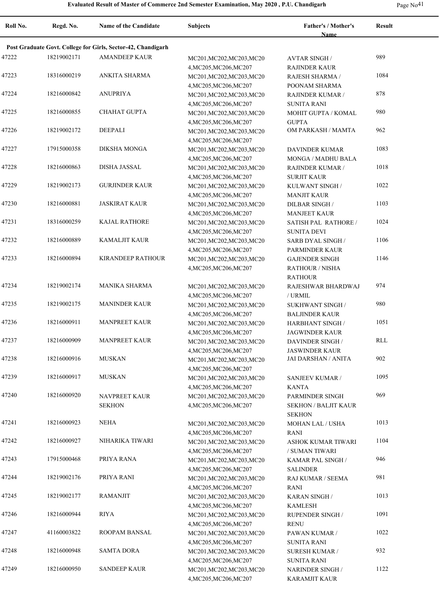**Roll No. Regd. No. Name of the Candidate Subjects Father's / Mother's Name Result Post Graduate Govt. College for Girls, Sector-42, Chandigarh** 47222 18219002171 AMANDEEP KAUR MC201, MC202, MC203, MC20 AVTAR SINGH / 989 4,MC205,MC206,MC207 AVTAR SINGH / RAJINDER KAUR 47223 18316000219 ANKITA SHARMA MC201,MC202,MC203,MC20 RAJESH SHARMA / 1084 4,MC205,MC206,MC207 RAJESH SHARMA / POONAM SHARMA 47224 18216000842 ANUPRIYA MC201, MC201, MC202, MC203, MC20 RAJINDER KUMAR / 878 4,MC205,MC206,MC207 RAJINDER KUMAR / SUNITA RANI 47225 18216000855 CHAHAT GUPTA MC201, MC202, MC203, MC20 MOHIT GUPTA / KOMAL 980 4,MC205,MC206,MC207 MOHIT GUPTA / KOMAL **GUPTA** 47226 18219002172 DEEPALI MC201,MC202,MC203,MC20 OM PARKASH / MAMTA 962 4,MC205,MC206,MC207 47227 17915000358 DIKSHA MONGA MC201,MC202,MC203,MC20 DAVINDER KUMAR 1083 4,MC205,MC206,MC207 DAVINDER KUMAR MONGA / MADHU BALA 47228 DISHA JASSAL MC201,MC202,MC203,MC20 18216000863 1018 4,MC205,MC206,MC207 RAJINDER KUMAR / SURJIT KAUR 47229 18219002173 GURJINDER KAUR MC201, MC202, MC203, MC20 KULWANT SINGH 1022 4,MC205,MC206,MC207 KULWANT SINGH / MANJIT KAUR 47230 JASKIRAT KAUR MC201,MC202,MC203,MC20 18216000881 1103 4,MC205,MC206,MC207 DILBAR SINGH / MANJEET KAUR 47231 18316000259 KAJAL RATHORE MC201, MC202, MC203, MC20 SATISH PAL RATHORE 1024 4,MC205,MC206,MC207 SATISH PAL RATHORE / SUNITA DEVI 47232 18216000889 KAMALJIT KAUR MC201,MC202,MC203,MC20 SARB DYAL SINGH 1106 4,MC205,MC206,MC207 SARB DYAL SINGH / PARMINDER KAUR 47233 18216000894 KIRANDEEP RATHOUR MC201, MC202, MC203, MC20 GAJENDER SINGH 1146 4,MC205,MC206,MC207 GAJENDER SINGH RATHOUR / NISHA **RATHOUR** 47234 18219002174 MANIKA SHARMA MC201, MC202, MC203, MC20 RAJESHWAR BHARDWAJ 974 4,MC205,MC206,MC207 RAJESHWAR BHARDWAJ / URMIL 47235 18219002175 MANINDER KAUR MC201, MC202, MC203, MC20 SUKHWANT SINGH 980 4,MC205,MC206,MC207 SUKHWANT SINGH / BALJINDER KAUR 47236 18216000911 MANPREET KAUR MC201, MC202, MC203, MC20 HARBHANT SINGH 1051 4,MC205,MC206,MC207 HARBHANT SINGH / JAGWINDER KAUR 47237 MANPREET KAUR MC201,MC202,MC203,MC20 18216000909 RLL 4,MC205,MC206,MC207 DAVINDER SINGH / JASWINDER KAUR 47238 MUSKAN MC201,MC202,MC203,MC20 18216000916 JAI DARSHAN / ANITA 902 4,MC205,MC206,MC207 47239 MUSKAN MC201,MC202,MC203,MC20 18216000917 1095 4,MC205,MC206,MC207 SANJEEV KUMAR / KANTA NAVPREET KAUR SEKHON 47240 18216000920 NAVPREET KAUR MC201, MC202, MC203, MC20 PARMINDER SINGH 969 4,MC205,MC206,MC207 PARMINDER SINGH SEKHON / BALJIT KAUR SEKHON 47241 18216000923 NEHA MC201,MC202,MC203,MC20 MOHAN LAL / USHA 1013 4,MC205,MC206,MC207 MOHAN LAL / USHA RANI 47242 18216000927 NIHARIKA TIWARI MC201,MC202,MC203,MC20 ASHOK KUMAR TIWARI 1104 4,MC205,MC206,MC207 ASHOK KUMAR TIWARI / SUMAN TIWARI 47243 17915000468 PRIYA RANA MC201, MC202, MC203, MC20 KAMAR PAL SINGH 946 4,MC205,MC206,MC207 KAMAR PAL SINGH / **SALINDER** 47244 18219002176 PRIYA RANI MC201, MC202, MC203, MC20 RAJ KUMAR / SEEMA 981 4,MC205,MC206,MC207 RAJ KUMAR / SEEMA RANI 47245 18219002177 RAMANJIT MC201,MC202,MC203,MC20 KARAN SINGH 1013 4,MC205,MC206,MC207 KARAN SINGH / KAMLESH 47246 18216000944 RIYA MC201,MC202,MC203,MC20 RUPENDER SINGH 1091 4,MC205,MC206,MC207 RUPENDER SINGH / **RENU** 47247 471160003822 ROOPAM BANSAL MC201, MC202, MC203, MC20 PAWAN KUMAR / 1022 4,MC205,MC206,MC207 PAWAN KUMAR / SUNITA RANI 47248 SAMTA DORA MC201,MC202,MC203,MC20 18216000948 932 4,MC205,MC206,MC207 SURESH KUMAR / SUNITA RANI 47249 18216000950 SANDEEP KAUR MC201, MC202, MC203, MC20 MARINDER SINGH 1122 4,MC205,MC206,MC207 NARINDER SINGH / KARAMJIT KAUR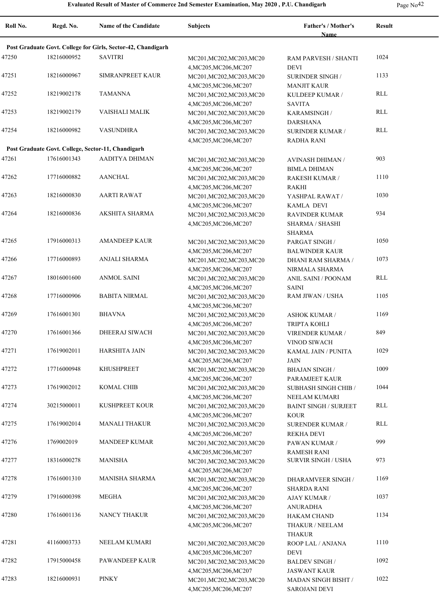| Roll No. | Regd. No.   | Name of the Candidate                                                | Subjects                                            | Father's / Mother's<br><b>Name</b>             | <b>Result</b> |
|----------|-------------|----------------------------------------------------------------------|-----------------------------------------------------|------------------------------------------------|---------------|
|          |             |                                                                      |                                                     |                                                |               |
|          |             | Post Graduate Govt. College for Girls, Sector-42, Chandigarh         |                                                     |                                                |               |
| 47250    | 18216000952 | <b>SAVITRI</b>                                                       | MC201, MC202, MC203, MC20<br>4, MC205, MC206, MC207 | RAM PARVESH / SHANTI<br><b>DEVI</b>            | 1024          |
| 47251    | 18216000967 | SIMRANPREET KAUR                                                     | MC201, MC202, MC203, MC20<br>4, MC205, MC206, MC207 | SURINDER SINGH /<br><b>MANJIT KAUR</b>         | 1133          |
| 47252    | 18219002178 | <b>TAMANNA</b>                                                       | MC201, MC202, MC203, MC20<br>4, MC205, MC206, MC207 | KULDEEP KUMAR /<br><b>SAVITA</b>               | <b>RLL</b>    |
| 47253    | 18219002179 | VAISHALI MALIK                                                       | MC201, MC202, MC203, MC20                           | KARAMSINGH /                                   | RLL           |
| 47254    | 18216000982 | <b>VASUNDHRA</b>                                                     | 4, MC205, MC206, MC207<br>MC201, MC202, MC203, MC20 | <b>DARSHANA</b><br><b>SURINDER KUMAR /</b>     | RLL           |
|          |             |                                                                      | 4, MC205, MC206, MC207                              | <b>RADHA RANI</b>                              |               |
| 47261    | 17616001343 | Post Graduate Govt. College, Sector-11, Chandigarh<br>AADITYA DHIMAN |                                                     |                                                | 903           |
|          |             |                                                                      | MC201, MC202, MC203, MC20<br>4, MC205, MC206, MC207 | AVINASH DHIMAN /<br><b>BIMLA DHIMAN</b>        |               |
| 47262    | 17716000882 | <b>AANCHAL</b>                                                       | MC201, MC202, MC203, MC20                           | RAKESH KUMAR /                                 | 1110          |
| 47263    | 18216000830 | <b>AARTI RAWAT</b>                                                   | 4, MC205, MC206, MC207                              | RAKHI                                          | 1030          |
|          |             |                                                                      | MC201, MC202, MC203, MC20<br>4, MC205, MC206, MC207 | YASHPAL RAWAT /<br><b>KAMLA DEVI</b>           |               |
| 47264    | 18216000836 | <b>AKSHITA SHARMA</b>                                                | MC201, MC202, MC203, MC20                           | <b>RAVINDER KUMAR</b>                          | 934           |
|          |             |                                                                      | 4, MC205, MC206, MC207                              | SHARMA / SHASHI<br><b>SHARMA</b>               |               |
| 47265    | 17916000313 | <b>AMANDEEP KAUR</b>                                                 | MC201, MC202, MC203, MC20                           | PARGAT SINGH /                                 | 1050          |
|          |             |                                                                      | 4, MC205, MC206, MC207                              | <b>BALWINDER KAUR</b>                          |               |
| 47266    | 17716000893 | ANJALI SHARMA                                                        | MC201, MC202, MC203, MC20                           | DHANI RAM SHARMA /                             | 1073          |
|          |             |                                                                      | 4, MC205, MC206, MC207                              | NIRMALA SHARMA                                 |               |
| 47267    | 18016001600 | <b>ANMOL SAINI</b>                                                   | MC201, MC202, MC203, MC20                           | ANIL SAINI / POONAM                            | RLL           |
|          |             |                                                                      | 4, MC205, MC206, MC207                              | <b>SAINI</b>                                   |               |
| 47268    | 17716000906 | <b>BABITA NIRMAL</b>                                                 | MC201, MC202, MC203, MC20                           | RAM JIWAN / USHA                               | 1105          |
|          |             |                                                                      | 4, MC205, MC206, MC207                              |                                                |               |
| 47269    | 17616001301 | <b>BHAVNA</b>                                                        | MC201, MC202, MC203, MC20                           | <b>ASHOK KUMAR /</b>                           | 1169          |
|          |             |                                                                      | 4, MC205, MC206, MC207                              | TRIPTA KOHLI                                   |               |
| 47270    | 17616001366 | DHEERAJ SIWACH                                                       | MC201, MC202, MC203, MC20<br>4, MC205, MC206, MC207 | VIRENDER KUMAR /<br><b>VINOD SIWACH</b>        | 849           |
| 47271    | 17619002011 | <b>HARSHITA JAIN</b>                                                 | MC201, MC202, MC203, MC20                           | KAMAL JAIN / PUNITA                            | 1029          |
|          |             |                                                                      | 4, MC205, MC206, MC207                              | <b>JAIN</b>                                    |               |
| 47272    | 17716000948 | <b>KHUSHPREET</b>                                                    | MC201, MC202, MC203, MC20                           | <b>BHAJAN SINGH/</b>                           | 1009          |
|          |             |                                                                      | 4, MC205, MC206, MC207                              | PARAMJEET KAUR                                 |               |
| 47273    | 17619002012 | <b>KOMAL CHIB</b>                                                    | MC201, MC202, MC203, MC20                           | <b>SUBHASH SINGH CHIB /</b>                    | 1044          |
| 47274    | 30215000011 | <b>KUSHPREET KOUR</b>                                                | 4, MC205, MC206, MC207                              | NEELAM KUMARI                                  | RLL           |
|          |             |                                                                      | MC201, MC202, MC203, MC20<br>4, MC205, MC206, MC207 | <b>BAINT SINGH / SURJEET</b><br><b>KOUR</b>    |               |
| 47275    | 17619002014 | <b>MANALI THAKUR</b>                                                 | MC201, MC202, MC203, MC20                           | SURENDER KUMAR /                               | RLL           |
|          |             |                                                                      | 4, MC205, MC206, MC207                              | REKHA DEVI                                     |               |
| 47276    | 1769002019  | <b>MANDEEP KUMAR</b>                                                 | MC201, MC202, MC203, MC20                           | PAWAN KUMAR /                                  | 999           |
|          |             |                                                                      | 4, MC205, MC206, MC207                              | <b>RAMESH RANI</b>                             |               |
| 47277    | 18316000278 | MANISHA                                                              | MC201, MC202, MC203, MC20                           | <b>SURVIR SINGH / USHA</b>                     | 973           |
|          |             |                                                                      | 4, MC205, MC206, MC207                              |                                                |               |
| 47278    | 17616001310 | MANISHA SHARMA                                                       | MC201, MC202, MC203, MC20<br>4, MC205, MC206, MC207 | <b>DHARAMVEER SINGH/</b><br><b>SHARDA RANI</b> | 1169          |
| 47279    | 17916000398 | <b>MEGHA</b>                                                         | MC201, MC202, MC203, MC20<br>4, MC205, MC206, MC207 | <b>AJAY KUMAR /</b><br><b>ANURADHA</b>         | 1037          |
| 47280    | 17616001136 | NANCY THAKUR                                                         | MC201, MC202, MC203, MC20                           | <b>HAKAM CHAND</b>                             | 1134          |
|          |             |                                                                      | 4, MC205, MC206, MC207                              | THAKUR / NEELAM<br><b>THAKUR</b>               |               |
| 47281    | 41160003733 | NEELAM KUMARI                                                        | MC201, MC202, MC203, MC20                           | ROOP LAL / ANJANA                              | 1110          |
|          |             |                                                                      | 4, MC205, MC206, MC207                              | <b>DEVI</b>                                    |               |
| 47282    | 17915000458 | PAWANDEEP KAUR                                                       | MC201, MC202, MC203, MC20                           | BALDEV SINGH /                                 | 1092          |
|          |             |                                                                      | 4, MC205, MC206, MC207                              | <b>JASWANT KAUR</b>                            |               |
| 47283    | 18216000931 | PINKY                                                                | MC201, MC202, MC203, MC20                           | <b>MADAN SINGH BISHT /</b>                     | 1022          |
|          |             |                                                                      | 4, MC205, MC206, MC207                              | <b>SAROJANI DEVI</b>                           |               |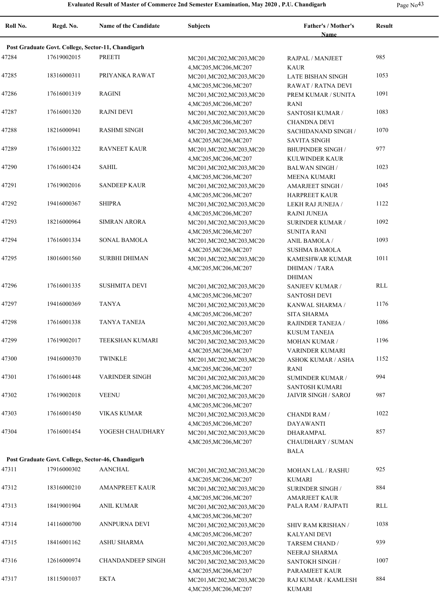| Roll No. | Regd. No.   | Name of the Candidate                              | <b>Subjects</b>                                     | Father's / Mother's<br>Name                   | <b>Result</b> |  |
|----------|-------------|----------------------------------------------------|-----------------------------------------------------|-----------------------------------------------|---------------|--|
|          |             | Post Graduate Govt. College, Sector-11, Chandigarh |                                                     |                                               |               |  |
| 47284    | 17619002015 | <b>PREETI</b>                                      | MC201, MC202, MC203, MC20                           | RAJPAL / MANJEET                              | 985           |  |
|          |             |                                                    | 4, MC205, MC206, MC207                              | <b>KAUR</b>                                   |               |  |
| 47285    | 18316000311 | PRIYANKA RAWAT                                     | MC201, MC202, MC203, MC20                           | <b>LATE BISHAN SINGH</b>                      | 1053          |  |
|          |             |                                                    | 4, MC205, MC206, MC207                              | RAWAT / RATNA DEVI                            |               |  |
| 47286    | 17616001319 | <b>RAGINI</b>                                      | MC201, MC202, MC203, MC20                           | PREM KUMAR / SUNITA                           | 1091          |  |
| 47287    | 17616001320 | <b>RAJNI DEVI</b>                                  | 4, MC205, MC206, MC207                              | <b>RANI</b>                                   | 1083          |  |
|          |             |                                                    | MC201, MC202, MC203, MC20<br>4, MC205, MC206, MC207 | SANTOSH KUMAR /<br><b>CHANDNA DEVI</b>        |               |  |
| 47288    | 18216000941 | <b>RASHMI SINGH</b>                                | MC201, MC202, MC203, MC20                           | SACHIDANAND SINGH /                           | 1070          |  |
|          |             |                                                    | 4, MC205, MC206, MC207                              | <b>SAVITA SINGH</b>                           |               |  |
| 47289    | 17616001322 | <b>RAVNEET KAUR</b>                                | MC201, MC202, MC203, MC20                           | <b>BHUPINDER SINGH /</b>                      | 977           |  |
|          |             |                                                    | 4, MC205, MC206, MC207                              | KULWINDER KAUR                                |               |  |
| 47290    | 17616001424 | <b>SAHIL</b>                                       | MC201, MC202, MC203, MC20                           | <b>BALWAN SINGH/</b>                          | 1023          |  |
|          |             |                                                    | 4, MC205, MC206, MC207                              | MEENA KUMARI                                  |               |  |
| 47291    | 17619002016 | <b>SANDEEP KAUR</b>                                | MC201, MC202, MC203, MC20                           | <b>AMARJEET SINGH /</b>                       | 1045          |  |
| 47292    | 19416000367 | <b>SHIPRA</b>                                      | 4, MC205, MC206, MC207                              | <b>HARPREET KAUR</b>                          | 1122          |  |
|          |             |                                                    | MC201, MC202, MC203, MC20<br>4, MC205, MC206, MC207 | LEKH RAJ JUNEJA /<br><b>RAJNI JUNEJA</b>      |               |  |
| 47293    | 18216000964 | <b>SIMRAN ARORA</b>                                | MC201, MC202, MC203, MC20                           | <b>SURINDER KUMAR /</b>                       | 1092          |  |
|          |             |                                                    | 4, MC205, MC206, MC207                              | <b>SUNITA RANI</b>                            |               |  |
| 47294    | 17616001334 | SONAL BAMOLA                                       | MC201, MC202, MC203, MC20                           | ANIL BAMOLA /                                 | 1093          |  |
|          |             |                                                    | 4, MC205, MC206, MC207                              | <b>SUSHMA BAMOLA</b>                          |               |  |
| 47295    | 18016001560 | <b>SURBHI DHIMAN</b>                               | MC201, MC202, MC203, MC20                           | <b>KAMESHWAR KUMAR</b>                        | 1011          |  |
|          |             |                                                    | 4, MC205, MC206, MC207                              | <b>DHIMAN / TARA</b>                          |               |  |
|          |             |                                                    |                                                     | <b>DHIMAN</b>                                 |               |  |
| 47296    | 17616001335 | <b>SUSHMITA DEVI</b>                               | MC201, MC202, MC203, MC20                           | SANJEEV KUMAR /                               | RLL           |  |
| 47297    | 19416000369 | <b>TANYA</b>                                       | 4, MC205, MC206, MC207                              | <b>SANTOSH DEVI</b>                           | 1176          |  |
|          |             |                                                    | MC201, MC202, MC203, MC20<br>4, MC205, MC206, MC207 | KANWAL SHARMA /<br><b>SITA SHARMA</b>         |               |  |
| 47298    | 17616001338 | TANYA TANEJA                                       | MC201, MC202, MC203, MC20                           | RAJINDER TANEJA /                             | 1086          |  |
|          |             |                                                    | 4, MC205, MC206, MC207                              | <b>KUSUM TANEJA</b>                           |               |  |
| 47299    | 17619002017 | TEEKSHAN KUMARI                                    | MC201, MC202, MC203, MC20                           | <b>MOHAN KUMAR /</b>                          | 1196          |  |
|          |             |                                                    | 4, MC205, MC206, MC207                              | VARINDER KUMARI                               |               |  |
| 47300    | 19416000370 | <b>TWINKLE</b>                                     | MC201, MC202, MC203, MC20                           | <b>ASHOK KUMAR / ASHA</b>                     | 1152          |  |
|          |             |                                                    | 4, MC205, MC206, MC207                              | RANI                                          |               |  |
| 47301    | 17616001448 | <b>VARINDER SINGH</b>                              | MC201, MC202, MC203, MC20                           | <b>SUMINDER KUMAR /</b>                       | 994           |  |
| 47302    | 17619002018 | <b>VEENU</b>                                       | 4, MC205, MC206, MC207                              | <b>SANTOSH KUMARI</b><br>JAIVIR SINGH / SAROJ | 987           |  |
|          |             |                                                    | MC201, MC202, MC203, MC20<br>4, MC205, MC206, MC207 |                                               |               |  |
| 47303    | 17616001450 | <b>VIKAS KUMAR</b>                                 | MC201,MC202,MC203,MC20                              | <b>CHANDI RAM /</b>                           | 1022          |  |
|          |             |                                                    | 4, MC205, MC206, MC207                              | DAYAWANTI                                     |               |  |
| 47304    | 17616001454 | YOGESH CHAUDHARY                                   | MC201, MC202, MC203, MC20                           | DHARAMPAL                                     | 857           |  |
|          |             |                                                    | 4, MC205, MC206, MC207                              | CHAUDHARY / SUMAN                             |               |  |
|          |             |                                                    |                                                     | <b>BALA</b>                                   |               |  |
|          |             | Post Graduate Govt. College, Sector-46, Chandigarh |                                                     |                                               |               |  |
| 47311    | 17916000302 | AANCHAL                                            | MC201, MC202, MC203, MC20                           | <b>MOHAN LAL / RASHU</b>                      | 925           |  |
|          |             |                                                    | 4, MC205, MC206, MC207                              | <b>KUMARI</b>                                 |               |  |
| 47312    | 18316000210 | <b>AMANPREET KAUR</b>                              | MC201, MC202, MC203, MC20                           | <b>SURINDER SINGH/</b>                        | 884           |  |
| 47313    | 18419001904 | ANIL KUMAR                                         | 4, MC205, MC206, MC207<br>MC201, MC202, MC203, MC20 | <b>AMARJEET KAUR</b><br>PALA RAM / RAJPATI    | RLL           |  |
|          |             |                                                    | 4, MC205, MC206, MC207                              |                                               |               |  |
| 47314    | 14116000700 | ANNPURNA DEVI                                      | MC201, MC202, MC203, MC20                           | SHIV RAM KRISHAN /                            | 1038          |  |
|          |             |                                                    | 4, MC205, MC206, MC207                              | <b>KALYANI DEVI</b>                           |               |  |
| 47315    | 18416001162 | ASHU SHARMA                                        | MC201, MC202, MC203, MC20                           | TARSEM CHAND /                                | 939           |  |
|          |             |                                                    | 4, MC205, MC206, MC207                              | NEERAJ SHARMA                                 |               |  |
| 47316    | 12616000974 | <b>CHANDANDEEP SINGH</b>                           | MC201, MC202, MC203, MC20                           | SANTOKH SINGH /                               | 1007          |  |
|          |             |                                                    | 4, MC205, MC206, MC207                              | PARAMJEET KAUR                                |               |  |
| 47317    | 18115001037 | EKTA                                               | MC201, MC202, MC203, MC20                           | RAJ KUMAR / KAMLESH                           | 884           |  |
|          |             |                                                    | 4, MC205, MC206, MC207                              | <b>KUMARI</b>                                 |               |  |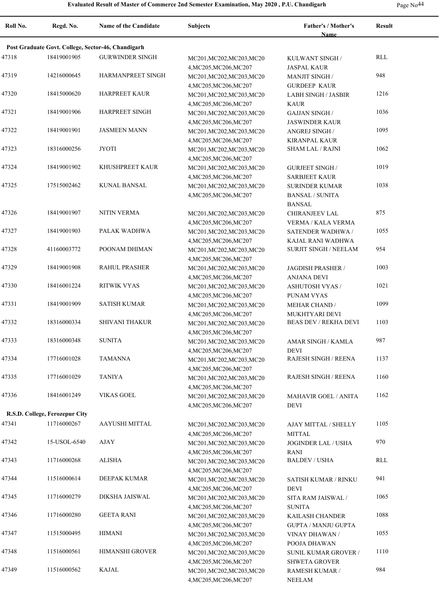| Roll No. | Regd. No.                      | Name of the Candidate                              | <b>Subjects</b>                                     | Father's / Mother's                       | Result |  |
|----------|--------------------------------|----------------------------------------------------|-----------------------------------------------------|-------------------------------------------|--------|--|
|          |                                |                                                    |                                                     | <b>Name</b>                               |        |  |
|          |                                | Post Graduate Govt. College, Sector-46, Chandigarh |                                                     |                                           |        |  |
| 47318    | 18419001905                    | <b>GURWINDER SINGH</b>                             | MC201, MC202, MC203, MC20                           | KULWANT SINGH /                           | RLL    |  |
|          |                                |                                                    | 4, MC205, MC206, MC207                              | <b>JASPAL KAUR</b>                        |        |  |
| 47319    | 14216000645                    | HARMANPREET SINGH                                  | MC201, MC202, MC203, MC20                           | <b>MANJIT SINGH /</b>                     | 948    |  |
| 47320    | 18415000620                    | <b>HARPREET KAUR</b>                               | 4, MC205, MC206, MC207                              | <b>GURDEEP KAUR</b>                       | 1216   |  |
|          |                                |                                                    | MC201, MC202, MC203, MC20                           | <b>LABH SINGH / JASBIR</b><br><b>KAUR</b> |        |  |
| 47321    | 18419001906                    | <b>HARPREET SINGH</b>                              | 4, MC205, MC206, MC207<br>MC201, MC202, MC203, MC20 | <b>GAJJAN SINGH /</b>                     | 1036   |  |
|          |                                |                                                    | 4, MC205, MC206, MC207                              | <b>JASWINDER KAUR</b>                     |        |  |
| 47322    | 18419001901                    | <b>JASMEEN MANN</b>                                | MC201, MC202, MC203, MC20                           | ANGREJ SINGH /                            | 1095   |  |
|          |                                |                                                    | 4, MC205, MC206, MC207                              | <b>KIRANPAL KAUR</b>                      |        |  |
| 47323    | 18316000256                    | <b>JYOTI</b>                                       | MC201, MC202, MC203, MC20                           | <b>SHAM LAL / RAJNI</b>                   | 1062   |  |
|          |                                |                                                    | 4, MC205, MC206, MC207                              |                                           |        |  |
| 47324    | 18419001902                    | KHUSHPREET KAUR                                    | MC201, MC202, MC203, MC20                           | <b>GURJEET SINGH/</b>                     | 1019   |  |
|          |                                |                                                    | 4, MC205, MC206, MC207                              | <b>SARBJEET KAUR</b>                      |        |  |
| 47325    | 17515002462                    | <b>KUNAL BANSAL</b>                                | MC201, MC202, MC203, MC20                           | <b>SURINDER KUMAR</b>                     | 1038   |  |
|          |                                |                                                    | 4, MC205, MC206, MC207                              | <b>BANSAL / SUNITA</b>                    |        |  |
|          |                                |                                                    |                                                     | <b>BANSAL</b>                             |        |  |
| 47326    | 18419001907                    | NITIN VERMA                                        | MC201, MC202, MC203, MC20                           | <b>CHIRANJEEV LAL</b>                     | 875    |  |
|          |                                |                                                    | 4, MC205, MC206, MC207                              | <b>VERMA / KALA VERMA</b>                 |        |  |
| 47327    | 18419001903                    | PALAK WADHWA                                       | MC201, MC202, MC203, MC20                           | SATENDER WADHWA /                         | 1055   |  |
|          |                                |                                                    | 4, MC205, MC206, MC207                              | KAJAL RANI WADHWA                         |        |  |
| 47328    | 41160003772                    | POONAM DHIMAN                                      | MC201, MC202, MC203, MC20                           | SURJIT SINGH / NEELAM                     | 954    |  |
|          |                                |                                                    | 4, MC205, MC206, MC207                              |                                           |        |  |
| 47329    | 18419001908                    | <b>RAHUL PRASHER</b>                               | MC201, MC202, MC203, MC20                           | <b>JAGDISH PRASHER /</b>                  | 1003   |  |
|          |                                | <b>RITWIK VYAS</b>                                 | 4, MC205, MC206, MC207                              | <b>ANJANA DEVI</b>                        | 1021   |  |
| 47330    | 18416001224                    |                                                    | MC201, MC202, MC203, MC20                           | <b>ASHUTOSH VYAS /</b>                    |        |  |
| 47331    | 18419001909                    | <b>SATISH KUMAR</b>                                | 4, MC205, MC206, MC207                              | PUNAM VYAS                                | 1099   |  |
|          |                                |                                                    | MC201, MC202, MC203, MC20<br>4, MC205, MC206, MC207 | <b>MEHAR CHAND /</b><br>MUKHTYARI DEVI    |        |  |
| 47332    | 18316000334                    | <b>SHIVANI THAKUR</b>                              | MC201, MC202, MC203, MC20                           | BEAS DEV / REKHA DEVI                     | 1103   |  |
|          |                                |                                                    | 4, MC205, MC206, MC207                              |                                           |        |  |
| 47333    | 18316000348                    | <b>SUNITA</b>                                      | MC201, MC202, MC203, MC20                           | AMAR SINGH / KAMLA                        | 987    |  |
|          |                                |                                                    | 4, MC205, MC206, MC207                              | <b>DEVI</b>                               |        |  |
| 47334    | 17716001028                    | <b>TAMANNA</b>                                     | MC201, MC202, MC203, MC20                           | RAJESH SINGH / REENA                      | 1137   |  |
|          |                                |                                                    | 4, MC205, MC206, MC207                              |                                           |        |  |
| 47335    | 17716001029                    | <b>TANIYA</b>                                      | MC201, MC202, MC203, MC20                           | <b>RAJESH SINGH / REENA</b>               | 1160   |  |
|          |                                |                                                    | 4, MC205, MC206, MC207                              |                                           |        |  |
| 47336    | 18416001249                    | <b>VIKAS GOEL</b>                                  | MC201, MC202, MC203, MC20                           | <b>MAHAVIR GOEL / ANITA</b>               | 1162   |  |
|          |                                |                                                    | 4, MC205, MC206, MC207                              | <b>DEVI</b>                               |        |  |
|          | R.S.D. College, Ferozepur City |                                                    |                                                     |                                           |        |  |
| 47341    | 11716000267                    | AAYUSHI MITTAL                                     | MC201, MC202, MC203, MC20                           | AJAY MITTAL / SHELLY                      | 1105   |  |
|          |                                |                                                    | 4, MC205, MC206, MC207                              | <b>MITTAL</b>                             |        |  |
| 47342    | 15-USOL-6540                   | AJAY                                               | MC201, MC202, MC203, MC20                           | JOGINDER LAL / USHA                       | 970    |  |
|          |                                |                                                    | 4, MC205, MC206, MC207                              | RANI                                      |        |  |
| 47343    | 11716000268                    | <b>ALISHA</b>                                      | MC201, MC202, MC203, MC20                           | <b>BALDEV / USHA</b>                      | RLL    |  |
|          |                                | DEEPAK KUMAR                                       | 4, MC205, MC206, MC207                              |                                           | 941    |  |
| 47344    | 11516000614                    |                                                    | MC201, MC202, MC203, MC20                           | <b>SATISH KUMAR / RINKU</b>               |        |  |
| 47345    | 11716000279                    | DIKSHA JAISWAL                                     | 4, MC205, MC206, MC207<br>MC201, MC202, MC203, MC20 | DEVI                                      | 1065   |  |
|          |                                |                                                    | 4, MC205, MC206, MC207                              | SITA RAM JAISWAL /<br><b>SUNITA</b>       |        |  |
| 47346    | 11716000280                    | <b>GEETA RANI</b>                                  | MC201, MC202, MC203, MC20                           | KAILASH CHANDER                           | 1088   |  |
|          |                                |                                                    | 4, MC205, MC206, MC207                              | <b>GUPTA / MANJU GUPTA</b>                |        |  |
| 47347    | 11515000495                    | <b>HIMANI</b>                                      | MC201, MC202, MC203, MC20                           | VINAY DHAWAN /                            | 1055   |  |
|          |                                |                                                    | 4, MC205, MC206, MC207                              | POOJA DHAWAN                              |        |  |
| 47348    | 11516000561                    | HIMANSHI GROVER                                    | MC201, MC202, MC203, MC20                           | SUNIL KUMAR GROVER /                      | 1110   |  |
|          |                                |                                                    | 4, MC205, MC206, MC207                              | <b>SHWETA GROVER</b>                      |        |  |
| 47349    | 11516000562                    | KAJAL                                              | MC201, MC202, MC203, MC20                           | RAMESH KUMAR /                            | 984    |  |
|          |                                |                                                    | 4, MC205, MC206, MC207                              | NEELAM                                    |        |  |
|          |                                |                                                    |                                                     |                                           |        |  |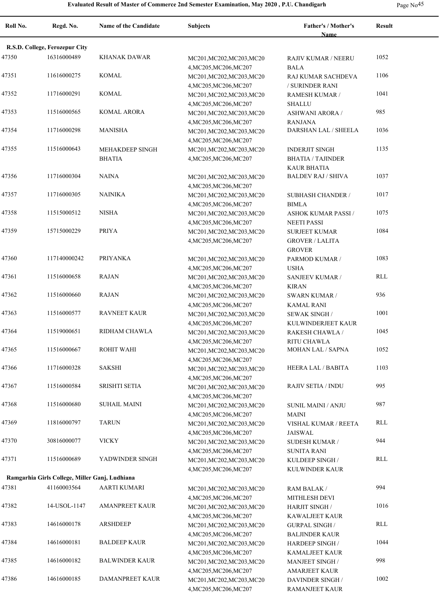| Roll No. | Regd. No.                                      | Name of the Candidate                   | <b>Subjects</b>                                                               | Father's / Mother's<br><b>Name</b>                               | <b>Result</b> |
|----------|------------------------------------------------|-----------------------------------------|-------------------------------------------------------------------------------|------------------------------------------------------------------|---------------|
|          | R.S.D. College, Ferozepur City                 |                                         |                                                                               |                                                                  |               |
| 47350    | 16316000489                                    | KHANAK DAWAR                            | MC201, MC202, MC203, MC20                                                     | RAJIV KUMAR / NEERU                                              | 1052          |
| 47351    | 11616000275                                    | KOMAL                                   | 4, MC205, MC206, MC207<br>MC201, MC202, MC203, MC20                           | <b>BALA</b><br>RAJ KUMAR SACHDEVA                                | 1106          |
| 47352    | 11716000291                                    | <b>KOMAL</b>                            | 4, MC205, MC206, MC207<br>MC201, MC202, MC203, MC20                           | / SURINDER RANI<br>RAMESH KUMAR /                                | 1041          |
| 47353    | 11516000565                                    | <b>KOMAL ARORA</b>                      | 4, MC205, MC206, MC207<br>MC201, MC202, MC203, MC20                           | <b>SHALLU</b><br><b>ASHWANI ARORA /</b>                          | 985           |
| 47354    | 11716000298                                    | <b>MANISHA</b>                          | 4, MC205, MC206, MC207<br>MC201, MC202, MC203, MC20                           | <b>RANJANA</b><br>DARSHAN LAL / SHEELA                           | 1036          |
| 47355    | 11516000643                                    | <b>MEHAKDEEP SINGH</b><br><b>BHATIA</b> | 4, MC205, MC206, MC207<br>MC201, MC202, MC203, MC20<br>4, MC205, MC206, MC207 | <b>INDERJIT SINGH</b><br><b>BHATIA / TAJINDER</b>                | 1135          |
| 47356    | 11716000304                                    | <b>NAINA</b>                            | MC201, MC202, MC203, MC20<br>4, MC205, MC206, MC207                           | <b>KAUR BHATIA</b><br><b>BALDEV RAJ / SHIVA</b>                  | 1037          |
| 47357    | 11716000305                                    | <b>NAINIKA</b>                          | MC201, MC202, MC203, MC20<br>4, MC205, MC206, MC207                           | <b>SUBHASH CHANDER /</b><br><b>BIMLA</b>                         | 1017          |
| 47358    | 11515000512                                    | NISHA                                   | MC201, MC202, MC203, MC20<br>4, MC205, MC206, MC207                           | <b>ASHOK KUMAR PASSI /</b><br><b>NEETI PASSI</b>                 | 1075          |
| 47359    | 15715000229                                    | PRIYA                                   | MC201, MC202, MC203, MC20<br>4, MC205, MC206, MC207                           | <b>SURJEET KUMAR</b><br><b>GROVER / LALITA</b><br><b>GROVER</b>  | 1084          |
| 47360    | 117140000242                                   | <b>PRIYANKA</b>                         | MC201, MC202, MC203, MC20<br>4, MC205, MC206, MC207                           | PARMOD KUMAR /<br><b>USHA</b>                                    | 1083          |
| 47361    | 11516000658                                    | <b>RAJAN</b>                            | MC201, MC202, MC203, MC20                                                     | SANJEEV KUMAR /<br><b>KIRAN</b>                                  | RLL           |
| 47362    | 11516000660                                    | <b>RAJAN</b>                            | 4, MC205, MC206, MC207<br>MC201, MC202, MC203, MC20<br>4, MC205, MC206, MC207 | <b>SWARN KUMAR /</b><br><b>KAMAL RANI</b>                        | 936           |
| 47363    | 11516000577                                    | <b>RAVNEET KAUR</b>                     | MC201, MC202, MC203, MC20<br>4, MC205, MC206, MC207                           | <b>SEWAK SINGH/</b><br>KULWINDERJEET KAUR                        | 1001          |
| 47364    | 11519000651                                    | RIDHAM CHAWLA                           | MC201, MC202, MC203, MC20<br>4, MC205, MC206, MC207                           | RAKESH CHAWLA /<br>RITU CHAWLA                                   | 1045          |
| 47365    | 11516000667                                    | ROHIT WAHI                              | MC201, MC202, MC203, MC20<br>4, MC205, MC206, MC207                           | <b>MOHAN LAL / SAPNA</b>                                         | 1052          |
| 47366    | 11716000328                                    | <b>SAKSHI</b>                           | MC201, MC202, MC203, MC20<br>4, MC205, MC206, MC207                           | HEERA LAL / BABITA                                               | 1103          |
| 47367    | 11516000584                                    | <b>SRISHTI SETIA</b>                    | MC201, MC202, MC203, MC20<br>4, MC205, MC206, MC207                           | <b>RAJIV SETIA / INDU</b>                                        | 995           |
| 47368    | 11516000680                                    | SUHAIL MAINI                            | MC201, MC202, MC203, MC20<br>4, MC205, MC206, MC207                           | SUNIL MAINI / ANJU<br><b>MAINI</b>                               | 987           |
| 47369    | 11816000797                                    | <b>TARUN</b>                            | MC201, MC202, MC203, MC20<br>4, MC205, MC206, MC207                           | VISHAL KUMAR / REETA<br><b>JAISWAL</b>                           | <b>RLL</b>    |
| 47370    | 30816000077                                    | <b>VICKY</b>                            | MC201, MC202, MC203, MC20<br>4, MC205, MC206, MC207                           | <b>SUDESH KUMAR /</b><br>SUNITA RANI                             | 944           |
| 47371    | 11516000689                                    | YADWINDER SINGH                         | MC201, MC202, MC203, MC20<br>4, MC205, MC206, MC207                           | KULDEEP SINGH /<br><b>KULWINDER KAUR</b>                         | RLL           |
|          | Ramgarhia Girls College, Miller Ganj, Ludhiana |                                         |                                                                               |                                                                  |               |
| 47381    | 41160003564                                    | <b>AARTI KUMARI</b>                     | MC201, MC202, MC203, MC20                                                     | RAM BALAK /                                                      | 994           |
| 47382    | 14-USOL-1147                                   | <b>AMANPREET KAUR</b>                   | 4, MC205, MC206, MC207<br>MC201, MC202, MC203, MC20                           | MITHLESH DEVI<br><b>HARJIT SINGH/</b>                            | 1016          |
| 47383    | 14616000178                                    | ARSHDEEP                                | 4, MC205, MC206, MC207<br>MC201, MC202, MC203, MC20                           | KAWALJEET KAUR<br><b>GURPAL SINGH /</b>                          | RLL           |
| 47384    | 14616000181                                    | <b>BALDEEP KAUR</b>                     | 4, MC205, MC206, MC207<br>MC201, MC202, MC203, MC20                           | <b>BALJINDER KAUR</b><br><b>HARDEEP SINGH/</b>                   | 1044          |
| 47385    | 14616000182                                    | <b>BALWINDER KAUR</b>                   | 4, MC205, MC206, MC207<br>MC201, MC202, MC203, MC20                           | KAMALJEET KAUR<br><b>MANJEET SINGH/</b>                          | 998           |
| 47386    | 14616000185                                    | DAMANPREET KAUR                         | 4, MC205, MC206, MC207<br>MC201, MC202, MC203, MC20<br>4, MC205, MC206, MC207 | <b>AMARJEET KAUR</b><br><b>DAVINDER SINGH/</b><br>RAMANJEET KAUR | 1002          |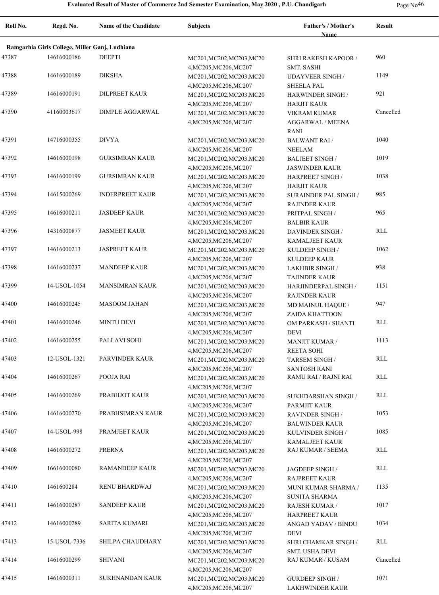| Roll No. | Regd. No.                                      | Name of the Candidate  | <b>Subjects</b>                                     | Father's / Mother's<br><b>Name</b>              | <b>Result</b> |
|----------|------------------------------------------------|------------------------|-----------------------------------------------------|-------------------------------------------------|---------------|
|          | Ramgarhia Girls College, Miller Ganj, Ludhiana |                        |                                                     |                                                 |               |
| 47387    | 14616000186                                    | <b>DEEPTI</b>          |                                                     |                                                 | 960           |
|          |                                                |                        | MC201, MC202, MC203, MC20<br>4, MC205, MC206, MC207 | SHRI RAKESH KAPOOR /<br><b>SMT. SASHI</b>       |               |
| 47388    | 14616000189                                    | <b>DIKSHA</b>          | MC201, MC202, MC203, MC20<br>4, MC205, MC206, MC207 | <b>UDAYVEER SINGH/</b><br><b>SHEELA PAL</b>     | 1149          |
| 47389    | 14616000191                                    | <b>DILPREET KAUR</b>   | MC201, MC202, MC203, MC20<br>4, MC205, MC206, MC207 | HARWINDER SINGH /<br><b>HARJIT KAUR</b>         | 921           |
| 47390    | 41160003617                                    | <b>DIMPLE AGGARWAL</b> | MC201, MC202, MC203, MC20                           | VIKRAM KUMAR                                    | Cancelled     |
|          |                                                |                        | 4, MC205, MC206, MC207                              | AGGARWAL / MEENA<br><b>RANI</b>                 |               |
| 47391    | 14716000355                                    | <b>DIVYA</b>           | MC201, MC202, MC203, MC20                           | <b>BALWANT RAI/</b>                             | 1040          |
| 47392    | 14616000198                                    | <b>GURSIMRAN KAUR</b>  | 4, MC205, MC206, MC207<br>MC201, MC202, MC203, MC20 | <b>NEELAM</b><br><b>BALJEET SINGH /</b>         | 1019          |
| 47393    | 14616000199                                    | <b>GURSIMRAN KAUR</b>  | 4, MC205, MC206, MC207<br>MC201, MC202, MC203, MC20 | <b>JASWINDER KAUR</b><br><b>HARPREET SINGH/</b> | 1038          |
|          |                                                |                        | 4, MC205, MC206, MC207                              | <b>HARJIT KAUR</b>                              |               |
| 47394    | 14615000269                                    | <b>INDERPREET KAUR</b> | MC201, MC202, MC203, MC20                           | <b>SURAINDER PAL SINGH/</b>                     | 985           |
|          |                                                |                        | 4, MC205, MC206, MC207                              | <b>RAJINDER KAUR</b>                            |               |
| 47395    | 14616000211                                    | <b>JASDEEP KAUR</b>    | MC201, MC202, MC203, MC20                           | PRITPAL SINGH /                                 | 965           |
| 47396    | 14316000877                                    | <b>JASMEET KAUR</b>    | 4, MC205, MC206, MC207<br>MC201, MC202, MC203, MC20 | <b>BALBIR KAUR</b><br><b>DAVINDER SINGH/</b>    | RLL           |
|          |                                                |                        | 4, MC205, MC206, MC207                              | <b>KAMALJEET KAUR</b>                           |               |
| 47397    | 14616000213                                    | <b>JASPREET KAUR</b>   | MC201, MC202, MC203, MC20                           | KULDEEP SINGH /                                 | 1062          |
|          |                                                |                        | 4, MC205, MC206, MC207                              | <b>KULDEEP KAUR</b>                             |               |
| 47398    | 14616000237                                    | <b>MANDEEP KAUR</b>    | MC201, MC202, MC203, MC20                           | <b>LAKHBIR SINGH /</b>                          | 938           |
| 47399    | 14-USOL-1054                                   | <b>MANSIMRAN KAUR</b>  | 4, MC205, MC206, MC207                              | <b>TAJINDER KAUR</b>                            | 1151          |
|          |                                                |                        | MC201, MC202, MC203, MC20<br>4, MC205, MC206, MC207 | HARJINDERPAL SINGH /<br><b>RAJINDER KAUR</b>    |               |
| 47400    | 14616000245                                    | <b>MASOOM JAHAN</b>    | MC201, MC202, MC203, MC20                           | MD MAINUL HAQUE /                               | 947           |
|          |                                                |                        | 4, MC205, MC206, MC207                              | ZAIDA KHATTOON                                  |               |
| 47401    | 14616000246                                    | <b>MINTU DEVI</b>      | MC201, MC202, MC203, MC20                           | OM PARKASH / SHANTI                             | RLL           |
|          |                                                |                        | 4, MC205, MC206, MC207                              | <b>DEVI</b>                                     |               |
| 47402    | 14616000255                                    | PALLAVI SOHI           | MC201, MC202, MC203, MC20                           | <b>MANJIT KUMAR /</b>                           | 1113          |
| 47403    | 12-USOL-1321                                   | PARVINDER KAUR         | 4, MC205, MC206, MC207<br>MC201, MC202, MC203, MC20 | <b>REETA SOHI</b><br>TARSEM SINGH /             | RLL           |
|          |                                                |                        | 4, MC205, MC206, MC207                              | <b>SANTOSH RANI</b>                             |               |
| 47404    | 14616000267                                    | POOJA RAI              | MC201, MC202, MC203, MC20                           | RAMU RAI / RAJNI RAI                            | RLL           |
|          |                                                |                        | 4, MC205, MC206, MC207                              |                                                 |               |
| 47405    | 14616000269                                    | PRABHJOT KAUR          | MC201, MC202, MC203, MC20                           | SUKHDARSHAN SINGH /                             | <b>RLL</b>    |
|          |                                                |                        | 4, MC205, MC206, MC207                              | PARMJIT KAUR                                    |               |
| 47406    | 14616000270                                    | PRABHSIMRAN KAUR       | MC201, MC202, MC203, MC20<br>4, MC205, MC206, MC207 | <b>RAVINDER SINGH/</b><br><b>BALWINDER KAUR</b> | 1053          |
| 47407    | 14-USOL-998                                    | PRAMJEET KAUR          | MC201, MC202, MC203, MC20                           | KULVINDER SINGH /                               | 1085          |
|          |                                                |                        | 4, MC205, MC206, MC207                              | <b>KAMALJEET KAUR</b>                           |               |
| 47408    | 14616000272                                    | <b>PRERNA</b>          | MC201, MC202, MC203, MC20<br>4, MC205, MC206, MC207 | RAJ KUMAR / SEEMA                               | RLL           |
| 47409    | 16616000080                                    | RAMANDEEP KAUR         | MC201, MC202, MC203, MC20                           | JAGDEEP SINGH /                                 | RLL           |
|          |                                                |                        | 4, MC205, MC206, MC207                              | <b>RAJPREET KAUR</b>                            |               |
| 47410    | 1461600284                                     | RENU BHARDWAJ          | MC201, MC202, MC203, MC20                           | MUNI KUMAR SHARMA /                             | 1135          |
|          |                                                |                        | 4, MC205, MC206, MC207                              | <b>SUNITA SHARMA</b>                            |               |
| 47411    | 14616000287                                    | <b>SANDEEP KAUR</b>    | MC201, MC202, MC203, MC20<br>4, MC205, MC206, MC207 | RAJESH KUMAR /<br><b>HARPREET KAUR</b>          | 1017          |
| 47412    | 14616000289                                    | SARITA KUMARI          | MC201, MC202, MC203, MC20                           | ANGAD YADAV / BINDU                             | 1034          |
|          |                                                |                        | 4, MC205, MC206, MC207                              | DEVI                                            |               |
| 47413    | 15-USOL-7336                                   | SHILPA CHAUDHARY       | MC201, MC202, MC203, MC20                           | SHRI CHAMKAR SINGH /                            | RLL           |
|          |                                                |                        | 4, MC205, MC206, MC207                              | SMT. USHA DEVI                                  |               |
| 47414    | 14616000299                                    | <b>SHIVANI</b>         | MC201, MC202, MC203, MC20                           | RAJ KUMAR / KUSAM                               | Cancelled     |
| 47415    | 14616000311                                    | <b>SUKHNANDAN KAUR</b> | 4, MC205, MC206, MC207                              |                                                 | 1071          |
|          |                                                |                        | MC201, MC202, MC203, MC20<br>4, MC205, MC206, MC207 | <b>GURDEEP SINGH/</b><br><b>LAKHWINDER KAUR</b> |               |
|          |                                                |                        |                                                     |                                                 |               |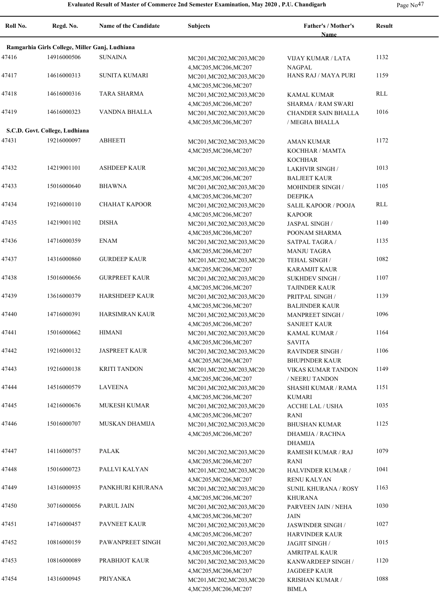| Roll No. | Regd. No.                                      | Name of the Candidate | <b>Subjects</b>                                     | Father's / Mother's<br>Name                  | Result |
|----------|------------------------------------------------|-----------------------|-----------------------------------------------------|----------------------------------------------|--------|
|          | Ramgarhia Girls College, Miller Ganj, Ludhiana |                       |                                                     |                                              |        |
| 47416    | 14916000506                                    | <b>SUNAINA</b>        | MC201, MC202, MC203, MC20                           | VIJAY KUMAR / LATA                           | 1132   |
|          |                                                |                       | 4, MC205, MC206, MC207                              | NAGPAL                                       |        |
| 47417    | 14616000313                                    | <b>SUNITA KUMARI</b>  | MC201, MC202, MC203, MC20                           | HANS RAJ / MAYA PURI                         | 1159   |
|          |                                                |                       | 4, MC205, MC206, MC207                              |                                              |        |
| 47418    | 14616000316                                    | <b>TARA SHARMA</b>    | MC201, MC202, MC203, MC20                           | KAMAL KUMAR                                  | RLL    |
|          |                                                |                       | 4, MC205, MC206, MC207                              | <b>SHARMA / RAM SWARI</b>                    |        |
| 47419    | 14616000323                                    | VANDNA BHALLA         | MC201, MC202, MC203, MC20                           | CHANDER SAIN BHALLA                          | 1016   |
|          | S.C.D. Govt. College, Ludhiana                 |                       | 4, MC205, MC206, MC207                              | / MEGHA BHALLA                               |        |
| 47431    | 19216000097                                    | <b>ABHEETI</b>        |                                                     |                                              | 1172   |
|          |                                                |                       | MC201, MC202, MC203, MC20<br>4, MC205, MC206, MC207 | AMAN KUMAR<br>KOCHHAR / MAMTA                |        |
|          |                                                |                       |                                                     | <b>KOCHHAR</b>                               |        |
| 47432    | 14219001101                                    | <b>ASHDEEP KAUR</b>   | MC201, MC202, MC203, MC20                           | <b>LAKHVIR SINGH /</b>                       | 1013   |
|          |                                                |                       | 4, MC205, MC206, MC207                              | <b>BALJEET KAUR</b>                          |        |
| 47433    | 15016000640                                    | <b>BHAWNA</b>         | MC201, MC202, MC203, MC20                           | <b>MOHINDER SINGH /</b>                      | 1105   |
|          |                                                |                       | 4, MC205, MC206, MC207                              | <b>DEEPIKA</b>                               |        |
| 47434    | 19216000110                                    | <b>CHAHAT KAPOOR</b>  | MC201, MC202, MC203, MC20                           | <b>SALIL KAPOOR / POOJA</b>                  | RLL    |
|          |                                                |                       | 4, MC205, MC206, MC207                              | <b>KAPOOR</b>                                |        |
| 47435    | 14219001102                                    | <b>DISHA</b>          | MC201, MC202, MC203, MC20                           | <b>JASPAL SINGH/</b>                         | 1140   |
|          |                                                |                       | 4, MC205, MC206, MC207                              | POONAM SHARMA                                |        |
| 47436    | 14716000359                                    | <b>ENAM</b>           | MC201, MC202, MC203, MC20                           | SATPAL TAGRA /                               | 1135   |
| 47437    | 14316000860                                    | <b>GURDEEP KAUR</b>   | 4, MC205, MC206, MC207                              | <b>MANJU TAGRA</b>                           | 1082   |
|          |                                                |                       | MC201, MC202, MC203, MC20<br>4, MC205, MC206, MC207 | TEHAL SINGH /<br><b>KARAMJIT KAUR</b>        |        |
| 47438    | 15016000656                                    | <b>GURPREET KAUR</b>  | MC201, MC202, MC203, MC20                           | <b>SUKHDEV SINGH/</b>                        | 1107   |
|          |                                                |                       | 4, MC205, MC206, MC207                              | <b>TAJINDER KAUR</b>                         |        |
| 47439    | 13616000379                                    | <b>HARSHDEEP KAUR</b> | MC201, MC202, MC203, MC20                           | PRITPAL SINGH /                              | 1139   |
|          |                                                |                       | 4, MC205, MC206, MC207                              | <b>BALJINDER KAUR</b>                        |        |
| 47440    | 14716000391                                    | HARSIMRAN KAUR        | MC201, MC202, MC203, MC20                           | <b>MANPREET SINGH/</b>                       | 1096   |
|          |                                                |                       | 4, MC205, MC206, MC207                              | <b>SANJEET KAUR</b>                          |        |
| 47441    | 15016000662                                    | HIMANI                | MC201, MC202, MC203, MC20                           | KAMAL KUMAR /                                | 1164   |
|          |                                                |                       | 4, MC205, MC206, MC207                              | <b>SAVITA</b>                                |        |
| 47442    | 19216000132                                    | <b>JASPREET KAUR</b>  | MC201, MC202, MC203, MC20                           | <b>RAVINDER SINGH/</b>                       | 1106   |
|          |                                                |                       | 4, MC205, MC206, MC207                              | <b>BHUPINDER KAUR</b>                        |        |
| 47443    | 19216000138                                    | <b>KRITI TANDON</b>   | MC201, MC202, MC203, MC20                           | VIKAS KUMAR TANDON                           | 1149   |
| 47444    | 14516000579                                    | <b>LAVEENA</b>        | 4, MC205, MC206, MC207<br>MC201, MC202, MC203, MC20 | / NEERU TANDON<br><b>SHASHI KUMAR / RAMA</b> | 1151   |
|          |                                                |                       | 4, MC205, MC206, MC207                              | <b>KUMARI</b>                                |        |
| 47445    | 14216000676                                    | <b>MUKESH KUMAR</b>   | MC201, MC202, MC203, MC20                           | <b>ACCHE LAL / USHA</b>                      | 1035   |
|          |                                                |                       | 4, MC205, MC206, MC207                              | <b>RANI</b>                                  |        |
| 47446    | 15016000707                                    | MUSKAN DHAMIJA        | MC201, MC202, MC203, MC20                           | <b>BHUSHAN KUMAR</b>                         | 1125   |
|          |                                                |                       | 4, MC205, MC206, MC207                              | DHAMIJA / RACHNA                             |        |
|          |                                                |                       |                                                     | <b>DHAMIJA</b>                               |        |
| 47447    | 14116000757                                    | PALAK                 | MC201, MC202, MC203, MC20                           | RAMESH KUMAR / RAJ                           | 1079   |
|          |                                                |                       | 4, MC205, MC206, MC207                              | RANI                                         |        |
| 47448    | 15016000723                                    | PALLVI KALYAN         | MC201, MC202, MC203, MC20                           | HALVINDER KUMAR /                            | 1041   |
| 47449    | 14316000935                                    | PANKHURI KHURANA      | 4, MC205, MC206, MC207                              | <b>RENU KALYAN</b>                           | 1163   |
|          |                                                |                       | MC201, MC202, MC203, MC20<br>4, MC205, MC206, MC207 | <b>SUNIL KHURANA / ROSY</b>                  |        |
| 47450    | 30716000056                                    | PARUL JAIN            | MC201, MC202, MC203, MC20                           | <b>KHURANA</b><br>PARVEEN JAIN / NEHA        | 1030   |
|          |                                                |                       | 4, MC205, MC206, MC207                              | JAIN                                         |        |
| 47451    | 14716000457                                    | PAVNEET KAUR          | MC201, MC202, MC203, MC20                           | JASWINDER SINGH /                            | 1027   |
|          |                                                |                       | 4, MC205, MC206, MC207                              | <b>HARVINDER KAUR</b>                        |        |
| 47452    | 10816000159                                    | PAWANPREET SINGH      | MC201, MC202, MC203, MC20                           | JAGJIT SINGH /                               | 1015   |
|          |                                                |                       | 4, MC205, MC206, MC207                              | <b>AMRITPAL KAUR</b>                         |        |
| 47453    | 10816000089                                    | PRABHJOT KAUR         | MC201, MC202, MC203, MC20                           | KANWARDEEP SINGH /                           | 1120   |
|          |                                                |                       | 4, MC205, MC206, MC207                              | <b>JAGDEEP KAUR</b>                          |        |
| 47454    | 14316000945                                    | PRIYANKA              | MC201, MC202, MC203, MC20                           | <b>KRISHAN KUMAR /</b>                       | 1088   |
|          |                                                |                       | 4, MC205, MC206, MC207                              | <b>BIMLA</b>                                 |        |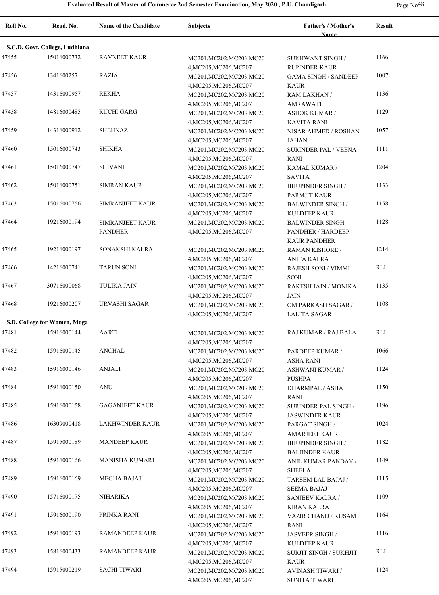| Roll No. | Regd. No.                      | <b>Name of the Candidate</b>      | <b>Subjects</b>                                                               | Father's / Mother's<br><b>Name</b>                                        | <b>Result</b> |
|----------|--------------------------------|-----------------------------------|-------------------------------------------------------------------------------|---------------------------------------------------------------------------|---------------|
|          | S.C.D. Govt. College, Ludhiana |                                   |                                                                               |                                                                           |               |
| 47455    | 15016000732                    | <b>RAVNEET KAUR</b>               | MC201, MC202, MC203, MC20                                                     | SUKHWANT SINGH /                                                          | 1166          |
| 47456    | 1341600257                     | RAZIA                             | 4, MC205, MC206, MC207<br>MC201, MC202, MC203, MC20                           | <b>RUPINDER KAUR</b><br><b>GAMA SINGH / SANDEEP</b><br><b>KAUR</b>        | 1007          |
| 47457    | 14316000957                    | REKHA                             | 4, MC205, MC206, MC207<br>MC201, MC202, MC203, MC20<br>4, MC205, MC206, MC207 | RAM LAKHAN /<br><b>AMRAWATI</b>                                           | 1136          |
| 47458    | 14816000485                    | <b>RUCHI GARG</b>                 | MC201, MC202, MC203, MC20<br>4, MC205, MC206, MC207                           | <b>ASHOK KUMAR /</b><br><b>KAVITA RANI</b>                                | 1129          |
| 47459    | 14316000912                    | <b>SHEHNAZ</b>                    | MC201, MC202, MC203, MC20<br>4, MC205, MC206, MC207                           | NISAR AHMED / ROSHAN<br>JAHAN                                             | 1057          |
| 47460    | 15016000743                    | <b>SHIKHA</b>                     | MC201, MC202, MC203, MC20<br>4, MC205, MC206, MC207                           | <b>SURINDER PAL / VEENA</b><br><b>RANI</b>                                | 1111          |
| 47461    | 15016000747                    | <b>SHIVANI</b>                    | MC201, MC202, MC203, MC20<br>4, MC205, MC206, MC207                           | KAMAL KUMAR /<br><b>SAVITA</b>                                            | 1204          |
| 47462    | 15016000751                    | SIMRAN KAUR                       | MC201, MC202, MC203, MC20<br>4, MC205, MC206, MC207                           | <b>BHUPINDER SINGH /</b><br>PARMJIT KAUR                                  | 1133          |
| 47463    | 15016000756                    | SIMRANJEET KAUR                   | MC201, MC202, MC203, MC20<br>4, MC205, MC206, MC207                           | <b>BALWINDER SINGH/</b><br><b>KULDEEP KAUR</b>                            | 1158          |
| 47464    | 19216000194                    | SIMRANJEET KAUR<br><b>PANDHER</b> | MC201, MC202, MC203, MC20<br>4, MC205, MC206, MC207                           | <b>BALWINDER SINGH</b><br><b>PANDHER / HARDEEP</b><br><b>KAUR PANDHER</b> | 1128          |
| 47465    | 19216000197                    | SONAKSHI KALRA                    | MC201, MC202, MC203, MC20<br>4, MC205, MC206, MC207                           | <b>RAMAN KISHORE /</b><br><b>ANITA KALRA</b>                              | 1214          |
| 47466    | 14216000741                    | <b>TARUN SONI</b>                 | MC201, MC202, MC203, MC20<br>4, MC205, MC206, MC207                           | RAJESH SONI / VIMMI<br><b>SONI</b>                                        | RLL           |
| 47467    | 30716000068                    | <b>TULIKA JAIN</b>                | MC201, MC202, MC203, MC20<br>4, MC205, MC206, MC207                           | RAKESH JAIN / MONIKA<br>JAIN                                              | 1135          |
| 47468    | 19216000207                    | URVASHI SAGAR                     | MC201, MC202, MC203, MC20<br>4, MC205, MC206, MC207                           | OM PARKASH SAGAR /<br><b>LALITA SAGAR</b>                                 | 1108          |
|          | S.D. College for Women, Moga   |                                   |                                                                               |                                                                           |               |
| 47481    | 15916000144                    | <b>AARTI</b>                      | MC201, MC202, MC203, MC20<br>4, MC205, MC206, MC207                           | RAJ KUMAR / RAJ BALA                                                      | RLL           |
| 47482    | 15916000145                    | <b>ANCHAL</b>                     | MC201, MC202, MC203, MC20<br>4, MC205, MC206, MC207                           | PARDEEP KUMAR /<br><b>ASHA RANI</b>                                       | 1066          |
| 47483    | 15916000146                    | <b>ANJALI</b>                     | MC201, MC202, MC203, MC20<br>4, MC205, MC206, MC207                           | ASHWANI KUMAR /<br><b>PUSHPA</b>                                          | 1124          |
| 47484    | 15916000150                    | <b>ANU</b>                        | MC201, MC202, MC203, MC20<br>4, MC205, MC206, MC207                           | DHARMPAL / ASHA<br>RANI                                                   | 1150          |
| 47485    | 15916000158                    | <b>GAGANJEET KAUR</b>             | MC201, MC202, MC203, MC20<br>4, MC205, MC206, MC207                           | SURINDER PAL SINGH /<br><b>JASWINDER KAUR</b>                             | 1196          |
| 47486    | 16309000418                    | <b>LAKHWINDER KAUR</b>            | MC201, MC202, MC203, MC20<br>4, MC205, MC206, MC207                           | PARGAT SINGH /<br><b>AMARJEET KAUR</b>                                    | 1024          |
| 47487    | 15915000189                    | <b>MANDEEP KAUR</b>               | MC201, MC202, MC203, MC20<br>4, MC205, MC206, MC207                           | <b>BHUPINDER SINGH /</b><br><b>BALJINDER KAUR</b>                         | 1182          |
| 47488    | 15916000166                    | MANISHA KUMARI                    | MC201, MC202, MC203, MC20<br>4, MC205, MC206, MC207                           | ANIL KUMAR PANDAY /<br><b>SHEELA</b>                                      | 1149          |
| 47489    | 15916000169                    | MEGHA BAJAJ                       | MC201, MC202, MC203, MC20<br>4, MC205, MC206, MC207                           | TARSEM LAL BAJAJ /<br><b>SEEMA BAJAJ</b>                                  | 1115          |
| 47490    | 15716000175                    | NIHARIKA                          | MC201, MC202, MC203, MC20<br>4, MC205, MC206, MC207                           | SANJEEV KALRA /<br><b>KIRAN KALRA</b>                                     | 1109          |
| 47491    | 15916000190                    | PRINKA RANI                       | MC201, MC202, MC203, MC20<br>4, MC205, MC206, MC207                           | VAZIR CHAND / KUSAM<br><b>RANI</b>                                        | 1164          |
| 47492    | 15916000193                    | RAMANDEEP KAUR                    | MC201, MC202, MC203, MC20<br>4, MC205, MC206, MC207                           | JASVEER SINGH /<br><b>KULDEEP KAUR</b>                                    | 1116          |
| 47493    | 15816000433                    | RAMANDEEP KAUR                    | MC201, MC202, MC203, MC20<br>4, MC205, MC206, MC207                           | <b>SURJIT SINGH / SUKHJIT</b><br><b>KAUR</b>                              | RLL           |
| 47494    | 15915000219                    | <b>SACHI TIWARI</b>               | MC201, MC202, MC203, MC20<br>4, MC205, MC206, MC207                           | <b>AVINASH TIWARI /</b><br><b>SUNITA TIWARI</b>                           | 1124          |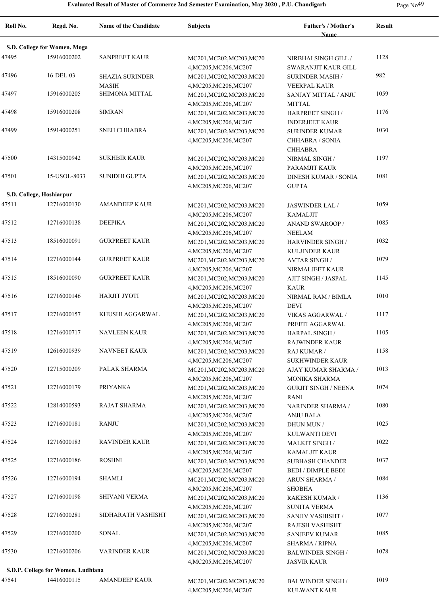| ря ор | ۷c |
|-------|----|
|-------|----|

| Roll No. | Regd. No.                          | <b>Name of the Candidate</b> | <b>Subjects</b>                                     | Father's / Mother's               | <b>Result</b> |
|----------|------------------------------------|------------------------------|-----------------------------------------------------|-----------------------------------|---------------|
|          | S.D. College for Women, Moga       |                              |                                                     | <b>Name</b>                       |               |
| 47495    | 15916000202                        | <b>SANPREET KAUR</b>         | MC201, MC202, MC203, MC20                           | NIRBHAI SINGH GILL /              | 1128          |
|          |                                    |                              | 4, MC205, MC206, MC207                              | SWARANJIT KAUR GILL               |               |
| 47496    | 16-DEL-03                          | <b>SHAZIA SURINDER</b>       | MC201, MC202, MC203, MC20                           | SURINDER MASIH /                  | 982           |
|          |                                    | <b>MASIH</b>                 | 4, MC205, MC206, MC207                              | <b>VEERPAL KAUR</b>               |               |
| 47497    | 15916000205                        | SHIMONA MITTAL               | MC201, MC202, MC203, MC20                           | SANJAY MITTAL / ANJU              | 1059          |
|          |                                    |                              | 4, MC205, MC206, MC207                              | <b>MITTAL</b>                     |               |
| 47498    | 15916000208                        | <b>SIMRAN</b>                | MC201, MC202, MC203, MC20                           | HARPREET SINGH /                  | 1176          |
|          |                                    |                              | 4, MC205, MC206, MC207                              | <b>INDERJEET KAUR</b>             |               |
| 47499    | 15914000251                        | <b>SNEH CHHABRA</b>          | MC201, MC202, MC203, MC20                           | <b>SURINDER KUMAR</b>             | 1030          |
|          |                                    |                              | 4, MC205, MC206, MC207                              | CHHABRA / SONIA                   |               |
|          |                                    |                              |                                                     | <b>CHHABRA</b>                    |               |
| 47500    | 14315000942                        | <b>SUKHBIR KAUR</b>          | MC201, MC202, MC203, MC20                           | NIRMAL SINGH /                    | 1197          |
|          |                                    |                              | 4, MC205, MC206, MC207                              | PARAMJIT KAUR                     |               |
| 47501    | 15-USOL-8033                       | <b>SUNIDHI GUPTA</b>         | MC201, MC202, MC203, MC20                           | <b>DINESH KUMAR / SONIA</b>       | 1081          |
|          |                                    |                              | 4, MC205, MC206, MC207                              | <b>GUPTA</b>                      |               |
|          | S.D. College, Hoshiarpur           |                              |                                                     |                                   |               |
| 47511    | 12716000130                        | <b>AMANDEEP KAUR</b>         | MC201, MC202, MC203, MC20                           | JASWINDER LAL /                   | 1059          |
|          |                                    |                              | 4, MC205, MC206, MC207                              | <b>KAMALJIT</b>                   |               |
| 47512    | 12716000138                        | <b>DEEPIKA</b>               | MC201, MC202, MC203, MC20                           | <b>ANAND SWAROOP/</b>             | 1085          |
|          | 18516000091                        |                              | 4, MC205, MC206, MC207                              | <b>NEELAM</b>                     |               |
| 47513    |                                    | <b>GURPREET KAUR</b>         | MC201, MC202, MC203, MC20                           | <b>HARVINDER SINGH /</b>          | 1032          |
|          | 12716000144                        | <b>GURPREET KAUR</b>         | 4, MC205, MC206, MC207                              | <b>KULJINDER KAUR</b>             | 1079          |
| 47514    |                                    |                              | MC201, MC202, MC203, MC20                           | <b>AVTAR SINGH/</b>               |               |
| 47515    | 18516000090                        | <b>GURPREET KAUR</b>         | 4, MC205, MC206, MC207                              | NIRMALJEET KAUR                   | 1145          |
|          |                                    |                              | MC201, MC202, MC203, MC20                           | AJIT SINGH / JASPAL               |               |
| 47516    | 12716000146                        | <b>HARJIT JYOTI</b>          | 4, MC205, MC206, MC207                              | <b>KAUR</b>                       | 1010          |
|          |                                    |                              | MC201, MC202, MC203, MC20                           | NIRMAL RAM / BIMLA<br><b>DEVI</b> |               |
| 47517    | 12716000157                        | KHUSHI AGGARWAL              | 4, MC205, MC206, MC207<br>MC201, MC202, MC203, MC20 | VIKAS AGGARWAL /                  | 1117          |
|          |                                    |                              | 4, MC205, MC206, MC207                              | PREETI AGGARWAL                   |               |
| 47518    | 12716000717                        | NAVLEEN KAUR                 | MC201, MC202, MC203, MC20                           | <b>HARPAL SINGH /</b>             | 1105          |
|          |                                    |                              | 4, MC205, MC206, MC207                              | <b>RAJWINDER KAUR</b>             |               |
| 47519    | 12616000939                        | NAVNEET KAUR                 | MC201, MC202, MC203, MC20                           | RAJ KUMAR /                       | 1158          |
|          |                                    |                              | 4, MC205, MC206, MC207                              | <b>SUKHWINDER KAUR</b>            |               |
| 47520    | 12715000209                        | PALAK SHARMA                 | MC201, MC202, MC203, MC20                           | AJAY KUMAR SHARMA /               | 1013          |
|          |                                    |                              | 4, MC205, MC206, MC207                              | MONIKA SHARMA                     |               |
| 47521    | 12716000179                        | <b>PRIYANKA</b>              | MC201, MC202, MC203, MC20                           | <b>GURJIT SINGH / NEENA</b>       | 1074          |
|          |                                    |                              | 4, MC205, MC206, MC207                              | <b>RANI</b>                       |               |
| 47522    | 12814000593                        | RAJAT SHARMA                 | MC201, MC202, MC203, MC20                           | NARINDER SHARMA /                 | 1080          |
|          |                                    |                              | 4, MC205, MC206, MC207                              | ANJU BALA                         |               |
| 47523    | 12716000181                        | RANJU                        | MC201, MC202, MC203, MC20                           | DHUN MUN /                        | 1025          |
|          |                                    |                              | 4, MC205, MC206, MC207                              | KULWANTI DEVI                     |               |
| 47524    | 12716000183                        | RAVINDER KAUR                | MC201, MC202, MC203, MC20                           | <b>MALKIT SINGH/</b>              | 1022          |
|          |                                    |                              | 4, MC205, MC206, MC207                              | <b>KAMALJIT KAUR</b>              |               |
| 47525    | 12716000186                        | <b>ROSHNI</b>                | MC201, MC202, MC203, MC20                           | <b>SUBHASH CHANDER</b>            | 1037          |
|          |                                    |                              | 4, MC205, MC206, MC207                              | <b>BEDI / DIMPLE BEDI</b>         |               |
| 47526    | 12716000194                        | <b>SHAMLI</b>                | MC201, MC202, MC203, MC20                           | <b>ARUN SHARMA /</b>              | 1084          |
|          |                                    |                              | 4, MC205, MC206, MC207                              | SHOBHA                            |               |
| 47527    | 12716000198                        | SHIVANI VERMA                | MC201, MC202, MC203, MC20                           | <b>RAKESH KUMAR /</b>             | 1136          |
|          |                                    |                              | 4, MC205, MC206, MC207                              | <b>SUNITA VERMA</b>               |               |
| 47528    | 12716000281                        | SIDHARATH VASHISHT           | MC201, MC202, MC203, MC20                           | SANJIV VASHISHT /                 | 1077          |
|          |                                    |                              | 4, MC205, MC206, MC207                              | RAJESH VASHISHT                   |               |
| 47529    | 12716000200                        | SONAL                        | MC201, MC202, MC203, MC20                           | <b>SANJEEV KUMAR</b>              | 1085          |
|          |                                    |                              | 4, MC205, MC206, MC207                              | <b>SHARMA / RIPNA</b>             |               |
| 47530    | 12716000206                        | VARINDER KAUR                | MC201, MC202, MC203, MC20                           | <b>BALWINDER SINGH/</b>           | 1078          |
|          |                                    |                              | 4, MC205, MC206, MC207                              | <b>JASVIR KAUR</b>                |               |
|          | S.D.P. College for Women, Ludhiana |                              |                                                     |                                   |               |
| 47541    | 14416000115                        | AMANDEEP KAUR                | MC201, MC202, MC203, MC20                           | <b>BALWINDER SINGH/</b>           | 1019          |
|          |                                    |                              | 4, MC205, MC206, MC207                              | KULWANT KAUR                      |               |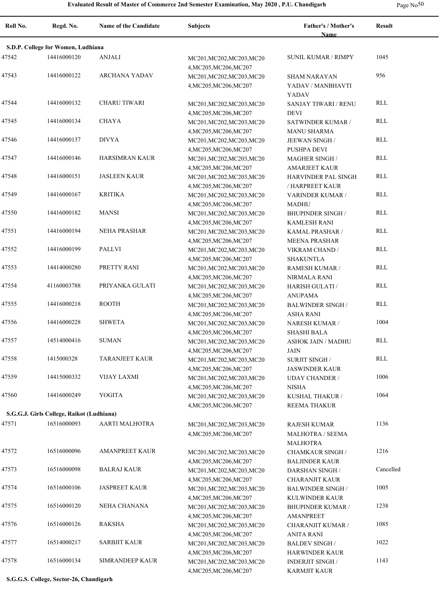| Page $No50$ |  |
|-------------|--|
|-------------|--|

| Roll No. | Regd. No.                                 | <b>Name of the Candidate</b> | <b>Subjects</b>                                     | Father's / Mother's<br><b>Name</b>                                | <b>Result</b> |
|----------|-------------------------------------------|------------------------------|-----------------------------------------------------|-------------------------------------------------------------------|---------------|
|          | S.D.P. College for Women, Ludhiana        |                              |                                                     |                                                                   |               |
| 47542    | 14416000120                               | <b>ANJALI</b>                | MC201, MC202, MC203, MC20<br>4, MC205, MC206, MC207 | <b>SUNIL KUMAR / RIMPY</b>                                        | 1045          |
| 47543    | 14416000122                               | <b>ARCHANA YADAV</b>         | MC201, MC202, MC203, MC20<br>4, MC205, MC206, MC207 | <b>SHAM NARAYAN</b><br>YADAV / MANBHAVTI<br>YADAV                 | 956           |
| 47544    | 14416000132                               | CHARU TIWARI                 | MC201, MC202, MC203, MC20<br>4, MC205, MC206, MC207 | <b>SANJAY TIWARI / RENU</b><br><b>DEVI</b>                        | RLL           |
| 47545    | 14416000134                               | <b>CHAYA</b>                 | MC201, MC202, MC203, MC20<br>4, MC205, MC206, MC207 | SATWINDER KUMAR /<br><b>MANU SHARMA</b>                           | <b>RLL</b>    |
| 47546    | 14416000137                               | <b>DIVYA</b>                 | MC201, MC202, MC203, MC20<br>4, MC205, MC206, MC207 | JEEWAN SINGH /<br>PUSHPA DEVI                                     | <b>RLL</b>    |
| 47547    | 14416000146                               | <b>HARSIMRAN KAUR</b>        | MC201, MC202, MC203, MC20<br>4, MC205, MC206, MC207 | <b>MAGHER SINGH/</b><br><b>AMARJEET KAUR</b>                      | <b>RLL</b>    |
| 47548    | 14416000151                               | <b>JASLEEN KAUR</b>          | MC201, MC202, MC203, MC20<br>4, MC205, MC206, MC207 | HARVINDER PAL SINGH<br>/ HARPREET KAUR                            | <b>RLL</b>    |
| 47549    | 14416000167                               | <b>KRITIKA</b>               | MC201, MC202, MC203, MC20<br>4, MC205, MC206, MC207 | VARINDER KUMAR /<br><b>MADHU</b>                                  | <b>RLL</b>    |
| 47550    | 14416000182                               | <b>MANSI</b>                 | MC201, MC202, MC203, MC20<br>4, MC205, MC206, MC207 | <b>BHUPINDER SINGH /</b><br><b>KAMLESH RANI</b>                   | <b>RLL</b>    |
| 47551    | 14416000194                               | <b>NEHA PRASHAR</b>          | MC201, MC202, MC203, MC20<br>4, MC205, MC206, MC207 | KAMAL PRASHAR /<br><b>MEENA PRASHAR</b>                           | <b>RLL</b>    |
| 47552    | 14416000199                               | PALLVI                       | MC201, MC202, MC203, MC20<br>4, MC205, MC206, MC207 | VIKRAM CHAND /<br><b>SHAKUNTLA</b>                                | <b>RLL</b>    |
| 47553    | 14414000280                               | PRETTY RANI                  | MC201, MC202, MC203, MC20<br>4, MC205, MC206, MC207 | RAMESH KUMAR /<br><b>NIRMALA RANI</b>                             | <b>RLL</b>    |
| 47554    | 41160003788                               | PRIYANKA GULATI              | MC201, MC202, MC203, MC20<br>4, MC205, MC206, MC207 | <b>HARISH GULATI /</b><br><b>ANUPAMA</b>                          | <b>RLL</b>    |
| 47555    | 14416000218                               | <b>ROOTH</b>                 | MC201, MC202, MC203, MC20<br>4, MC205, MC206, MC207 | <b>BALWINDER SINGH/</b><br><b>ASHA RANI</b>                       | <b>RLL</b>    |
| 47556    | 14416000228                               | <b>SHWETA</b>                | MC201, MC202, MC203, MC20<br>4, MC205, MC206, MC207 | NARESH KUMAR /<br><b>SHASHI BALA</b>                              | 1004          |
| 47557    | 14514000416                               | <b>SUMAN</b>                 | MC201, MC202, MC203, MC20<br>4, MC205, MC206, MC207 | <b>ASHOK JAIN / MADHU</b><br>JAIN                                 | <b>RLL</b>    |
| 47558    | 1415000328                                | <b>TARANJEET KAUR</b>        | MC201, MC202, MC203, MC20<br>4, MC205, MC206, MC207 | <b>SURJIT SINGH /</b><br><b>JASWINDER KAUR</b>                    | <b>RLL</b>    |
| 47559    | 14415000332                               | <b>VIJAY LAXMI</b>           | MC201, MC202, MC203, MC20<br>4, MC205, MC206, MC207 | <b>UDAY CHANDER /</b><br><b>NISHA</b>                             | 1006          |
| 47560    | 14416000249                               | <b>YOGITA</b>                | MC201, MC202, MC203, MC20<br>4, MC205, MC206, MC207 | KUSHAL THAKUR /<br>REEMA THAKUR                                   | 1064          |
|          | S.G.G.J. Girls College, Raikot (Ludhiana) |                              |                                                     |                                                                   |               |
| 47571    | 16516000093                               | AARTI MALHOTRA               | MC201, MC202, MC203, MC20<br>4, MC205, MC206, MC207 | <b>RAJESH KUMAR</b><br><b>MALHOTRA / SEEMA</b><br><b>MALHOTRA</b> | 1136          |
| 47572    | 16516000096                               | <b>AMANPREET KAUR</b>        | MC201, MC202, MC203, MC20<br>4, MC205, MC206, MC207 | <b>CHAMKAUR SINGH /</b><br><b>BALJINDER KAUR</b>                  | 1216          |
| 47573    | 16516000098                               | <b>BALRAJ KAUR</b>           | MC201, MC202, MC203, MC20<br>4, MC205, MC206, MC207 | <b>DARSHAN SINGH/</b><br><b>CHARANJIT KAUR</b>                    | Cancelled     |
| 47574    | 16516000106                               | <b>JASPREET KAUR</b>         | MC201, MC202, MC203, MC20<br>4, MC205, MC206, MC207 | <b>BALWINDER SINGH/</b><br>KULWINDER KAUR                         | 1005          |
| 47575    | 16516000120                               | NEHA CHANANA                 | MC201, MC202, MC203, MC20<br>4, MC205, MC206, MC207 | <b>BHUPINDER KUMAR /</b><br>AMANPREET                             | 1238          |
| 47576    | 16516000126                               | RAKSHA                       | MC201, MC202, MC203, MC20<br>4, MC205, MC206, MC207 | <b>CHARANJIT KUMAR /</b><br>ANITA RANI                            | 1085          |
| 47577    | 16514000217                               | <b>SARBJIT KAUR</b>          | MC201, MC202, MC203, MC20<br>4, MC205, MC206, MC207 | <b>BALDEV SINGH /</b><br>HARWINDER KAUR                           | 1022          |
| 47578    | 16516000134                               | SIMRANDEEP KAUR              | MC201, MC202, MC203, MC20<br>4, MC205, MC206, MC207 | <b>INDERJIT SINGH/</b><br>KARMJIT KAUR                            | 1143          |

**S.G.G.S. College, Sector-26, Chandigarh**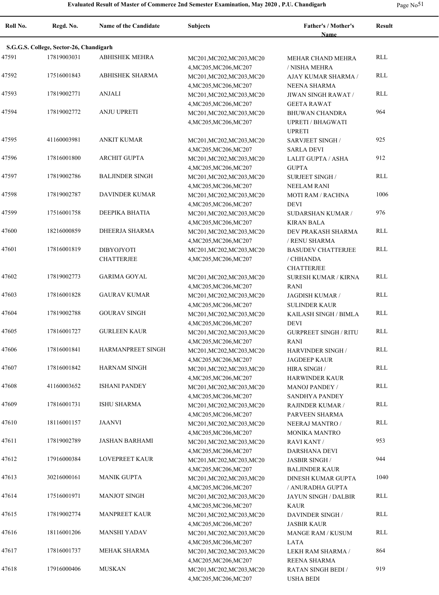|  | Page No <sup>51</sup> |
|--|-----------------------|
|--|-----------------------|

| Roll No. | Regd. No.                               | <b>Name of the Candidate</b>           | <b>Subjects</b>                                                               | <b>Father's / Mother's</b><br><b>Name</b>                          | <b>Result</b> |
|----------|-----------------------------------------|----------------------------------------|-------------------------------------------------------------------------------|--------------------------------------------------------------------|---------------|
|          | S.G.G.S. College, Sector-26, Chandigarh |                                        |                                                                               |                                                                    |               |
| 47591    | 17819003031                             | <b>ABHISHEK MEHRA</b>                  | MC201, MC202, MC203, MC20<br>4, MC205, MC206, MC207                           | MEHAR CHAND MEHRA<br>/ NISHA MEHRA                                 | <b>RLL</b>    |
| 47592    | 17516001843                             | <b>ABHISHEK SHARMA</b>                 | MC201, MC202, MC203, MC20<br>4, MC205, MC206, MC207                           | AJAY KUMAR SHARMA /<br><b>NEENA SHARMA</b>                         | RLL           |
| 47593    | 17819002771                             | <b>ANJALI</b>                          | MC201, MC202, MC203, MC20<br>4, MC205, MC206, MC207                           | JIWAN SINGH RAWAT /<br><b>GEETA RAWAT</b>                          | RLL           |
| 47594    | 17819002772                             | <b>ANJU UPRETI</b>                     | MC201, MC202, MC203, MC20<br>4, MC205, MC206, MC207                           | <b>BHUWAN CHANDRA</b><br><b>UPRETI / BHAGWATI</b><br><b>UPRETI</b> | 964           |
| 47595    | 41160003981                             | <b>ANKIT KUMAR</b>                     | MC201, MC202, MC203, MC20<br>4, MC205, MC206, MC207                           | <b>SARVJEET SINGH/</b><br><b>SARLA DEVI</b>                        | 925           |
| 47596    | 17816001800                             | <b>ARCHIT GUPTA</b>                    | MC201, MC202, MC203, MC20<br>4, MC205, MC206, MC207                           | <b>LALIT GUPTA / ASHA</b><br><b>GUPTA</b>                          | 912           |
| 47597    | 17819002786                             | <b>BALJINDER SINGH</b>                 | MC201, MC202, MC203, MC20<br>4, MC205, MC206, MC207                           | <b>SURJEET SINGH/</b><br><b>NEELAM RANI</b>                        | <b>RLL</b>    |
| 47598    | 17819002787                             | <b>DAVINDER KUMAR</b>                  | MC201, MC202, MC203, MC20<br>4, MC205, MC206, MC207                           | MOTI RAM / RACHNA<br><b>DEVI</b>                                   | 1006          |
| 47599    | 17516001758                             | DEEPIKA BHATIA                         | MC201, MC202, MC203, MC20<br>4, MC205, MC206, MC207                           | <b>SUDARSHAN KUMAR /</b><br><b>KIRAN BALA</b>                      | 976           |
| 47600    | 18216000859                             | <b>DHEERJA SHARMA</b>                  | MC201, MC202, MC203, MC20<br>4, MC205, MC206, MC207                           | DEV PRAKASH SHARMA<br>/ RENU SHARMA                                | RLL           |
| 47601    | 17816001819                             | <b>DIBYOJYOTI</b><br><b>CHATTERJEE</b> | MC201, MC202, MC203, MC20<br>4, MC205, MC206, MC207                           | <b>BASUDEV CHATTERJEE</b><br>/ CHHANDA                             | <b>RLL</b>    |
| 47602    | 17819002773                             | <b>GARIMA GOYAL</b>                    | MC201, MC202, MC203, MC20                                                     | <b>CHATTERJEE</b><br><b>SURESH KUMAR / KIRNA</b>                   | <b>RLL</b>    |
| 47603    | 17816001828                             | <b>GAURAV KUMAR</b>                    | 4, MC205, MC206, MC207<br>MC201, MC202, MC203, MC20                           | <b>RANI</b><br>JAGDISH KUMAR /                                     | <b>RLL</b>    |
| 47604    | 17819002788                             | <b>GOURAV SINGH</b>                    | 4, MC205, MC206, MC207<br>MC201, MC202, MC203, MC20                           | <b>SULINDER KAUR</b><br>KAILASH SINGH / BIMLA                      | <b>RLL</b>    |
| 47605    | 17816001727                             | <b>GURLEEN KAUR</b>                    | 4, MC205, MC206, MC207<br>MC201, MC202, MC203, MC20                           | <b>DEVI</b><br><b>GURPREET SINGH / RITU</b>                        | <b>RLL</b>    |
| 47606    | 17816001841                             | HARMANPREET SINGH                      | 4, MC205, MC206, MC207<br>MC201, MC202, MC203, MC20                           | <b>RANI</b><br><b>HARVINDER SINGH /</b>                            | <b>RLL</b>    |
| 47607    | 17816001842                             | <b>HARNAM SINGH</b>                    | 4, MC205, MC206, MC207<br>MC201, MC202, MC203, MC20                           | <b>JAGDEEP KAUR</b><br>HIRA SINGH /                                | <b>RLL</b>    |
| 47608    | 41160003652                             | <b>ISHANI PANDEY</b>                   | 4, MC205, MC206, MC207<br>MC201, MC202, MC203, MC20                           | <b>HARWINDER KAUR</b><br><b>MANOJ PANDEY /</b>                     | <b>RLL</b>    |
| 47609    | 17816001731                             | <b>ISHU SHARMA</b>                     | 4, MC205, MC206, MC207<br>MC201, MC202, MC203, MC20<br>4, MC205, MC206, MC207 | <b>SANDHYA PANDEY</b><br>RAJINDER KUMAR /<br>PARVEEN SHARMA        | <b>RLL</b>    |
| 47610    | 18116001157                             | <b>JAANVI</b>                          | MC201, MC202, MC203, MC20<br>4, MC205, MC206, MC207                           | NEERAJ MANTRO /<br>MONIKA MANTRO                                   | <b>RLL</b>    |
| 47611    | 17819002789                             | JASHAN BARHAMI                         | MC201, MC202, MC203, MC20<br>4, MC205, MC206, MC207                           | <b>RAVI KANT /</b><br>DARSHANA DEVI                                | 953           |
| 47612    | 17916000384                             | <b>LOVEPREET KAUR</b>                  | MC201, MC202, MC203, MC20<br>4, MC205, MC206, MC207                           | <b>JASBIR SINGH /</b><br><b>BALJINDER KAUR</b>                     | 944           |
| 47613    | 30216000161                             | <b>MANIK GUPTA</b>                     | MC201, MC202, MC203, MC20<br>4, MC205, MC206, MC207                           | DINESH KUMAR GUPTA<br>/ ANURADHA GUPTA                             | 1040          |
| 47614    | 17516001971                             | <b>MANJOT SINGH</b>                    | MC201, MC202, MC203, MC20<br>4, MC205, MC206, MC207                           | JAYUN SINGH / DALBIR<br><b>KAUR</b>                                | RLL           |
| 47615    | 17819002774                             | <b>MANPREET KAUR</b>                   | MC201, MC202, MC203, MC20<br>4, MC205, MC206, MC207                           | DAVINDER SINGH /<br><b>JASBIR KAUR</b>                             | <b>RLL</b>    |
| 47616    | 18116001206                             | <b>MANSHI YADAV</b>                    | MC201, MC202, MC203, MC20<br>4, MC205, MC206, MC207                           | MANGE RAM / KUSUM<br>LATA                                          | <b>RLL</b>    |
| 47617    | 17816001737                             | MEHAK SHARMA                           | MC201, MC202, MC203, MC20<br>4, MC205, MC206, MC207                           | LEKH RAM SHARMA /<br>REENA SHARMA                                  | 864           |
| 47618    | 17916000406                             | <b>MUSKAN</b>                          | MC201, MC202, MC203, MC20<br>4, MC205, MC206, MC207                           | <b>RATAN SINGH BEDI /</b><br><b>USHA BEDI</b>                      | 919           |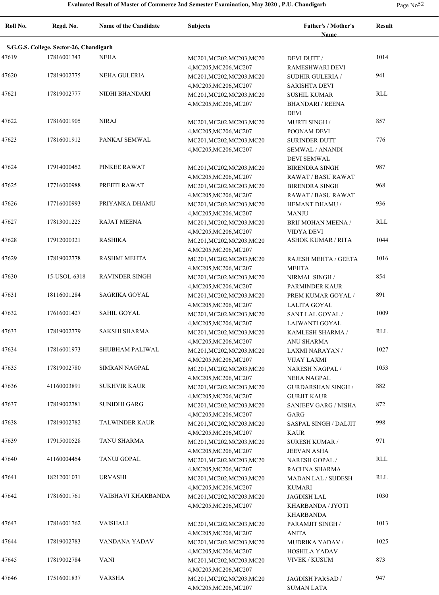| $\sim$ | I |
|--------|---|
|--------|---|

| Roll No. | Regd. No.                               | <b>Name of the Candidate</b> | <b>Subjects</b>                                                               | Father's / Mother's<br><b>Name</b>                                     | <b>Result</b> |
|----------|-----------------------------------------|------------------------------|-------------------------------------------------------------------------------|------------------------------------------------------------------------|---------------|
|          | S.G.G.S. College, Sector-26, Chandigarh |                              |                                                                               |                                                                        |               |
| 47619    | 17816001743                             | <b>NEHA</b>                  | MC201, MC202, MC203, MC20                                                     | DEVI DUTT /                                                            | 1014          |
| 47620    | 17819002775                             | NEHA GULERIA                 | 4, MC205, MC206, MC207<br>MC201, MC202, MC203, MC20                           | RAMESHWARI DEVI<br><b>SUDHIR GULERIA /</b>                             | 941           |
| 47621    | 17819002777                             | NIDHI BHANDARI               | 4, MC205, MC206, MC207<br>MC201, MC202, MC203, MC20<br>4, MC205, MC206, MC207 | <b>SARISHTA DEVI</b><br><b>SUSHIL KUMAR</b><br><b>BHANDARI / REENA</b> | RLL           |
| 47622    | 17816001905                             | <b>NIRAJ</b>                 | MC201, MC202, MC203, MC20<br>4, MC205, MC206, MC207                           | DEVI<br><b>MURTI SINGH/</b><br>POONAM DEVI                             | 857           |
| 47623    | 17816001912                             | PANKAJ SEMWAL                | MC201, MC202, MC203, MC20<br>4, MC205, MC206, MC207                           | <b>SURINDER DUTT</b><br><b>SEMWAL / ANANDI</b><br><b>DEVI SEMWAL</b>   | 776           |
| 47624    | 17914000452                             | PINKEE RAWAT                 | MC201, MC202, MC203, MC20<br>4, MC205, MC206, MC207                           | <b>BIRENDRA SINGH</b><br>RAWAT / BASU RAWAT                            | 987           |
| 47625    | 17716000988                             | PREETI RAWAT                 | MC201, MC202, MC203, MC20<br>4, MC205, MC206, MC207                           | <b>BIRENDRA SINGH</b><br>RAWAT / BASU RAWAT                            | 968           |
| 47626    | 17716000993                             | PRIYANKA DHAMU               | MC201, MC202, MC203, MC20<br>4, MC205, MC206, MC207                           | HEMANT DHAMU /<br><b>MANJU</b>                                         | 936           |
| 47627    | 17813001225                             | <b>RAJAT MEENA</b>           | MC201, MC202, MC203, MC20<br>4, MC205, MC206, MC207                           | BRIJ MOHAN MEENA /<br><b>VIDYA DEVI</b>                                | RLL           |
| 47628    | 17912000321                             | RASHIKA                      | MC201, MC202, MC203, MC20<br>4, MC205, MC206, MC207                           | <b>ASHOK KUMAR / RITA</b>                                              | 1044          |
| 47629    | 17819002778                             | <b>RASHMI MEHTA</b>          | MC201, MC202, MC203, MC20<br>4, MC205, MC206, MC207                           | RAJESH MEHTA / GEETA<br><b>MEHTA</b>                                   | 1016          |
| 47630    | 15-USOL-6318                            | <b>RAVINDER SINGH</b>        | MC201, MC202, MC203, MC20<br>4, MC205, MC206, MC207                           | NIRMAL SINGH /<br>PARMINDER KAUR                                       | 854           |
| 47631    | 18116001284                             | SAGRIKA GOYAL                | MC201, MC202, MC203, MC20<br>4, MC205, MC206, MC207                           | PREM KUMAR GOYAL /<br>LALITA GOYAL                                     | 891           |
| 47632    | 17616001427                             | SAHIL GOYAL                  | MC201, MC202, MC203, MC20<br>4, MC205, MC206, MC207                           | SANT LAL GOYAL /<br>LAJWANTI GOYAL                                     | 1009          |
| 47633    | 17819002779                             | SAKSHI SHARMA                | MC201, MC202, MC203, MC20<br>4, MC205, MC206, MC207                           | KAMLESH SHARMA /<br><b>ANU SHARMA</b>                                  | RLL           |
| 47634    | 17816001973                             | SHUBHAM PALIWAL              | MC201, MC202, MC203, MC20<br>4, MC205, MC206, MC207                           | LAXMI NARAYAN /<br>VIJAY LAXMI                                         | 1027          |
| 47635    | 17819002780                             | <b>SIMRAN NAGPAL</b>         | MC201, MC202, MC203, MC20<br>4, MC205, MC206, MC207                           | <b>NARESH NAGPAL /</b><br><b>NEHA NAGPAL</b>                           | 1053          |
| 47636    | 41160003891                             | <b>SUKHVIR KAUR</b>          | MC201, MC202, MC203, MC20<br>4, MC205, MC206, MC207                           | <b>GURDARSHAN SINGH /</b><br><b>GURJIT KAUR</b>                        | 882           |
| 47637    | 17819002781                             | SUNIDHI GARG                 | MC201, MC202, MC203, MC20<br>4, MC205, MC206, MC207                           | SANJEEV GARG / NISHA<br>GARG                                           | 872           |
| 47638    | 17819002782                             | <b>TALWINDER KAUR</b>        | MC201, MC202, MC203, MC20<br>4, MC205, MC206, MC207                           | SASPAL SINGH / DALJIT<br>KAUR                                          | 998           |
| 47639    | 17915000528                             | TANU SHARMA                  | MC201, MC202, MC203, MC20<br>4, MC205, MC206, MC207                           | SURESH KUMAR /<br>JEEVAN ASHA                                          | 971           |
| 47640    | 41160004454                             | TANUJ GOPAL                  | MC201, MC202, MC203, MC20<br>4, MC205, MC206, MC207                           | <b>NARESH GOPAL/</b><br>RACHNA SHARMA                                  | RLL           |
| 47641    | 18212001031                             | <b>URVASHI</b>               | MC201, MC202, MC203, MC20<br>4, MC205, MC206, MC207                           | <b>MADAN LAL / SUDESH</b><br>KUMARI                                    | RLL           |
| 47642    | 17816001761                             | VAIBHAVI KHARBANDA           | MC201, MC202, MC203, MC20<br>4, MC205, MC206, MC207                           | JAGDISH LAL<br>KHARBANDA / JYOTI<br>KHARBANDA                          | 1030          |
| 47643    | 17816001762                             | VAISHALI                     | MC201, MC202, MC203, MC20<br>4, MC205, MC206, MC207                           | PARAMJIT SINGH /<br>ANITA                                              | 1013          |
| 47644    | 17819002783                             | VANDANA YADAV                | MC201, MC202, MC203, MC20<br>4, MC205, MC206, MC207                           | <b>MUDRIKA YADAV/</b><br>HOSHILA YADAV                                 | 1025          |
| 47645    | 17819002784                             | <b>VANI</b>                  | MC201, MC202, MC203, MC20<br>4, MC205, MC206, MC207                           | VIVEK / KUSUM                                                          | 873           |
| 47646    | 17516001837                             | <b>VARSHA</b>                | MC201, MC202, MC203, MC20<br>4, MC205, MC206, MC207                           | JAGDISH PARSAD /<br>SUMAN LATA                                         | 947           |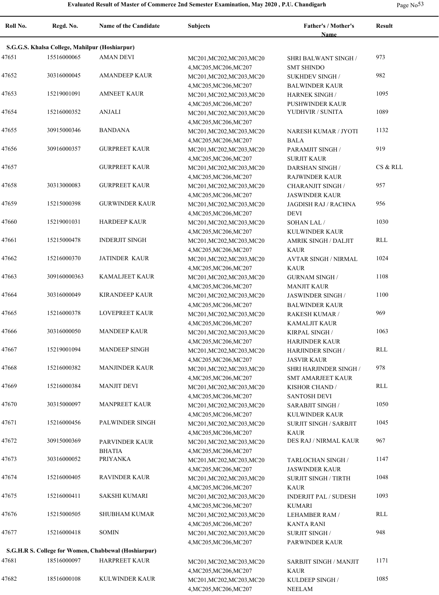| $\sim$ |  |
|--------|--|
|--------|--|

-

| Roll No. | Regd. No.                                      | <b>Name of the Candidate</b>                         | <b>Subjects</b>                                                               | Father's / Mother's<br><b>Name</b>                                  | <b>Result</b> |
|----------|------------------------------------------------|------------------------------------------------------|-------------------------------------------------------------------------------|---------------------------------------------------------------------|---------------|
|          | S.G.G.S. Khalsa College, Mahilpur (Hoshiarpur) |                                                      |                                                                               |                                                                     |               |
| 47651    | 15516000065                                    | <b>AMAN DEVI</b>                                     | MC201, MC202, MC203, MC20                                                     | SHRI BALWANT SINGH /                                                | 973           |
| 47652    | 30316000045                                    | <b>AMANDEEP KAUR</b>                                 | 4, MC205, MC206, MC207<br>MC201, MC202, MC203, MC20<br>4, MC205, MC206, MC207 | <b>SMT SHINDO</b><br><b>SUKHDEV SINGH/</b><br><b>BALWINDER KAUR</b> | 982           |
| 47653    | 15219001091                                    | <b>AMNEET KAUR</b>                                   | MC201, MC202, MC203, MC20<br>4, MC205, MC206, MC207                           | <b>HARNEK SINGH/</b><br><b>PUSHWINDER KAUR</b>                      | 1095          |
| 47654    | 15216000352                                    | <b>ANJALI</b>                                        | MC201, MC202, MC203, MC20<br>4, MC205, MC206, MC207                           | YUDHVIR / SUNITA                                                    | 1089          |
| 47655    | 30915000346                                    | <b>BANDANA</b>                                       | MC201, MC202, MC203, MC20<br>4, MC205, MC206, MC207                           | NARESH KUMAR / JYOTI<br><b>BALA</b>                                 | 1132          |
| 47656    | 30916000357                                    | <b>GURPREET KAUR</b>                                 | MC201, MC202, MC203, MC20<br>4, MC205, MC206, MC207                           | PARAMJIT SINGH /<br><b>SURJIT KAUR</b>                              | 919           |
| 47657    |                                                | <b>GURPREET KAUR</b>                                 | MC201, MC202, MC203, MC20<br>4, MC205, MC206, MC207                           | <b>DARSHAN SINGH/</b><br><b>RAJWINDER KAUR</b>                      | CS & RLL      |
| 47658    | 30313000083                                    | <b>GURPREET KAUR</b>                                 | MC201, MC202, MC203, MC20<br>4, MC205, MC206, MC207                           | <b>CHARANJIT SINGH /</b><br><b>JASWINDER KAUR</b>                   | 957           |
| 47659    | 15215000398                                    | <b>GURWINDER KAUR</b>                                | MC201, MC202, MC203, MC20<br>4, MC205, MC206, MC207                           | JAGDISH RAJ / RACHNA<br><b>DEVI</b>                                 | 956           |
| 47660    | 15219001031                                    | <b>HARDEEP KAUR</b>                                  | MC201, MC202, MC203, MC20<br>4, MC205, MC206, MC207                           | SOHAN LAL /<br>KULWINDER KAUR                                       | 1030          |
| 47661    | 15215000478                                    | <b>INDERJIT SINGH</b>                                | MC201, MC202, MC203, MC20<br>4, MC205, MC206, MC207                           | <b>AMRIK SINGH / DALJIT</b><br><b>KAUR</b>                          | RLL           |
| 47662    | 15216000370                                    | <b>JATINDER KAUR</b>                                 | MC201, MC202, MC203, MC20<br>4, MC205, MC206, MC207                           | <b>AVTAR SINGH / NIRMAL</b><br><b>KAUR</b>                          | 1024          |
| 47663    | 309160000363                                   | <b>KAMALJEET KAUR</b>                                | MC201, MC202, MC203, MC20<br>4, MC205, MC206, MC207                           | <b>GURNAM SINGH /</b><br><b>MANJIT KAUR</b>                         | 1108          |
| 47664    | 30316000049                                    | <b>KIRANDEEP KAUR</b>                                | MC201, MC202, MC203, MC20<br>4, MC205, MC206, MC207                           | JASWINDER SINGH /<br><b>BALWINDER KAUR</b>                          | 1100          |
| 47665    | 15216000378                                    | <b>LOVEPREET KAUR</b>                                | MC201, MC202, MC203, MC20<br>4, MC205, MC206, MC207                           | RAKESH KUMAR /<br><b>KAMALJIT KAUR</b>                              | 969           |
| 47666    | 30316000050                                    | <b>MANDEEP KAUR</b>                                  | MC201, MC202, MC203, MC20<br>4, MC205, MC206, MC207                           | KIRPAL SINGH /<br><b>HARJINDER KAUR</b>                             | 1063          |
| 47667    | 15219001094                                    | <b>MANDEEP SINGH</b>                                 | MC201, MC202, MC203, MC20<br>4, MC205, MC206, MC207                           | HARJINDER SINGH /<br><b>JASVIR KAUR</b>                             | <b>RLL</b>    |
| 47668    | 15216000382                                    | <b>MANJINDER KAUR</b>                                | MC201, MC202, MC203, MC20<br>4, MC205, MC206, MC207                           | SHRI HARJINDER SINGH /<br><b>SMT AMARJEET KAUR</b>                  | 978           |
| 47669    | 15216000384                                    | <b>MANJIT DEVI</b>                                   | MC201, MC202, MC203, MC20<br>4, MC205, MC206, MC207                           | KISHOR CHAND /<br><b>SANTOSH DEVI</b>                               | RLL           |
| 47670    | 30315000097                                    | MANPREET KAUR                                        | MC201, MC202, MC203, MC20<br>4, MC205, MC206, MC207                           | <b>SARABJIT SINGH/</b><br>KULWINDER KAUR                            | 1050          |
| 47671    | 15216000456                                    | <b>PALWINDER SINGH</b>                               | MC201, MC202, MC203, MC20<br>4, MC205, MC206, MC207                           | <b>SURJIT SINGH / SARBJIT</b><br><b>KAUR</b>                        | 1045          |
| 47672    | 30915000369                                    | PARVINDER KAUR<br><b>BHATIA</b>                      | MC201, MC202, MC203, MC20<br>4, MC205, MC206, MC207                           | DES RAJ / NIRMAL KAUR                                               | 967           |
| 47673    | 30316000052                                    | <b>PRIYANKA</b>                                      | MC201, MC202, MC203, MC20<br>4, MC205, MC206, MC207                           | TARLOCHAN SINGH /<br><b>JASWINDER KAUR</b>                          | 1147          |
| 47674    | 15216000405                                    | <b>RAVINDER KAUR</b>                                 | MC201, MC202, MC203, MC20<br>4, MC205, MC206, MC207                           | <b>SURJIT SINGH / TIRTH</b><br><b>KAUR</b>                          | 1048          |
| 47675    | 15216000411                                    | SAKSHI KUMARI                                        | MC201, MC202, MC203, MC20<br>4, MC205, MC206, MC207                           | <b>INDERJIT PAL / SUDESH</b><br><b>KUMARI</b>                       | 1093          |
| 47676    | 15215000505                                    | <b>SHUBHAM KUMAR</b>                                 | MC201, MC202, MC203, MC20<br>4, MC205, MC206, MC207                           | LEHAMBER RAM /<br>KANTA RANI                                        | <b>RLL</b>    |
| 47677    | 15216000418                                    | SOMIN                                                | MC201, MC202, MC203, MC20<br>4, MC205, MC206, MC207                           | SURJIT SINGH /<br>PARWINDER KAUR                                    | 948           |
|          |                                                | S.G.H.R S. College for Women, Chabbewal (Hoshiarpur) |                                                                               |                                                                     |               |
| 47681    | 18516000097                                    | <b>HARPREET KAUR</b>                                 | MC201, MC202, MC203, MC20<br>4, MC205, MC206, MC207                           | SARBJIT SINGH / MANJIT<br><b>KAUR</b>                               | 1171          |
| 47682    | 18516000108                                    | KULWINDER KAUR                                       | MC201, MC202, MC203, MC20<br>4, MC205, MC206, MC207                           | KULDEEP SINGH /<br><b>NEELAM</b>                                    | 1085          |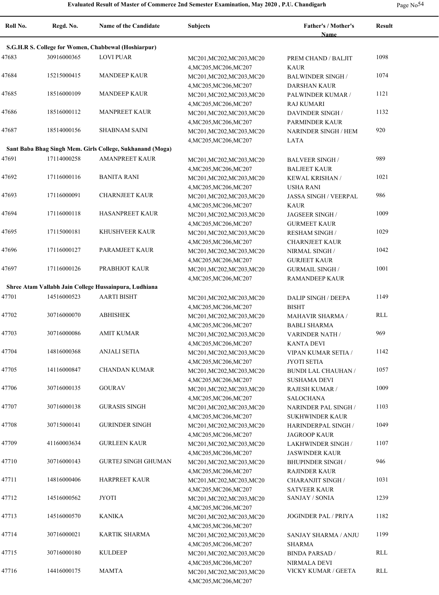| Page No <sup>54</sup> |  |
|-----------------------|--|
|-----------------------|--|

| Roll No. | Regd. No.   | <b>Name of the Candidate</b>                              | Subjects                                                                      | Father's / Mother's<br>Name                      | <b>Result</b> |
|----------|-------------|-----------------------------------------------------------|-------------------------------------------------------------------------------|--------------------------------------------------|---------------|
|          |             | S.G.H.R S. College for Women, Chabbewal (Hoshiarpur)      |                                                                               |                                                  |               |
| 47683    | 30916000365 | <b>LOVI PUAR</b>                                          | MC201, MC202, MC203, MC20                                                     | PREM CHAND / BALJIT                              | 1098          |
| 47684    | 15215000415 | <b>MANDEEP KAUR</b>                                       | 4, MC205, MC206, MC207<br>MC201, MC202, MC203, MC20                           | <b>KAUR</b><br><b>BALWINDER SINGH/</b>           | 1074          |
| 47685    | 18516000109 | <b>MANDEEP KAUR</b>                                       | 4, MC205, MC206, MC207<br>MC201, MC202, MC203, MC20                           | <b>DARSHAN KAUR</b><br>PALWINDER KUMAR /         | 1121          |
|          |             |                                                           | 4, MC205, MC206, MC207                                                        | <b>RAJ KUMARI</b>                                |               |
| 47686    | 18516000112 | <b>MANPREET KAUR</b>                                      | MC201, MC202, MC203, MC20<br>4, MC205, MC206, MC207                           | DAVINDER SINGH /<br>PARMINDER KAUR               | 1132          |
| 47687    | 18514000156 | <b>SHABNAM SAINI</b>                                      | MC201, MC202, MC203, MC20<br>4, MC205, MC206, MC207                           | <b>NARINDER SINGH / HEM</b><br>LATA              | 920           |
|          |             | Sant Baba Bhag Singh Mem. Girls College, Sukhanand (Moga) |                                                                               |                                                  |               |
| 47691    | 17114000258 | <b>AMANPREET KAUR</b>                                     | MC201, MC202, MC203, MC20                                                     | <b>BALVEER SINGH/</b>                            | 989           |
|          |             |                                                           | 4, MC205, MC206, MC207                                                        | <b>BALJEET KAUR</b>                              |               |
| 47692    | 17116000116 | <b>BANITA RANI</b>                                        | MC201, MC202, MC203, MC20                                                     | KEWAL KRISHAN /                                  | 1021          |
|          |             |                                                           | 4, MC205, MC206, MC207                                                        | <b>USHA RANI</b>                                 |               |
| 47693    | 17116000091 | <b>CHARNJEET KAUR</b>                                     | MC201, MC202, MC203, MC20                                                     | <b>JASSA SINGH / VEERPAL</b>                     | 986           |
|          |             |                                                           | 4, MC205, MC206, MC207                                                        | <b>KAUR</b>                                      |               |
| 47694    | 17116000118 | <b>HASANPREET KAUR</b>                                    | MC201, MC202, MC203, MC20                                                     | JAGSEER SINGH /                                  | 1009          |
|          |             |                                                           | 4, MC205, MC206, MC207                                                        | <b>GURMEET KAUR</b>                              |               |
| 47695    | 17115000181 | <b>KHUSHVEER KAUR</b>                                     | MC201, MC202, MC203, MC20                                                     | <b>RESHAM SINGH /</b>                            | 1029          |
|          |             |                                                           | 4, MC205, MC206, MC207                                                        | <b>CHARNJEET KAUR</b>                            |               |
| 47696    | 17116000127 | PARAMJEET KAUR                                            | MC201, MC202, MC203, MC20                                                     | NIRMAL SINGH /                                   | 1042          |
|          |             |                                                           | 4, MC205, MC206, MC207                                                        | <b>GURJEET KAUR</b>                              |               |
| 47697    | 17116000126 | PRABHJOT KAUR                                             | MC201, MC202, MC203, MC20                                                     | <b>GURMAIL SINGH /</b>                           | 1001          |
|          |             |                                                           | 4, MC205, MC206, MC207                                                        | RAMANDEEP KAUR                                   |               |
|          |             | Shree Atam Vallabh Jain College Hussainpura, Ludhiana     |                                                                               |                                                  |               |
| 47701    | 14516000523 | <b>AARTI BISHT</b>                                        | MC201, MC202, MC203, MC20                                                     | <b>DALIP SINGH / DEEPA</b>                       | 1149          |
|          |             |                                                           | 4, MC205, MC206, MC207                                                        | <b>BISHT</b>                                     |               |
| 47702    | 30716000070 | <b>ABHISHEK</b>                                           | MC201, MC202, MC203, MC20<br>4, MC205, MC206, MC207                           | <b>MAHAVIR SHARMA /</b><br><b>BABLI SHARMA</b>   | RLL           |
| 47703    | 30716000086 | AMIT KUMAR                                                | MC201, MC202, MC203, MC20                                                     | <b>VARINDER NATH /</b>                           | 969           |
|          |             |                                                           | 4, MC205, MC206, MC207                                                        | <b>KANTA DEVI</b>                                |               |
| 47704    | 14816000368 | <b>ANJALI SETIA</b>                                       | MC201, MC202, MC203, MC20<br>4, MC205, MC206, MC207                           | VIPAN KUMAR SETIA /<br><b>JYOTI SETIA</b>        | 1142          |
| 47705    | 14116000847 | <b>CHANDAN KUMAR</b>                                      | MC201, MC202, MC203, MC20                                                     | <b>BUNDI LAL CHAUHAN /</b>                       | 1057          |
|          |             |                                                           | 4, MC205, MC206, MC207                                                        | <b>SUSHAMA DEVI</b>                              |               |
| 47706    | 30716000135 | <b>GOURAV</b>                                             | MC201, MC202, MC203, MC20                                                     | RAJESH KUMAR /                                   | 1009          |
|          |             |                                                           | 4, MC205, MC206, MC207                                                        | SALOCHANA                                        |               |
| 47707    | 30716000138 | <b>GURASIS SINGH</b>                                      | MC201, MC202, MC203, MC20                                                     | NARINDER PAL SINGH $\prime$                      | 1103          |
|          |             |                                                           | 4, MC205, MC206, MC207                                                        | <b>SUKHWINDER KAUR</b>                           |               |
| 47708    | 30715000141 | <b>GURINDER SINGH</b>                                     | MC201, MC202, MC203, MC20                                                     | HARINDERPAL SINGH /                              | 1049          |
|          |             |                                                           | 4, MC205, MC206, MC207                                                        | JAGROOP KAUR                                     |               |
| 47709    | 41160003634 | <b>GURLEEN KAUR</b>                                       | MC201, MC202, MC203, MC20                                                     | <b>LAKHWINDER SINGH /</b>                        | 1107          |
| 47710    |             |                                                           | 4, MC205, MC206, MC207                                                        | <b>JASWINDER KAUR</b>                            |               |
|          | 30716000143 | <b>GURTEJ SINGH GHUMAN</b>                                | MC201, MC202, MC203, MC20                                                     | <b>BHUPINDER SINGH /</b>                         | 946           |
| 47711    | 14816000406 | <b>HARPREET KAUR</b>                                      | 4, MC205, MC206, MC207<br>MC201, MC202, MC203, MC20                           | <b>RAJINDER KAUR</b><br><b>CHARANJIT SINGH /</b> | 1031          |
|          |             |                                                           | 4, MC205, MC206, MC207                                                        | <b>SATVEER KAUR</b>                              |               |
| 47712    | 14516000562 | JYOTI                                                     | MC201, MC202, MC203, MC20<br>4, MC205, MC206, MC207                           | SANJAY / SONIA                                   | 1239          |
| 47713    | 14516000570 | <b>KANIKA</b>                                             | MC201, MC202, MC203, MC20<br>4, MC205, MC206, MC207                           | <b>JOGINDER PAL / PRIYA</b>                      | 1182          |
| 47714    | 30716000021 | KARTIK SHARMA                                             | MC201, MC202, MC203, MC20                                                     | SANJAY SHARMA / ANJU                             | 1199          |
| 47715    | 30716000180 | <b>KULDEEP</b>                                            | 4, MC205, MC206, MC207<br>MC201, MC202, MC203, MC20                           | SHARMA<br><b>BINDA PARSAD /</b>                  | RLL           |
| 47716    | 14416000175 | <b>MAMTA</b>                                              | 4, MC205, MC206, MC207<br>MC201, MC202, MC203, MC20<br>4, MC205, MC206, MC207 | NIRMALA DEVI<br>VICKY KUMAR / GEETA              | RLL           |
|          |             |                                                           |                                                                               |                                                  |               |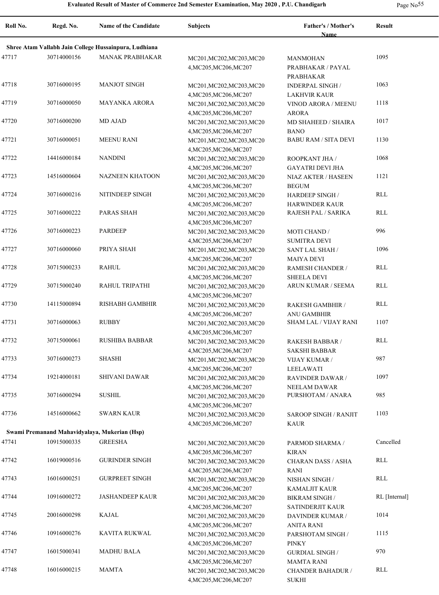| Roll No. | Regd. No.   | <b>Name of the Candidate</b>                          | <b>Subjects</b>                                                               | Father's / Mother's<br>Name                    | Result        |
|----------|-------------|-------------------------------------------------------|-------------------------------------------------------------------------------|------------------------------------------------|---------------|
|          |             | Shree Atam Vallabh Jain College Hussainpura, Ludhiana |                                                                               |                                                |               |
|          | 30714000156 | <b>MANAK PRABHAKAR</b>                                |                                                                               |                                                | 1095          |
| 47717    |             |                                                       | MC201, MC202, MC203, MC20<br>4, MC205, MC206, MC207                           | MANMOHAN<br>PRABHAKAR / PAYAL<br>PRABHAKAR     |               |
| 47718    | 30716000195 | <b>MANJOT SINGH</b>                                   | MC201, MC202, MC203, MC20<br>4, MC205, MC206, MC207                           | <b>INDERPAL SINGH/</b><br><b>LAKHVIR KAUR</b>  | 1063          |
| 47719    | 30716000050 | <b>MAYANKA ARORA</b>                                  | MC201, MC202, MC203, MC20<br>4, MC205, MC206, MC207                           | VINOD ARORA / MEENU<br><b>ARORA</b>            | 1118          |
| 47720    | 30716000200 | <b>MD AJAD</b>                                        | MC201, MC202, MC203, MC20<br>4, MC205, MC206, MC207                           | MD SHAHEED / SHAIRA<br><b>BANO</b>             | 1017          |
| 47721    | 30716000051 | <b>MEENU RANI</b>                                     | MC201, MC202, MC203, MC20<br>4, MC205, MC206, MC207                           | <b>BABU RAM / SITA DEVI</b>                    | 1130          |
| 47722    | 14416000184 | <b>NANDINI</b>                                        | MC201, MC202, MC203, MC20<br>4, MC205, MC206, MC207                           | ROOPKANT JHA /<br><b>GAYATRI DEVI JHA</b>      | 1068          |
| 47723    | 14516000604 | <b>NAZNEEN KHATOON</b>                                | MC201, MC202, MC203, MC20                                                     | NIAZ AKTER / HASEEN                            | 1121          |
| 47724    | 30716000216 | NITINDEEP SINGH                                       | 4, MC205, MC206, MC207<br>MC201, MC202, MC203, MC20                           | <b>BEGUM</b><br><b>HARDEEP SINGH/</b>          | <b>RLL</b>    |
| 47725    | 30716000222 | <b>PARAS SHAH</b>                                     | 4, MC205, MC206, MC207<br>MC201, MC202, MC203, MC20<br>4, MC205, MC206, MC207 | <b>HARWINDER KAUR</b><br>RAJESH PAL / SARIKA   | <b>RLL</b>    |
| 47726    | 30716000223 | <b>PARDEEP</b>                                        | MC201, MC202, MC203, MC20<br>4, MC205, MC206, MC207                           | <b>MOTI CHAND /</b><br><b>SUMITRA DEVI</b>     | 996           |
| 47727    | 30716000060 | PRIYA SHAH                                            | MC201, MC202, MC203, MC20<br>4, MC205, MC206, MC207                           | SANT LAL SHAH /<br><b>MAIYA DEVI</b>           | 1096          |
| 47728    | 30715000233 | <b>RAHUL</b>                                          | MC201, MC202, MC203, MC20<br>4, MC205, MC206, MC207                           | RAMESH CHANDER /<br><b>SHEELA DEVI</b>         | <b>RLL</b>    |
| 47729    | 30715000240 | RAHUL TRIPATHI                                        | MC201, MC202, MC203, MC20<br>4, MC205, MC206, MC207                           | ARUN KUMAR / SEEMA                             | <b>RLL</b>    |
| 47730    | 14115000894 | RISHABH GAMBHIR                                       | MC201, MC202, MC203, MC20<br>4, MC205, MC206, MC207                           | RAKESH GAMBHIR /<br><b>ANU GAMBHIR</b>         | RLL           |
| 47731    | 30716000063 | <b>RUBBY</b>                                          | MC201, MC202, MC203, MC20<br>4, MC205, MC206, MC207                           | SHAM LAL / VIJAY RANI                          | 1107          |
| 47732    | 30715000061 | <b>RUSHIBA BABBAR</b>                                 | MC201, MC202, MC203, MC20<br>4, MC205, MC206, MC207                           | <b>RAKESH BABBAR /</b><br><b>SAKSHI BABBAR</b> | <b>RLL</b>    |
| 47733    | 30716000273 | <b>SHASHI</b>                                         | MC201, MC202, MC203, MC20<br>4, MC205, MC206, MC207                           | <b>VIJAY KUMAR /</b><br>LEELAWATI              | 987           |
| 47734    | 19214000181 | <b>SHIVANI DAWAR</b>                                  | MC201, MC202, MC203, MC20<br>4, MC205, MC206, MC207                           | <b>RAVINDER DAWAR /</b><br>NEELAM DAWAR        | 1097          |
| 47735    | 30716000294 | <b>SUSHIL</b>                                         | MC201, MC202, MC203, MC20<br>4, MC205, MC206, MC207                           | PURSHOTAM / ANARA                              | 985           |
| 47736    | 14516000662 | <b>SWARN KAUR</b>                                     | MC201, MC202, MC203, MC20<br>4, MC205, MC206, MC207                           | <b>SAROOP SINGH / RANJIT</b><br>KAUR           | 1103          |
|          |             | Swami Premanand Mahavidyalaya, Mukerian (Hsp)         |                                                                               |                                                |               |
| 47741    | 10915000335 | <b>GREESHA</b>                                        | MC201, MC202, MC203, MC20<br>4, MC205, MC206, MC207                           | PARMOD SHARMA /<br><b>KIRAN</b>                | Cancelled     |
| 47742    | 16019000516 | <b>GURINDER SINGH</b>                                 | MC201, MC202, MC203, MC20<br>4, MC205, MC206, MC207                           | CHARAN DASS / ASHA<br><b>RANI</b>              | RLL           |
| 47743    | 16016000251 | <b>GURPREET SINGH</b>                                 | MC201, MC202, MC203, MC20<br>4, MC205, MC206, MC207                           | NISHAN SINGH /<br><b>KAMALJIT KAUR</b>         | <b>RLL</b>    |
| 47744    | 10916000272 | <b>JASHANDEEP KAUR</b>                                | MC201, MC202, MC203, MC20<br>4, MC205, MC206, MC207                           | <b>BIKRAM SINGH /</b><br>SATINDERJIT KAUR      | RL [Internal] |
| 47745    | 20016000298 | KAJAL                                                 | MC201, MC202, MC203, MC20<br>4, MC205, MC206, MC207                           | DAVINDER KUMAR /<br>ANITA RANI                 | 1014          |
| 47746    | 10916000276 | KAVITA RUKWAL                                         | MC201, MC202, MC203, MC20<br>4, MC205, MC206, MC207                           | PARSHOTAM SINGH /<br><b>PINKY</b>              | 1115          |
| 47747    | 16015000341 | <b>MADHU BALA</b>                                     | MC201, MC202, MC203, MC20<br>4, MC205, MC206, MC207                           | <b>GURDIAL SINGH /</b><br><b>MAMTA RANI</b>    | 970           |
| 47748    | 16016000215 | <b>MAMTA</b>                                          | MC201, MC202, MC203, MC20<br>4, MC205, MC206, MC207                           | <b>CHANDER BAHADUR /</b><br><b>SUKHI</b>       | RLL           |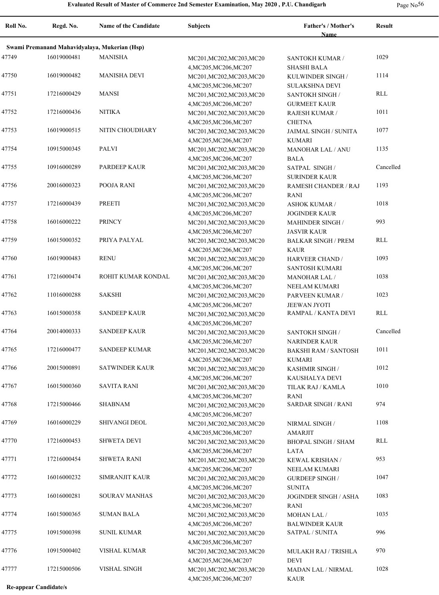| Roll No. | Regd. No.   | Name of the Candidate                         | <b>Subjects</b>                                     | Father's / Mother's<br>Name                | <b>Result</b> |
|----------|-------------|-----------------------------------------------|-----------------------------------------------------|--------------------------------------------|---------------|
|          |             | Swami Premanand Mahavidyalaya, Mukerian (Hsp) |                                                     |                                            |               |
| 47749    | 16019000481 | <b>MANISHA</b>                                | MC201, MC202, MC203, MC20                           | <b>SANTOKH KUMAR /</b>                     | 1029          |
|          |             |                                               | 4, MC205, MC206, MC207                              | <b>SHASHI BALA</b>                         |               |
| 47750    | 16019000482 | <b>MANISHA DEVI</b>                           | MC201, MC202, MC203, MC20                           | KULWINDER SINGH /                          | 1114          |
|          |             |                                               | 4, MC205, MC206, MC207                              | <b>SULAKSHNA DEVI</b>                      |               |
| 47751    | 17216000429 | <b>MANSI</b>                                  | MC201, MC202, MC203, MC20                           | SANTOKH SINGH /                            | RLL           |
|          |             |                                               | 4, MC205, MC206, MC207                              | <b>GURMEET KAUR</b>                        |               |
| 47752    | 17216000436 | <b>NITIKA</b>                                 | MC201, MC202, MC203, MC20                           | RAJESH KUMAR /                             | 1011          |
|          |             |                                               | 4, MC205, MC206, MC207                              | <b>CHETNA</b>                              |               |
| 47753    | 16019000515 | NITIN CHOUDHARY                               | MC201, MC202, MC203, MC20                           | <b>JAIMAL SINGH / SUNITA</b>               | 1077          |
| 47754    | 10915000345 | PALVI                                         | 4, MC205, MC206, MC207                              | <b>KUMARI</b>                              | 1135          |
|          |             |                                               | MC201, MC202, MC203, MC20<br>4, MC205, MC206, MC207 | <b>MANOHAR LAL / ANU</b><br><b>BALA</b>    |               |
| 47755    | 10916000289 | PARDEEP KAUR                                  | MC201, MC202, MC203, MC20                           | SATPAL SINGH /                             | Cancelled     |
|          |             |                                               | 4, MC205, MC206, MC207                              | <b>SURINDER KAUR</b>                       |               |
| 47756    | 20016000323 | POOJA RANI                                    | MC201, MC202, MC203, MC20                           | RAMESH CHANDER / RAJ                       | 1193          |
|          |             |                                               | 4, MC205, MC206, MC207                              | RANI                                       |               |
| 47757    | 17216000439 | <b>PREETI</b>                                 | MC201, MC202, MC203, MC20                           | <b>ASHOK KUMAR /</b>                       | 1018          |
|          |             |                                               | 4, MC205, MC206, MC207                              | <b>JOGINDER KAUR</b>                       |               |
| 47758    | 16016000222 | <b>PRINCY</b>                                 | MC201, MC202, MC203, MC20                           | <b>MAHINDER SINGH /</b>                    | 993           |
|          |             |                                               | 4, MC205, MC206, MC207                              | <b>JASVIR KAUR</b>                         |               |
| 47759    | 16015000352 | PRIYA PALYAL                                  | MC201, MC202, MC203, MC20                           | <b>BALKAR SINGH / PREM</b>                 | RLL           |
|          |             |                                               | 4, MC205, MC206, MC207                              | <b>KAUR</b>                                |               |
| 47760    | 16019000483 | <b>RENU</b>                                   | MC201, MC202, MC203, MC20                           | <b>HARVEER CHAND /</b>                     | 1093          |
|          |             |                                               | 4, MC205, MC206, MC207                              | <b>SANTOSH KUMARI</b>                      |               |
| 47761    | 17216000474 | ROHIT KUMAR KONDAL                            | MC201, MC202, MC203, MC20                           | <b>MANOHAR LAL/</b>                        | 1038          |
|          |             |                                               | 4, MC205, MC206, MC207                              | NEELAM KUMARI                              |               |
| 47762    | 11016000288 | <b>SAKSHI</b>                                 | MC201, MC202, MC203, MC20                           | PARVEEN KUMAR /                            | 1023          |
| 47763    | 16015000358 | <b>SANDEEP KAUR</b>                           | 4, MC205, MC206, MC207                              | <b>JEEWAN JYOTI</b><br>RAMPAL / KANTA DEVI | RLL           |
|          |             |                                               | MC201, MC202, MC203, MC20<br>4, MC205, MC206, MC207 |                                            |               |
| 47764    | 20014000333 | <b>SANDEEP KAUR</b>                           | MC201, MC202, MC203, MC20                           | SANTOKH SINGH /                            | Cancelled     |
|          |             |                                               | 4, MC205, MC206, MC207                              | <b>NARINDER KAUR</b>                       |               |
| 47765    | 17216000477 | <b>SANDEEP KUMAR</b>                          | MC201, MC202, MC203, MC20                           | <b>BAKSHI RAM / SANTOSH</b>                | 1011          |
|          |             |                                               | 4, MC205, MC206, MC207                              | <b>KUMARI</b>                              |               |
| 47766    | 20015000891 | <b>SATWINDER KAUR</b>                         | MC201, MC202, MC203, MC20                           | KASHMIR SINGH /                            | 1012          |
|          |             |                                               | 4, MC205, MC206, MC207                              | KAUSHALYA DEVI                             |               |
| 47767    | 16015000360 | <b>SAVITA RANI</b>                            | MC201, MC202, MC203, MC20                           | TILAK RAJ / KAMLA                          | 1010          |
|          |             |                                               | 4, MC205, MC206, MC207                              | <b>RANI</b>                                |               |
| 47768    | 17215000466 | <b>SHABNAM</b>                                | MC201, MC202, MC203, MC20                           | <b>SARDAR SINGH / RANI</b>                 | 974           |
|          |             |                                               | 4, MC205, MC206, MC207                              |                                            |               |
| 47769    | 16016000229 | <b>SHIVANGI DEOL</b>                          | MC201, MC202, MC203, MC20                           | NIRMAL SINGH /                             | 1108          |
|          |             |                                               | 4, MC205, MC206, MC207                              | <b>AMARJIT</b>                             |               |
| 47770    | 17216000453 | <b>SHWETA DEVI</b>                            | MC201, MC202, MC203, MC20<br>4, MC205, MC206, MC207 | <b>BHOPAL SINGH / SHAM</b>                 | RLL           |
| 47771    | 17216000454 | <b>SHWETA RANI</b>                            | MC201, MC202, MC203, MC20                           | LATA<br>KEWAL KRISHAN /                    | 953           |
|          |             |                                               | 4, MC205, MC206, MC207                              | NEELAM KUMARI                              |               |
| 47772    | 16016000232 | SIMRANJIT KAUR                                | MC201, MC202, MC203, MC20                           | <b>GURDEEP SINGH/</b>                      | 1047          |
|          |             |                                               | 4, MC205, MC206, MC207                              | <b>SUNITA</b>                              |               |
| 47773    | 16016000281 | <b>SOURAV MANHAS</b>                          | MC201, MC202, MC203, MC20                           | JOGINDER SINGH / ASHA                      | 1083          |
|          |             |                                               | 4, MC205, MC206, MC207                              | <b>RANI</b>                                |               |
| 47774    | 16015000365 | <b>SUMAN BALA</b>                             | MC201, MC202, MC203, MC20                           | MOHAN LAL /                                | 1035          |
|          |             |                                               | 4, MC205, MC206, MC207                              | <b>BALWINDER KAUR</b>                      |               |
| 47775    | 10915000398 | <b>SUNIL KUMAR</b>                            | MC201, MC202, MC203, MC20                           | SATPAL / SUNITA                            | 996           |
|          |             |                                               | 4, MC205, MC206, MC207                              |                                            |               |
| 47776    | 10915000402 | VISHAL KUMAR                                  | MC201, MC202, MC203, MC20                           | MULAKH RAJ / TRISHLA                       | 970           |
|          |             |                                               | 4, MC205, MC206, MC207                              | <b>DEVI</b>                                |               |
| 47777    | 17215000506 | <b>VISHAL SINGH</b>                           | MC201, MC202, MC203, MC20                           | MADAN LAL / NIRMAL                         | 1028          |
|          |             |                                               | 4, MC205, MC206, MC207                              | <b>KAUR</b>                                |               |

**Re-appear Candidate/s**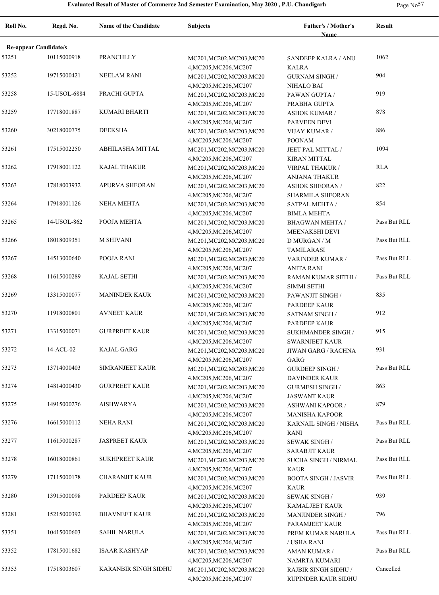| Roll No.                     | Regd. No.    | <b>Name of the Candidate</b> | <b>Subjects</b>                                     | Father's / Mother's<br>Name           | <b>Result</b> |
|------------------------------|--------------|------------------------------|-----------------------------------------------------|---------------------------------------|---------------|
| <b>Re-appear Candidate/s</b> |              |                              |                                                     |                                       |               |
| 53251                        | 10115000918  | PRANCHLLY                    | MC201, MC202, MC203, MC20                           | <b>SANDEEP KALRA / ANU</b>            | 1062          |
|                              |              |                              | 4, MC205, MC206, MC207                              | <b>KALRA</b>                          |               |
| 53252                        | 19715000421  | NEELAM RANI                  | MC201, MC202, MC203, MC20                           | <b>GURNAM SINGH /</b>                 | 904           |
|                              |              |                              | 4, MC205, MC206, MC207                              | NIHALO BAI                            |               |
| 53258                        | 15-USOL-6884 | PRACHI GUPTA                 | MC201, MC202, MC203, MC20                           | PAWAN GUPTA /                         | 919           |
|                              |              |                              | 4, MC205, MC206, MC207                              | PRABHA GUPTA                          |               |
| 53259                        | 17718001887  | KUMARI BHARTI                | MC201, MC202, MC203, MC20                           | <b>ASHOK KUMAR /</b>                  | 878           |
| 53260                        | 30218000775  | <b>DEEKSHA</b>               | 4, MC205, MC206, MC207<br>MC201, MC202, MC203, MC20 | PARVEEN DEVI                          | 886           |
|                              |              |                              |                                                     | <b>VIJAY KUMAR /</b><br><b>POONAM</b> |               |
| 53261                        | 17515002250  | ABHILASHA MITTAL             | 4, MC205, MC206, MC207<br>MC201, MC202, MC203, MC20 | JEET PAL MITTAL /                     | 1094          |
|                              |              |                              |                                                     | <b>KIRAN MITTAL</b>                   |               |
| 53262                        | 17918001122  | <b>KAJAL THAKUR</b>          | 4, MC205, MC206, MC207                              | VIRPAL THAKUR /                       | <b>RLA</b>    |
|                              |              |                              | MC201, MC202, MC203, MC20                           | <b>ANJANA THAKUR</b>                  |               |
| 53263                        | 17818003932  | <b>APURVA SHEORAN</b>        | 4, MC205, MC206, MC207                              |                                       | 822           |
|                              |              |                              | MC201, MC202, MC203, MC20                           | <b>ASHOK SHEORAN/</b>                 |               |
| 53264                        | 17918001126  | NEHA MEHTA                   | 4, MC205, MC206, MC207                              | SHARMILA SHEORAN                      | 854           |
|                              |              |                              | MC201, MC202, MC203, MC20                           | SATPAL MEHTA /                        |               |
|                              | 14-USOL-862  |                              | 4, MC205, MC206, MC207                              | <b>BIMLA MEHTA</b>                    | Pass But RLL  |
| 53265                        |              | POOJA MEHTA                  | MC201, MC202, MC203, MC20                           | <b>BHAGWAN MEHTA /</b>                |               |
|                              |              |                              | 4, MC205, MC206, MC207                              | MEENAKSHI DEVI                        |               |
| 53266                        | 18018009351  | <b>M SHIVANI</b>             | MC201, MC202, MC203, MC20                           | D MURGAN / M                          | Pass But RLL  |
|                              |              |                              | 4, MC205, MC206, MC207                              | <b>TAMILARASI</b>                     |               |
| 53267                        | 14513000640  | POOJA RANI                   | MC201, MC202, MC203, MC20                           | VARINDER KUMAR /                      | Pass But RLL  |
|                              |              |                              | 4, MC205, MC206, MC207                              | <b>ANITA RANI</b>                     |               |
| 53268                        | 11615000289  | <b>KAJAL SETHI</b>           | MC201, MC202, MC203, MC20                           | RAMAN KUMAR SETHI /                   | Pass But RLL  |
|                              |              |                              | 4, MC205, MC206, MC207                              | <b>SIMMI SETHI</b>                    |               |
| 53269                        | 13315000077  | <b>MANINDER KAUR</b>         | MC201, MC202, MC203, MC20                           | PAWANJIT SINGH /                      | 835           |
|                              |              |                              | 4, MC205, MC206, MC207                              | PARDEEP KAUR                          |               |
| 53270                        | 11918000801  | <b>AVNEET KAUR</b>           | MC201, MC202, MC203, MC20                           | SATNAM SINGH /                        | 912           |
|                              |              |                              | 4, MC205, MC206, MC207                              | PARDEEP KAUR                          |               |
| 53271                        | 13315000071  | <b>GURPREET KAUR</b>         | MC201, MC202, MC203, MC20                           | SUKHMANDER SINGH /                    | 915           |
|                              |              |                              | 4, MC205, MC206, MC207                              | <b>SWARNJEET KAUR</b>                 |               |
| 53272                        | 14-ACL-02    | <b>KAJAL GARG</b>            | MC201, MC202, MC203, MC20                           | JIWAN GARG / RACHNA                   | 931           |
|                              |              |                              | 4, MC205, MC206, MC207                              | GARG                                  |               |
| 53273                        | 13714000403  | SIMRANJEET KAUR              | MC201, MC202, MC203, MC20                           | <b>GURDEEP SINGH/</b>                 | Pass But RLL  |
|                              |              |                              | 4, MC205, MC206, MC207                              | <b>DAVINDER KAUR</b>                  |               |
| 53274                        | 14814000430  | <b>GURPREET KAUR</b>         | MC201, MC202, MC203, MC20                           | <b>GURMESH SINGH /</b>                | 863           |
|                              |              |                              | 4, MC205, MC206, MC207                              | <b>JASWANT KAUR</b>                   |               |
| 53275                        | 14915000276  | <b>AISHWARYA</b>             | MC201, MC202, MC203, MC20                           | <b>ASHWANI KAPOOR /</b>               | 879           |
|                              |              |                              | 4, MC205, MC206, MC207                              | <b>MANISHA KAPOOR</b>                 |               |
| 53276                        | 16615000112  | <b>NEHA RANI</b>             | MC201, MC202, MC203, MC20                           | KARNAIL SINGH / NISHA                 | Pass But RLL  |
|                              |              |                              | 4, MC205, MC206, MC207                              | <b>RANI</b>                           |               |
| 53277                        | 11615000287  | <b>JASPREET KAUR</b>         | MC201, MC202, MC203, MC20                           | <b>SEWAK SINGH/</b>                   | Pass But RLL  |
|                              |              |                              | 4, MC205, MC206, MC207                              | <b>SARABJIT KAUR</b>                  |               |
| 53278                        | 16018000861  | <b>SUKHPREET KAUR</b>        | MC201, MC202, MC203, MC20                           | SUCHA SINGH / NIRMAL                  | Pass But RLL  |
|                              |              |                              | 4, MC205, MC206, MC207                              | <b>KAUR</b>                           |               |
| 53279                        | 17115000178  | CHARANJIT KAUR               | MC201, MC202, MC203, MC20                           | <b>BOOTA SINGH / JASVIR</b>           | Pass But RLL  |
|                              |              |                              | 4, MC205, MC206, MC207                              | <b>KAUR</b>                           |               |
| 53280                        | 13915000098  | PARDEEP KAUR                 | MC201, MC202, MC203, MC20                           | <b>SEWAK SINGH/</b>                   | 939           |
|                              |              |                              | 4, MC205, MC206, MC207                              | <b>KAMALJEET KAUR</b>                 |               |
| 53281                        | 15215000392  | <b>BHAVNEET KAUR</b>         | MC201, MC202, MC203, MC20                           | <b>MANJINDER SINGH /</b>              | 796           |
|                              |              |                              | 4, MC205, MC206, MC207                              | PARAMJEET KAUR                        |               |
| 53351                        | 10415000603  | SAHIL NARULA                 | MC201, MC202, MC203, MC20                           | PREM KUMAR NARULA                     | Pass But RLL  |
|                              |              |                              | 4, MC205, MC206, MC207                              | / USHA RANI                           |               |
| 53352                        | 17815001682  | <b>ISAAR KASHYAP</b>         | MC201, MC202, MC203, MC20                           | AMAN KUMAR /                          | Pass But RLL  |
|                              |              |                              | 4, MC205, MC206, MC207                              | NAMRTA KUMARI                         |               |
| 53353                        | 17518003607  | KARANBIR SINGH SIDHU         | MC201, MC202, MC203, MC20                           | RAJBIR SINGH SIDHU /                  | Cancelled     |
|                              |              |                              | 4, MC205, MC206, MC207                              | RUPINDER KAUR SIDHU                   |               |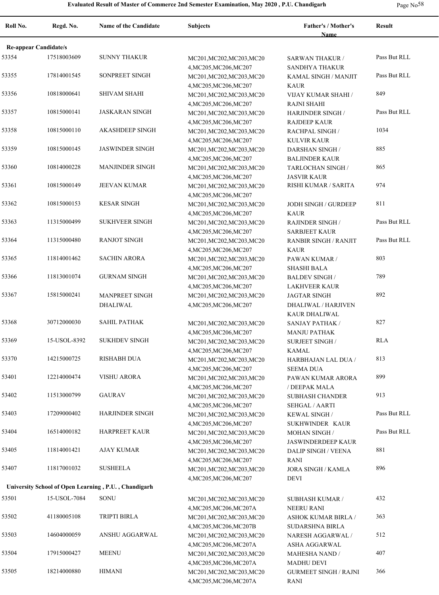| Page $No58$ |  |
|-------------|--|
|-------------|--|

| Roll No.                     | Regd. No.    | Name of the Candidate                                | <b>Subjects</b>                                                               | Father's / Mother's<br>Name                              | <b>Result</b> |
|------------------------------|--------------|------------------------------------------------------|-------------------------------------------------------------------------------|----------------------------------------------------------|---------------|
| <b>Re-appear Candidate/s</b> |              |                                                      |                                                                               |                                                          |               |
| 53354                        | 17518003609  | <b>SUNNY THAKUR</b>                                  | MC201, MC202, MC203, MC20                                                     | <b>SARWAN THAKUR /</b>                                   | Pass But RLL  |
| 53355                        | 17814001545  | SONPREET SINGH                                       | 4, MC205, MC206, MC207<br>MC201, MC202, MC203, MC20                           | <b>SANDHYA THAKUR</b><br>KAMAL SINGH / MANJIT            | Pass But RLL  |
| 53356                        | 10818000641  | <b>SHIVAM SHAHI</b>                                  | 4, MC205, MC206, MC207<br>MC201, MC202, MC203, MC20<br>4, MC205, MC206, MC207 | <b>KAUR</b><br>VIJAY KUMAR SHAHI /<br><b>RAJNI SHAHI</b> | 849           |
| 53357                        | 10815000141  | <b>JASKARAN SINGH</b>                                | MC201, MC202, MC203, MC20<br>4, MC205, MC206, MC207                           | <b>HARJINDER SINGH /</b><br><b>RAJDEEP KAUR</b>          | Pass But RLL  |
| 53358                        | 10815000110  | <b>AKASHDEEP SINGH</b>                               | MC201, MC202, MC203, MC20<br>4, MC205, MC206, MC207                           | RACHPAL SINGH /<br><b>KULVIR KAUR</b>                    | 1034          |
| 53359                        | 10815000145  | <b>JASWINDER SINGH</b>                               | MC201, MC202, MC203, MC20<br>4, MC205, MC206, MC207                           | <b>DARSHAN SINGH /</b><br><b>BALJINDER KAUR</b>          | 885           |
| 53360                        | 10814000228  | <b>MANJINDER SINGH</b>                               | MC201, MC202, MC203, MC20<br>4, MC205, MC206, MC207                           | TARLOCHAN SINGH /<br><b>JASVIR KAUR</b>                  | 865           |
| 53361                        | 10815000149  | <b>JEEVAN KUMAR</b>                                  | MC201, MC202, MC203, MC20<br>4, MC205, MC206, MC207                           | RISHI KUMAR / SARITA                                     | 974           |
| 53362                        | 10815000153  | <b>KESAR SINGH</b>                                   | MC201, MC202, MC203, MC20<br>4, MC205, MC206, MC207                           | <b>JODH SINGH / GURDEEP</b><br><b>KAUR</b>               | 811           |
| 53363                        | 11315000499  | <b>SUKHVEER SINGH</b>                                | MC201, MC202, MC203, MC20<br>4, MC205, MC206, MC207                           | <b>RAJINDER SINGH /</b><br><b>SARBJEET KAUR</b>          | Pass But RLL  |
| 53364                        | 11315000480  | <b>RANJOT SINGH</b>                                  | MC201, MC202, MC203, MC20<br>4, MC205, MC206, MC207                           | <b>RANBIR SINGH / RANJIT</b><br><b>KAUR</b>              | Pass But RLL  |
| 53365                        | 11814001462  | <b>SACHIN ARORA</b>                                  | MC201, MC202, MC203, MC20<br>4, MC205, MC206, MC207                           | PAWAN KUMAR /<br><b>SHASHI BALA</b>                      | 803           |
| 53366                        | 11813001074  | <b>GURNAM SINGH</b>                                  | MC201, MC202, MC203, MC20<br>4, MC205, MC206, MC207                           | <b>BALDEV SINGH /</b><br><b>LAKHVEER KAUR</b>            | 789           |
| 53367                        | 15815000241  | <b>MANPREET SINGH</b><br><b>DHALIWAL</b>             | MC201, MC202, MC203, MC20<br>4, MC205, MC206, MC207                           | <b>JAGTAR SINGH</b><br><b>DHALIWAL / HARJIVEN</b>        | 892           |
| 53368                        | 30712000030  | <b>SAHIL PATHAK</b>                                  | MC201, MC202, MC203, MC20                                                     | KAUR DHALIWAL<br><b>SANJAY PATHAK /</b>                  | 827           |
| 53369                        | 15-USOL-8392 | <b>SUKHDEV SINGH</b>                                 | 4, MC205, MC206, MC207<br>MC201, MC202, MC203, MC20                           | <b>MANJU PATHAK</b><br><b>SURJEET SINGH /</b>            | <b>RLA</b>    |
| 53370                        | 14215000725  | <b>RISHABH DUA</b>                                   | 4, MC205, MC206, MC207<br>MC201, MC202, MC203, MC20                           | <b>KAMAL</b><br>HARBHAJAN LAL DUA /                      | 813           |
| 53401                        | 12214000474  | <b>VISHU ARORA</b>                                   | 4, MC205, MC206, MC207<br>MC201, MC202, MC203, MC20                           | <b>SEEMA DUA</b><br>PAWAN KUMAR ARORA                    | 899           |
| 53402                        | 11513000799  | <b>GAURAV</b>                                        | 4, MC205, MC206, MC207<br>MC201, MC202, MC203, MC20                           | / DEEPAK MALA<br><b>SUBHASH CHANDER</b>                  | 913           |
| 53403                        | 17209000402  | <b>HARJINDER SINGH</b>                               | 4, MC205, MC206, MC207<br>MC201, MC202, MC203, MC20                           | SEHGAL / AARTI<br>KEWAL SINGH /                          | Pass But RLL  |
| 53404                        | 16514000182  | HARPREET KAUR                                        | 4, MC205, MC206, MC207<br>MC201, MC202, MC203, MC20                           | SUKHWINDER KAUR<br><b>MOHAN SINGH/</b>                   | Pass But RLL  |
| 53405                        | 11814001421  | AJAY KUMAR                                           | 4, MC205, MC206, MC207<br>MC201, MC202, MC203, MC20                           | <b>JASWINDERDEEP KAUR</b><br><b>DALIP SINGH / VEENA</b>  | 881           |
| 53407                        | 11817001032  | <b>SUSHEELA</b>                                      | 4, MC205, MC206, MC207<br>MC201, MC202, MC203, MC20                           | RANI<br><b>JORA SINGH / KAMLA</b>                        | 896           |
|                              |              | University School of Open Learning, P.U., Chandigarh | 4, MC205, MC206, MC207                                                        | DEVI                                                     |               |
| 53501                        | 15-USOL-7084 | SONU                                                 | MC201, MC202, MC203, MC20<br>4, MC205, MC206, MC207A                          | <b>SUBHASH KUMAR /</b><br><b>NEERU RANI</b>              | 432           |
| 53502                        | 41180005108  | TRIPTI BIRLA                                         | MC201, MC202, MC203, MC20<br>4, MC205, MC206, MC207B                          | ASHOK KUMAR BIRLA /<br>SUDARSHNA BIRLA                   | 363           |
| 53503                        | 14604000059  | ANSHU AGGARWAL                                       | MC201, MC202, MC203, MC20<br>4, MC205, MC206, MC207A                          | NARESH AGGARWAL /<br>ASHA AGGARWAL                       | 512           |
| 53504                        | 17915000427  | <b>MEENU</b>                                         | MC201, MC202, MC203, MC20<br>4, MC205, MC206, MC207A                          | MAHESHA NAND /<br><b>MADHU DEVI</b>                      | 407           |
| 53505                        | 18214000880  | <b>HIMANI</b>                                        | MC201, MC202, MC203, MC20<br>4, MC205, MC206, MC207A                          | <b>GURMEET SINGH / RAJNI</b><br>RANI                     | 366           |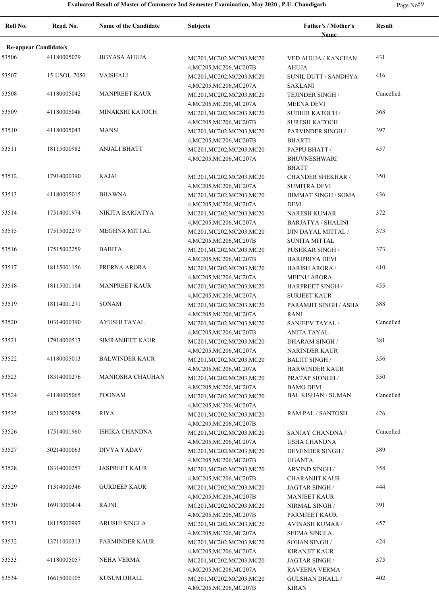|  | Page $No59$ |
|--|-------------|
|--|-------------|

| Roll No.                              | Regd. No.    | <b>Name of the Candidate</b> | <b>Subjects</b>                                      | Father's / Mother's                    | <b>Result</b> |
|---------------------------------------|--------------|------------------------------|------------------------------------------------------|----------------------------------------|---------------|
|                                       |              |                              |                                                      | <b>Name</b>                            |               |
| <b>Re-appear Candidate/s</b><br>53506 | 41180005029  | <b>JIGYASA AHUJA</b>         |                                                      |                                        | 431           |
|                                       |              |                              | MC201, MC202, MC203, MC20<br>4, MC205, MC206, MC207B | VED AHUJA / KANCHAN<br><b>AHUJA</b>    |               |
| 53507                                 | 15-USOL-7050 | <b>VAISHALI</b>              | MC201, MC202, MC203, MC20                            | SUNIL DUTT / SANDHYA                   | 416           |
|                                       |              |                              | 4, MC205, MC206, MC207A                              | <b>SAKLANI</b>                         |               |
| 53508                                 | 41180005042  | <b>MANPREET KAUR</b>         | MC201, MC202, MC203, MC20                            | TEJINDER SINGH /                       | Cancelled     |
|                                       |              |                              | 4, MC205, MC206, MC207A                              | <b>MEENA DEVI</b>                      |               |
| 53509                                 | 41180005048  | <b>MINAKSHI KATOCH</b>       | MC201, MC202, MC203, MC20                            | <b>SUDHIR KATOCH /</b>                 | 368           |
|                                       |              |                              | 4, MC205, MC206, MC207B                              | <b>SURESH KATOCH</b>                   |               |
| 53510                                 | 41180005043  | <b>MANSI</b>                 | MC201, MC202, MC203, MC20                            | PARVINDER SINGH /                      | 397           |
|                                       |              |                              | 4, MC205, MC206, MC207B                              | <b>BHARTI</b>                          |               |
| 53511                                 | 18115000982  | <b>ANJALI BHATT</b>          | MC201, MC202, MC203, MC20                            | PAPPU BHATT /                          | 457           |
|                                       |              |                              | 4, MC205, MC206, MC207A                              | <b>BHUVNESHWARI</b>                    |               |
|                                       |              |                              |                                                      | <b>BHATT</b>                           |               |
| 53512                                 | 17914000390  | <b>KAJAL</b>                 | MC201, MC202, MC203, MC20                            | <b>CHANDER SHEKHAR /</b>               | 350           |
|                                       |              |                              | 4, MC205, MC206, MC207A                              | <b>SUMITRA DEVI</b>                    |               |
| 53513                                 | 41180005015  | <b>BHAWNA</b>                | MC201, MC202, MC203, MC20                            | HIMMAT SINGH / SOMA                    | 436           |
|                                       |              |                              | 4, MC205, MC206, MC207A                              | <b>DEVI</b>                            |               |
| 53514                                 | 17514001974  | NIKITA BARJATYA              | MC201, MC202, MC203, MC20                            | <b>NARESH KUMAR</b>                    | 372           |
|                                       |              |                              | 4, MC205, MC206, MC207A                              | <b>BARJATYA / SHALINI</b>              |               |
| 53515                                 | 17515002279  | <b>MEGHNA MITTAL</b>         | MC201, MC202, MC203, MC20                            | DIN DAYAL MITTAL /                     | 373           |
|                                       |              |                              | 4, MC205, MC206, MC207B                              | <b>SUNITA MITTAL</b>                   |               |
| 53516                                 | 17515002259  | <b>BABITA</b>                | MC201, MC202, MC203, MC20                            | PUSHKAR SINGH /                        | 373           |
|                                       |              |                              | 4, MC205, MC206, MC207B                              | HARIPRIYA DEVI                         |               |
| 53517                                 | 18115001156  | PRERNA ARORA                 | MC201, MC202, MC203, MC20                            | <b>HARISH ARORA /</b>                  | 410           |
|                                       |              |                              | 4, MC205, MC206, MC207A                              | <b>MEENU ARORA</b>                     |               |
| 53518                                 | 18115001104  | <b>MANPREET KAUR</b>         | MC201, MC202, MC203, MC20                            | HARPREET SINGH /                       | 455           |
|                                       |              |                              | 4, MC205, MC206, MC207A                              | <b>SURJEET KAUR</b>                    |               |
| 53519                                 | 18114001271  | <b>SONAM</b>                 | MC201, MC202, MC203, MC20                            | PARAMJIT SINGH / ASHA                  | 388           |
| 53520                                 | 10314000390  | <b>AYUSHI TAYAL</b>          | 4, MC205, MC206, MC207A                              | <b>RANI</b>                            | Cancelled     |
|                                       |              |                              | MC201, MC202, MC203, MC20                            | <b>SANJEEV TAYAL/</b>                  |               |
| 53521                                 | 17914000513  | SIMRANJEET KAUR              | 4, MC205, MC206, MC207B                              | <b>ANITA TAYAL</b>                     | 381           |
|                                       |              |                              | MC201, MC202, MC203, MC20<br>4, MC205, MC206, MC207A | DHARAM SINGH /<br><b>NARINDER KAUR</b> |               |
| 53522                                 | 41180005013  | <b>BALWINDER KAUR</b>        | MC201, MC202, MC203, MC20                            | <b>BALJIT SINGH /</b>                  | 356           |
|                                       |              |                              | 4, MC205, MC206, MC207A                              | <b>HARWINDER KAUR</b>                  |               |
| 53523                                 | 18314000276  | <b>MANIOSHA CHAUHAN</b>      | MC201, MC202, MC203, MC20                            | PRATAP SIONGH /                        | 350           |
|                                       |              |                              | 4, MC205, MC206, MC207A                              | <b>BAMO DEVI</b>                       |               |
| 53524                                 | 41180005065  | <b>POONAM</b>                | MC201, MC202, MC203, MC20                            | <b>BAL KISHAN / SUMAN</b>              | Cancelled     |
|                                       |              |                              | 4, MC205, MC206, MC207A                              |                                        |               |
| 53525                                 | 18215000958  | <b>RIYA</b>                  | MC201, MC202, MC203, MC20                            | RAM PAL / SANTOSH                      | 426           |
|                                       |              |                              | 4, MC205, MC206, MC207B                              |                                        |               |
| 53526                                 | 17514001960  | ISHIKA CHANDNA               | MC201, MC202, MC203, MC20                            | SANJAY CHANDNA /                       | Cancelled     |
|                                       |              |                              | 4, MC205, MC206, MC207A                              | <b>USHA CHANDNA</b>                    |               |
| 53527                                 | 30214000063  | DIVYA YADAV                  | MC201, MC202, MC203, MC20                            | <b>DEVENDER SINGH /</b>                | 389           |
|                                       |              |                              | 4, MC205, MC206, MC207B                              | <b>UGANTA</b>                          |               |
| 53528                                 | 18314000257  | <b>JASPREET KAUR</b>         | MC201, MC202, MC203, MC20                            | ARVIND SINGH /                         | 358           |
|                                       |              |                              | 4, MC205, MC206, MC207B                              | <b>CHARANJIT KAUR</b>                  |               |
| 53529                                 | 11314000346  | <b>GURDEEP KAUR</b>          | MC201, MC202, MC203, MC20                            | JAGTAR SINGH /                         | 444           |
|                                       |              |                              | 4, MC205, MC206, MC207B                              | <b>MANJEET KAUR</b>                    |               |
| 53530                                 | 16913000414  | <b>RAJNI</b>                 | MC201, MC202, MC203, MC20                            | NIRMAL SINGH /                         | 391           |
|                                       |              |                              | 4, MC205, MC206, MC207B                              | PARMJEET KAUR                          |               |
| 53531                                 | 18115000997  | ARUSHI SINGLA                | MC201, MC202, MC203, MC20                            | <b>AVINASH KUMAR /</b>                 | 457           |
|                                       |              |                              | 4, MC205, MC206, MC207A                              | <b>SEEMA SINGLA</b>                    |               |
| 53532                                 | 13711000313  | PARMINDER KAUR               | MC201, MC202, MC203, MC20                            | SOHAN SINGH /                          | 424           |
|                                       |              |                              | 4, MC205, MC206, MC207A                              | KIRANJIT KAUR                          |               |
| 53533                                 | 41180005057  | <b>NEHA VERMA</b>            | MC201, MC202, MC203, MC20                            | JAGTAR SINGH /                         | 375           |
| 53534                                 | 16615000105  | <b>KUSUM DHALL</b>           | 4, MC205, MC206, MC207A                              | RAVEENA VERMA                          | 402           |
|                                       |              |                              | MC201, MC202, MC203, MC20                            | <b>GULSHAN DHALL /</b>                 |               |
|                                       |              |                              | 4, MC205, MC206, MC207B                              | KIRAN                                  |               |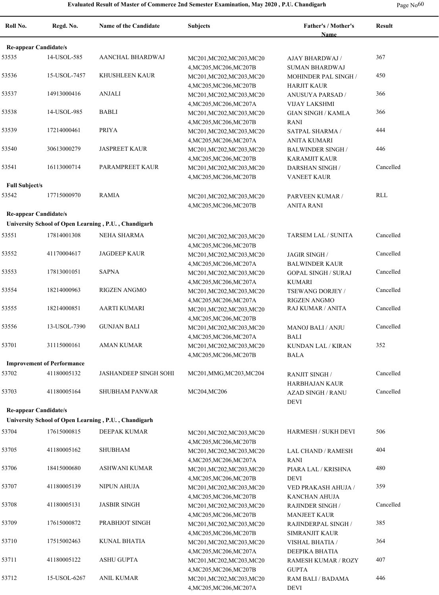**Re-appear Candidate/s**

**Roll No. Regd. No. Name of the Candidate Subjects Father's / Mother's Name Result** 53535 14-USOL-585 AANCHAL BHARDWAJ MC201,MC202,MC203,MC20 AJAY BHARDWAJ 367 4,MC205,MC206,MC207B AJAY BHARDWAJ / SUMAN BHARDWAJ MOHINDER PAL SINGH /

| 53536                 | 15-USOL-7457                      | KHUSHLEEN KAUR                                       | MC201, MC202, MC203, MC20 | MOHINDER PAL SINGH /       | 450        |
|-----------------------|-----------------------------------|------------------------------------------------------|---------------------------|----------------------------|------------|
|                       |                                   |                                                      | 4, MC205, MC206, MC207B   | <b>HARJIT KAUR</b>         |            |
| 53537                 | 14913000416                       | <b>ANJALI</b>                                        | MC201, MC202, MC203, MC20 | <b>ANUSUYA PARSAD /</b>    | 366        |
|                       |                                   |                                                      | 4, MC205, MC206, MC207A   | <b>VIJAY LAKSHMI</b>       |            |
| 53538                 | 14-USOL-985                       | <b>BABLI</b>                                         | MC201, MC202, MC203, MC20 | <b>GIAN SINGH / KAMLA</b>  | 366        |
|                       |                                   |                                                      | 4, MC205, MC206, MC207B   | <b>RANI</b>                |            |
| 53539                 | 17214000461                       | <b>PRIYA</b>                                         | MC201, MC202, MC203, MC20 | SATPAL SHARMA /            | 444        |
|                       |                                   |                                                      | 4, MC205, MC206, MC207A   | <b>ANITA KUMARI</b>        |            |
| 53540                 | 30613000279                       | <b>JASPREET KAUR</b>                                 | MC201, MC202, MC203, MC20 | <b>BALWINDER SINGH/</b>    | 446        |
|                       |                                   |                                                      | 4, MC205, MC206, MC207B   | <b>KARAMJIT KAUR</b>       | Cancelled  |
| 53541                 | 16113000714                       | PARAMPREET KAUR                                      | MC201, MC202, MC203, MC20 | DARSHAN SINGH /            |            |
| <b>Full Subject/s</b> |                                   |                                                      | 4, MC205, MC206, MC207B   | <b>VANEET KAUR</b>         |            |
| 53542                 |                                   | <b>RAMIA</b>                                         |                           |                            | <b>RLL</b> |
|                       | 17715000970                       |                                                      | MC201, MC202, MC203, MC20 | PARVEEN KUMAR /            |            |
|                       |                                   |                                                      | 4, MC205, MC206, MC207B   | <b>ANITA RANI</b>          |            |
|                       | <b>Re-appear Candidate/s</b>      |                                                      |                           |                            |            |
|                       |                                   | University School of Open Learning, P.U., Chandigarh |                           |                            |            |
| 53551                 | 17814001308                       | <b>NEHA SHARMA</b>                                   | MC201, MC202, MC203, MC20 | TARSEM LAL / SUNITA        | Cancelled  |
|                       |                                   |                                                      | 4, MC205, MC206, MC207B   |                            |            |
| 53552                 | 41170004617                       | <b>JAGDEEP KAUR</b>                                  | MC201, MC202, MC203, MC20 | JAGIR SINGH /              | Cancelled  |
|                       |                                   |                                                      | 4, MC205, MC206, MC207A   | <b>BALWINDER KAUR</b>      |            |
| 53553                 | 17813001051                       | <b>SAPNA</b>                                         | MC201, MC202, MC203, MC20 | <b>GOPAL SINGH / SURAJ</b> | Cancelled  |
|                       |                                   |                                                      | 4, MC205, MC206, MC207A   | <b>KUMARI</b>              |            |
| 53554                 | 18214000963                       | <b>RIGZEN ANGMO</b>                                  | MC201, MC202, MC203, MC20 | TSEWANG DORJEY /           | Cancelled  |
|                       |                                   |                                                      | 4, MC205, MC206, MC207A   | <b>RIGZEN ANGMO</b>        |            |
| 53555                 | 18214000851                       | <b>AARTI KUMARI</b>                                  | MC201, MC202, MC203, MC20 | RAJ KUMAR / ANITA          | Cancelled  |
|                       |                                   |                                                      | 4, MC205, MC206, MC207B   |                            |            |
| 53556                 | 13-USOL-7390                      | <b>GUNJAN BALI</b>                                   | MC201, MC202, MC203, MC20 | <b>MANOJ BALI / ANJU</b>   | Cancelled  |
|                       |                                   |                                                      | 4, MC205, MC206, MC207A   | <b>BALI</b>                |            |
| 53701                 | 31115000161                       | <b>AMAN KUMAR</b>                                    | MC201, MC202, MC203, MC20 | KUNDAN LAL / KIRAN         | 352        |
|                       |                                   |                                                      | 4, MC205, MC206, MC207B   | <b>BALA</b>                |            |
|                       | <b>Improvement of Performance</b> |                                                      |                           |                            |            |
| 53702                 | 41180005132                       | <b>JASHANDEEP SINGH SOHI</b>                         | MC201, MMG, MC203, MC204  | <b>RANJIT SINGH /</b>      | Cancelled  |
|                       |                                   |                                                      |                           | HARBHAJAN KAUR             |            |
| 53703                 | 41180005164                       | SHUBHAM PANWAR                                       | MC204, MC206              | <b>AZAD SINGH / RANU</b>   | Cancelled  |
|                       |                                   |                                                      |                           | <b>DEVI</b>                |            |
|                       | <b>Re-appear Candidate/s</b>      |                                                      |                           |                            |            |
|                       |                                   | University School of Open Learning, P.U., Chandigarh |                           |                            |            |
| 53704                 | 17615000815                       | DEEPAK KUMAR                                         | MC201, MC202, MC203, MC20 | HARMESH / SUKH DEVI        | 506        |
|                       |                                   |                                                      | 4, MC205, MC206, MC207B   |                            |            |
| 53705                 | 41180005162                       | <b>SHUBHAM</b>                                       | MC201, MC202, MC203, MC20 | <b>LAL CHAND / RAMESH</b>  | 404        |
|                       |                                   |                                                      | 4, MC205, MC206, MC207A   | RANI                       |            |
| 53706                 | 18415000680                       | <b>ASHWANI KUMAR</b>                                 | MC201, MC202, MC203, MC20 | PIARA LAL / KRISHNA        | 480        |
|                       |                                   |                                                      | 4, MC205, MC206, MC207B   | DEVI                       |            |
| 53707                 | 41180005139                       | NIPUN AHUJA                                          | MC201, MC202, MC203, MC20 | VED PRAKASH AHUJA /        | 359        |
|                       |                                   |                                                      | 4, MC205, MC206, MC207B   | KANCHAN AHUJA              |            |
| 53708                 | 41180005131                       | <b>JASBIR SINGH</b>                                  | MC201, MC202, MC203, MC20 | RAJINDER SINGH /           | Cancelled  |
|                       |                                   |                                                      | 4, MC205, MC206, MC207B   | <b>MANJEET KAUR</b>        |            |
| 53709                 | 17615000872                       | PRABHJOT SINGH                                       | MC201, MC202, MC203, MC20 | RAJINDERPAL SINGH /        | 385        |
|                       |                                   |                                                      | 4, MC205, MC206, MC207B   | SIMRANJIT KAUR             |            |
| 53710                 | 17515002463                       | <b>KUNAL BHATIA</b>                                  | MC201, MC202, MC203, MC20 | VISHAL BHATIA /            | 364        |
|                       |                                   |                                                      | 4, MC205, MC206, MC207A   | DEEPIKA BHATIA             |            |
| 53711                 | 41180005122                       | <b>ASHU GUPTA</b>                                    | MC201, MC202, MC203, MC20 | RAMESH KUMAR / ROZY        | 407        |
|                       |                                   |                                                      | 4, MC205, MC206, MC207B   | <b>GUPTA</b>               |            |
| 53712                 | 15-USOL-6267                      | ANIL KUMAR                                           | MC201, MC202, MC203, MC20 | RAM BALI / BADAMA          | 446        |
|                       |                                   |                                                      | 4, MC205, MC206, MC207A   | DEVI                       |            |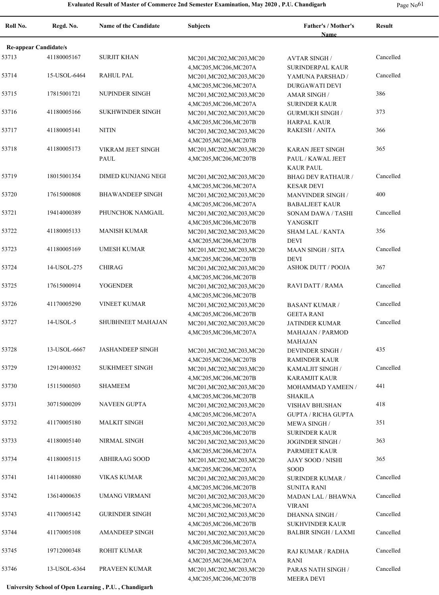**Roll No. Regd. No. Name of the Candidate Subjects Father's / Mother's** 

**Name Re-appear Candidate/s** 53713 41180005167 SURJIT KHAN MC201,MC202,MC203,MC20 AVTAR SINGH Cancelled 4,MC205,MC206,MC207A AVTAR SINGH / SURINDERPAL KAUR 53714 15-USOL-6464 RAHUL PAL MC201,MC202,MC203,MC20 YAMUNA PARSHAD / Cancelled 4,MC205,MC206,MC207A YAMUNA PARSHAD / DURGAWATI DEVI 53715 17815001721 NUPINDER SINGH MC201, MC202, MC203, MC20 AMAR SINGH 386 4,MC205,MC206,MC207A AMAR SINGH / SURINDER KAUR 53716 41180005166 SUKHWINDER SINGH MC201, MC202, MC203, MC20 GURMUKH SINGH 373 4,MC205,MC206,MC207B GURMUKH SINGH / HARPAL KAUR 53717 41180005141 NITIN MC201,MC202,MC203,MC20 RAKESH / ANITA 366 4,MC205,MC206,MC207B VIKRAM JEET SINGH PAUL 53718 41180005173 VIKRAM JEET SINGH MC201, MC202, MC203, MC20 KARAN JEET SINGH 365 4,MC205,MC206,MC207B KARAN JEET SINGH PAUL / KAWAL JEET KAUR PAUL 53719 18015001354 DIMED KUNJANG NEGI MC201,MC202,MC203,MC20 BHAG DEV RATHAUR / Cancelled 4,MC205,MC206,MC207A BHAG DEV RATHAUR / KESAR DEVI 53720 17615000808 BHAWANDEEP SINGH MC201, MC202, MC203, MC20 MANVINDER SINGH 400 4,MC205,MC206,MC207A MANVINDER SINGH / BABALJEET KAUR 53721 19414000389 PHUNCHOK NAMGAIL MC201,MC202,MC203,MC20 SONAM DAWA / TASHI Cancelled 4,MC205,MC206,MC207B SONAM DAWA / TASHI YANGSKIT 53722 41180005133 MANISH KUMAR MC201, MC202, MC203, MC20 SHAM LAL / KANTA 356 4,MC205,MC206,MC207B SHAM LAL / KANTA DEVI 53723 41180005169 UMESH KUMAR MC201,MC202,MC203,MC20 MAAN SINGH / SITA Cancelled 4,MC205,MC206,MC207B MAAN SINGH / SITA DEVI 53724 14-USOL-275 CHIRAG MC201,MC202,MC203,MC20 ASHOK DUTT / POOJA 367 4,MC205,MC206,MC207B 53725 17615000914 YOGENDER MC201,MC202,MC203,MC20 RAVI DATT / RAMA Cancelled 4,MC205,MC206,MC207B 53726 VINEET KUMAR MC201,MC202,MC203,MC20 41170005290 Cancelled 4,MC205,MC206,MC207B BASANT KUMAR / GEETA RANI 53727 14-USOL-5 SHUBHNEET MAHAJAN MC201,MC202,MC203,MC20 JATINDER KUMAR Cancelled 4,MC205,MC206,MC207A JATINDER KUMAR MAHAJAN / PARMOD MAHAJAN 53728 13-USOL-6667 JASHANDEEP SINGH MC201, MC202, MC203, MC20 DEVINDER SINGH 435 4,MC205,MC206,MC207B DEVINDER SINGH / RAMINDER KAUR 53729 SUKHMEET SINGH MC201,MC202,MC203,MC20 12914000352 Cancelled 4,MC205,MC206,MC207B KAMALJIT SINGH / KARAMJIT KAUR 53730 15115000503 SHAMEEM MC201, MC202, MC203, MC20 MOHAMMAD YAMEEN 441 4,MC205,MC206,MC207B MOHAMMAD YAMEEN / SHAKILA 53731 30715000209 NAVEEN GUPTA MC201, MC202, MC203, MC20 VISHAV BHUSHAN 418 4,MC205,MC206,MC207A VISHAV BHUSHAN GUPTA / RICHA GUPTA 53732 41170005180 MALKIT SINGH MC201, MC202, MC203, MC20 MEWA SINGH 351 4,MC205,MC206,MC207B MEWA SINGH / SURINDER KAUR 53733 41180005140 NIRMAL SINGH MC201, MC202, MC203, MC20 JOGINDER SINGH 363 4,MC205,MC206,MC207A JOGINDER SINGH / PARMJEET KAUR 53734 41180005115 ABHIRAAG SOOD MC201, MC202, MC203, MC20 AJAY SOOD / NISHI 365 4,MC205,MC206,MC207A AJAY SOOD / NISHI SOOD 53741 14114000880 VIKAS KUMAR MC201,MC202,MC203,MC20 SURINDER KUMAR / Cancelled 4,MC205,MC206,MC207B SURINDER KUMAR / SUNITA RANI 53742 13614000635 UMANG VIRMANI MC201,MC202,MC203,MC20 MADAN LAL / BHAWNA Cancelled 4,MC205,MC206,MC207A MADAN LAL / BHAWNA VIRANI 53743 GURINDER SINGH MC201,MC202,MC203,MC20 41170005142 Cancelled 4,MC205,MC206,MC207B DHANNA SINGH / SUKHVINDER KAUR 53744 41170005108 AMANDEEP SINGH MC201,MC202,MC203,MC20 BALBIR SINGH / LAXMI Cancelled 4,MC205,MC206,MC207A 53745 19712000348 ROHIT KUMAR MC201,MC202,MC203,MC20 RAJ KUMAR / RADHA Cancelled 4,MC205,MC206,MC207A RAJ KUMAR / RADHA RANI 53746 PRAVEEN KUMAR MC201,MC202,MC203,MC20 13-USOL-6364 Cancelled 4,MC205,MC206,MC207B PARAS NATH SINGH / MEERA DEVI

**University School of Open Learning , P.U. , Chandigarh**

**Result**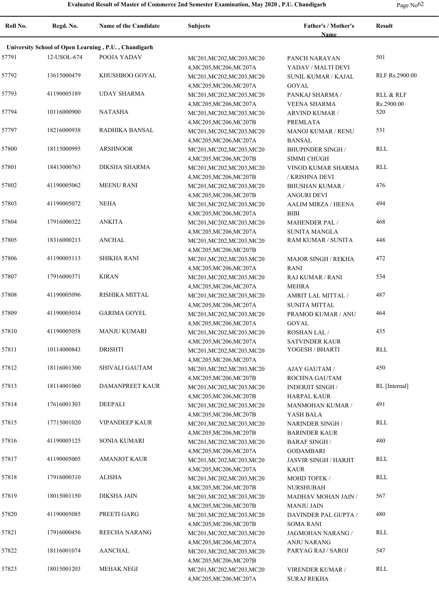**Roll No. Regd. No. Name of the Candidate Subjects Father's / Mother's Name Result University School of Open Learning , P.U. , Chandigarh** 57791 12-USOL-674 POOJA YADAV MC201, MC201, MC202, MC203, MC20 PANCH NARAYAN 501 4,MC205,MC206,MC207A PANCH NARAYAN YADAV / MALTI DEVI 57792 13615000479 KHUSHBOO GOYAL MC201,MC202,MC203,MC20 SUNIL KUMAR / KAJAL RLF Rs.2900.00 4,MC205,MC206,MC207A SUNIL KUMAR / KAJAL GOYAL 57793 41190005189 UDAY SHARMA MC201, MC202, MC203, MC203, MC20 PANKAJ SHARMA / RLL & RLF 4,MC205,MC206,MC207A PANKAJ SHARMA / VEENA SHARMA Rs.2900.00 57794 10116000900 NATASHA MC201,MC202,MC203,MC20 ARVIND KUMAR / 520 4,MC205,MC206,MC207B ARVIND KUMAR / PREMLATA 57797 18216000938 RADHIKA BANSAL MC201, MC202, MC203, MC20 MANOJ KUMAR / RENU 531 4,MC205,MC206,MC207A MANOJ KUMAR / RENU BANSAL 57800 18115000995 ARSHNOOR MC201,MC202,MC203,MC20 BHUPINDER SINGH RLL 4,MC205,MC206,MC207B BHUPINDER SINGH / SIMMI CHUGH 57801 18413000763 DIKSHA SHARMA MC201,MC202,MC203,MC20 VINOD KUMAR SHARMA RLL 4,MC205,MC206,MC207B VINOD KUMAR SHARMA / KRISHNA DEVI 57802 41190005062 MEENU RANI MC201, MC202, MC203, MC20 BHUSHAN KUMAR / 476 4,MC205,MC206,MC207B BHUSHAN KUMAR / ANGURI DEVI 57803 41190005072 NEHA MC201, MC201, MC202, MC203, MC20 AALIM MIRZA / HEENA 494 4,MC205,MC206,MC207A AALIM MIRZA / HEENA BIBI 57804 17916000322 ANKITA MC201, MC201, MC203, MC203 MAHENDER PAL / 468 4,MC205,MC206,MC207A MAHENDER PAL / SUNITA MANGLA 57805 18316000213 ANCHAL MC201,MC202,MC203,MC20 RAM KUMAR / SUNITA 448 4,MC205,MC206,MC207B 57806 41190005113 SHIKHA RANI MC201, MC202, MC203, MC20 MAJOR SINGH / REKHA 472 4,MC205,MC206,MC207A MAJOR SINGH / REKHA RANI 57807 17916000371 KIRAN MC201,MC202,MC203,MC20 RAJ KUMAR / RANI 534 4,MC205,MC206,MC207A RAJ KUMAR / RANI MEHRA 57808 41190005096 RISHIKA MITTAL MC201, MC202, MC203, MC20 AMRIT LAL MITTAL / 487 4,MC205,MC206,MC207A AMRIT LAL MITTAL / SUNITA MITTAL 57809 41190005034 GARIMA GOYEL MC201, MC202, MC203, MC20 PRAMOD KUMAR / ANU 464 4,MC205,MC206,MC207A PRAMOD KUMAR / ANU GOYAL 57810 41190005058 MANJU KUMARI MC201,MC202,MC203,MC20 ROSHAN LAL / 435 4,MC205,MC206,MC207A ROSHAN LAL / SATVINDER KAUR 57811 DRISHTI MC201,MC202,MC203,MC20 10114000843 YOGESH / BHARTI RLL 4,MC205,MC206,MC207A 57812 18116001300 SHIVALI GAUTAM MC201, MC202, MC203, MC20 AJAY GAUTAM / 450 4,MC205,MC206,MC207B AJAY GAUTAM / ROCHNA GAUTAM 57813 18114001060 DAMANPREET KAUR MC201,MC202,MC203,MC20 INDERJIT SINGH RL [Internal] 4,MC205,MC206,MC207B INDERJIT SINGH / HARPAL KAUR 57814 17616001303 DEEPALI MC201, MC202, MC203, MC20 MANMOHAN KUMAR / 491 4,MC205,MC206,MC207B MANMOHAN KUMAR / YASH BALA 57815 17715001020 VIPANDEEP KAUR MC201,MC202,MC203,MC20 NARINDER SINGH RLL 4,MC205,MC206,MC207B NARINDER SINGH / BARINDER KAUR 57816 41190005125 SONIA KUMARI MC201, MC202, MC203, MC20 BARAF SINGH 480 4,MC205,MC206,MC207A BARAF SINGH / GODAMBARI 57817 41190005005 AMANJOT KAUR MC201, MC202, MC203, MC20 JASVIR SINGH / HARJIT RLL 4,MC205,MC206,MC207A JASVIR SINGH / HARJIT KAUR 57818 17916000310 ALISHA MC201,MC202,MC203,MC20 MOHD TOFEK RLL 4,MC205,MC206,MC207B MOHD TOFEK / NURSHUBAH 57819 18015001150 DIKSHA JAIN MC201, MC202, MC203, MC20 MADHAV MOHAN JAIN 567 4,MC205,MC206,MC207B MADHAV MOHAN JAIN / MANJU JAIN 57820 41190005085 PREETI GARG MC201, MC202, MC203, MC20 DAVINDER PAL GUPTA / 480 4,MC205,MC206,MC207B DAVINDER PAL GUPTA / SOMA RANI 57821 17916000456 REECHA NARANG MC201, MC202, MC203, MC20 JAGMOHAN NARANG RLL 4,MC205,MC206,MC207A JAGMOHAN NARANG / ANJU NARANG 57822 18116001074 AANCHAL MC201,MC202,MC203,MC20 PARYAG RAJ / SAROJ 547 4,MC205,MC206,MC207B 57823 MEHAK NEGI MC201,MC202,MC203,MC20 18015001203 RLL4,MC205,MC206,MC207A VIRENDER KUMAR / SURAJ REKHA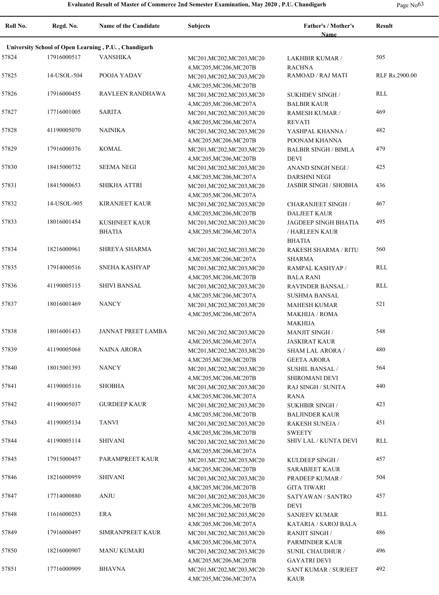| Roll No. | Regd. No.   | <b>Name of the Candidate</b>                         | <b>Subjects</b>                                                                 | Father's / Mother's<br>Name                                          | <b>Result</b>  |
|----------|-------------|------------------------------------------------------|---------------------------------------------------------------------------------|----------------------------------------------------------------------|----------------|
|          |             | University School of Open Learning, P.U., Chandigarh |                                                                                 |                                                                      |                |
| 57824    | 17916000517 | <b>VANSHIKA</b>                                      | MC201, MC202, MC203, MC20                                                       | LAKHBIR KUMAR /                                                      | 505            |
| 57825    | 14-USOL-504 | POOJA YADAV                                          | 4, MC205, MC206, MC207B<br>MC201, MC202, MC203, MC20                            | <b>RACHNA</b><br>RAMOAD / RAJ MATI                                   | RLF Rs.2900.00 |
| 57826    | 17916000455 | RAVLEEN RANDHAWA                                     | 4, MC205, MC206, MC207B<br>MC201, MC202, MC203, MC20                            | <b>SUKHDEV SINGH/</b>                                                | <b>RLL</b>     |
| 57827    | 17716001005 | <b>SARITA</b>                                        | 4, MC205, MC206, MC207A<br>MC201, MC202, MC203, MC20                            | <b>BALBIR KAUR</b><br><b>RAMESH KUMAR /</b>                          | 469            |
| 57828    | 41190005070 | NAINIKA                                              | 4, MC205, MC206, MC207A<br>MC201, MC202, MC203, MC20                            | <b>REVATI</b><br>YASHPAL KHANNA /                                    | 482            |
| 57829    | 17916000376 | <b>KOMAL</b>                                         | 4, MC205, MC206, MC207B<br>MC201, MC202, MC203, MC20                            | POONAM KHANNA<br><b>BALBIR SINGH / BIMLA</b>                         | 479            |
| 57830    | 18415000732 | <b>SEEMA NEGI</b>                                    | 4, MC205, MC206, MC207B<br>MC201, MC202, MC203, MC20                            | <b>DEVI</b><br>ANAND SINGH NEGI /                                    | 425            |
| 57831    | 18415000653 | <b>SHIKHA ATTRI</b>                                  | 4, MC205, MC206, MC207A<br>MC201, MC202, MC203, MC20                            | <b>DARSHNI NEGI</b><br><b>JASBIR SINGH / SHOBHA</b>                  | 436            |
| 57832    | 14-USOL-905 | <b>KIRANJEET KAUR</b>                                | 4, MC205, MC206, MC207A<br>MC201, MC202, MC203, MC20                            | <b>CHARANJEET SINGH /</b>                                            | 467            |
| 57833    | 18016001454 | <b>KUSHNEET KAUR</b><br><b>BHATIA</b>                | 4, MC205, MC206, MC207B<br>MC201, MC202, MC203, MC20<br>4, MC205, MC206, MC207A | <b>DALJEET KAUR</b><br><b>JAGDEEP SINGH BHATIA</b><br>/ HARLEEN KAUR | 495            |
| 57834    | 18216000961 | SHREYA SHARMA                                        | MC201, MC202, MC203, MC20                                                       | <b>BHATIA</b><br><b>RAKESH SHARMA / RITU</b>                         | 560            |
| 57835    | 17914000516 | SNEHA KASHYAP                                        | 4, MC205, MC206, MC207A<br>MC201, MC202, MC203, MC20                            | <b>SHARMA</b><br>RAMPAL KASHYAP /                                    | <b>RLL</b>     |
| 57836    | 41190005115 | <b>SHIVI BANSAL</b>                                  | 4, MC205, MC206, MC207B<br>MC201, MC202, MC203, MC20                            | <b>BALA RANI</b><br><b>RAVINDER BANSAL /</b>                         | RLL            |
| 57837    | 18016001469 | <b>NANCY</b>                                         | 4, MC205, MC206, MC207A<br>MC201, MC202, MC203, MC20<br>4, MC205, MC206, MC207A | <b>SUSHMA BANSAL</b><br><b>MAHESH KUMAR</b><br><b>MAKHIJA / ROMA</b> | 521            |
| 57838    | 18016001433 | <b>JANNAT PREET LAMBA</b>                            | MC201, MC202, MC203, MC20                                                       | <b>MAKHIJA</b><br><b>MANJIT SINGH/</b>                               | 548            |
| 57839    | 41190005068 | <b>NAINA ARORA</b>                                   | 4, MC205, MC206, MC207A<br>MC201, MC202, MC203, MC20                            | <b>JASKIRAT KAUR</b><br>SHAM LAL ARORA /                             | 480            |
| 57840    | 18015001393 | <b>NANCY</b>                                         | 4, MC205, MC206, MC207B<br>MC201, MC202, MC203, MC20                            | <b>GEETA ARORA</b><br><b>SUSHIL BANSAL /</b>                         | 564            |
| 57841    | 41190005116 | <b>SHOBHA</b>                                        | 4, MC205, MC206, MC207B<br>MC201, MC202, MC203, MC20                            | SHIROMANI DEVI<br><b>RAJ SINGH / SUNITA</b>                          | 440            |
| 57842    | 41190005037 | GURDEEP KAUR                                         | 4, MC205, MC206, MC207A<br>MC201, MC202, MC203, MC20                            | <b>RANA</b><br><b>SUKHBIR SINGH/</b>                                 | 423            |
| 57843    | 41190005134 | <b>TANVI</b>                                         | 4, MC205, MC206, MC207B<br>MC201, MC202, MC203, MC20                            | <b>BALJINDER KAUR</b><br>RAKESH SUNEJA /                             | 451            |
| 57844    | 41190005114 | <b>SHIVANI</b>                                       | 4, MC205, MC206, MC207B<br>MC201, MC202, MC203, MC20<br>4, MC205, MC206, MC207A | <b>SWEETY</b><br>SHIV LAL / KUNTA DEVI                               | <b>RLL</b>     |
| 57845    | 17915000457 | PARAMPREET KAUR                                      | MC201, MC202, MC203, MC20<br>4, MC205, MC206, MC207B                            | KULDEEP SINGH /                                                      | 457            |
| 57846    | 18216000959 | <b>SHIVANI</b>                                       | MC201, MC202, MC203, MC20                                                       | <b>SARABJEET KAUR</b><br>PRADEEP KUMAR /<br><b>GITA TIWARI</b>       | 504            |
| 57847    | 17714000880 | <b>ANJU</b>                                          | 4, MC205, MC206, MC207B<br>MC201, MC202, MC203, MC20<br>4, MC205, MC206, MC207B | SATYAWAN / SANTRO<br><b>DEVI</b>                                     | 457            |
| 57848    | 11616000253 | <b>ERA</b>                                           | MC201, MC202, MC203, MC20<br>4, MC205, MC206, MC207A                            | <b>SANJEEV KUMAR</b><br>KATARIA / SAROJ BALA                         | RLL            |
| 57849    | 17916000497 | SIMRANPREET KAUR                                     | MC201, MC202, MC203, MC20<br>4, MC205, MC206, MC207A                            | <b>RANJIT SINGH /</b><br>PARMINDER KAUR                              | 486            |
| 57850    | 18216000907 | MANU KUMARI                                          | MC201, MC202, MC203, MC20<br>4, MC205, MC206, MC207B                            | SUNIL CHAUDHUR /<br><b>GAYATRI DEVI</b>                              | 496            |
| 57851    | 17716000909 | <b>BHAVNA</b>                                        | MC201, MC202, MC203, MC20<br>4, MC205, MC206, MC207A                            | SANT KUMAR / SURJEET<br><b>KAUR</b>                                  | 492            |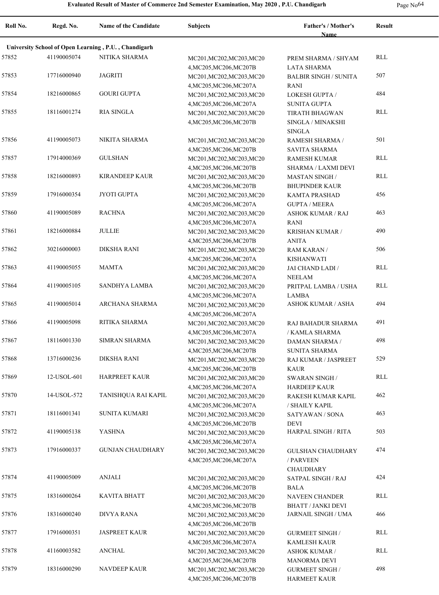| Roll No. | Regd. No.                                            | Name of the Candidate   | <b>Subjects</b>                                      | <b>Father's / Mother's</b><br><b>Name</b>     | <b>Result</b> |  |  |
|----------|------------------------------------------------------|-------------------------|------------------------------------------------------|-----------------------------------------------|---------------|--|--|
|          | University School of Open Learning, P.U., Chandigarh |                         |                                                      |                                               |               |  |  |
| 57852    | 41190005074                                          | NITIKA SHARMA           | MC201, MC202, MC203, MC20                            | PREM SHARMA / SHYAM                           | RLL           |  |  |
|          |                                                      |                         | 4, MC205, MC206, MC207B                              | <b>LATA SHARMA</b>                            |               |  |  |
| 57853    | 17716000940                                          | <b>JAGRITI</b>          | MC201, MC202, MC203, MC20                            | <b>BALBIR SINGH / SUNITA</b>                  | 507           |  |  |
|          |                                                      |                         | 4, MC205, MC206, MC207A                              | <b>RANI</b>                                   |               |  |  |
| 57854    | 18216000865                                          | <b>GOURI GUPTA</b>      | MC201, MC202, MC203, MC20                            | <b>LOKESH GUPTA /</b>                         | 484           |  |  |
|          |                                                      |                         | 4, MC205, MC206, MC207A                              | <b>SUNITA GUPTA</b>                           |               |  |  |
| 57855    | 18116001274                                          | <b>RIA SINGLA</b>       | MC201, MC202, MC203, MC20                            | <b>TIRATH BHAGWAN</b>                         | RLL           |  |  |
|          |                                                      |                         | 4, MC205, MC206, MC207B                              | SINGLA / MINAKSHI                             |               |  |  |
|          |                                                      |                         |                                                      | <b>SINGLA</b>                                 |               |  |  |
| 57856    | 41190005073                                          | NIKITA SHARMA           | MC201, MC202, MC203, MC20                            | RAMESH SHARMA /                               | 501           |  |  |
|          |                                                      |                         | 4, MC205, MC206, MC207B                              | SAVITA SHARMA                                 |               |  |  |
| 57857    | 17914000369                                          | <b>GULSHAN</b>          | MC201, MC202, MC203, MC20                            | <b>RAMESH KUMAR</b>                           | <b>RLL</b>    |  |  |
| 57858    | 18216000893                                          | <b>KIRANDEEP KAUR</b>   | 4, MC205, MC206, MC207B                              | SHARMA / LAXMI DEVI                           | <b>RLL</b>    |  |  |
|          |                                                      |                         | MC201, MC202, MC203, MC20                            | <b>MASTAN SINGH/</b>                          |               |  |  |
| 57859    | 17916000354                                          | JYOTI GUPTA             | 4, MC205, MC206, MC207B<br>MC201, MC202, MC203, MC20 | <b>BHUPINDER KAUR</b><br><b>KAMTA PRASHAD</b> | 456           |  |  |
|          |                                                      |                         | 4, MC205, MC206, MC207A                              | <b>GUPTA / MEERA</b>                          |               |  |  |
| 57860    | 41190005089                                          | <b>RACHNA</b>           | MC201, MC202, MC203, MC20                            | <b>ASHOK KUMAR / RAJ</b>                      | 463           |  |  |
|          |                                                      |                         | 4, MC205, MC206, MC207A                              | RANI                                          |               |  |  |
| 57861    | 18216000884                                          | <b>JULLIE</b>           | MC201, MC202, MC203, MC20                            | KRISHAN KUMAR /                               | 490           |  |  |
|          |                                                      |                         | 4, MC205, MC206, MC207B                              | <b>ANITA</b>                                  |               |  |  |
| 57862    | 30216000003                                          | <b>DIKSHA RANI</b>      | MC201, MC202, MC203, MC20                            | RAM KARAN /                                   | 506           |  |  |
|          |                                                      |                         | 4, MC205, MC206, MC207A                              | <b>KISHANWATI</b>                             |               |  |  |
| 57863    | 41190005055                                          | <b>MAMTA</b>            | MC201, MC202, MC203, MC20                            | JAI CHAND LADI /                              | RLL           |  |  |
|          |                                                      |                         | 4, MC205, MC206, MC207A                              | <b>NEELAM</b>                                 |               |  |  |
| 57864    | 41190005105                                          | SANDHYA LAMBA           | MC201, MC202, MC203, MC20                            | PRITPAL LAMBA / USHA                          | RLL           |  |  |
|          |                                                      |                         | 4, MC205, MC206, MC207A                              | <b>LAMBA</b>                                  |               |  |  |
| 57865    | 41190005014                                          | ARCHANA SHARMA          | MC201, MC202, MC203, MC20                            | <b>ASHOK KUMAR / ASHA</b>                     | 494           |  |  |
|          |                                                      |                         | 4, MC205, MC206, MC207A                              |                                               |               |  |  |
| 57866    | 41190005098                                          | RITIKA SHARMA           | MC201, MC202, MC203, MC20                            | RAJ BAHADUR SHARMA                            | 491           |  |  |
|          |                                                      |                         | 4, MC205, MC206, MC207A                              | / KAMLA SHARMA                                |               |  |  |
| 57867    | 18116001330                                          | <b>SIMRAN SHARMA</b>    | MC201, MC202, MC203, MC20                            | <b>DAMAN SHARMA /</b>                         | 498           |  |  |
| 57868    | 13716000236                                          | <b>DIKSHA RANI</b>      | 4, MC205, MC206, MC207B                              | SUNITA SHARMA<br>RAJ KUMAR / JASPREET         | 529           |  |  |
|          |                                                      |                         | MC201, MC202, MC203, MC20<br>4, MC205, MC206, MC207B | <b>KAUR</b>                                   |               |  |  |
| 57869    | 12-USOL-601                                          | <b>HARPREET KAUR</b>    | MC201, MC202, MC203, MC20                            | <b>SWARAN SINGH/</b>                          | RLL           |  |  |
|          |                                                      |                         | 4, MC205, MC206, MC207A                              | <b>HARDEEP KAUR</b>                           |               |  |  |
| 57870    | 14-USOL-572                                          | TANISHQUA RAI KAPIL     | MC201, MC202, MC203, MC20                            | RAKESH KUMAR KAPIL                            | 462           |  |  |
|          |                                                      |                         | 4, MC205, MC206, MC207A                              | / SHAILY KAPIL                                |               |  |  |
| 57871    | 18116001341                                          | SUNITA KUMARI           | MC201, MC202, MC203, MC20                            | SATYAWAN / SONA                               | 463           |  |  |
|          |                                                      |                         | 4, MC205, MC206, MC207B                              | <b>DEVI</b>                                   |               |  |  |
| 57872    | 41190005138                                          | <b>YASHNA</b>           | MC201, MC202, MC203, MC20                            | HARPAL SINGH / RITA                           | 503           |  |  |
|          |                                                      |                         | 4, MC205, MC206, MC207A                              |                                               |               |  |  |
| 57873    | 17916000337                                          | <b>GUNJAN CHAUDHARY</b> | MC201, MC202, MC203, MC20                            | <b>GULSHAN CHAUDHARY</b>                      | 474           |  |  |
|          |                                                      |                         | 4, MC205, MC206, MC207A                              | / PARVEEN                                     |               |  |  |
|          |                                                      |                         |                                                      | <b>CHAUDHARY</b>                              |               |  |  |
| 57874    | 41190005009                                          | <b>ANJALI</b>           | MC201, MC202, MC203, MC20                            | <b>SATPAL SINGH / RAJ</b>                     | 424           |  |  |
|          |                                                      |                         | 4, MC205, MC206, MC207B                              | <b>BALA</b>                                   |               |  |  |
| 57875    | 18316000264                                          | <b>KAVITA BHATT</b>     | MC201, MC202, MC203, MC20                            | <b>NAVEEN CHANDER</b>                         | <b>RLL</b>    |  |  |
|          |                                                      | <b>DIVYA RANA</b>       | 4, MC205, MC206, MC207B                              | <b>BHATT / JANKI DEVI</b>                     |               |  |  |
| 57876    | 18316000240                                          |                         | MC201, MC202, MC203, MC20                            | <b>JARNAIL SINGH / UMA</b>                    | 466           |  |  |
| 57877    | 17916000351                                          | <b>JASPREET KAUR</b>    | 4, MC205, MC206, MC207B<br>MC201, MC202, MC203, MC20 | <b>GURMEET SINGH /</b>                        | <b>RLL</b>    |  |  |
|          |                                                      |                         | 4, MC205, MC206, MC207A                              | <b>KAMLESH KAUR</b>                           |               |  |  |
| 57878    | 41160003582                                          | <b>ANCHAL</b>           | MC201, MC202, MC203, MC20                            | <b>ASHOK KUMAR /</b>                          | <b>RLL</b>    |  |  |
|          |                                                      |                         | 4, MC205, MC206, MC207B                              | <b>MANORMA DEVI</b>                           |               |  |  |
| 57879    | 18316000290                                          | <b>NAVDEEP KAUR</b>     | MC201, MC202, MC203, MC20                            | <b>GURMEET SINGH /</b>                        | 498           |  |  |
|          |                                                      |                         | 4, MC205, MC206, MC207B                              | <b>HARMEET KAUR</b>                           |               |  |  |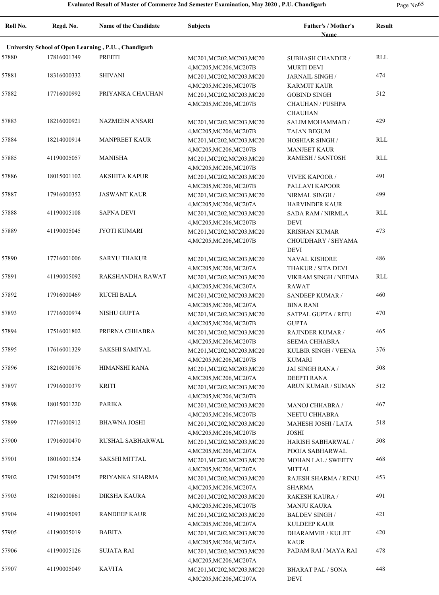l

|  | Page No <sup>65</sup> |
|--|-----------------------|
|--|-----------------------|

| Roll No. | Regd. No.   | <b>Name of the Candidate</b>                         | <b>Subjects</b>           | Father's / Mother's<br>Name | <b>Result</b> |
|----------|-------------|------------------------------------------------------|---------------------------|-----------------------------|---------------|
|          |             | University School of Open Learning, P.U., Chandigarh |                           |                             |               |
| 57880    | 17816001749 | <b>PREETI</b>                                        | MC201, MC202, MC203, MC20 | <b>SUBHASH CHANDER /</b>    | RLL           |
|          |             |                                                      | 4, MC205, MC206, MC207B   | <b>MURTI DEVI</b>           |               |
| 57881    | 18316000332 | <b>SHIVANI</b>                                       | MC201, MC202, MC203, MC20 | JARNAIL SINGH /             | 474           |
|          |             |                                                      | 4, MC205, MC206, MC207B   | KARMJIT KAUR                |               |
| 57882    | 17716000992 | PRIYANKA CHAUHAN                                     | MC201, MC202, MC203, MC20 | <b>GOBIND SINGH</b>         | 512           |
|          |             |                                                      | 4, MC205, MC206, MC207B   | CHAUHAN / PUSHPA            |               |
|          |             |                                                      |                           | <b>CHAUHAN</b>              |               |
| 57883    | 18216000921 | <b>NAZMEEN ANSARI</b>                                | MC201, MC202, MC203, MC20 | SALIM MOHAMMAD /            | 429           |
|          |             |                                                      | 4, MC205, MC206, MC207B   | <b>TAJAN BEGUM</b>          |               |
| 57884    | 18214000914 | <b>MANPREET KAUR</b>                                 | MC201, MC202, MC203, MC20 | <b>HOSHIAR SINGH /</b>      | RLL           |
|          |             |                                                      | 4, MC205, MC206, MC207B   | <b>MANJEET KAUR</b>         |               |
| 57885    | 41190005057 | <b>MANISHA</b>                                       | MC201, MC202, MC203, MC20 | <b>RAMESH / SANTOSH</b>     | RLL           |
|          |             |                                                      | 4, MC205, MC206, MC207B   |                             |               |
| 57886    | 18015001102 | <b>AKSHITA KAPUR</b>                                 | MC201, MC202, MC203, MC20 | <b>VIVEK KAPOOR /</b>       | 491           |
|          |             |                                                      | 4, MC205, MC206, MC207B   | PALLAVI KAPOOR              |               |
| 57887    | 17916000352 | <b>JASWANT KAUR</b>                                  | MC201, MC202, MC203, MC20 | NIRMAL SINGH /              | 499           |
|          |             |                                                      | 4, MC205, MC206, MC207A   | <b>HARVINDER KAUR</b>       |               |
| 57888    | 41190005108 | <b>SAPNA DEVI</b>                                    | MC201, MC202, MC203, MC20 | <b>SADA RAM / NIRMLA</b>    | RLL           |
|          |             |                                                      | 4, MC205, MC206, MC207B   | <b>DEVI</b>                 |               |
| 57889    | 41190005045 | <b>JYOTI KUMARI</b>                                  | MC201, MC202, MC203, MC20 | <b>KRISHAN KUMAR</b>        | 473           |
|          |             |                                                      | 4, MC205, MC206, MC207B   | CHOUDHARY / SHYAMA          |               |
|          |             |                                                      |                           | <b>DEVI</b>                 |               |
| 57890    | 17716001006 | <b>SARYU THAKUR</b>                                  | MC201, MC202, MC203, MC20 | <b>NAVAL KISHORE</b>        | 486           |
|          |             |                                                      | 4, MC205, MC206, MC207A   | THAKUR / SITA DEVI          |               |
| 57891    | 41190005092 | RAKSHANDHA RAWAT                                     | MC201, MC202, MC203, MC20 | VIKRAM SINGH / NEEMA        | RLL           |
|          |             |                                                      | 4, MC205, MC206, MC207A   | <b>RAWAT</b>                |               |
| 57892    | 17916000469 | <b>RUCHI BALA</b>                                    | MC201, MC202, MC203, MC20 | SANDEEP KUMAR /             | 460           |
|          |             |                                                      | 4, MC205, MC206, MC207A   | <b>BINA RANI</b>            |               |
| 57893    | 17716000974 | NISHU GUPTA                                          | MC201, MC202, MC203, MC20 | <b>SATPAL GUPTA / RITU</b>  | 470           |
|          |             |                                                      | 4, MC205, MC206, MC207B   | <b>GUPTA</b>                |               |
| 57894    | 17516001802 | PRERNA CHHABRA                                       | MC201, MC202, MC203, MC20 | RAJINDER KUMAR /            | 465           |
|          |             |                                                      | 4, MC205, MC206, MC207B   | SEEMA CHHABRA               |               |
| 57895    | 17616001329 | SAKSHI SAMIYAL                                       | MC201, MC202, MC203, MC20 | KULBIR SINGH / VEENA        | 376           |
|          |             |                                                      | 4, MC205, MC206, MC207B   | <b>KUMARI</b>               |               |
| 57896    | 18216000876 | <b>HIMANSHI RANA</b>                                 | MC201, MC202, MC203, MC20 | JAI SINGH RANA /            | 508           |
|          |             |                                                      | 4, MC205, MC206, MC207A   | <b>DEEPTI RANA</b>          |               |
| 57897    | 17916000379 | <b>KRITI</b>                                         | MC201, MC202, MC203, MC20 | ARUN KUMAR / SUMAN          | 512           |
|          |             |                                                      | 4, MC205, MC206, MC207B   |                             |               |
| 57898    | 18015001220 | <b>PARIKA</b>                                        | MC201, MC202, MC203, MC20 | <b>MANOJ CHHABRA /</b>      | 467           |
|          |             |                                                      | 4, MC205, MC206, MC207B   | NEETU CHHABRA               |               |
| 57899    | 17716000912 | <b>BHAWNA JOSHI</b>                                  | MC201, MC202, MC203, MC20 | MAHESH JOSHI / LATA         | 518           |
|          |             |                                                      | 4, MC205, MC206, MC207B   | JOSHI                       |               |
| 57900    | 17916000470 | RUSHAL SABHARWAL                                     | MC201, MC202, MC203, MC20 | HARISH SABHARWAL /          | 508           |
|          |             |                                                      | 4, MC205, MC206, MC207A   | POOJA SABHARWAL             |               |
| 57901    | 18016001524 | <b>SAKSHI MITTAL</b>                                 | MC201, MC202, MC203, MC20 | <b>MOHAN LAL / SWEETY</b>   | 468           |
|          |             |                                                      | 4, MC205, MC206, MC207A   | MITTAL                      |               |
| 57902    | 17915000475 | PRIYANKA SHARMA                                      | MC201, MC202, MC203, MC20 | RAJESH SHARMA / RENU        | 453           |
|          |             |                                                      | 4, MC205, MC206, MC207A   | SHARMA                      |               |
| 57903    | 18216000861 | <b>DIKSHA KAURA</b>                                  | MC201, MC202, MC203, MC20 | RAKESH KAURA /              | 491           |
|          |             |                                                      | 4, MC205, MC206, MC207B   | MANJU KAURA                 |               |
| 57904    | 41190005093 | <b>RANDEEP KAUR</b>                                  | MC201, MC202, MC203, MC20 | BALDEV SINGH /              | 421           |
|          |             |                                                      | 4, MC205, MC206, MC207A   | KULDEEP KAUR                |               |
| 57905    | 41190005019 | <b>BABITA</b>                                        | MC201, MC202, MC203, MC20 | DHARAMVIR / KULJIT          | 420           |
|          |             |                                                      | 4, MC205, MC206, MC207A   | <b>KAUR</b>                 |               |
| 57906    | 41190005126 | SUJATA RAI                                           | MC201, MC202, MC203, MC20 | PADAM RAI / MAYA RAI        | 478           |
|          |             |                                                      | 4, MC205, MC206, MC207A   |                             |               |
| 57907    | 41190005049 | <b>KAVITA</b>                                        | MC201, MC202, MC203, MC20 | <b>BHARAT PAL / SONA</b>    | 448           |
|          |             |                                                      | 4, MC205, MC206, MC207A   | <b>DEVI</b>                 |               |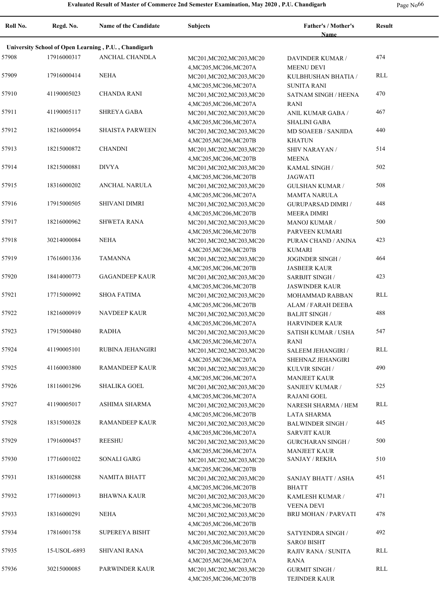|  | Page No <sup>66</sup> |
|--|-----------------------|
|--|-----------------------|

| Roll No. | Regd. No.    | <b>Name of the Candidate</b>                         | <b>Subjects</b>                                      | Father's / Mother's<br><b>Name</b>              | <b>Result</b> |
|----------|--------------|------------------------------------------------------|------------------------------------------------------|-------------------------------------------------|---------------|
|          |              | University School of Open Learning, P.U., Chandigarh |                                                      |                                                 |               |
| 57908    | 17916000317  | ANCHAL CHANDLA                                       | MC201, MC202, MC203, MC20<br>4, MC205, MC206, MC207A | DAVINDER KUMAR /<br><b>MEENU DEVI</b>           | 474           |
| 57909    | 17916000414  | NEHA                                                 | MC201, MC202, MC203, MC20<br>4, MC205, MC206, MC207A | KULBHUSHAN BHATIA /<br><b>SUNITA RANI</b>       | RLL           |
| 57910    | 41190005023  | <b>CHANDA RANI</b>                                   | MC201, MC202, MC203, MC20<br>4, MC205, MC206, MC207A | <b>SATNAM SINGH / HEENA</b><br><b>RANI</b>      | 470           |
| 57911    | 41190005117  | <b>SHREYA GABA</b>                                   | MC201, MC202, MC203, MC20<br>4, MC205, MC206, MC207A | ANIL KUMAR GABA /<br><b>SHALINI GABA</b>        | 467           |
| 57912    | 18216000954  | <b>SHAISTA PARWEEN</b>                               | MC201, MC202, MC203, MC20<br>4, MC205, MC206, MC207B | MD SOAEEB / SANJIDA<br><b>KHATUN</b>            | 440           |
| 57913    | 18215000872  | <b>CHANDNI</b>                                       | MC201, MC202, MC203, MC20<br>4, MC205, MC206, MC207B | <b>SHIV NARAYAN /</b><br><b>MEENA</b>           | 514           |
| 57914    | 18215000881  | <b>DIVYA</b>                                         | MC201, MC202, MC203, MC20<br>4, MC205, MC206, MC207B | KAMAL SINGH /<br><b>JAGWATI</b>                 | 502           |
| 57915    | 18316000202  | ANCHAL NARULA                                        | MC201, MC202, MC203, MC20<br>4, MC205, MC206, MC207A | <b>GULSHAN KUMAR /</b><br><b>MAMTA NARULA</b>   | 508           |
| 57916    | 17915000505  | <b>SHIVANI DIMRI</b>                                 | MC201, MC202, MC203, MC20<br>4, MC205, MC206, MC207B | <b>GURUPARSAD DIMRI /</b><br><b>MEERA DIMRI</b> | 448           |
| 57917    | 18216000962  | <b>SHWETA RANA</b>                                   | MC201, MC202, MC203, MC20<br>4, MC205, MC206, MC207B | <b>MANOJ KUMAR /</b><br>PARVEEN KUMARI          | 500           |
| 57918    | 30214000084  | <b>NEHA</b>                                          | MC201, MC202, MC203, MC20<br>4, MC205, MC206, MC207B | PURAN CHAND / ANJNA<br><b>KUMARI</b>            | 423           |
| 57919    | 17616001336  | <b>TAMANNA</b>                                       | MC201, MC202, MC203, MC20<br>4, MC205, MC206, MC207B | JOGINDER SINGH /<br><b>JASBEER KAUR</b>         | 464           |
| 57920    | 18414000773  | <b>GAGANDEEP KAUR</b>                                | MC201, MC202, MC203, MC20<br>4, MC205, MC206, MC207B | <b>SARBJIT SINGH/</b><br><b>JASWINDER KAUR</b>  | 423           |
| 57921    | 17715000992  | <b>SHOA FATIMA</b>                                   | MC201, MC202, MC203, MC20<br>4, MC205, MC206, MC207B | MOHAMMAD RABBAN<br>ALAM / FARAH DEEBA           | RLL           |
| 57922    | 18216000919  | <b>NAVDEEP KAUR</b>                                  | MC201, MC202, MC203, MC20<br>4, MC205, MC206, MC207A | <b>BALJIT SINGH /</b><br><b>HARVINDER KAUR</b>  | 488           |
| 57923    | 17915000480  | <b>RADHA</b>                                         | MC201, MC202, MC203, MC20<br>4, MC205, MC206, MC207A | <b>SATISH KUMAR / USHA</b><br><b>RANI</b>       | 547           |
| 57924    | 41190005101  | RUBINA JEHANGIRI                                     | MC201, MC202, MC203, MC20<br>4, MC205, MC206, MC207A | SALEEM JEHANGIRI /<br>SHEHNAZ JEHANGIRI         | RLL           |
| 57925    | 41160003800  | RAMANDEEP KAUR                                       | MC201, MC202, MC203, MC20<br>4, MC205, MC206, MC207A | KULVIR SINGH /<br><b>MANJEET KAUR</b>           | 490           |
| 57926    | 18116001296  | <b>SHALIKA GOEL</b>                                  | MC201, MC202, MC203, MC20<br>4, MC205, MC206, MC207A | SANJEEV KUMAR /<br><b>RAJANI GOEL</b>           | 525           |
| 57927    | 41190005017  | ASHIMA SHARMA                                        | MC201, MC202, MC203, MC20<br>4, MC205, MC206, MC207B | NARESH SHARMA / HEM<br><b>LATA SHARMA</b>       | RLL           |
| 57928    | 18315000328  | RAMANDEEP KAUR                                       | MC201, MC202, MC203, MC20<br>4, MC205, MC206, MC207A | <b>BALWINDER SINGH/</b><br><b>SARVJIT KAUR</b>  | 445           |
| 57929    | 17916000457  | <b>REESHU</b>                                        | MC201, MC202, MC203, MC20<br>4, MC205, MC206, MC207A | <b>GURCHARAN SINGH /</b><br><b>MANJEET KAUR</b> | 500           |
| 57930    | 17716001022  | SONALI GARG                                          | MC201, MC202, MC203, MC20<br>4, MC205, MC206, MC207B | <b>SANJAY / REKHA</b>                           | 510           |
| 57931    | 18316000288  | <b>NAMITA BHATT</b>                                  | MC201, MC202, MC203, MC20<br>4, MC205, MC206, MC207B | <b>SANJAY BHATT / ASHA</b><br><b>BHATT</b>      | 451           |
| 57932    | 17716000913  | <b>BHAWNA KAUR</b>                                   | MC201, MC202, MC203, MC20<br>4, MC205, MC206, MC207B | KAMLESH KUMAR /<br><b>VEENA DEVI</b>            | 471           |
| 57933    | 18316000291  | NEHA                                                 | MC201, MC202, MC203, MC20<br>4, MC205, MC206, MC207B | <b>BRIJ MOHAN / PARVATI</b>                     | 478           |
| 57934    | 17816001758  | SUPEREYA BISHT                                       | MC201, MC202, MC203, MC20<br>4, MC205, MC206, MC207B | SATYENDRA SINGH /<br><b>SAROJ BISHT</b>         | 492           |
| 57935    | 15-USOL-6893 | SHIVANI RANA                                         | MC201, MC202, MC203, MC20<br>4, MC205, MC206, MC207A | RAJIV RANA / SUNITA<br><b>RANA</b>              | RLL           |
| 57936    | 30215000085  | PARWINDER KAUR                                       | MC201, MC202, MC203, MC20<br>4, MC205, MC206, MC207B | <b>GURMIT SINGH/</b><br>TEJINDER KAUR           | RLL           |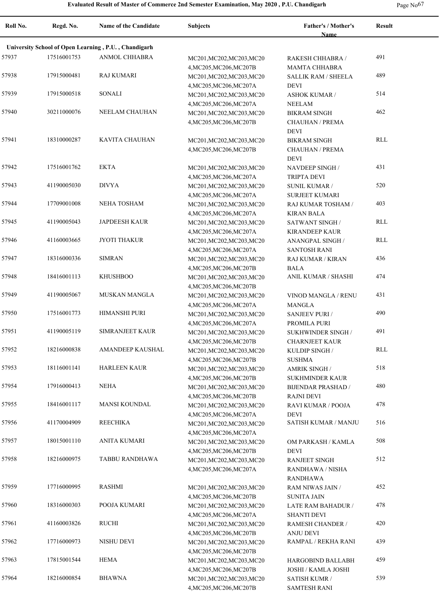| Roll No. | Regd. No.   | <b>Name of the Candidate</b>                         | <b>Subjects</b>                                      | Father's / Mother's<br><b>Name</b> | <b>Result</b> |
|----------|-------------|------------------------------------------------------|------------------------------------------------------|------------------------------------|---------------|
|          |             | University School of Open Learning, P.U., Chandigarh |                                                      |                                    |               |
| 57937    | 17516001753 | ANMOL CHHABRA                                        |                                                      |                                    | 491           |
|          |             |                                                      | MC201, MC202, MC203, MC20<br>4, MC205, MC206, MC207B | RAKESH CHHABRA /                   |               |
| 57938    | 17915000481 | <b>RAJ KUMARI</b>                                    |                                                      | MAMTA CHHABRA                      | 489           |
|          |             |                                                      | MC201, MC202, MC203, MC20                            | <b>SALLIK RAM / SHEELA</b>         |               |
| 57939    | 17915000518 | <b>SONALI</b>                                        | 4, MC205, MC206, MC207A                              | DEVI                               | 514           |
|          |             |                                                      | MC201, MC202, MC203, MC20                            | <b>ASHOK KUMAR /</b>               |               |
| 57940    | 30211000076 | NEELAM CHAUHAN                                       | 4, MC205, MC206, MC207A                              | <b>NEELAM</b>                      | 462           |
|          |             |                                                      | MC201, MC202, MC203, MC20                            | <b>BIKRAM SINGH</b>                |               |
|          |             |                                                      | 4, MC205, MC206, MC207B                              | <b>CHAUHAN / PREMA</b>             |               |
| 57941    |             | <b>KAVITA CHAUHAN</b>                                |                                                      | <b>DEVI</b>                        | RLL           |
|          | 18310000287 |                                                      | MC201, MC202, MC203, MC20                            | <b>BIKRAM SINGH</b>                |               |
|          |             |                                                      | 4, MC205, MC206, MC207B                              | CHAUHAN / PREMA                    |               |
|          |             |                                                      |                                                      | DEVI                               |               |
| 57942    | 17516001762 | <b>EKTA</b>                                          | MC201, MC202, MC203, MC20                            | NAVDEEP SINGH /                    | 431           |
|          |             |                                                      | 4, MC205, MC206, MC207A                              | <b>TRIPTA DEVI</b>                 |               |
| 57943    | 41190005030 | <b>DIVYA</b>                                         | MC201, MC202, MC203, MC20                            | <b>SUNIL KUMAR /</b>               | 520           |
|          |             |                                                      | 4, MC205, MC206, MC207A                              | <b>SURJEET KUMARI</b>              |               |
| 57944    | 17709001008 | <b>NEHA TOSHAM</b>                                   | MC201, MC202, MC203, MC20                            | RAJ KUMAR TOSHAM /                 | 403           |
|          |             |                                                      | 4, MC205, MC206, MC207A                              | <b>KIRAN BALA</b>                  |               |
| 57945    | 41190005043 | <b>JAPDEESH KAUR</b>                                 | MC201, MC202, MC203, MC20                            | SATWANT SINGH /                    | RLL           |
|          |             |                                                      | 4, MC205, MC206, MC207A                              | <b>KIRANDEEP KAUR</b>              |               |
| 57946    | 41160003665 | JYOTI THAKUR                                         | MC201, MC202, MC203, MC20                            | ANANGPAL SINGH /                   | <b>RLL</b>    |
|          |             |                                                      | 4, MC205, MC206, MC207A                              | <b>SANTOSH RANI</b>                |               |
| 57947    | 18316000336 | <b>SIMRAN</b>                                        | MC201, MC202, MC203, MC20                            | RAJ KUMAR / KIRAN                  | 436           |
|          |             |                                                      | 4, MC205, MC206, MC207B                              | <b>BALA</b>                        |               |
| 57948    | 18416001113 | <b>KHUSHBOO</b>                                      | MC201, MC202, MC203, MC20                            | ANIL KUMAR / SHASHI                | 474           |
|          |             |                                                      | 4, MC205, MC206, MC207B                              |                                    |               |
| 57949    | 41190005067 | <b>MUSKAN MANGLA</b>                                 | MC201, MC202, MC203, MC20                            | VINOD MANGLA / RENU                | 431           |
|          |             |                                                      | 4, MC205, MC206, MC207A                              | MANGLA                             |               |
| 57950    | 17516001773 | <b>HIMANSHI PURI</b>                                 | MC201, MC202, MC203, MC20                            | <b>SANJEEV PURI /</b>              | 490           |
|          |             |                                                      | 4, MC205, MC206, MC207A                              | PROMILA PURI                       |               |
| 57951    | 41190005119 | <b>SIMRANJEET KAUR</b>                               | MC201, MC202, MC203, MC20                            | SUKHWINDER SINGH /                 | 491           |
|          |             |                                                      | 4, MC205, MC206, MC207B                              | <b>CHARNJEET KAUR</b>              |               |
| 57952    | 18216000838 | AMANDEEP KAUSHAL                                     | MC201, MC202, MC203, MC20                            | KULDIP SINGH /                     | RLL           |
|          |             |                                                      | 4, MC205, MC206, MC207B                              | <b>SUSHMA</b>                      |               |
| 57953    | 18116001141 | <b>HARLEEN KAUR</b>                                  | MC201, MC202, MC203, MC20                            | <b>AMRIK SINGH /</b>               | 518           |
|          |             |                                                      | 4, MC205, MC206, MC207B                              | <b>SUKHMINDER KAUR</b>             |               |
| 57954    | 17916000413 | <b>NEHA</b>                                          | MC201, MC202, MC203, MC20                            | <b>BIJENDAR PRASHAD /</b>          | 480           |
|          |             |                                                      | 4, MC205, MC206, MC207B                              | <b>RAJNI DEVI</b>                  |               |
| 57955    | 18416001117 | <b>MANSI KOUNDAL</b>                                 |                                                      |                                    | 478           |
|          |             |                                                      | MC201, MC202, MC203, MC20                            | RAVI KUMAR / POOJA                 |               |
| 57956    | 41170004909 | <b>REECHIKA</b>                                      | 4, MC205, MC206, MC207A                              | DEVI<br>SATISH KUMAR / MANJU       | 516           |
|          |             |                                                      | MC201, MC202, MC203, MC20                            |                                    |               |
| 57957    |             | <b>ANITA KUMARI</b>                                  | 4, MC205, MC206, MC207A                              |                                    | 508           |
|          | 18015001110 |                                                      | MC201, MC202, MC203, MC20                            | OM PARKASH / KAMLA                 |               |
|          |             |                                                      | 4, MC205, MC206, MC207B                              | DEVI                               |               |
| 57958    | 18216000975 | TABBU RANDHAWA                                       | MC201, MC202, MC203, MC20                            | <b>RANJEET SINGH</b>               | 512           |
|          |             |                                                      | 4, MC205, MC206, MC207A                              | RANDHAWA / NISHA                   |               |
|          |             |                                                      |                                                      | RANDHAWA                           |               |
| 57959    | 17716000995 | <b>RASHMI</b>                                        | MC201, MC202, MC203, MC20                            | RAM NIWAS JAIN /                   | 452           |
|          |             |                                                      | 4, MC205, MC206, MC207B                              | <b>SUNITA JAIN</b>                 |               |
| 57960    | 18316000303 | POOJA KUMARI                                         | MC201, MC202, MC203, MC20                            | LATE RAM BAHADUR /                 | 478           |
|          |             |                                                      | 4, MC205, MC206, MC207A                              | <b>SHANTI DEVI</b>                 |               |
| 57961    | 41160003826 | <b>RUCHI</b>                                         | MC201, MC202, MC203, MC20                            | RAMESH CHANDER /                   | 420           |
|          |             |                                                      | 4, MC205, MC206, MC207B                              | <b>ANJU DEVI</b>                   |               |
| 57962    | 17716000973 | NISHU DEVI                                           | MC201, MC202, MC203, MC20                            | RAMPAL / REKHA RANI                | 439           |
|          |             |                                                      | 4, MC205, MC206, MC207B                              |                                    |               |
| 57963    | 17815001544 | <b>HEMA</b>                                          | MC201, MC202, MC203, MC20                            | HARGOBIND BALLABH                  | 459           |
|          |             |                                                      | 4, MC205, MC206, MC207B                              | JOSHI / KAMLA JOSHI                |               |
| 57964    | 18216000854 | <b>BHAWNA</b>                                        | MC201, MC202, MC203, MC20                            | <b>SATISH KUMR /</b>               | 539           |
|          |             |                                                      | 4, MC205, MC206, MC207B                              | <b>SAMTESH RANI</b>                |               |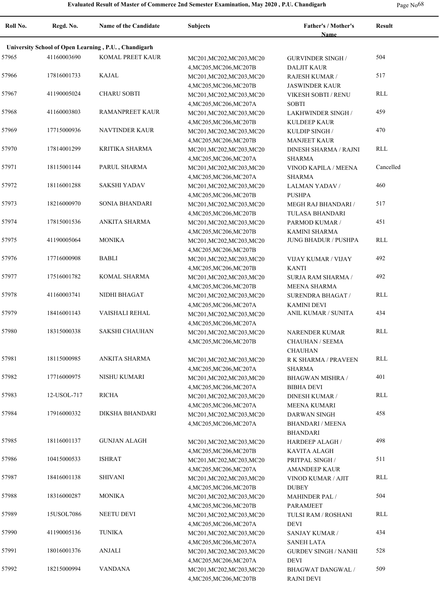**Roll No. Regd. No. Name of the Candidate Subjects Father's / Mother's Name Result University School of Open Learning , P.U. , Chandigarh** 57965 41160003690 KOMAL PREET KAUR MC201, MC202, MC203, MC20 GURVINDER SINGH 504 4,MC205,MC206,MC207B GURVINDER SINGH / DALJIT KAUR 57966 17816001733 KAJAL MC201,MC202,MC203,MC20 RAJESH KUMAR / 517 4,MC205,MC206,MC207B RAJESH KUMAR / JASWINDER KAUR 57967 CHARU SOBTI MC201,MC202,MC203,MC20 41190005024 RLL 4,MC205,MC206,MC207A VIKESH SOBTI / RENU SOBTI 57968 41160003803 RAMANPREET KAUR MC201, MC202, MC203, MC20 LAKHWINDER SINGH 459 4,MC205,MC206,MC207B LAKHWINDER SINGH / KULDEEP KAUR 57969 17715000936 NAVTINDER KAUR MC201, MC202, MC203, MC20 KULDIP SINGH 470 4,MC205,MC206,MC207B KULDIP SINGH / MANJEET KAUR 57970 17814001299 KRITIKA SHARMA MC201,MC202,MC203,MC20 DINESH SHARMA / RAJNI RLL 4,MC205,MC206,MC207A DINESH SHARMA / RAJNI SHARMA 57971 18115001144 PARUL SHARMA MC201,MC202,MC203,MC20 VINOD KAPILA / MEENA Cancelled 4,MC205,MC206,MC207A VINOD KAPILA / MEENA SHARMA 57972 18116001288 SAKSHI YADAV MC201, MC202, MC203, MC20 LALMAN YADAV 460 4,MC205,MC206,MC207B LALMAN YADAV / **PUSHPA** 57973 18216000970 SONIA BHANDARI MC201, MC202, MC203, MC20 MEGH RAJ BHANDARI 517 4,MC205,MC206,MC207B MEGH RAJ BHANDARI / TULASA BHANDARI 57974 17815001536 ANKITA SHARMA MC201, MC202, MC203, MC20 PARMOD KUMAR / 451 4,MC205,MC206,MC207B PARMOD KUMAR / KAMINI SHARMA 57975 MONIKA MC201,MC202,MC203,MC20 41190005064 JUNG BHADUR / PUSHPA RLL 4,MC205,MC206,MC207B 57976 17716000908 BABLI MC201, MC202, MC203, MC20 VIJAY KUMAR / VIJAY 492 4,MC205,MC206,MC207B VIJAY KUMAR / VIJAY KANTI 57977 17516001782 KOMAL SHARMA MC201, MC202, MC203, MC20 SURJA RAM SHARMA / 492 4,MC205,MC206,MC207B SURJA RAM SHARMA / MEENA SHARMA 57978 NIDHI BHAGAT MC201,MC202,MC203,MC20 41160003741 RLL 4,MC205,MC206,MC207A SURENDRA BHAGAT / KAMINI DEVI 57979 18416001143 VAISHALI REHAL MC201, MC202, MC203, MC20 ANIL KUMAR / SUNITA 434 4,MC205,MC206,MC207A 57980 SAKSHI CHAUHAN MC201,MC202,MC203,MC20 18315000338 RLL 4,MC205,MC206,MC207B NARENDER KUMAR CHAUHAN / SEEMA CHAUHAN 57981 18115000985 ANKITA SHARMA MC201, MC202, MC203, MC20 R K SHARMA / PRAVEEN RLL 4,MC205,MC206,MC207A R K SHARMA / PRAVEEN SHARMA 57982 17716000975 NISHU KUMARI MC201,MC202,MC203,MC20 BHAGWAN MISHRA / 401 4,MC205,MC206,MC207A BHAGWAN MISHRA / BIBHA DEVI 57983 RICHA MC201,MC202,MC203,MC20 12-USOL-717 RLL 4,MC205,MC206,MC207A DINESH KUMAR / MEENA KUMARI 57984 17916000332 DIKSHA BHANDARI MC201,MC202,MC203,MC20 DARWAN SINGH 458 4,MC205,MC206,MC207A DARWAN SINGH BHANDARI / MEENA BHANDARI 57985 GUNJAN ALAGH MC201,MC202,MC203,MC20 18116001137 498 4,MC205,MC206,MC207B HARDEEP ALAGH / KAVITA ALAGH 57986 10415000533 ISHRAT MC201, MC201, MC202, MC203, MC20 PRITPAL SINGH 511 4,MC205,MC206,MC207A PRITPAL SINGH / AMANDEEP KAUR 57987 SHIVANI MC201,MC202,MC203,MC20 18416001138 RLL 4,MC205,MC206,MC207B VINOD KUMAR / AJIT DUBEY 57988 18316000287 MONIKA MC201, MC201, MC202, MC203, MC20 MAHINDER PAL 504 4,MC205,MC206,MC207B MAHINDER PAL / PARAMJEET 57989 15USOL7086 NEETU DEVI MC201, MC202, MC203, MC20 TULSI RAM / ROSHANI RLL 4,MC205,MC206,MC207A TULSI RAM / ROSHANI DEVI 57990 41190005136 TUNIKA MC201,MC202,MC203,MC20 SANJAY KUMAR 434 4,MC205,MC206,MC207A SANJAY KUMAR / SANEH LATA 57991 18016001376 ANJALI MC201,MC202,MC203,MC20 GURDEV SINGH / NANHI 528 4,MC205,MC206,MC207A GURDEV SINGH / NANHI DEVI 57992 18215000994 VANDANA MC201,MC202,MC203,MC20 BHAGWAT DANGWAL 509 4,MC205,MC206,MC207B BHAGWAT DANGWAL / RAJNI DEVI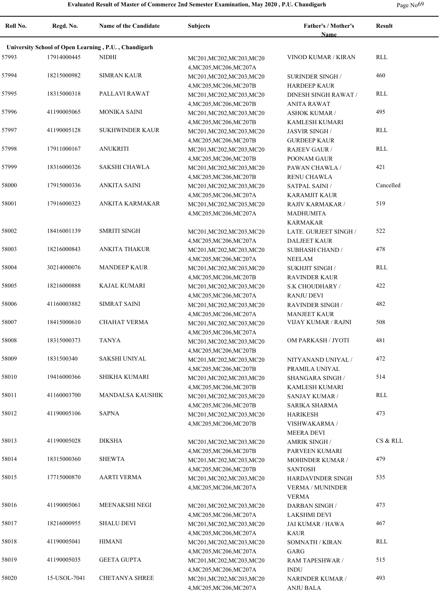| <b>Name</b><br>University School of Open Learning, P.U., Chandigarh<br>57993<br>17914000445<br>NIDHI<br>VINOD KUMAR / KIRAN<br>MC201, MC202, MC203, MC20<br>4, MC205, MC206, MC207A<br>18215000982<br><b>SIMRAN KAUR</b><br>57994<br>MC201, MC202, MC203, MC20<br><b>SURINDER SINGH/</b><br>4, MC205, MC206, MC207B<br><b>HARDEEP KAUR</b><br>57995<br>18315000318<br>PALLAVI RAWAT<br>MC201, MC202, MC203, MC20<br>DINESH SINGH RAWAT /<br>4, MC205, MC206, MC207B<br><b>ANITA RAWAT</b><br>57996<br><b>MONIKA SAINI</b><br>41190005065<br>MC201, MC202, MC203, MC20<br><b>ASHOK KUMAR /</b><br>4, MC205, MC206, MC207B<br>KAMLESH KUMARI<br>57997<br>41190005128<br><b>SUKHWINDER KAUR</b><br>MC201, MC202, MC203, MC20<br>JASVIR SINGH /<br>4, MC205, MC206, MC207B<br><b>GURDEEP KAUR</b><br>17911000167<br><b>ANUKRITI</b><br>57998<br>MC201, MC202, MC203, MC20<br><b>RAJEEV GAUR/</b><br>4, MC205, MC206, MC207B<br>POONAM GAUR<br>57999<br>18316000326<br>SAKSHI CHAWLA<br>MC201, MC202, MC203, MC20<br>PAWAN CHAWLA / | RLL<br>460<br>RLL<br>495<br>RLL |
|--------------------------------------------------------------------------------------------------------------------------------------------------------------------------------------------------------------------------------------------------------------------------------------------------------------------------------------------------------------------------------------------------------------------------------------------------------------------------------------------------------------------------------------------------------------------------------------------------------------------------------------------------------------------------------------------------------------------------------------------------------------------------------------------------------------------------------------------------------------------------------------------------------------------------------------------------------------------------------------------------------------------------------|---------------------------------|
|                                                                                                                                                                                                                                                                                                                                                                                                                                                                                                                                                                                                                                                                                                                                                                                                                                                                                                                                                                                                                                |                                 |
|                                                                                                                                                                                                                                                                                                                                                                                                                                                                                                                                                                                                                                                                                                                                                                                                                                                                                                                                                                                                                                |                                 |
|                                                                                                                                                                                                                                                                                                                                                                                                                                                                                                                                                                                                                                                                                                                                                                                                                                                                                                                                                                                                                                |                                 |
|                                                                                                                                                                                                                                                                                                                                                                                                                                                                                                                                                                                                                                                                                                                                                                                                                                                                                                                                                                                                                                |                                 |
|                                                                                                                                                                                                                                                                                                                                                                                                                                                                                                                                                                                                                                                                                                                                                                                                                                                                                                                                                                                                                                |                                 |
|                                                                                                                                                                                                                                                                                                                                                                                                                                                                                                                                                                                                                                                                                                                                                                                                                                                                                                                                                                                                                                |                                 |
|                                                                                                                                                                                                                                                                                                                                                                                                                                                                                                                                                                                                                                                                                                                                                                                                                                                                                                                                                                                                                                |                                 |
|                                                                                                                                                                                                                                                                                                                                                                                                                                                                                                                                                                                                                                                                                                                                                                                                                                                                                                                                                                                                                                |                                 |
|                                                                                                                                                                                                                                                                                                                                                                                                                                                                                                                                                                                                                                                                                                                                                                                                                                                                                                                                                                                                                                |                                 |
|                                                                                                                                                                                                                                                                                                                                                                                                                                                                                                                                                                                                                                                                                                                                                                                                                                                                                                                                                                                                                                |                                 |
|                                                                                                                                                                                                                                                                                                                                                                                                                                                                                                                                                                                                                                                                                                                                                                                                                                                                                                                                                                                                                                |                                 |
|                                                                                                                                                                                                                                                                                                                                                                                                                                                                                                                                                                                                                                                                                                                                                                                                                                                                                                                                                                                                                                | <b>RLL</b>                      |
|                                                                                                                                                                                                                                                                                                                                                                                                                                                                                                                                                                                                                                                                                                                                                                                                                                                                                                                                                                                                                                |                                 |
|                                                                                                                                                                                                                                                                                                                                                                                                                                                                                                                                                                                                                                                                                                                                                                                                                                                                                                                                                                                                                                | 421                             |
| 4, MC205, MC206, MC207B<br>RENU CHAWLA                                                                                                                                                                                                                                                                                                                                                                                                                                                                                                                                                                                                                                                                                                                                                                                                                                                                                                                                                                                         |                                 |
| 17915000336<br><b>ANKITA SAINI</b><br>58000<br>SATPAL SAINI /<br>MC201, MC202, MC203, MC20                                                                                                                                                                                                                                                                                                                                                                                                                                                                                                                                                                                                                                                                                                                                                                                                                                                                                                                                     | Cancelled                       |
| 4, MC205, MC206, MC207A<br><b>KARAMJIT KAUR</b>                                                                                                                                                                                                                                                                                                                                                                                                                                                                                                                                                                                                                                                                                                                                                                                                                                                                                                                                                                                |                                 |
| 58001<br>17916000323<br>ANKITA KARMAKAR<br>MC201, MC202, MC203, MC20<br><b>RAJIV KARMAKAR/</b>                                                                                                                                                                                                                                                                                                                                                                                                                                                                                                                                                                                                                                                                                                                                                                                                                                                                                                                                 | 519                             |
| 4, MC205, MC206, MC207A<br><b>MADHUMITA</b>                                                                                                                                                                                                                                                                                                                                                                                                                                                                                                                                                                                                                                                                                                                                                                                                                                                                                                                                                                                    |                                 |
| KARMAKAR                                                                                                                                                                                                                                                                                                                                                                                                                                                                                                                                                                                                                                                                                                                                                                                                                                                                                                                                                                                                                       |                                 |
| 18416001139<br><b>SMRITI SINGH</b><br>58002<br>MC201, MC202, MC203, MC20<br>LATE. GURJEET SINGH /                                                                                                                                                                                                                                                                                                                                                                                                                                                                                                                                                                                                                                                                                                                                                                                                                                                                                                                              | 522                             |
| 4, MC205, MC206, MC207A<br><b>DALJEET KAUR</b>                                                                                                                                                                                                                                                                                                                                                                                                                                                                                                                                                                                                                                                                                                                                                                                                                                                                                                                                                                                 |                                 |
| 18216000843<br><b>ANKITA THAKUR</b><br>58003<br>MC201, MC202, MC203, MC20<br><b>SUBHASH CHAND /</b>                                                                                                                                                                                                                                                                                                                                                                                                                                                                                                                                                                                                                                                                                                                                                                                                                                                                                                                            | 478                             |
| 4, MC205, MC206, MC207A<br><b>NEELAM</b>                                                                                                                                                                                                                                                                                                                                                                                                                                                                                                                                                                                                                                                                                                                                                                                                                                                                                                                                                                                       |                                 |
| 30214000076<br><b>MANDEEP KAUR</b><br>58004<br>MC201, MC202, MC203, MC20<br><b>SUKHJIT SINGH /</b>                                                                                                                                                                                                                                                                                                                                                                                                                                                                                                                                                                                                                                                                                                                                                                                                                                                                                                                             | <b>RLL</b>                      |
| 4, MC205, MC206, MC207B<br><b>RAVINDER KAUR</b><br>18216000888<br><b>KAJAL KUMARI</b><br>58005                                                                                                                                                                                                                                                                                                                                                                                                                                                                                                                                                                                                                                                                                                                                                                                                                                                                                                                                 | 422                             |
| MC201, MC202, MC203, MC20<br>S.K CHOUDHARY /                                                                                                                                                                                                                                                                                                                                                                                                                                                                                                                                                                                                                                                                                                                                                                                                                                                                                                                                                                                   |                                 |
| 4, MC205, MC206, MC207A<br><b>RANJU DEVI</b><br>41160003882<br><b>SIMRAT SAINI</b><br>58006<br>MC201, MC202, MC203, MC20<br><b>RAVINDER SINGH/</b>                                                                                                                                                                                                                                                                                                                                                                                                                                                                                                                                                                                                                                                                                                                                                                                                                                                                             | 482                             |
| 4, MC205, MC206, MC207A<br><b>MANJEET KAUR</b>                                                                                                                                                                                                                                                                                                                                                                                                                                                                                                                                                                                                                                                                                                                                                                                                                                                                                                                                                                                 |                                 |
| 18415000610<br><b>CHAHAT VERMA</b><br>VIJAY KUMAR / RAJNI<br>58007<br>MC201, MC202, MC203, MC20                                                                                                                                                                                                                                                                                                                                                                                                                                                                                                                                                                                                                                                                                                                                                                                                                                                                                                                                | 508                             |
| 4, MC205, MC206, MC207A                                                                                                                                                                                                                                                                                                                                                                                                                                                                                                                                                                                                                                                                                                                                                                                                                                                                                                                                                                                                        |                                 |
| 18315000373<br><b>TANYA</b><br>OM PARKASH / JYOTI<br>58008<br>MC201, MC202, MC203, MC20                                                                                                                                                                                                                                                                                                                                                                                                                                                                                                                                                                                                                                                                                                                                                                                                                                                                                                                                        | 481                             |
| 4, MC205, MC206, MC207B                                                                                                                                                                                                                                                                                                                                                                                                                                                                                                                                                                                                                                                                                                                                                                                                                                                                                                                                                                                                        |                                 |
| 1831500340<br><b>SAKSHI UNIYAL</b><br>58009<br>MC201, MC202, MC203, MC20<br>NITYANAND UNIYAL /                                                                                                                                                                                                                                                                                                                                                                                                                                                                                                                                                                                                                                                                                                                                                                                                                                                                                                                                 | 472                             |
| 4, MC205, MC206, MC207B<br>PRAMILA UNIYAL                                                                                                                                                                                                                                                                                                                                                                                                                                                                                                                                                                                                                                                                                                                                                                                                                                                                                                                                                                                      |                                 |
| 58010<br>19416000366<br>SHIKHA KUMARI<br>MC201, MC202, MC203, MC20<br>SHANGARA SINGH /                                                                                                                                                                                                                                                                                                                                                                                                                                                                                                                                                                                                                                                                                                                                                                                                                                                                                                                                         | 514                             |
| KAMLESH KUMARI<br>4, MC205, MC206, MC207B                                                                                                                                                                                                                                                                                                                                                                                                                                                                                                                                                                                                                                                                                                                                                                                                                                                                                                                                                                                      |                                 |
| 41160003700<br><b>MANDALSA KAUSHIK</b><br>58011<br>MC201, MC202, MC203, MC20<br>SANJAY KUMAR /                                                                                                                                                                                                                                                                                                                                                                                                                                                                                                                                                                                                                                                                                                                                                                                                                                                                                                                                 | <b>RLL</b>                      |
| 4, MC205, MC206, MC207B<br>SARIKA SHARMA                                                                                                                                                                                                                                                                                                                                                                                                                                                                                                                                                                                                                                                                                                                                                                                                                                                                                                                                                                                       |                                 |
| 58012<br>41190005106<br><b>SAPNA</b><br>MC201, MC202, MC203, MC20<br><b>HARIKESH</b>                                                                                                                                                                                                                                                                                                                                                                                                                                                                                                                                                                                                                                                                                                                                                                                                                                                                                                                                           | 473                             |
| 4, MC205, MC206, MC207B<br>VISHWAKARMA /                                                                                                                                                                                                                                                                                                                                                                                                                                                                                                                                                                                                                                                                                                                                                                                                                                                                                                                                                                                       |                                 |
| <b>MEERA DEVI</b>                                                                                                                                                                                                                                                                                                                                                                                                                                                                                                                                                                                                                                                                                                                                                                                                                                                                                                                                                                                                              |                                 |
| 41190005028<br><b>DIKSHA</b><br>58013<br>MC201, MC202, MC203, MC20<br><b>AMRIK SINGH /</b>                                                                                                                                                                                                                                                                                                                                                                                                                                                                                                                                                                                                                                                                                                                                                                                                                                                                                                                                     | CS & RLL                        |
| 4, MC205, MC206, MC207B<br>PARVEEN KUMARI                                                                                                                                                                                                                                                                                                                                                                                                                                                                                                                                                                                                                                                                                                                                                                                                                                                                                                                                                                                      |                                 |
| 58014<br>18315000360<br><b>SHEWTA</b><br>MC201, MC202, MC203, MC20                                                                                                                                                                                                                                                                                                                                                                                                                                                                                                                                                                                                                                                                                                                                                                                                                                                                                                                                                             | 479                             |
| <b>MOHINDER KUMAR /</b>                                                                                                                                                                                                                                                                                                                                                                                                                                                                                                                                                                                                                                                                                                                                                                                                                                                                                                                                                                                                        |                                 |
| 4, MC205, MC206, MC207B<br><b>SANTOSH</b>                                                                                                                                                                                                                                                                                                                                                                                                                                                                                                                                                                                                                                                                                                                                                                                                                                                                                                                                                                                      | 535                             |
| 58015<br>17715000870<br><b>AARTI VERMA</b><br>MC201, MC202, MC203, MC20<br>HARDAVINDER SINGH                                                                                                                                                                                                                                                                                                                                                                                                                                                                                                                                                                                                                                                                                                                                                                                                                                                                                                                                   |                                 |
| 4, MC205, MC206, MC207A<br><b>VERMA / MUNINDER</b>                                                                                                                                                                                                                                                                                                                                                                                                                                                                                                                                                                                                                                                                                                                                                                                                                                                                                                                                                                             |                                 |
| <b>VERMA</b>                                                                                                                                                                                                                                                                                                                                                                                                                                                                                                                                                                                                                                                                                                                                                                                                                                                                                                                                                                                                                   |                                 |
| 58016<br>41190005061<br><b>MEENAKSHI NEGI</b><br>MC201, MC202, MC203, MC20<br><b>DARBAN SINGH /</b>                                                                                                                                                                                                                                                                                                                                                                                                                                                                                                                                                                                                                                                                                                                                                                                                                                                                                                                            | 473                             |
| 4, MC205, MC206, MC207A<br>LAKSHMI DEVI                                                                                                                                                                                                                                                                                                                                                                                                                                                                                                                                                                                                                                                                                                                                                                                                                                                                                                                                                                                        |                                 |
| 58017<br>18216000955<br><b>SHALU DEVI</b><br>MC201, MC202, MC203, MC20<br>JAI KUMAR / HAWA                                                                                                                                                                                                                                                                                                                                                                                                                                                                                                                                                                                                                                                                                                                                                                                                                                                                                                                                     | 467                             |
| 4, MC205, MC206, MC207A<br><b>KAUR</b>                                                                                                                                                                                                                                                                                                                                                                                                                                                                                                                                                                                                                                                                                                                                                                                                                                                                                                                                                                                         |                                 |
| 41190005041<br><b>HIMANI</b><br>58018<br>MC201, MC202, MC203, MC20<br><b>SOMNATH / KIRAN</b>                                                                                                                                                                                                                                                                                                                                                                                                                                                                                                                                                                                                                                                                                                                                                                                                                                                                                                                                   | RLL                             |
| 4, MC205, MC206, MC207A<br>GARG                                                                                                                                                                                                                                                                                                                                                                                                                                                                                                                                                                                                                                                                                                                                                                                                                                                                                                                                                                                                |                                 |
| 58019<br>41190005035<br><b>GEETA GUPTA</b><br>MC201, MC202, MC203, MC20<br>RAM TAPESHWAR /                                                                                                                                                                                                                                                                                                                                                                                                                                                                                                                                                                                                                                                                                                                                                                                                                                                                                                                                     | 515                             |
| 4, MC205, MC206, MC207A<br><b>INDU</b><br>58020<br><b>CHETANYA SHREE</b><br>15-USOL-7041<br>MC201, MC202, MC203, MC20<br><b>NARINDER KUMAR /</b>                                                                                                                                                                                                                                                                                                                                                                                                                                                                                                                                                                                                                                                                                                                                                                                                                                                                               | 493                             |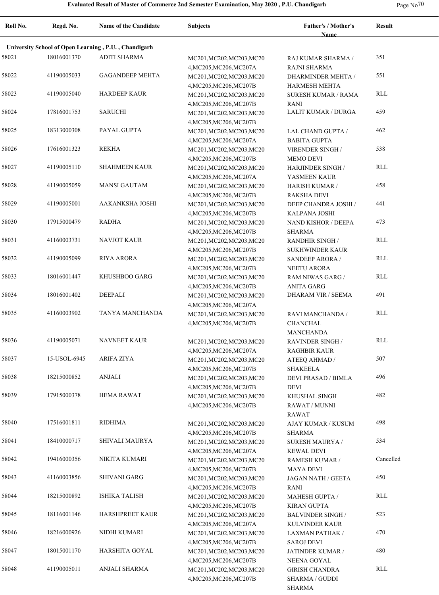|  | Page $No70$ |
|--|-------------|
|--|-------------|

| Roll No. | Regd. No.                                            | <b>Name of the Candidate</b> | <b>Subjects</b>                                      | Father's / Mother's<br>Name            | <b>Result</b> |  |
|----------|------------------------------------------------------|------------------------------|------------------------------------------------------|----------------------------------------|---------------|--|
|          | University School of Open Learning, P.U., Chandigarh |                              |                                                      |                                        |               |  |
| 58021    | 18016001370                                          | <b>ADITI SHARMA</b>          | MC201, MC202, MC203, MC20                            | RAJ KUMAR SHARMA /                     | 351           |  |
|          |                                                      |                              | 4, MC205, MC206, MC207A                              | RAJNI SHARMA                           |               |  |
| 58022    | 41190005033                                          | <b>GAGANDEEP MEHTA</b>       | MC201, MC202, MC203, MC20                            | <b>DHARMINDER MEHTA /</b>              | 551           |  |
|          |                                                      |                              | 4, MC205, MC206, MC207B                              | HARMESH MEHTA                          |               |  |
| 58023    | 41190005040                                          | <b>HARDEEP KAUR</b>          | MC201, MC202, MC203, MC20                            | <b>SURESH KUMAR / RAMA</b>             | <b>RLL</b>    |  |
|          |                                                      |                              | 4, MC205, MC206, MC207B                              | <b>RANI</b>                            |               |  |
| 58024    | 17816001753                                          | <b>SARUCHI</b>               | MC201, MC202, MC203, MC20                            | LALIT KUMAR / DURGA                    | 459           |  |
|          |                                                      |                              | 4, MC205, MC206, MC207B                              |                                        |               |  |
| 58025    | 18313000308                                          | PAYAL GUPTA                  | MC201, MC202, MC203, MC20                            | LAL CHAND GUPTA /                      | 462           |  |
|          |                                                      |                              | 4, MC205, MC206, MC207A                              | <b>BABITA GUPTA</b>                    |               |  |
| 58026    | 17616001323                                          | <b>REKHA</b>                 | MC201, MC202, MC203, MC20                            | VIRENDER SINGH /                       | 538           |  |
|          |                                                      |                              | 4, MC205, MC206, MC207B                              | <b>MEMO DEVI</b>                       |               |  |
| 58027    | 41190005110                                          | <b>SHAHMEEN KAUR</b>         | MC201, MC202, MC203, MC20                            | HARJINDER SINGH /                      | RLL           |  |
|          |                                                      |                              | 4, MC205, MC206, MC207A                              | YASMEEN KAUR                           |               |  |
| 58028    | 41190005059                                          | <b>MANSI GAUTAM</b>          | MC201, MC202, MC203, MC20                            | <b>HARISH KUMAR /</b>                  | 458           |  |
|          | 41190005001                                          | AAKANKSHA JOSHI              | 4, MC205, MC206, MC207B                              | <b>RAKSHA DEVI</b>                     | 441           |  |
| 58029    |                                                      |                              | MC201, MC202, MC203, MC20                            | DEEP CHANDRA JOSHI /                   |               |  |
|          | 17915000479                                          | <b>RADHA</b>                 | 4, MC205, MC206, MC207B                              | <b>KALPANA JOSHI</b>                   | 473           |  |
| 58030    |                                                      |                              | MC201, MC202, MC203, MC20                            | NAND KISHOR / DEEPA                    |               |  |
| 58031    | 41160003731                                          | <b>NAVJOT KAUR</b>           | 4, MC205, MC206, MC207B                              | <b>SHARMA</b>                          | RLL           |  |
|          |                                                      |                              | MC201, MC202, MC203, MC20                            | <b>RANDHIR SINGH /</b>                 |               |  |
| 58032    | 41190005099                                          | RIYA ARORA                   | 4, MC205, MC206, MC207B                              | <b>SUKHWINDER KAUR</b>                 | RLL           |  |
|          |                                                      |                              | MC201, MC202, MC203, MC20                            | SANDEEP ARORA /<br><b>NEETU ARORA</b>  |               |  |
| 58033    | 18016001447                                          | KHUSHBOO GARG                | 4, MC205, MC206, MC207B<br>MC201, MC202, MC203, MC20 | RAM NIWAS GARG /                       | RLL           |  |
|          |                                                      |                              | 4, MC205, MC206, MC207B                              | <b>ANITA GARG</b>                      |               |  |
| 58034    | 18016001402                                          | DEEPALI                      | MC201, MC202, MC203, MC20                            | DHARAM VIR / SEEMA                     | 491           |  |
|          |                                                      |                              | 4, MC205, MC206, MC207A                              |                                        |               |  |
| 58035    | 41160003902                                          | TANYA MANCHANDA              | MC201, MC202, MC203, MC20                            | RAVI MANCHANDA /                       | RLL           |  |
|          |                                                      |                              | 4, MC205, MC206, MC207B                              | <b>CHANCHAL</b>                        |               |  |
|          |                                                      |                              |                                                      | MANCHANDA                              |               |  |
| 58036    | 41190005071                                          | <b>NAVNEET KAUR</b>          | MC201, MC202, MC203, MC20                            | <b>RAVINDER SINGH/</b>                 | RLL           |  |
|          |                                                      |                              | 4, MC205, MC206, MC207A                              | <b>RAGHBIR KAUR</b>                    |               |  |
| 58037    | 15-USOL-6945                                         | <b>ARIFA ZIYA</b>            | MC201, MC202, MC203, MC20                            | ATEEQ AHMAD /                          | 507           |  |
|          |                                                      |                              | 4, MC205, MC206, MC207B                              | <b>SHAKEELA</b>                        |               |  |
| 58038    | 18215000852                                          | <b>ANJALI</b>                | MC201, MC202, MC203, MC20                            | <b>DEVI PRASAD / BIMLA</b>             | 496           |  |
|          |                                                      |                              | 4, MC205, MC206, MC207B                              | <b>DEVI</b>                            |               |  |
| 58039    | 17915000378                                          | <b>HEMA RAWAT</b>            | MC201, MC202, MC203, MC20                            | KHUSHAL SINGH                          | 482           |  |
|          |                                                      |                              | 4, MC205, MC206, MC207B                              | RAWAT / MUNNI                          |               |  |
|          |                                                      |                              |                                                      | RAWAT                                  |               |  |
| 58040    | 17516001811                                          | <b>RIDHIMA</b>               | MC201, MC202, MC203, MC20                            | AJAY KUMAR / KUSUM                     | 498           |  |
|          |                                                      |                              | 4, MC205, MC206, MC207B                              | <b>SHARMA</b>                          |               |  |
| 58041    | 18410000717                                          | SHIVALI MAURYA               | MC201, MC202, MC203, MC20                            | SURESH MAURYA /                        | 534           |  |
|          |                                                      |                              | 4, MC205, MC206, MC207A                              | <b>KEWAL DEVI</b>                      |               |  |
| 58042    | 19416000356                                          | NIKITA KUMARI                | MC201, MC202, MC203, MC20                            | <b>RAMESH KUMAR /</b>                  | Cancelled     |  |
|          |                                                      |                              | 4, MC205, MC206, MC207B                              | <b>MAYA DEVI</b>                       |               |  |
| 58043    | 41160003856                                          | <b>SHIVANI GARG</b>          | MC201, MC202, MC203, MC20                            | JAGAN NATH / GEETA                     | 450           |  |
|          |                                                      |                              | 4, MC205, MC206, MC207B                              | RANI                                   |               |  |
| 58044    | 18215000892                                          | <b>ISHIKA TALISH</b>         | MC201, MC202, MC203, MC20                            | <b>MAHESH GUPTA /</b>                  | RLL           |  |
|          |                                                      |                              | 4, MC205, MC206, MC207B                              | KIRAN GUPTA                            |               |  |
| 58045    | 18116001146                                          | HARSHPREET KAUR              | MC201, MC202, MC203, MC20                            | <b>BALVINDER SINGH/</b>                | 523           |  |
|          |                                                      |                              | 4, MC205, MC206, MC207A                              | KULVINDER KAUR                         |               |  |
| 58046    | 18216000926                                          | NIDHI KUMARI                 | MC201, MC202, MC203, MC20                            | <b>LAXMAN PATHAK /</b>                 | 470           |  |
|          |                                                      |                              | 4, MC205, MC206, MC207B                              | <b>SAROJ DEVI</b>                      |               |  |
| 58047    | 18015001170                                          | HARSHITA GOYAL               | MC201, MC202, MC203, MC20                            | JATINDER KUMAR /                       | 480           |  |
| 58048    | 41190005011                                          | ANJALI SHARMA                | 4, MC205, MC206, MC207B                              | NEENA GOYAL                            | RLL           |  |
|          |                                                      |                              | MC201, MC202, MC203, MC20                            | <b>GIRISH CHANDRA</b>                  |               |  |
|          |                                                      |                              | 4, MC205, MC206, MC207B                              | <b>SHARMA / GUDDI</b><br><b>SHARMA</b> |               |  |
|          |                                                      |                              |                                                      |                                        |               |  |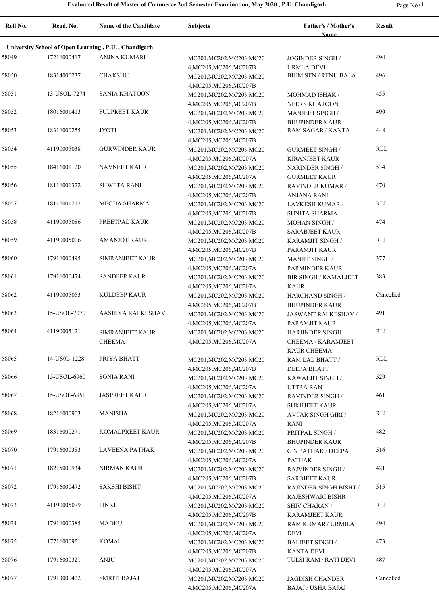| Roll No. | Regd. No.    | <b>Name of the Candidate</b>                         | <b>Subjects</b>                                                                 | Father's / Mother's<br><b>Name</b>                                 | <b>Result</b> |
|----------|--------------|------------------------------------------------------|---------------------------------------------------------------------------------|--------------------------------------------------------------------|---------------|
|          |              | University School of Open Learning, P.U., Chandigarh |                                                                                 |                                                                    |               |
| 58049    | 17216000417  | ANJNA KUMARI                                         | MC201, MC202, MC203, MC20                                                       | <b>JOGINDER SINGH /</b>                                            | 494           |
| 58050    | 18314000237  | <b>CHAKSHU</b>                                       | 4, MC205, MC206, MC207B<br>MC201, MC202, MC203, MC20<br>4, MC205, MC206, MC207B | <b>URMLA DEVI</b><br><b>BHIM SEN / RENU BALA</b>                   | 496           |
| 58051    | 13-USOL-7274 | <b>SANIA KHATOON</b>                                 | MC201, MC202, MC203, MC20<br>4, MC205, MC206, MC207B                            | MOHMAD ISHAK /<br><b>NEERS KHATOON</b>                             | 455           |
| 58052    | 18016001413  | <b>FULPREET KAUR</b>                                 | MC201, MC202, MC203, MC20<br>4, MC205, MC206, MC207B                            | <b>MANJEET SINGH /</b><br><b>BHUPINDER KAUR</b>                    | 499           |
| 58053    | 18316000255  | <b>JYOTI</b>                                         | MC201, MC202, MC203, MC20<br>4, MC205, MC206, MC207B                            | RAM SAGAR / KANTA                                                  | 448           |
| 58054    | 41190005038  | <b>GURWINDER KAUR</b>                                | MC201, MC202, MC203, MC20<br>4, MC205, MC206, MC207A                            | <b>GURMEET SINGH/</b><br><b>KIRANJEET KAUR</b>                     | RLL           |
| 58055    | 18416001120  | <b>NAVNEET KAUR</b>                                  | MC201, MC202, MC203, MC20<br>4, MC205, MC206, MC207A                            | <b>NARINDER SINGH/</b><br><b>GURMEET KAUR</b>                      | 534           |
| 58056    | 18116001322  | <b>SHWETA RANI</b>                                   | MC201, MC202, MC203, MC20<br>4, MC205, MC206, MC207B                            | <b>RAVINDER KUMAR /</b><br><b>ANJANA RANI</b>                      | 470           |
| 58057    | 18116001212  | MEGHA SHARMA                                         | MC201, MC202, MC203, MC20<br>4, MC205, MC206, MC207B                            | LAVKESH KUMAR /<br><b>SUNITA SHARMA</b>                            | RLL           |
| 58058    | 41190005086  | PREETPAL KAUR                                        | MC201, MC202, MC203, MC20<br>4, MC205, MC206, MC207B                            | <b>MOHAN SINGH/</b><br><b>SARABJEET KAUR</b>                       | 474           |
| 58059    | 41190005006  | <b>AMANJOT KAUR</b>                                  | MC201, MC202, MC203, MC20<br>4, MC205, MC206, MC207B                            | KARAMJIT SINGH /<br>PARAMJIT KAUR                                  | RLL           |
| 58060    | 17916000495  | <b>SIMRANJEET KAUR</b>                               | MC201, MC202, MC203, MC20<br>4, MC205, MC206, MC207A                            | <b>MANJIT SINGH/</b><br>PARMINDER KAUR                             | 377           |
| 58061    | 17916000474  | <b>SANDEEP KAUR</b>                                  | MC201, MC202, MC203, MC20<br>4, MC205, MC206, MC207A                            | <b>BIR SINGH / KAMALJEET</b><br><b>KAUR</b>                        | 383           |
| 58062    | 41190005053  | <b>KULDEEP KAUR</b>                                  | MC201, MC202, MC203, MC20<br>4, MC205, MC206, MC207B                            | HARCHAND SINGH /<br><b>BHUPINDER KAUR</b>                          | Cancelled     |
| 58063    | 15-USOL-7070 | AASHIYA RAI KESHAV                                   | MC201, MC202, MC203, MC20<br>4, MC205, MC206, MC207A                            | JASWANT RAI KESHAV /<br>PARAMJIT KAUR                              | 491           |
| 58064    | 41190005121  | <b>SIMRANJEET KAUR</b><br><b>CHEEMA</b>              | MC201, MC202, MC203, MC20<br>4, MC205, MC206, MC207A                            | <b>HARJINDER SINGH</b><br>CHEEMA / KARAMJEET<br><b>KAUR CHEEMA</b> | RLL           |
| 58065    | 14-US0L-1228 | PRIYA BHATT                                          | MC201, MC202, MC203, MC20<br>4, MC205, MC206, MC207B                            | RAM LAL BHATT /<br><b>DEEPA BHATT</b>                              | RLL           |
| 58066    | 15-USOL-6960 | <b>SONIA RANI</b>                                    | MC201, MC202, MC203, MC20<br>4, MC205, MC206, MC207A                            | KAWALJIT SINGH /<br><b>UTTRA RANI</b>                              | 529           |
| 58067    | 15-USOL-6951 | <b>JASPREET KAUR</b>                                 | MC201, MC202, MC203, MC20<br>4, MC205, MC206, MC207A                            | <b>RAVINDER SINGH/</b><br><b>SUKHJEET KAUR</b>                     | 461           |
| 58068    | 18216000903  | MANISHA                                              | MC201, MC202, MC203, MC20<br>4, MC205, MC206, MC207A                            | <b>AVTAR SINGH GIRI /</b><br>RANI                                  | RLL           |
| 58069    | 18316000271  | KOMALPREET KAUR                                      | MC201, MC202, MC203, MC20<br>4, MC205, MC206, MC207B                            | PRITPAL SINGH /<br><b>BHUPINDER KAUR</b>                           | 482           |
| 58070    | 17916000383  | LAVEENA PATHAK                                       | MC201, MC202, MC203, MC20<br>4, MC205, MC206, MC207A                            | <b>G N PATHAK / DEEPA</b><br><b>PATHAK</b>                         | 516           |
| 58071    | 18215000934  | NIRMAN KAUR                                          | MC201, MC202, MC203, MC20<br>4, MC205, MC206, MC207B                            | <b>RAJVINDER SINGH /</b><br><b>SARBJEET KAUR</b>                   | 421           |
| 58072    | 17916000472  | <b>SAKSHI BISHT</b>                                  | MC201, MC202, MC203, MC20<br>4, MC205, MC206, MC207A                            | RAJINDER SINGH BISHT /<br>RAJESHWARI BISHR                         | 515           |
| 58073    | 41190005079  | PINKI                                                | MC201, MC202, MC203, MC20<br>4, MC205, MC206, MC207B                            | SHIV CHARAN /<br><b>KARAMJEET KAUR</b>                             | RLL           |
| 58074    | 17916000385  | <b>MADHU</b>                                         | MC201, MC202, MC203, MC20<br>4, MC205, MC206, MC207A                            | RAM KUMAR / URMILA<br><b>DEVI</b>                                  | 494           |
| 58075    | 17716000951  | KOMAL                                                | MC201, MC202, MC203, MC20<br>4, MC205, MC206, MC207B                            | <b>BALJEET SINGH/</b><br><b>KANTA DEVI</b>                         | 473           |
| 58076    | 17916000321  | <b>ANJU</b>                                          | MC201, MC202, MC203, MC20<br>4, MC205, MC206, MC207A                            | TULSI RAM / RATI DEVI                                              | 487           |
| 58077    | 17913000422  | <b>SMRITI BAJAJ</b>                                  | MC201, MC202, MC203, MC20<br>4, MC205, MC206, MC207A                            | <b>JAGDISH CHANDER</b><br><b>BAJAJ / USHA BAJAJ</b>                | Cancelled     |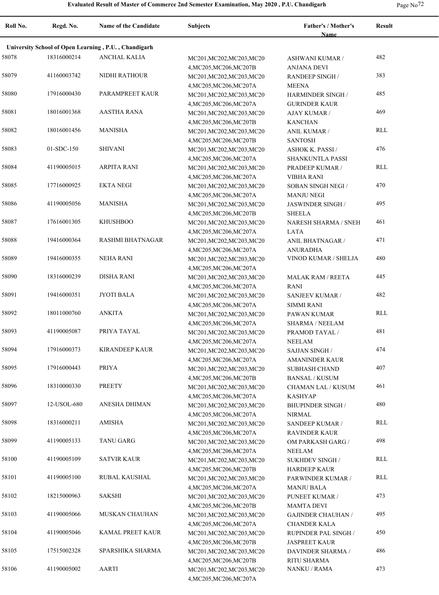| Page No |  |
|---------|--|
|---------|--|

| Roll No. | Regd. No.   | <b>Name of the Candidate</b>                         | <b>Subjects</b>                                                                 | Father's / Mother's<br><b>Name</b>             | <b>Result</b> |
|----------|-------------|------------------------------------------------------|---------------------------------------------------------------------------------|------------------------------------------------|---------------|
|          |             | University School of Open Learning, P.U., Chandigarh |                                                                                 |                                                |               |
| 58078    | 18316000214 | ANCHAL KALIA                                         | MC201, MC202, MC203, MC20<br>4, MC205, MC206, MC207B                            | ASHWANI KUMAR /<br><b>ANJANA DEVI</b>          | 482           |
| 58079    | 41160003742 | NIDHI RATHOUR                                        | MC201, MC202, MC203, MC20                                                       | <b>RANDEEP SINGH/</b>                          | 383           |
| 58080    | 17916000430 | PARAMPREET KAUR                                      | 4, MC205, MC206, MC207A<br>MC201, MC202, MC203, MC20                            | <b>MEENA</b><br><b>HARMINDER SINGH /</b>       | 485           |
| 58081    | 18016001368 | <b>AASTHA RANA</b>                                   | 4, MC205, MC206, MC207A<br>MC201, MC202, MC203, MC20                            | <b>GURINDER KAUR</b><br>AJAY KUMAR /           | 469           |
| 58082    | 18016001456 | MANISHA                                              | 4, MC205, MC206, MC207B<br>MC201, MC202, MC203, MC20                            | <b>KANCHAN</b><br><b>ANIL KUMAR /</b>          | RLL           |
| 58083    | 01-SDC-150  | <b>SHIVANI</b>                                       | 4, MC205, MC206, MC207B<br>MC201, MC202, MC203, MC20                            | <b>SANTOSH</b><br><b>ASHOK K. PASSI /</b>      | 476           |
| 58084    | 41190005015 | <b>ARPITA RANI</b>                                   | 4, MC205, MC206, MC207A<br>MC201, MC202, MC203, MC20                            | SHANKUNTLA PASSI<br>PRADEEP KUMAR /            | RLL           |
| 58085    | 17716000925 | <b>EKTA NEGI</b>                                     | 4, MC205, MC206, MC207A<br>MC201, MC202, MC203, MC20                            | <b>VIBHA RANI</b><br>SOBAN SINGH NEGI /        | 470           |
| 58086    | 41190005056 | MANISHA                                              | 4, MC205, MC206, MC207A<br>MC201, MC202, MC203, MC20                            | <b>MANJU NEGI</b><br>JASWINDER SINGH /         | 495           |
| 58087    | 17616001305 | <b>KHUSHBOO</b>                                      | 4, MC205, MC206, MC207B<br>MC201, MC202, MC203, MC20                            | <b>SHEELA</b><br>NARESH SHARMA / SNEH          | 461           |
| 58088    | 19416000364 | RASHMI BHATNAGAR                                     | 4, MC205, MC206, MC207A<br>MC201, MC202, MC203, MC20                            | LATA<br>ANIL BHATNAGAR /                       | 471           |
| 58089    | 19416000355 | <b>NEHA RANI</b>                                     | 4, MC205, MC206, MC207A<br>MC201, MC202, MC203, MC20                            | <b>ANURADHA</b><br>VINOD KUMAR / SHELJA        | 480           |
| 58090    | 18316000239 | <b>DISHA RANI</b>                                    | 4, MC205, MC206, MC207A<br>MC201, MC202, MC203, MC20                            | <b>MALAK RAM / REETA</b>                       | 445           |
| 58091    | 19416000351 | <b>JYOTI BALA</b>                                    | 4, MC205, MC206, MC207A<br>MC201, MC202, MC203, MC20                            | <b>RANI</b><br>SANJEEV KUMAR /                 | 482           |
| 58092    | 18011000760 | <b>ANKITA</b>                                        | 4, MC205, MC206, MC207A                                                         | <b>SIMMI RANI</b>                              | RLL           |
|          |             |                                                      | MC201, MC202, MC203, MC20<br>4, MC205, MC206, MC207A                            | PAWAN KUMAR<br><b>SHARMA / NEELAM</b>          | 481           |
| 58093    | 41190005087 | PRIYA TAYAL                                          | MC201, MC202, MC203, MC20<br>4, MC205, MC206, MC207A                            | PRAMOD TAYAL /<br><b>NEELAM</b>                |               |
| 58094    | 17916000373 | <b>KIRANDEEP KAUR</b>                                | MC201, MC202, MC203, MC20<br>4, MC205, MC206, MC207A                            | <b>SAJJAN SINGH/</b><br><b>AMANINDER KAUR</b>  | 474           |
| 58095    | 17916000443 | PRIYA                                                | MC201, MC202, MC203, MC20<br>4, MC205, MC206, MC207B                            | <b>SUBHASH CHAND</b><br><b>BANSAL / KUSUM</b>  | 407           |
| 58096    | 18310000330 | <b>PREETY</b>                                        | MC201, MC202, MC203, MC20<br>4, MC205, MC206, MC207A                            | CHAMAN LAL / KUSUM<br><b>KASHYAP</b>           | 461           |
| 58097    | 12-USOL-680 | ANESHA DHIMAN                                        | MC201, MC202, MC203, MC20<br>4, MC205, MC206, MC207A                            | <b>BHUPINDER SINGH/</b><br>NIRMAL              | 480           |
| 58098    | 18316000211 | AMISHA                                               | MC201, MC202, MC203, MC20<br>4, MC205, MC206, MC207A                            | SANDEEP KUMAR /<br><b>RAVINDER KAUR</b>        | RLL           |
| 58099    | 41190005133 | TANU GARG                                            | MC201, MC202, MC203, MC20<br>4, MC205, MC206, MC207A                            | OM PARKASH GARG /<br><b>NEELAM</b>             | 498           |
| 58100    | 41190005109 | <b>SATVIR KAUR</b>                                   | MC201, MC202, MC203, MC20<br>4, MC205, MC206, MC207B                            | <b>SUKHDEV SINGH/</b><br><b>HARDEEP KAUR</b>   | RLL           |
| 58101    | 41190005100 | RUBAL KAUSHAL                                        | MC201, MC202, MC203, MC20                                                       | PARWINDER KUMAR /                              | RLL           |
| 58102    | 18215000963 | SAKSHI                                               | 4, MC205, MC206, MC207A<br>MC201, MC202, MC203, MC20                            | <b>MANJU BALA</b><br>PUNEET KUMAR /            | 473           |
| 58103    | 41190005066 | MUSKAN CHAUHAN                                       | 4, MC205, MC206, MC207B<br>MC201, MC202, MC203, MC20                            | <b>MAMTA DEVI</b><br><b>GAJINDER CHAUHAN /</b> | 495           |
| 58104    | 41190005046 | KAMAL PREET KAUR                                     | 4, MC205, MC206, MC207A<br>MC201, MC202, MC203, MC20                            | <b>CHANDER KALA</b><br>RUPINDER PAL SINGH /    | 450           |
| 58105    | 17515002328 | SPARSHIKA SHARMA                                     | 4, MC205, MC206, MC207B<br>MC201, MC202, MC203, MC20                            | <b>JASPREET KAUR</b><br>DAVINDER SHARMA /      | 486           |
| 58106    | 41190005002 | AARTI                                                | 4, MC205, MC206, MC207B<br>MC201, MC202, MC203, MC20<br>4, MC205, MC206, MC207A | RITU SHARMA<br>NANKU / RAMA                    | 473           |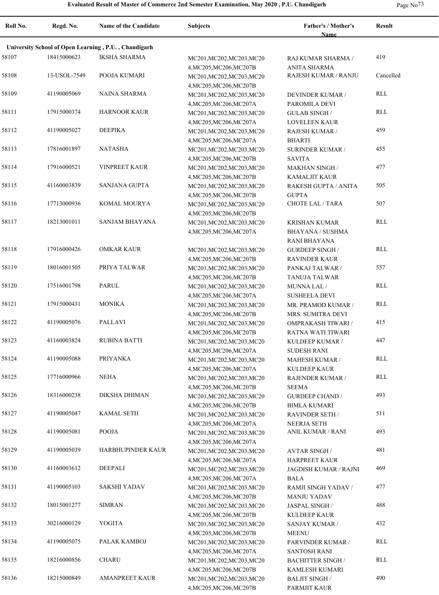| Roll No. | Regd. No.    | <b>Name of the Candidate</b>                         | <b>Subjects</b>                                                                 | Father's / Mother's<br><b>Name</b>                              | <b>Result</b> |
|----------|--------------|------------------------------------------------------|---------------------------------------------------------------------------------|-----------------------------------------------------------------|---------------|
|          |              | University School of Open Learning, P.U., Chandigarh |                                                                                 |                                                                 |               |
| 58107    | 18415000623  | <b>IKSHA SHARMA</b>                                  | MC201, MC202, MC203, MC20                                                       | RAJ KUMAR SHARMA /                                              | 419           |
| 58108    | 13-USOL-7549 | POOJA KUMARI                                         | 4, MC205, MC206, MC207B<br>MC201, MC202, MC203, MC20<br>4, MC205, MC206, MC207B | <b>ANITA SHARMA</b><br>RAJESH KUMAR / RANJU                     | Cancelled     |
| 58109    | 41190005069  | <b>NAINA SHARMA</b>                                  | MC201, MC202, MC203, MC20<br>4, MC205, MC206, MC207A                            | <b>DEVINDER KUMAR /</b><br>PAROMILA DEVI                        | RLL           |
| 58111    | 17915000374  | <b>HARNOOR KAUR</b>                                  | MC201, MC202, MC203, MC20<br>4, MC205, MC206, MC207A                            | <b>GULAB SINGH/</b><br><b>LOVELEEN KAUR</b>                     | <b>RLL</b>    |
| 58112    | 41190005027  | <b>DEEPIKA</b>                                       | MC201, MC202, MC203, MC20<br>4, MC205, MC206, MC207A                            | RAJESH KUMAR /<br><b>BHARTI</b>                                 | 459           |
| 58113    | 17816001897  | <b>NATASHA</b>                                       | MC201, MC202, MC203, MC20<br>4, MC205, MC206, MC207B                            | <b>SURINDER KUMAR /</b><br><b>SAVITA</b>                        | 455           |
| 58114    | 17916000521  | <b>VINPREET KAUR</b>                                 | MC201, MC202, MC203, MC20                                                       | <b>MAKHAN SINGH /</b>                                           | 477           |
| 58115    | 41160003839  | <b>SANJANA GUPTA</b>                                 | 4, MC205, MC206, MC207B<br>MC201, MC202, MC203, MC20                            | <b>KAMALJIT KAUR</b><br>RAKESH GUPTA / ANITA                    | 505           |
| 58116    | 17713000936  | KOMAL MOURYA                                         | 4, MC205, MC206, MC207B<br>MC201, MC202, MC203, MC20                            | <b>GUPTA</b><br><b>CHOTE LAL / TARA</b>                         | 507           |
| 58117    | 18213001011  | <b>SANJAM BHAYANA</b>                                | 4, MC205, MC206, MC207B<br>MC201, MC202, MC203, MC20<br>4, MC205, MC206, MC207A | <b>KRISHAN KUMAR</b><br><b>BHAYANA / SUSHMA</b><br>RANI BHAYANA | <b>RLL</b>    |
| 58118    | 17916000426  | <b>OMKAR KAUR</b>                                    | MC201, MC202, MC203, MC20<br>4, MC205, MC206, MC207B                            | <b>GURDEEP SINGH /</b><br><b>RAVINDER KAUR</b>                  | RLL           |
| 58119    | 18016001505  | PRIYA TALWAR                                         | MC201, MC202, MC203, MC20<br>4, MC205, MC206, MC207B                            | PANKAJ TALWAR /<br><b>TANUJA TALWAR</b>                         | 557           |
| 58120    | 17516001798  | <b>PARUL</b>                                         | MC201, MC202, MC203, MC20                                                       | MUNNA LAL /                                                     | <b>RLL</b>    |
| 58121    | 17915000431  | <b>MONIKA</b>                                        | 4, MC205, MC206, MC207A<br>MC201, MC202, MC203, MC20                            | <b>SUSHEELA DEVI</b><br>MR. PRAMOD KUMAR /                      | RLL           |
| 58122    | 41190005076  | PALLAVI                                              | 4, MC205, MC206, MC207B<br>MC201, MC202, MC203, MC20                            | MRS. SUMITRA DEVI<br>OMPRAKASH TIWARI /                         | 415           |
| 58123    | 41160003824  | <b>RUBINA BATTI</b>                                  | 4, MC205, MC206, MC207B<br>MC201, MC202, MC203, MC20                            | RATNA WATI TIWARI<br>KULDEEP KUMAR /                            | 447           |
| 58124    | 41190005088  | <b>PRIYANKA</b>                                      | 4, MC205, MC206, MC207A<br>MC201, MC202, MC203, MC20                            | <b>SUDESH RANI</b><br><b>MAHESH KUMAR /</b>                     | <b>RLL</b>    |
| 58125    | 17716000966  | <b>NEHA</b>                                          | 4, MC205, MC206, MC207A<br>MC201, MC202, MC203, MC20                            | <b>KULDEEP KAUR</b><br>RAJENDER KUMAR /                         | <b>RLL</b>    |
| 58126    | 18316000238  | <b>DIKSHA DHIMAN</b>                                 | 4, MC205, MC206, MC207B<br>MC201, MC202, MC203, MC20                            | <b>SEEMA</b><br><b>GURDEEP CHAND /</b>                          | 493           |
| 58127    | 41190005047  | <b>KAMAL SETH</b>                                    | 4, MC205, MC206, MC207B<br>MC201, MC202, MC203, MC20                            | <b>BIMLA KUMARI</b><br><b>RAVINDER SETH /</b>                   | 511           |
| 58128    | 41190005081  | <b>POOJA</b>                                         | 4, MC205, MC206, MC207A<br>MC201, MC202, MC203, MC20                            | <b>NEERJA SETH</b><br>ANIL KUMAR / RANI                         | 493           |
| 58129    | 41190005039  | HARBHUPINDER KAUR                                    | 4, MC205, MC206, MC207A<br>MC201, MC202, MC203, MC20                            | <b>AVTAR SINGH/</b>                                             | 481           |
| 58130    | 41160003612  | DEEPALI                                              | 4, MC205, MC206, MC207A<br>MC201, MC202, MC203, MC20                            | <b>HARPREET KAUR</b><br>JAGDISH KUMAR / RAJNI                   | 469           |
| 58131    | 41190005103  | SAKSHI YADAV                                         | 4, MC205, MC206, MC207A<br>MC201, MC202, MC203, MC20                            | <b>BALA</b><br>RAMJI SINGH YADAV /                              | 477           |
| 58132    | 18015001277  | <b>SIMRAN</b>                                        | 4, MC205, MC206, MC207B<br>MC201, MC202, MC203, MC20                            | <b>MANJU YADAV</b><br>JASPAL SINGH /                            | 488           |
| 58133    | 30216000129  | YOGITA                                               | 4, MC205, MC206, MC207B<br>MC201, MC202, MC203, MC20                            | <b>KULDEEP KAUR</b><br><b>SANJAY KUMAR /</b>                    | 432           |
| 58134    | 41190005075  | PALAK KAMBOJ                                         | 4, MC205, MC206, MC207B<br>MC201, MC202, MC203, MC20                            | <b>MEENU</b><br>PARVINDER KUMAR /                               | RLL           |
| 58135    | 18216000856  | <b>CHARU</b>                                         | 4, MC205, MC206, MC207A<br>MC201, MC202, MC203, MC20                            | <b>SANTOSH RANI</b><br><b>BACHITTER SINGH/</b>                  | RLL           |
| 58136    | 18215000849  | <b>AMANPREET KAUR</b>                                | 4, MC205, MC206, MC207B<br>MC201, MC202, MC203, MC20<br>4, MC205, MC206, MC207B | KAMLESH KUMARI<br><b>BALJIT SINGH/</b><br>PARMJIT KAUR          | 490           |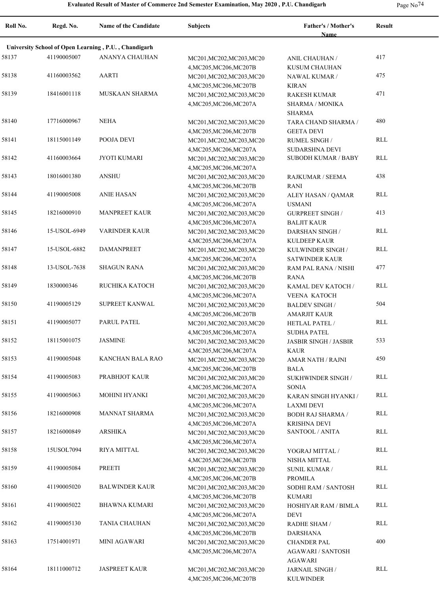| Roll No. | Regd. No.    | <b>Name of the Candidate</b>                         | <b>Subjects</b>                                                                 | Father's / Mother's<br><b>Name</b>                        | <b>Result</b>           |
|----------|--------------|------------------------------------------------------|---------------------------------------------------------------------------------|-----------------------------------------------------------|-------------------------|
|          |              | University School of Open Learning, P.U., Chandigarh |                                                                                 |                                                           |                         |
| 58137    | 41190005007  | <b>ANANYA CHAUHAN</b>                                | MC201, MC202, MC203, MC20                                                       | ANIL CHAUHAN /                                            | 417                     |
| 58138    | 41160003562  | AARTI                                                | 4, MC205, MC206, MC207B<br>MC201, MC202, MC203, MC20<br>4, MC205, MC206, MC207B | KUSUM CHAUHAN<br>NAWAL KUMAR /<br><b>KIRAN</b>            | 475                     |
| 58139    | 18416001118  | MUSKAAN SHARMA                                       | MC201, MC202, MC203, MC20<br>4, MC205, MC206, MC207A                            | <b>RAKESH KUMAR</b><br><b>SHARMA / MONIKA</b>             | 471                     |
| 58140    | 17716000967  | <b>NEHA</b>                                          | MC201, MC202, MC203, MC20<br>4, MC205, MC206, MC207B                            | <b>SHARMA</b><br>TARA CHAND SHARMA /<br><b>GEETA DEVI</b> | 480                     |
| 58141    | 18115001149  | POOJA DEVI                                           | MC201, MC202, MC203, MC20<br>4, MC205, MC206, MC207A                            | RUMEL SINGH /<br>SUDARSHNA DEVI                           | RLL                     |
| 58142    | 41160003664  | JYOTI KUMARI                                         | MC201, MC202, MC203, MC20<br>4, MC205, MC206, MC207A                            | <b>SUBODH KUMAR / BABY</b>                                | RLL                     |
| 58143    | 18016001380  | <b>ANSHU</b>                                         | MC201, MC202, MC203, MC20                                                       | RAJKUMAR / SEEMA                                          | 438                     |
| 58144    | 41190005008  | <b>ANIE HASAN</b>                                    | 4, MC205, MC206, MC207B<br>MC201, MC202, MC203, MC20<br>4, MC205, MC206, MC207A | <b>RANI</b><br>ALEY HASAN / QAMAR<br><b>USMANI</b>        | RLL                     |
| 58145    | 18216000910  | <b>MANPREET KAUR</b>                                 | MC201, MC202, MC203, MC20<br>4, MC205, MC206, MC207A                            | <b>GURPREET SINGH/</b><br><b>BALJIT KAUR</b>              | 413                     |
| 58146    | 15-USOL-6949 | <b>VARINDER KAUR</b>                                 | MC201, MC202, MC203, MC20<br>4, MC205, MC206, MC207A                            | <b>DARSHAN SINGH /</b><br>KULDEEP KAUR                    | RLL                     |
| 58147    | 15-USOL-6882 | <b>DAMANPREET</b>                                    | MC201, MC202, MC203, MC20<br>4, MC205, MC206, MC207A                            | KULWINDER SINGH /<br><b>SATWINDER KAUR</b>                | RLL                     |
| 58148    | 13-USOL-7638 | <b>SHAGUN RANA</b>                                   | MC201, MC202, MC203, MC20<br>4, MC205, MC206, MC207B                            | RAM PAL RANA / NISHI<br><b>RANA</b>                       | 477                     |
| 58149    | 1830000346   | RUCHIKA KATOCH                                       | MC201, MC202, MC203, MC20<br>4, MC205, MC206, MC207A                            | KAMAL DEV KATOCH /<br>VEENA KATOCH                        | RLL                     |
| 58150    | 41190005129  | SUPREET KANWAL                                       | MC201, MC202, MC203, MC20<br>4, MC205, MC206, MC207B                            | <b>BALDEV SINGH /</b><br>AMARJIT KAUR                     | 504                     |
| 58151    | 41190005077  | PARUL PATEL                                          | MC201, MC202, MC203, MC20<br>4, MC205, MC206, MC207A                            | HETLAL PATEL /<br><b>SUDHA PATEL</b>                      | RLL                     |
| 58152    | 18115001075  | <b>JASMINE</b>                                       | MC201, MC202, MC203, MC20<br>4, MC205, MC206, MC207A                            | <b>JASBIR SINGH / JASBIR</b><br><b>KAUR</b>               | 533                     |
| 58153    | 41190005048  | KANCHAN BALA RAO                                     | MC201, MC202, MC203, MC20<br>4, MC205, MC206, MC207B                            | <b>AMAR NATH / RAJNI</b><br><b>BALA</b>                   | 450                     |
| 58154    | 41190005083  | PRABHJOT KAUR                                        | MC201, MC202, MC203, MC20<br>4, MC205, MC206, MC207A                            | SUKHWINDER SINGH /<br><b>SONIA</b>                        | RLL                     |
| 58155    | 41190005063  | <b>MOHINI HYANKI</b>                                 | MC201, MC202, MC203, MC20<br>4, MC205, MC206, MC207A                            | KARAN SINGH HYANKI /<br>LAXMI DEVI                        | RLL                     |
| 58156    | 18216000908  | MANNAT SHARMA                                        | MC201, MC202, MC203, MC20<br>4, MC205, MC206, MC207A                            | <b>BODH RAJ SHARMA /</b><br><b>KRISHNA DEVI</b>           | RLL                     |
| 58157    | 18216000849  | <b>ARSHIKA</b>                                       | MC201, MC202, MC203, MC20<br>4, MC205, MC206, MC207A                            | SANTOOL / ANITA                                           | RLL                     |
| 58158    | 15USOL7094   | RIYA MITTAL                                          | MC201, MC202, MC203, MC20<br>4, MC205, MC206, MC207B                            | YOGRAJ MITTAL /<br>NISHA MITTAL                           | RLL                     |
| 58159    | 41190005084  | PREETI                                               | MC201, MC202, MC203, MC20<br>4, MC205, MC206, MC207B                            | <b>SUNIL KUMAR /</b><br>PROMILA                           | $\mathop{\mathrm{RLL}}$ |
| 58160    | 41190005020  | <b>BALWINDER KAUR</b>                                | MC201, MC202, MC203, MC20<br>4, MC205, MC206, MC207B                            | SODHI RAM / SANTOSH<br><b>KUMARI</b>                      | RLL                     |
| 58161    | 41190005022  | BHAWNA KUMARI                                        | MC201, MC202, MC203, MC20<br>4, MC205, MC206, MC207A                            | HOSHIYAR RAM / BIMLA<br><b>DEVI</b>                       | RLL                     |
| 58162    | 41190005130  | TANIA CHAUHAN                                        | MC201, MC202, MC203, MC20<br>4, MC205, MC206, MC207B                            | RADHE SHAM /<br><b>DARSHANA</b>                           | RLL                     |
| 58163    | 17514001971  | <b>MINI AGAWARI</b>                                  | MC201, MC202, MC203, MC20<br>4, MC205, MC206, MC207A                            | <b>CHANDER PAL</b><br><b>AGAWARI / SANTOSH</b><br>AGAWARI | 400                     |
| 58164    | 18111000712  | <b>JASPREET KAUR</b>                                 | MC201, MC202, MC203, MC20<br>4, MC205, MC206, MC207B                            | JARNAIL SINGH /<br><b>KULWINDER</b>                       | RLL                     |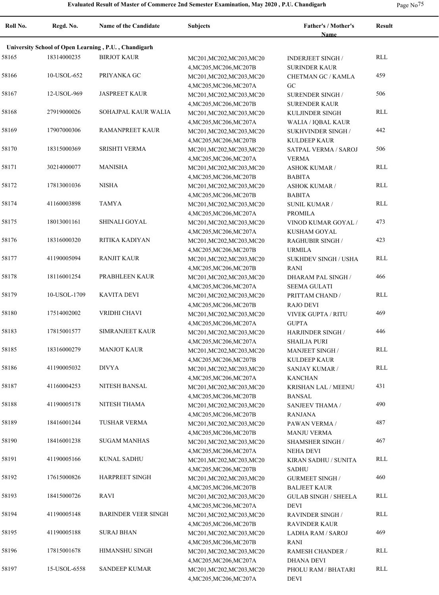| Roll No. | Regd. No.    | <b>Name of the Candidate</b>                         | Subjects                                             | Father's / Mother's<br>Name                        | <b>Result</b> |
|----------|--------------|------------------------------------------------------|------------------------------------------------------|----------------------------------------------------|---------------|
|          |              |                                                      |                                                      |                                                    |               |
|          |              | University School of Open Learning, P.U., Chandigarh |                                                      |                                                    |               |
| 58165    | 18314000235  | <b>BIRJOT KAUR</b>                                   | MC201, MC202, MC203, MC20<br>4, MC205, MC206, MC207B | <b>INDERJEET SINGH /</b><br><b>SURINDER KAUR</b>   | <b>RLL</b>    |
| 58166    | 10-USOL-652  | PRIYANKA GC                                          | MC201, MC202, MC203, MC20                            | CHETMAN GC / KAMLA                                 | 459           |
|          |              |                                                      | 4, MC205, MC206, MC207A                              | GC                                                 |               |
| 58167    | 12-USOL-969  | <b>JASPREET KAUR</b>                                 | MC201, MC202, MC203, MC20<br>4, MC205, MC206, MC207B | SURENDER SINGH /<br><b>SURENDER KAUR</b>           | 506           |
| 58168    | 27919000026  | SOHAJPAL KAUR WALIA                                  | MC201, MC202, MC203, MC20                            | KULJINDER SINGH                                    | RLL           |
| 58169    | 17907000306  | <b>RAMANPREET KAUR</b>                               | 4, MC205, MC206, MC207A<br>MC201, MC202, MC203, MC20 | <b>WALIA / IQBAL KAUR</b><br>SUKHVINDER SINGH /    | 442           |
| 58170    | 18315000369  | <b>SRISHTI VERMA</b>                                 | 4, MC205, MC206, MC207B<br>MC201, MC202, MC203, MC20 | <b>KULDEEP KAUR</b><br>SATPAL VERMA / SAROJ        | 506           |
|          |              |                                                      | 4, MC205, MC206, MC207A                              | <b>VERMA</b>                                       |               |
| 58171    | 30214000077  | <b>MANISHA</b>                                       | MC201, MC202, MC203, MC20<br>4, MC205, MC206, MC207B | <b>ASHOK KUMAR /</b><br><b>BABITA</b>              | <b>RLL</b>    |
| 58172    | 17813001036  | <b>NISHA</b>                                         | MC201, MC202, MC203, MC20                            | <b>ASHOK KUMAR /</b>                               | <b>RLL</b>    |
|          | 41160003898  | <b>TAMYA</b>                                         | 4, MC205, MC206, MC207B                              | <b>BABITA</b>                                      | <b>RLL</b>    |
| 58174    |              |                                                      | MC201, MC202, MC203, MC20<br>4, MC205, MC206, MC207A | <b>SUNIL KUMAR /</b><br><b>PROMILA</b>             |               |
| 58175    | 18013001161  | SHINALI GOYAL                                        | MC201, MC202, MC203, MC20                            | VINOD KUMAR GOYAL /                                | 473           |
| 58176    | 18316000320  | RITIKA KADIYAN                                       | 4, MC205, MC206, MC207A                              | KUSHAM GOYAL                                       | 423           |
|          |              |                                                      | MC201, MC202, MC203, MC20<br>4, MC205, MC206, MC207B | <b>RAGHUBIR SINGH /</b><br><b>URMILA</b>           |               |
| 58177    | 41190005094  | <b>RANJIT KAUR</b>                                   | MC201, MC202, MC203, MC20<br>4, MC205, MC206, MC207B | SUKHDEV SINGH / USHA<br><b>RANI</b>                | <b>RLL</b>    |
| 58178    | 18116001254  | PRABHLEEN KAUR                                       | MC201, MC202, MC203, MC20                            | DHARAM PAL SINGH /                                 | 466           |
| 58179    | 10-USOL-1709 | <b>KAVITA DEVI</b>                                   | 4, MC205, MC206, MC207A<br>MC201, MC202, MC203, MC20 | <b>SEEMA GULATI</b><br>PRITTAM CHAND /             | <b>RLL</b>    |
|          |              |                                                      | 4, MC205, MC206, MC207B                              | <b>RAJO DEVI</b>                                   |               |
| 58180    | 17514002002  | VRIDHI CHAVI                                         | MC201, MC202, MC203, MC20                            | <b>VIVEK GUPTA / RITU</b>                          | 469           |
| 58183    | 17815001577  | <b>SIMRANJEET KAUR</b>                               | 4, MC205, MC206, MC207A<br>MC201, MC202, MC203, MC20 | <b>GUPTA</b><br>HARJINDER SINGH /                  | 446           |
|          |              |                                                      | 4, MC205, MC206, MC207A                              | <b>SHAILJA PURI</b>                                |               |
| 58185    | 18316000279  | <b>MANJOT KAUR</b>                                   | MC201, MC202, MC203, MC20                            | <b>MANJEET SINGH/</b>                              | <b>RLL</b>    |
| 58186    | 41190005032  | <b>DIVYA</b>                                         | 4, MC205, MC206, MC207B<br>MC201, MC202, MC203, MC20 | <b>KULDEEP KAUR</b><br><b>SANJAY KUMAR /</b>       | <b>RLL</b>    |
|          |              |                                                      | 4, MC205, MC206, MC207A                              | <b>KANCHAN</b>                                     |               |
| 58187    | 41160004253  | NITESH BANSAL                                        | MC201, MC202, MC203, MC20                            | KRISHAN LAL / MEENU                                | 431           |
| 58188    | 41190005178  | NITESH THAMA                                         | 4, MC205, MC206, MC207B                              | <b>BANSAL</b><br><b>SANJEEV THAMA /</b>            | 490           |
|          |              |                                                      | MC201, MC202, MC203, MC20<br>4, MC205, MC206, MC207B | <b>RANJANA</b>                                     |               |
| 58189    | 18416001244  | <b>TUSHAR VERMA</b>                                  | MC201, MC202, MC203, MC20                            | PAWAN VERMA /                                      | 487           |
| 58190    | 18416001238  | <b>SUGAM MANHAS</b>                                  | 4, MC205, MC206, MC207B<br>MC201, MC202, MC203, MC20 | <b>MANJU VERMA</b><br><b>SHAMSHER SINGH /</b>      | 467           |
|          |              |                                                      | 4, MC205, MC206, MC207A                              | <b>NEHA DEVI</b>                                   |               |
| 58191    | 41190005166  | <b>KUNAL SADHU</b>                                   | MC201, MC202, MC203, MC20<br>4, MC205, MC206, MC207B | KIRAN SADHU / SUNITA<br><b>SADHU</b>               | <b>RLL</b>    |
| 58192    | 17615000826  | HARPREET SINGH                                       | MC201, MC202, MC203, MC20                            | <b>GURMEET SINGH /</b>                             | 460           |
| 58193    | 18415000726  | RAVI                                                 | 4, MC205, MC206, MC207B<br>MC201, MC202, MC203, MC20 | <b>BALJEET KAUR</b><br><b>GULAB SINGH / SHEELA</b> | <b>RLL</b>    |
|          |              |                                                      | 4, MC205, MC206, MC207A                              | <b>DEVI</b>                                        |               |
| 58194    | 41190005148  | <b>BARINDER VEER SINGH</b>                           | MC201, MC202, MC203, MC20<br>4, MC205, MC206, MC207B | <b>RAVINDER SINGH/</b><br><b>RAVINDER KAUR</b>     | RLL           |
| 58195    | 41190005188  | <b>SURAJ BHAN</b>                                    | MC201, MC202, MC203, MC20                            | LADHA RAM / SAROJ                                  | 469           |
| 58196    | 17815001678  | HIMANSHU SINGH                                       | 4, MC205, MC206, MC207B                              | RANI                                               | <b>RLL</b>    |
|          |              |                                                      | MC201, MC202, MC203, MC20<br>4, MC205, MC206, MC207A | RAMESH CHANDER /<br><b>DHANA DEVI</b>              |               |
| 58197    | 15-USOL-6558 | <b>SANDEEP KUMAR</b>                                 | MC201, MC202, MC203, MC20<br>4, MC205, MC206, MC207A | PHOLU RAM / BHATARI<br>DEVI                        | <b>RLL</b>    |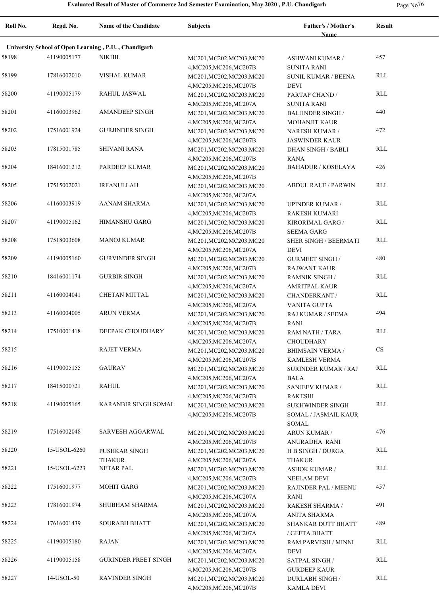| Roll No. | Regd. No.    | Name of the Candidate                                | <b>Subjects</b>                                      | Father's / Mother's<br>Name                   | <b>Result</b> |
|----------|--------------|------------------------------------------------------|------------------------------------------------------|-----------------------------------------------|---------------|
|          |              | University School of Open Learning, P.U., Chandigarh |                                                      |                                               |               |
| 58198    | 41190005177  | NIKHIL                                               | MC201, MC202, MC203, MC20                            | <b>ASHWANI KUMAR /</b>                        | 457           |
|          |              |                                                      | 4, MC205, MC206, MC207B                              | <b>SUNITA RANI</b>                            |               |
| 58199    | 17816002010  | <b>VISHAL KUMAR</b>                                  | MC201, MC202, MC203, MC20                            | <b>SUNIL KUMAR / BEENA</b>                    | RLL           |
|          |              |                                                      | 4, MC205, MC206, MC207B                              | <b>DEVI</b>                                   |               |
| 58200    | 41190005179  | <b>RAHUL JASWAL</b>                                  | MC201, MC202, MC203, MC20                            | PARTAP CHAND /                                | RLL           |
|          |              |                                                      | 4, MC205, MC206, MC207A                              | <b>SUNITA RANI</b>                            |               |
| 58201    | 41160003962  | <b>AMANDEEP SINGH</b>                                | MC201, MC202, MC203, MC20                            | <b>BALJINDER SINGH /</b>                      | 440           |
|          |              |                                                      | 4, MC205, MC206, MC207A                              | <b>MOHANJIT KAUR</b>                          |               |
| 58202    | 17516001924  | <b>GURJINDER SINGH</b>                               | MC201, MC202, MC203, MC20                            | <b>NARESH KUMAR /</b>                         | 472           |
|          |              |                                                      | 4, MC205, MC206, MC207B                              | <b>JASWINDER KAUR</b>                         |               |
| 58203    | 17815001785  | <b>SHIVANI RANA</b>                                  | MC201, MC202, MC203, MC20                            | DHAN SINGH / BABLI                            | RLL           |
|          |              |                                                      | 4, MC205, MC206, MC207B                              | <b>RANA</b>                                   |               |
| 58204    | 18416001212  | PARDEEP KUMAR                                        | MC201, MC202, MC203, MC20                            | <b>BAHADUR / KOSELAYA</b>                     | 426           |
|          |              |                                                      | 4, MC205, MC206, MC207B                              |                                               |               |
| 58205    | 17515002021  | <b>IRFANULLAH</b>                                    | MC201, MC202, MC203, MC20                            | <b>ABDUL RAUF / PARWIN</b>                    | RLL           |
|          |              |                                                      | 4, MC205, MC206, MC207A                              |                                               |               |
| 58206    | 41160003919  | AANAM SHARMA                                         | MC201, MC202, MC203, MC20                            | <b>UPINDER KUMAR /</b>                        | RLL           |
|          |              |                                                      | 4, MC205, MC206, MC207B                              | <b>RAKESH KUMARI</b>                          |               |
| 58207    | 41190005162  | <b>HIMANSHU GARG</b>                                 | MC201, MC202, MC203, MC20                            | KIRORIMAL GARG /                              | RLL           |
|          |              |                                                      | 4, MC205, MC206, MC207B                              | <b>SEEMA GARG</b>                             |               |
| 58208    | 17518003608  | <b>MANOJ KUMAR</b>                                   | MC201, MC202, MC203, MC20                            | SHER SINGH / BEERMATI                         | RLL           |
| 58209    | 41190005160  | <b>GURVINDER SINGH</b>                               | 4, MC205, MC206, MC207A                              | <b>DEVI</b>                                   | 480           |
|          |              |                                                      | MC201, MC202, MC203, MC20                            | <b>GURMEET SINGH /</b>                        |               |
| 58210    | 18416001174  | <b>GURBIR SINGH</b>                                  | 4, MC205, MC206, MC207B                              | <b>RAJWANT KAUR</b>                           | RLL           |
|          |              |                                                      | MC201, MC202, MC203, MC20                            | <b>RAMNIK SINGH /</b>                         |               |
| 58211    | 41160004041  | <b>CHETAN MITTAL</b>                                 | 4, MC205, MC206, MC207A<br>MC201, MC202, MC203, MC20 | AMRITPAL KAUR                                 | RLL           |
|          |              |                                                      | 4, MC205, MC206, MC207A                              | <b>CHANDERKANT /</b><br>VANITA GUPTA          |               |
| 58213    | 41160004005  | <b>ARUN VERMA</b>                                    | MC201, MC202, MC203, MC20                            | RAJ KUMAR / SEEMA                             | 494           |
|          |              |                                                      | 4, MC205, MC206, MC207B                              | <b>RANI</b>                                   |               |
| 58214    | 17510001418  | DEEPAK CHOUDHARY                                     | MC201, MC202, MC203, MC20                            | RAM NATH / TARA                               | RLL           |
|          |              |                                                      | 4, MC205, MC206, MC207A                              | <b>CHOUDHARY</b>                              |               |
| 58215    |              | <b>RAJET VERMA</b>                                   | MC201, MC202, MC203, MC20                            | <b>BHIMSAIN VERMA /</b>                       | CS            |
|          |              |                                                      | 4, MC205, MC206, MC207B                              | <b>KAMLESH VERMA</b>                          |               |
| 58216    | 41190005155  | <b>GAURAV</b>                                        | MC201, MC202, MC203, MC20                            | <b>SURINDER KUMAR / RAJ</b>                   | RLL           |
|          |              |                                                      | 4, MC205, MC206, MC207A                              | <b>BALA</b>                                   |               |
| 58217    | 18415000721  | <b>RAHUL</b>                                         | MC201, MC202, MC203, MC20                            | SANJEEV KUMAR /                               | RLL           |
|          |              |                                                      | 4, MC205, MC206, MC207B                              | <b>RAKESHI</b>                                |               |
| 58218    | 41190005165  | KARANBIR SINGH SOMAL                                 | MC201, MC202, MC203, MC20                            | <b>SUKHWINDER SINGH</b>                       | RLL           |
|          |              |                                                      | 4, MC205, MC206, MC207B                              | SOMAL / JASMAIL KAUR                          |               |
|          |              |                                                      |                                                      | SOMAL                                         |               |
| 58219    | 17516002048  | SARVESH AGGARWAL                                     | MC201, MC202, MC203, MC20                            | ARUN KUMAR /                                  | 476           |
|          |              |                                                      | 4, MC205, MC206, MC207B                              | ANURADHA RANI                                 |               |
| 58220    | 15-USOL-6260 | PUSHKAR SINGH                                        | MC201, MC202, MC203, MC20                            | <b>H B SINGH / DURGA</b>                      | RLL           |
|          |              | <b>THAKUR</b>                                        | 4, MC205, MC206, MC207A                              | THAKUR                                        |               |
| 58221    | 15-USOL-6223 | <b>NETAR PAL</b>                                     | MC201, MC202, MC203, MC20                            | <b>ASHOK KUMAR /</b>                          | RLL           |
|          |              |                                                      | 4, MC205, MC206, MC207B                              | NEELAM DEVI                                   |               |
| 58222    | 17516001977  | <b>MOHIT GARG</b>                                    | MC201, MC202, MC203, MC20                            | RAJINDER PAL / MEENU                          | 457           |
|          |              |                                                      | 4, MC205, MC206, MC207A                              | RANI                                          |               |
| 58223    | 17816001974  | SHUBHAM SHARMA                                       | MC201, MC202, MC203, MC20                            | RAKESH SHARMA /                               | 491           |
|          |              |                                                      | 4, MC205, MC206, MC207A                              | ANITA SHARMA                                  |               |
| 58224    | 17616001439  | <b>SOURABH BHATT</b>                                 | MC201, MC202, MC203, MC20                            | SHANKAR DUTT BHATT                            | 489           |
|          |              |                                                      | 4, MC205, MC206, MC207A                              | / GEETA BHATT                                 |               |
| 58225    | 41190005180  | <b>RAJAN</b>                                         | MC201, MC202, MC203, MC20                            | <b>RAM PARVESH / MINNI</b>                    | RLL           |
|          | 41190005158  | <b>GURINDER PREET SINGH</b>                          | 4, MC205, MC206, MC207A                              | DEVI                                          |               |
| 58226    |              |                                                      | MC201, MC202, MC203, MC20                            | SATPAL SINGH /                                | RLL           |
| 58227    | 14-USOL-50   | <b>RAVINDER SINGH</b>                                | 4, MC205, MC206, MC207B                              | <b>GURDEEP KAUR</b><br><b>DURLABH SINGH /</b> | RLL           |
|          |              |                                                      | MC201, MC202, MC203, MC20<br>4, MC205, MC206, MC207B | <b>KAMLA DEVI</b>                             |               |
|          |              |                                                      |                                                      |                                               |               |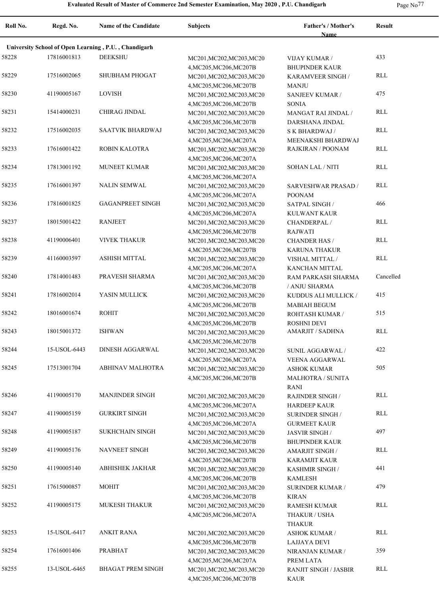**Roll No. Regd. No. Name of the Candidate Subjects Father's / Mother's Name Result University School of Open Learning , P.U. , Chandigarh** 58228 17816001813 DEEKSHU MC201,MC202,MC203,MC20 VIJAY KUMAR / 433 4,MC205,MC206,MC207B VIJAY KUMAR / BHUPINDER KAUR 58229 17516002065 SHUBHAM PHOGAT MC201, MC202, MC203, MC20 KARAMVEER SINGH RLL 4,MC205,MC206,MC207B KARAMVEER SINGH / **MANJU** 58230 41190005167 LOVISH MC201, MC201, MC202, MC203, MC20 SANJEEV KUMAR / 475 4,MC205,MC206,MC207B SANJEEV KUMAR / SONIA 58231 15414000231 CHIRAG JINDAL MC201,MC202,MC203,MC20 MANGAT RAI JINDAL RLL 4,MC205,MC206,MC207B MANGAT RAI JINDAL / DARSHANA JINDAL 58232 17516002035 SAATVIK BHARDWAJ MC201,MC202,MC203,MC20 S K BHARDWAJ / RLL 4,MC205,MC206,MC207A S K BHARDWAJ / MEENAKSHI BHARDWAJ 58233 ROBIN KALOTRA MC201,MC202,MC203,MC20 17616001422 RAJKIRAN / POONAM RLL 4,MC205,MC206,MC207A 58234 MUNEET KUMAR MC201,MC202,MC203,MC20 17813001192 SOHAN LAL / NITI RLL 4,MC205,MC206,MC207A 58235 NALIN SEMWAL MC201,MC202,MC203,MC20 17616001397 RLL 4,MC205,MC206,MC207A SARVESHWAR PRASAD / POONAM 58236 17816001825 GAGANPREET SINGH MC201, MC202, MC203, MC20 SATPAL SINGH 466 4,MC205,MC206,MC207A SATPAL SINGH / KULWANT KAUR 58237 RANJEET MC201,MC202,MC203,MC20 18015001422 RLL 4,MC205,MC206,MC207B CHANDERPAL / RAJWATI 58238 41190006401 VIVEK THAKUR MC201, MC202, MC203, MC20 CHANDER HAS / RLL 4,MC205,MC206,MC207B CHANDER HAS / KARUNA THAKUR 58239 41160003597 ASHISH MITTAL MC201, MC202, MC203, MC20 VISHAL MITTAL RLL 4,MC205,MC206,MC207A VISHAL MITTAL / KANCHAN MITTAL 58240 PRAVESH SHARMA MC201,MC202,MC203,MC20 17814001483 Cancelled 4,MC205,MC206,MC207B RAM PARKASH SHARMA / ANJU SHARMA 58241 YASIN MULLICK MC201,MC202,MC203,MC20 17816002014 415 4,MC205,MC206,MC207B KUDDUS ALI MULLICK / MABIAH BEGUM 58242 18016001674 ROHIT MC201, MC201, MC202, MC203, MC20 ROHTASH KUMAR / 515 4,MC205,MC206,MC207B ROHTASH KUMAR / ROSHNI DEVI 58243 18015001372 ISHWAN MC201,MC202,MC203,MC20 AMARJIT / SADHNA RLL 4,MC205,MC206,MC207B 58244 15-USOL-6443 DINESH AGGARWAL MC201, MC202, MC203, MC20 SUNIL AGGARWAL 422 4,MC205,MC206,MC207A SUNIL AGGARWAL / VEENA AGGARWAL 58245 17513001704 ABHINAV MALHOTRA MC201,MC202,MC203,MC20 ASHOK KUMAR 505 4,MC205,MC206,MC207B ASHOK KUMAR MALHOTRA / SUNITA RANI 58246 MANJINDER SINGH MC201,MC202,MC203,MC20 41190005170 RLL 4,MC205,MC206,MC207A RAJINDER SINGH / HARDEEP KAUR 58247 GURKIRT SINGH MC201,MC202,MC203,MC20 41190005159 RLL 4,MC205,MC206,MC207A SURINDER SINGH / GURMEET KAUR 58248 SUKHCHAIN SINGH MC201,MC202,MC203,MC20 41190005187 497 4,MC205,MC206,MC207B JASVIR SINGH / BHUPINDER KAUR 58249 41190005176 NAVNEET SINGH MC201,MC202,MC203,MC20 AMARJIT SINGH RLL 4,MC205,MC206,MC207B AMARJIT SINGH / KARAMJIT KAUR 58250 ABHISHEK JAKHAR MC201,MC202,MC203,MC20 41190005140 441 4,MC205,MC206,MC207B KASHMIR SINGH / KAMLESH 58251 17615000857 MOHIT MC201, MC201, MC202, MC203, MC20 SURINDER KUMAR / 479 4,MC205,MC206,MC207B SURINDER KUMAR / KIRAN 58252 MUKESH THAKUR MC201,MC202,MC203,MC20 41190005175 RLL 4,MC205,MC206,MC207A RAMESH KUMAR THAKUR / USHA THAKUR 58253 15-USOL-6417 ANKIT RANA MC201,MC202,MC203,MC20 ASHOK KUMAR / RLL 4,MC205,MC206,MC207B ASHOK KUMAR / LAJJAYA DEVI 58254 17616001406 PRABHAT MC201,MC202,MC203,MC20 NIRANJAN KUMAR / 359 4,MC205,MC206,MC207A NIRANJAN KUMAR / PREM LATA 58255 BHAGAT PREM SINGH MC201,MC202,MC203,MC20 13-USOL-6465 RLL4,MC205,MC206,MC207B RANJIT SINGH / JASBIR KAUR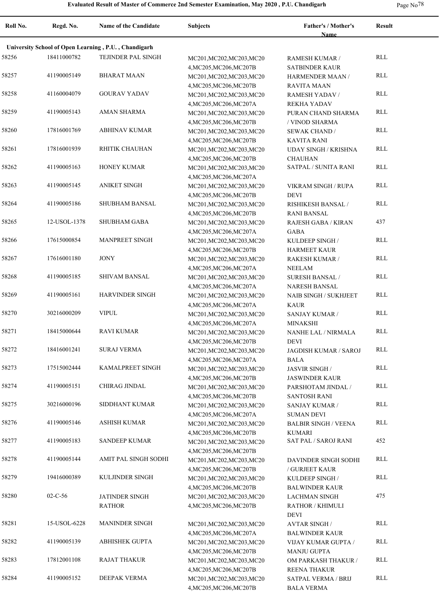**Roll No. Regd. No. Name of the Candidate Subjects Father's / Mother's Name Result University School of Open Learning , P.U. , Chandigarh** 58256 18411000782 TEJINDER PAL SINGH MC201, MC202, MC203, MC20 RAMESH KUMAR / RLL 4,MC205,MC206,MC207B RAMESH KUMAR / SATBINDER KAUR 58257 BHARAT MAAN MC201,MC202,MC203,MC20 41190005149 RLL 4,MC205,MC206,MC207B HARMENDER MAAN / RAVITA MAAN 58258 41160004079 GOURAV YADAV MC201, MC202, MC203, MC20 RAMESH YADAV RLL 4,MC205,MC206,MC207A RAMESH YADAV / REKHA YADAV 58259 41190005143 AMAN SHARMA MC201, MC202, MC203, MC20 WIRAN CHAND SHARMA RLL 4,MC205,MC206,MC207B PURAN CHAND SHARMA / VINOD SHARMA 58260 ABHINAV KUMAR MC201,MC202,MC203,MC20 17816001769 RLL 4,MC205,MC206,MC207B SEWAK CHAND / KAVITA RANI 58261 17816001939 RHITIK CHAUHAN MC201, MC202, MC203, MC20 UDAY SINGH / KRISHNA RLL 4,MC205,MC206,MC207B UDAY SINGH / KRISHNA CHAUHAN 58262 HONEY KUMAR MC201,MC202,MC203,MC20 41190005163 SATPAL / SUNITA RANI RLL 4,MC205,MC206,MC207A 58263 41190005145 ANIKET SINGH MC201,MC202,MC203,MC20 VIKRAM SINGH / RUPA RLL 4,MC205,MC206,MC207B VIKRAM SINGH / RUPA DEVI 58264 41190005186 SHUBHAM BANSAL MC201, MC202, MC203, MC20 RISHIKESH BANSAL RLL 4,MC205,MC206,MC207B RISHIKESH BANSAL / RANI BANSAL 58265 12-USOL-1378 SHUBHAM GABA MC201, MC202, MC203, MC20 RAJESH GABA / KIRAN 437 4,MC205,MC206,MC207A RAJESH GABA / KIRAN GABA 58266 MANPREET SINGH MC201,MC202,MC203,MC20 17615000854 RLL 4,MC205,MC206,MC207B KULDEEP SINGH / HARMEET KAUR 58267 17616001180 JONY MC201,MC202,MC203,MC20 RAKESH KUMAR / RLL 4,MC205,MC206,MC207A RAKESH KUMAR / NEELAM 58268 SHIVAM BANSAL MC201,MC202,MC203,MC20 41190005185 RLL 4,MC205,MC206,MC207A SURESH BANSAL / NARESH BANSAL 58269 41190005161 HARVINDER SINGH MC201, MC202, MC203, MC20 NAIB SINGH / SUKHJEET RLL 4,MC205,MC206,MC207A NAIB SINGH / SUKHJEET KAUR 58270 VIPUL MC201,MC202,MC203,MC20 30216000209 RLL 4,MC205,MC206,MC207A SANJAY KUMAR / MINAKSHI 58271 18415000644 RAVI KUMAR MC201, MC202, MC203, MC20 4,MC205,MC206,MC207B NANHE LAL / NIRMALA 18415000644 RLL DEVI 58272 18416001241 SURAJ VERMA MC201, MC202, MC203, MC20 JAGDISH KUMAR / SAROJ RLL 4,MC205,MC206,MC207A JAGDISH KUMAR / SAROJ BALA 58273 17515002444 KAMALPREET SINGH MC201,MC202,MC203,MC20 JASVIR SINGH RLL 4,MC205,MC206,MC207B JASVIR SINGH / JASWINDER KAUR 58274 41190005151 CHIRAG JINDAL MC201, MC202, MC203, MC20 PARSHOTAM JINDAL RLL 4,MC205,MC206,MC207B PARSHOTAM JINDAL / SANTOSH RANI 58275 SIDDHANT KUMAR MC201,MC202,MC203,MC20 30216000196 RLL 4,MC205,MC206,MC207A SANJAY KUMAR / SUMAN DEVI 58276 ASHISH KUMAR MC201,MC202,MC203,MC20 41190005146 RLL 4,MC205,MC206,MC207B BALBIR SINGH / VEENA KUMARI 58277 41190005183 SANDEEP KUMAR MC201, MC202, MC203, MC20 SAT PAL / SAROJ RANI 452 4,MC205,MC206,MC207B 58278 41190005144 AMIT PAL SINGH SODHI MC201, MC202, MC203, MC20 DAVINDER SINGH SODHI RLL 4,MC205,MC206,MC207B DAVINDER SINGH SODHI / GURJEET KAUR 58279 KULJINDER SINGH MC201,MC202,MC203,MC20 19416000389 RLL 4,MC205,MC206,MC207B KULDEEP SINGH / BALWINDER KAUR JATINDER SINGH RATHOR 58280 02-C-56 JATINDER SINGH MC201, MC202, MC203, MC20 LACHMAN SINGH 475 4,MC205,MC206,MC207B LACHMAN SINGH RATHOR / KHIMULI DEVI 58281 15-USOL-6228 MANINDER SINGH MC201,MC202,MC203,MC20 AVTAR SINGH RLL 4,MC205,MC206,MC207A AVTAR SINGH / BALWINDER KAUR 58282 41190005139 ABHISHEK GUPTA MC201, MC202, MC203, MC20 VIJAY KUMAR GUPTA RLL 4,MC205,MC206,MC207B VIJAY KUMAR GUPTA / MANJU GUPTA 58283 17812001108 RAJAT THAKUR MC201, MC202, MC203, MC20 OM PARKASH THAKUR RLL 4,MC205,MC206,MC207B OM PARKASH THAKUR / REENA THAKUR 58284 41190005152 DEEPAK VERMA MC201, MC202, MC203, MC20 SATPAL VERMA / BRIJ RLL 4,MC205,MC206,MC207B SATPAL VERMA / BRIJ BALA VERMA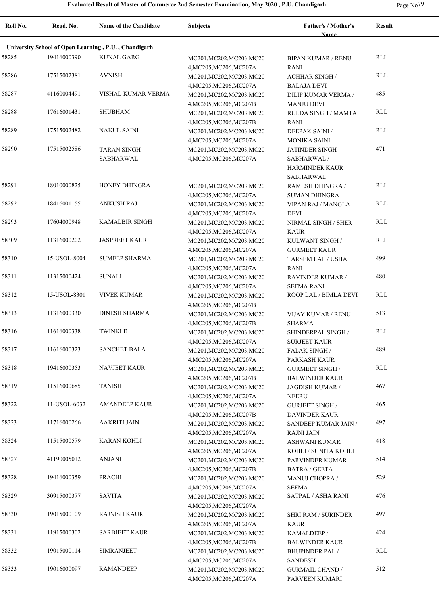| Roll No. | Regd. No.    | Name of the Candidate                                | <b>Subjects</b>                                      | Father's / Mother's<br><b>Name</b>         | <b>Result</b> |
|----------|--------------|------------------------------------------------------|------------------------------------------------------|--------------------------------------------|---------------|
|          |              | University School of Open Learning, P.U., Chandigarh |                                                      |                                            |               |
| 58285    | 19416000390  | <b>KUNAL GARG</b>                                    | MC201, MC202, MC203, MC20                            | <b>BIPAN KUMAR / RENU</b>                  | RLL           |
|          |              |                                                      | 4, MC205, MC206, MC207A                              | <b>RANI</b>                                |               |
| 58286    | 17515002381  | <b>AVNISH</b>                                        | MC201, MC202, MC203, MC20                            | <b>ACHHAR SINGH /</b>                      | RLL           |
|          |              |                                                      | 4, MC205, MC206, MC207A                              | <b>BALAJA DEVI</b>                         |               |
| 58287    | 41160004491  | VISHAL KUMAR VERMA                                   | MC201, MC202, MC203, MC20                            | DILIP KUMAR VERMA /                        | 485           |
|          |              |                                                      | 4, MC205, MC206, MC207B                              | <b>MANJU DEVI</b>                          |               |
| 58288    | 17616001431  | <b>SHUBHAM</b>                                       | MC201, MC202, MC203, MC20                            | <b>RULDA SINGH / MAMTA</b>                 | RLL           |
|          |              |                                                      | 4, MC205, MC206, MC207B                              | RANI                                       |               |
| 58289    | 17515002482  | <b>NAKUL SAINI</b>                                   | MC201, MC202, MC203, MC20                            | <b>DEEPAK SAINI/</b>                       | RLL           |
|          |              |                                                      | 4, MC205, MC206, MC207A                              | <b>MONIKA SAINI</b>                        | 471           |
| 58290    | 17515002586  | <b>TARAN SINGH</b>                                   | MC201, MC202, MC203, MC20                            | <b>JATINDER SINGH</b>                      |               |
|          |              | SABHARWAL                                            | 4, MC205, MC206, MC207A                              | SABHARWAL /                                |               |
|          |              |                                                      |                                                      | <b>HARMINDER KAUR</b><br>SABHARWAL         |               |
| 58291    | 18010000825  | HONEY DHINGRA                                        | MC201, MC202, MC203, MC20                            | RAMESH DHINGRA /                           | RLL           |
|          |              |                                                      | 4, MC205, MC206, MC207A                              | <b>SUMAN DHINGRA</b>                       |               |
| 58292    | 18416001155  | <b>ANKUSH RAJ</b>                                    | MC201, MC202, MC203, MC20                            | VIPAN RAJ / MANGLA                         | RLL           |
|          |              |                                                      | 4, MC205, MC206, MC207A                              | <b>DEVI</b>                                |               |
| 58293    | 17604000948  | <b>KAMALBIR SINGH</b>                                | MC201, MC202, MC203, MC20                            | NIRMAL SINGH / SHER                        | RLL           |
|          |              |                                                      | 4, MC205, MC206, MC207A                              | KAUR                                       |               |
| 58309    | 11316000202  | <b>JASPREET KAUR</b>                                 | MC201, MC202, MC203, MC20                            | KULWANT SINGH /                            | RLL           |
|          |              |                                                      | 4, MC205, MC206, MC207A                              | <b>GURMEET KAUR</b>                        |               |
| 58310    | 15-USOL-8004 | <b>SUMEEP SHARMA</b>                                 | MC201, MC202, MC203, MC20                            | TARSEM LAL / USHA                          | 499           |
|          |              |                                                      | 4, MC205, MC206, MC207A                              | RANI                                       |               |
| 58311    | 11315000424  | <b>SUNALI</b>                                        | MC201, MC202, MC203, MC20                            | RAVINDER KUMAR /                           | 480           |
|          |              |                                                      | 4, MC205, MC206, MC207A                              | <b>SEEMA RANI</b>                          |               |
| 58312    | 15-USOL-8301 | <b>VIVEK KUMAR</b>                                   | MC201, MC202, MC203, MC20                            | ROOP LAL / BIMLA DEVI                      | RLL           |
|          |              |                                                      | 4, MC205, MC206, MC207B                              |                                            |               |
| 58313    | 11316000330  | <b>DINESH SHARMA</b>                                 | MC201, MC202, MC203, MC20                            | VIJAY KUMAR / RENU                         | 513           |
|          |              |                                                      | 4, MC205, MC206, MC207B                              | <b>SHARMA</b>                              |               |
| 58316    | 11616000338  | <b>TWINKLE</b>                                       | MC201, MC202, MC203, MC20                            | SHINDERPAL SINGH /                         | RLL           |
| 58317    | 11616000323  | <b>SANCHET BALA</b>                                  | 4, MC205, MC206, MC207A                              | <b>SURJEET KAUR</b><br><b>FALAK SINGH/</b> | 489           |
|          |              |                                                      | MC201, MC202, MC203, MC20<br>4, MC205, MC206, MC207A | PARKASH KAUR                               |               |
| 58318    | 19416000353  | <b>NAVJEET KAUR</b>                                  | MC201, MC202, MC203, MC20                            | <b>GURMEET SINGH/</b>                      | RLL           |
|          |              |                                                      | 4, MC205, MC206, MC207B                              | <b>BALWINDER KAUR</b>                      |               |
| 58319    | 11516000685  | <b>TANISH</b>                                        | MC201, MC202, MC203, MC20                            | JAGDISH KUMAR /                            | 467           |
|          |              |                                                      | 4, MC205, MC206, MC207A                              | <b>NEERU</b>                               |               |
| 58322    | 11-USOL-6032 | <b>AMANDEEP KAUR</b>                                 | MC201, MC202, MC203, MC20                            | <b>GURJEET SINGH/</b>                      | 465           |
|          |              |                                                      | 4, MC205, MC206, MC207B                              | <b>DAVINDER KAUR</b>                       |               |
| 58323    | 11716000266  | <b>AAKRITI JAIN</b>                                  | MC201, MC202, MC203, MC20                            | SANDEEP KUMAR JAIN /                       | 497           |
|          |              |                                                      | 4, MC205, MC206, MC207A                              | <b>RAJNI JAIN</b>                          |               |
| 58324    | 11515000579  | <b>KARAN KOHLI</b>                                   | MC201, MC202, MC203, MC20                            | ASHWANI KUMAR                              | 418           |
|          |              |                                                      | 4, MC205, MC206, MC207A                              | KOHLI / SUNITA KOHLI                       |               |
| 58327    | 41190005012  | <b>ANJANI</b>                                        | MC201, MC202, MC203, MC20                            | PARVINDER KUMAR                            | 514           |
|          |              |                                                      | 4, MC205, MC206, MC207B                              | <b>BATRA / GEETA</b>                       |               |
| 58328    | 19416000359  | PRACHI                                               | MC201, MC202, MC203, MC20                            | MANUJ CHOPRA /                             | 529           |
| 58329    | 30915000377  | <b>SAVITA</b>                                        | 4, MC205, MC206, MC207A                              | <b>SEEMA</b><br>SATPAL / ASHA RANI         | 476           |
|          |              |                                                      | MC201, MC202, MC203, MC20                            |                                            |               |
| 58330    | 19015000109  | <b>RAJNISH KAUR</b>                                  | 4, MC205, MC206, MC207A<br>MC201, MC202, MC203, MC20 | SHRI RAM / SURINDER                        | 497           |
|          |              |                                                      | 4, MC205, MC206, MC207A                              | KAUR                                       |               |
| 58331    | 11915000302  | <b>SARBJEET KAUR</b>                                 | MC201, MC202, MC203, MC20                            | KAMALDEEP/                                 | 424           |
|          |              |                                                      | 4, MC205, MC206, MC207B                              | <b>BALWINDER KAUR</b>                      |               |
| 58332    | 19015000114  | <b>SIMRANJEET</b>                                    | MC201, MC202, MC203, MC20                            | <b>BHUPINDER PAL/</b>                      | RLL           |
|          |              |                                                      | 4, MC205, MC206, MC207A                              | <b>SANDESH</b>                             |               |
| 58333    | 19016000097  | <b>RAMANDEEP</b>                                     | MC201, MC202, MC203, MC20                            | <b>GURMAIL CHAND /</b>                     | 512           |
|          |              |                                                      | 4, MC205, MC206, MC207A                              | PARVEEN KUMARI                             |               |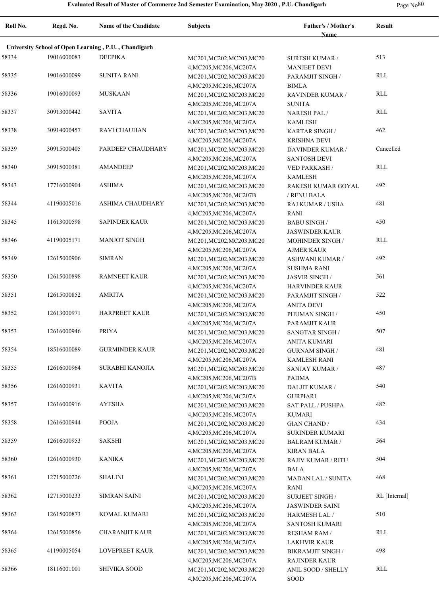### **Evaluated Result of Master of Commerce 2nd Semester Examination, May 2020 , P.U. Chandigarh** Page No<sup>80</sup> Page No<sup>80</sup>

**Roll No. Regd. No. Name of the Candidate Subjects Father's / Mother's Name Result University School of Open Learning , P.U. , Chandigarh** 58334 19016000083 DEEPIKA MC201,MC202,MC203,MC20 SURESH KUMAR 513 4,MC205,MC206,MC207A SURESH KUMAR / MANJEET DEVI 58335 SUNITA RANI MC201,MC202,MC203,MC20 19016000099 RLL 4,MC205,MC206,MC207A PARAMJIT SINGH / BIMLA 58336 MUSKAAN MC201,MC202,MC203,MC20 19016000093 RLL 4,MC205,MC206,MC207A RAVINDER KUMAR / SUNITA 58337 SAVITA MC201,MC202,MC203,MC20 30913000442 RLL 4,MC205,MC206,MC207A NARESH PAL / KAMLESH 58338 30914000457 RAVI CHAUHAN MC201, MC202, MC203, MC20 KARTAR SINGH 462 4,MC205,MC206,MC207A KARTAR SINGH / KRISHNA DEVI 58339 PARDEEP CHAUDHARY MC201,MC202,MC203,MC20 30915000405 Cancelled 4,MC205,MC206,MC207A DAVINDER KUMAR / SANTOSH DEVI 58340 AMANDEEP MC201,MC202,MC203,MC20 30915000381 RLL 4,MC205,MC206,MC207A VED PARKASH / KAMLESH 58343 17716000904 ASHIMA MC201,MC202,MC203,MC20 RAKESH KUMAR GOYAL 492 4,MC205,MC206,MC207B RAKESH KUMAR GOYAL / RENU BALA 58344 41190005016 ASHIMA CHAUDHARY MC201,MC202,MC203,MC20 RAJ KUMAR / USHA 481 4,MC205,MC206,MC207A RAJ KUMAR / USHA RANI 58345 11613000598 SAPINDER KAUR MC201, MC202, MC203, MC20 BABU SINGH 450 4,MC205,MC206,MC207A BABU SINGH / JASWINDER KAUR 58346 MANJOT SINGH MC201,MC202,MC203,MC20 41190005171 RLL 4,MC205,MC206,MC207A MOHINDER SINGH / AJMER KAUR 58349 12615000906 SIMRAN MC201, MC201, MC202, MC203, MC20 ASHWANI KUMAR / 492 4,MC205,MC206,MC207A ASHWANI KUMAR / SUSHMA RANI 58350 12615000898 RAMNEET KAUR MC201, MC202, MC203, MC20 JASVIR SINGH / 561 4,MC205,MC206,MC207A JASVIR SINGH / HARVINDER KAUR 58351 12615000852 AMRITA MC201, MC201, MC202, MC203, MC20 PARAMJIT SINGH 522 4,MC205,MC206,MC207A PARAMJIT SINGH / ANITA DEVI 58352 12613000971 HARPREET KAUR MC201, MC202, MC203, MC20 PHUMAN SINGH 450 4,MC205,MC206,MC207A PHUMAN SINGH / PARAMJIT KAUR 58353 12616000946 PRIYA MC201, MC201, MC202, MC203, MC20 SANGTAR SINGH 507 4,MC205,MC206,MC207A SANGTAR SINGH / ANITA KUMARI 58354 GURMINDER KAUR MC201,MC202,MC203,MC20 18516000089 481 4,MC205,MC206,MC207A GURNAM SINGH / KAMLESH RANI 58355 12616000964 SURABHI KANOJIA MC201,MC202,MC203,MC20 SANJAY KUMAR / 487 4,MC205,MC206,MC207B SANJAY KUMAR / PADMA 58356 12616000931 KAVITA MC201,MC202,MC203,MC20 DALJIT KUMAR / 540 4,MC205,MC206,MC207A DALJIT KUMAR / GURPIARI 58357 12616000916 AYESHA MC201, MC201, MC202, MC203, MC20 SAT PALL / PUSHPA 482 4,MC205,MC206,MC207A SAT PALL / PUSHPA KUMARI 58358 12616000944 POOJA MC201,MC202,MC203,MC20 GIAN CHAND / 434 4,MC205,MC206,MC207A GIAN CHAND / SURINDER KUMARI 58359 12616000953 SAKSHI MC201,MC202,MC203,MC20 BALRAM KUMAR / 564 4,MC205,MC206,MC207A BALRAM KUMAR / KIRAN BALA 58360 12616000930 KANIKA MC201,MC202,MC203,MC20 RAJIV KUMAR / RITU 504 4,MC205,MC206,MC207A RAJIV KUMAR / RITU BALA 58361 12715000226 SHALINI MC201,MC202,MC203,MC20 MADAN LAL / SUNITA 468 4,MC205,MC206,MC207A MADAN LAL / SUNITA RANI 58362 12715000233 SIMRAN SAINI MC201,MC202,MC203,MC20 SURJEET SINGH RL [Internal] 4,MC205,MC206,MC207A SURJEET SINGH / JASWINDER SAINI 58363 12615000873 KOMAL KUMARI MC201, MC202, MC203, MC20 HARMESH LAL / 510 4,MC205,MC206,MC207A HARMESH LAL / SANTOSH KUMARI 58364 12615000856 CHARANJIT KAUR MC201, MC202, MC203, MC20 RESHAM RAM / RLL 4,MC205,MC206,MC207A RESHAM RAM / LAKHVIR KAUR 58365 LOVEPREET KAUR MC201,MC202,MC203,MC20 41190005054 498 4,MC205,MC206,MC207A BIKRAMJIT SINGH / RAJINDER KAUR 58366 SHIVIKA SOOD MC201,MC202,MC203,MC20 18116001001 RLL4,MC205,MC206,MC207A ANIL SOOD / SHELLY SOOD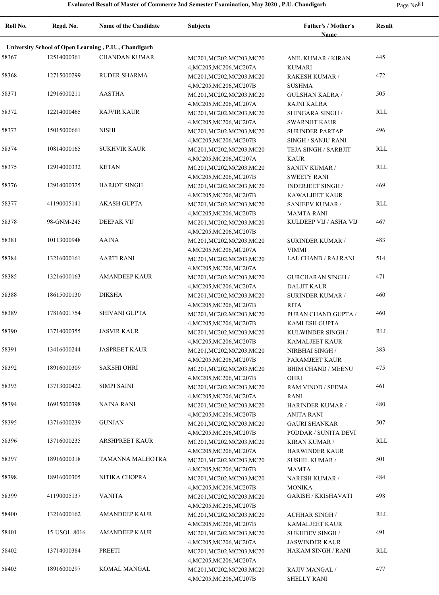| Roll No. | Regd. No.    | Name of the Candidate                                | <b>Subjects</b>                                      | <b>Father's / Mother's</b><br>Name              | <b>Result</b> |
|----------|--------------|------------------------------------------------------|------------------------------------------------------|-------------------------------------------------|---------------|
|          |              |                                                      |                                                      |                                                 |               |
|          |              | University School of Open Learning, P.U., Chandigarh |                                                      |                                                 |               |
| 58367    | 12514000361  | <b>CHANDAN KUMAR</b>                                 | MC201, MC202, MC203, MC20<br>4, MC205, MC206, MC207A | ANIL KUMAR / KIRAN<br><b>KUMARI</b>             | 445           |
| 58368    | 12715000299  | <b>RUDER SHARMA</b>                                  | MC201, MC202, MC203, MC20                            | RAKESH KUMAR /                                  | 472           |
| 58371    | 12916000211  | <b>AASTHA</b>                                        | 4, MC205, MC206, MC207B<br>MC201, MC202, MC203, MC20 | <b>SUSHMA</b><br><b>GULSHAN KALRA/</b>          | 505           |
| 58372    | 12214000465  | <b>RAJVIR KAUR</b>                                   | 4, MC205, MC206, MC207A<br>MC201, MC202, MC203, MC20 | <b>RAJNI KALRA</b><br>SHINGARA SINGH /          | RLL           |
| 58373    | 15015000661  | <b>NISHI</b>                                         | 4, MC205, MC206, MC207A<br>MC201, MC202, MC203, MC20 | <b>SWARNJIT KAUR</b><br><b>SURINDER PARTAP</b>  | 496           |
|          |              |                                                      | 4, MC205, MC206, MC207B                              | SINGH / SANJU RANI                              |               |
| 58374    | 10814000165  | <b>SUKHVIR KAUR</b>                                  | MC201, MC202, MC203, MC20<br>4, MC205, MC206, MC207A | TEJA SINGH / SARBJIT<br><b>KAUR</b>             | RLL           |
| 58375    | 12914000332  | <b>KETAN</b>                                         | MC201, MC202, MC203, MC20<br>4, MC205, MC206, MC207B | <b>SANJIV KUMAR /</b><br><b>SWEETY RANI</b>     | <b>RLL</b>    |
| 58376    | 12914000325  | <b>HARJOT SINGH</b>                                  | MC201, MC202, MC203, MC20                            | <b>INDERJEET SINGH /</b>                        | 469           |
| 58377    | 41190005141  | AKASH GUPTA                                          | 4, MC205, MC206, MC207B<br>MC201, MC202, MC203, MC20 | <b>KAWALJEET KAUR</b><br><b>SANJEEV KUMAR /</b> | <b>RLL</b>    |
| 58378    | 98-GNM-245   | <b>DEEPAK VIJ</b>                                    | 4, MC205, MC206, MC207B<br>MC201, MC202, MC203, MC20 | <b>MAMTA RANI</b><br>KULDEEP VIJ / ASHA VIJ     | 467           |
| 58381    | 10113000948  | <b>AAINA</b>                                         | 4, MC205, MC206, MC207B<br>MC201, MC202, MC203, MC20 | <b>SURINDER KUMAR /</b>                         | 483           |
| 58384    | 13216000161  | <b>AARTI RANI</b>                                    | 4, MC205, MC206, MC207A<br>MC201, MC202, MC203, MC20 | <b>VIMMI</b><br>LAL CHAND / RAJ RANI            | 514           |
| 58385    | 13216000163  | <b>AMANDEEP KAUR</b>                                 | 4, MC205, MC206, MC207A<br>MC201, MC202, MC203, MC20 | <b>GURCHARAN SINGH /</b>                        | 471           |
| 58388    | 18615000130  | <b>DIKSHA</b>                                        | 4, MC205, MC206, MC207A<br>MC201, MC202, MC203, MC20 | <b>DALJIT KAUR</b><br><b>SURINDER KUMAR /</b>   | 460           |
| 58389    | 17816001754  | SHIVANI GUPTA                                        | 4, MC205, MC206, MC207B<br>MC201, MC202, MC203, MC20 | <b>RITA</b><br>PURAN CHAND GUPTA /              | 460           |
| 58390    | 13714000355  | <b>JASVIR KAUR</b>                                   | 4, MC205, MC206, MC207B<br>MC201, MC202, MC203, MC20 | <b>KAMLESH GUPTA</b><br>KULWINDER SINGH /       | RLL           |
|          |              |                                                      | 4, MC205, MC206, MC207B                              | <b>KAMALJEET KAUR</b>                           |               |
| 58391    | 13416000244  | <b>JASPREET KAUR</b>                                 | MC201, MC202, MC203, MC20<br>4, MC205, MC206, MC207B | NIRBHAI SINGH /<br>PARAMJEET KAUR               | 383           |
| 58392    | 18916000309  | <b>SAKSHI OHRI</b>                                   | MC201, MC202, MC203, MC20<br>4, MC205, MC206, MC207B | <b>BHIM CHAND / MEENU</b><br><b>OHRI</b>        | 475           |
| 58393    | 13713000422  | <b>SIMPI SAINI</b>                                   | MC201, MC202, MC203, MC20<br>4, MC205, MC206, MC207A | RAM VINOD / SEEMA<br><b>RANI</b>                | 461           |
| 58394    | 16915000398  | <b>NAINA RANI</b>                                    | MC201, MC202, MC203, MC20                            | <b>HARINDER KUMAR /</b>                         | 480           |
| 58395    | 13716000239  | <b>GUNJAN</b>                                        | 4, MC205, MC206, MC207B<br>MC201, MC202, MC203, MC20 | <b>ANITA RANI</b><br><b>GAURI SHANKAR</b>       | 507           |
| 58396    | 13716000235  | <b>ARSHPREET KAUR</b>                                | 4, MC205, MC206, MC207B<br>MC201, MC202, MC203, MC20 | PODDAR / SUNITA DEVI<br><b>KIRAN KUMAR /</b>    | RLL           |
| 58397    | 18916000318  | TAMANNA MALHOTRA                                     | 4, MC205, MC206, MC207A<br>MC201, MC202, MC203, MC20 | HARWINDER KAUR<br><b>SUSHIL KUMAR /</b>         | 501           |
| 58398    | 18916000305  | NITIKA CHOPRA                                        | 4, MC205, MC206, MC207B<br>MC201, MC202, MC203, MC20 | <b>MAMTA</b><br><b>NARESH KUMAR /</b>           | 484           |
| 58399    | 41190005137  | <b>VANITA</b>                                        | 4, MC205, MC206, MC207B<br>MC201, MC202, MC203, MC20 | <b>MONIKA</b><br><b>GARISH / KRISHAVATI</b>     | 498           |
| 58400    | 13216000162  | <b>AMANDEEP KAUR</b>                                 | 4, MC205, MC206, MC207B<br>MC201, MC202, MC203, MC20 | <b>ACHHAR SINGH /</b>                           | <b>RLL</b>    |
| 58401    | 15-USOL-8016 | AMANDEEP KAUR                                        | 4, MC205, MC206, MC207B<br>MC201, MC202, MC203, MC20 | KAMALJEET KAUR<br><b>SUKHDEV SINGH/</b>         | 491           |
|          |              |                                                      | 4, MC205, MC206, MC207A                              | <b>JASWINDER KAUR</b>                           |               |
| 58402    | 13714000384  | PREETI                                               | MC201, MC202, MC203, MC20<br>4, MC205, MC206, MC207A | <b>HAKAM SINGH / RANI</b>                       | <b>RLL</b>    |
| 58403    | 18916000297  | KOMAL MANGAL                                         | MC201, MC202, MC203, MC20<br>4, MC205, MC206, MC207B | RAJIV MANGAL /<br><b>SHELLY RANI</b>            | 477           |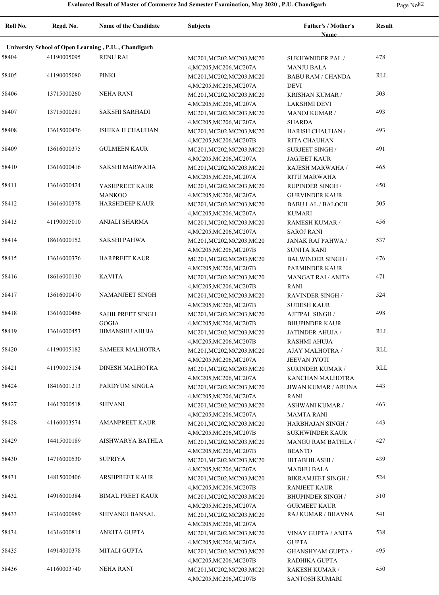| Page No <sup>82</sup> |  |
|-----------------------|--|
|-----------------------|--|

| Roll No. | Regd. No.   | <b>Name of the Candidate</b>                         | <b>Subjects</b>                                                                 | Father's / Mother's<br><b>Name</b>               | <b>Result</b> |
|----------|-------------|------------------------------------------------------|---------------------------------------------------------------------------------|--------------------------------------------------|---------------|
|          |             | University School of Open Learning, P.U., Chandigarh |                                                                                 |                                                  |               |
| 58404    | 41190005095 | <b>RENU RAI</b>                                      | MC201, MC202, MC203, MC20                                                       | SUKHWNIDER PAL/<br><b>MANJU BALA</b>             | 478           |
| 58405    | 41190005080 | PINKI                                                | 4, MC205, MC206, MC207A<br>MC201, MC202, MC203, MC20<br>4, MC205, MC206, MC207A | <b>BABU RAM / CHANDA</b><br><b>DEVI</b>          | <b>RLL</b>    |
| 58406    | 13715000260 | NEHA RANI                                            | MC201, MC202, MC203, MC20<br>4, MC205, MC206, MC207A                            | KRISHAN KUMAR /<br><b>LAKSHMI DEVI</b>           | 503           |
| 58407    | 13715000281 | <b>SAKSHI SARHADI</b>                                | MC201, MC202, MC203, MC20<br>4, MC205, MC206, MC207A                            | <b>MANOJ KUMAR /</b><br><b>SHARDA</b>            | 493           |
| 58408    | 13615000476 | <b>ISHIKA H CHAUHAN</b>                              | MC201, MC202, MC203, MC20<br>4, MC205, MC206, MC207B                            | HARISH CHAUHAN /<br>RITA CHAUHAN                 | 493           |
| 58409    | 13616000375 | <b>GULMEEN KAUR</b>                                  | MC201, MC202, MC203, MC20<br>4, MC205, MC206, MC207A                            | <b>SURJEET SINGH /</b><br><b>JAGJEET KAUR</b>    | 491           |
| 58410    | 13616000416 | SAKSHI MARWAHA                                       | MC201, MC202, MC203, MC20<br>4, MC205, MC206, MC207A                            | RAJESH MARWAHA /<br>RITU MARWAHA                 | 465           |
| 58411    | 13616000424 | YASHPREET KAUR<br><b>MANKOO</b>                      | MC201, MC202, MC203, MC20<br>4, MC205, MC206, MC207A                            | <b>RUPINDER SINGH /</b><br><b>GURVINDER KAUR</b> | 450           |
| 58412    | 13616000378 | <b>HARSHDEEP KAUR</b>                                | MC201, MC202, MC203, MC20<br>4, MC205, MC206, MC207A                            | <b>BABU LAL / BALOCH</b><br><b>KUMARI</b>        | 505           |
| 58413    | 41190005010 | ANJALI SHARMA                                        | MC201, MC202, MC203, MC20<br>4, MC205, MC206, MC207A                            | RAMESH KUMAR /<br><b>SAROJ RANI</b>              | 456           |
| 58414    | 18616000152 | <b>SAKSHI PAHWA</b>                                  | MC201, MC202, MC203, MC20<br>4, MC205, MC206, MC207B                            | JANAK RAJ PAHWA /<br><b>SUNITA RANI</b>          | 537           |
| 58415    | 13616000376 | <b>HARPREET KAUR</b>                                 | MC201, MC202, MC203, MC20<br>4, MC205, MC206, MC207B                            | <b>BALWINDER SINGH/</b><br>PARMINDER KAUR        | 476           |
| 58416    | 18616000130 | <b>KAVITA</b>                                        | MC201, MC202, MC203, MC20<br>4, MC205, MC206, MC207B                            | <b>MANGAT RAI / ANITA</b><br>RANI                | 471           |
| 58417    | 13616000470 | <b>NAMANJEET SINGH</b>                               | MC201, MC202, MC203, MC20<br>4, MC205, MC206, MC207B                            | <b>RAVINDER SINGH/</b><br><b>SUDESH KAUR</b>     | 524           |
| 58418    | 13616000486 | SAHILPREET SINGH<br><b>GOGIA</b>                     | MC201, MC202, MC203, MC20<br>4, MC205, MC206, MC207B                            | AJITPAL SINGH /<br><b>BHUPINDER KAUR</b>         | 498           |
| 58419    | 13616000453 | HIMANSHU AHUJA                                       | MC201, MC202, MC203, MC20<br>4, MC205, MC206, MC207B                            | JATINDER AHUJA /<br><b>RASHMI AHUJA</b>          | <b>RLL</b>    |
| 58420    | 41190005182 | <b>SAMEER MALHOTRA</b>                               | MC201, MC202, MC203, MC20<br>4, MC205, MC206, MC207A                            | AJAY MALHOTRA /<br><b>JEEVAN JYOTI</b>           | RLL           |
| 58421    | 41190005154 | <b>DINESH MALHOTRA</b>                               | MC201, MC202, MC203, MC20<br>4, MC205, MC206, MC207A                            | <b>SURINDER KUMAR /</b><br>KANCHAN MALHOTRA      | <b>RLL</b>    |
| 58424    | 18416001213 | PARDYUM SINGLA                                       | MC201, MC202, MC203, MC20<br>4, MC205, MC206, MC207A                            | JIWAN KUMAR / ARUNA<br>RANI                      | 443           |
| 58427    | 14612000518 | <b>SHIVANI</b>                                       | MC201, MC202, MC203, MC20<br>4, MC205, MC206, MC207A                            | ASHWANI KUMAR /<br><b>MAMTA RANI</b>             | 463           |
| 58428    | 41160003574 | <b>AMANPREET KAUR</b>                                | MC201, MC202, MC203, MC20<br>4, MC205, MC206, MC207B                            | HARBHAJAN SINGH /<br>SUKHWINDER KAUR             | 443           |
| 58429    | 14415000189 | AISHWARYA BATHLA                                     | MC201, MC202, MC203, MC20<br>4, MC205, MC206, MC207B                            | MANGU RAM BATHLA /<br><b>BEANTO</b>              | 427           |
| 58430    | 14716000530 | <b>SUPRIYA</b>                                       | MC201, MC202, MC203, MC20<br>4, MC205, MC206, MC207A                            | HITABHILASHI /<br><b>MADHU BALA</b>              | 439           |
| 58431    | 14815000406 | <b>ARSHPREET KAUR</b>                                | MC201, MC202, MC203, MC20<br>4, MC205, MC206, MC207B                            | BIKRAMJEET SINGH /<br>RANJEET KAUR               | 524           |
| 58432    | 14916000384 | <b>BIMAL PREET KAUR</b>                              | MC201, MC202, MC203, MC20<br>4, MC205, MC206, MC207A                            | <b>BHUPINDER SINGH /</b><br><b>GURMEET KAUR</b>  | 510           |
| 58433    | 14316000989 | SHIVANGI BANSAL                                      | MC201, MC202, MC203, MC20<br>4, MC205, MC206, MC207A                            | RAJ KUMAR / BHAVNA                               | 541           |
| 58434    | 14316000814 | ANKITA GUPTA                                         | MC201, MC202, MC203, MC20<br>4, MC205, MC206, MC207A                            | VINAY GUPTA / ANITA<br><b>GUPTA</b>              | 538           |
| 58435    | 14914000378 | MITALI GUPTA                                         | MC201, MC202, MC203, MC20<br>4, MC205, MC206, MC207B                            | <b>GHANSHYAM GUPTA /</b><br>RADHIKA GUPTA        | 495           |
| 58436    | 41160003740 | <b>NEHA RANI</b>                                     | MC201, MC202, MC203, MC20<br>4, MC205, MC206, MC207B                            | RAKESH KUMAR /<br>SANTOSH KUMARI                 | 450           |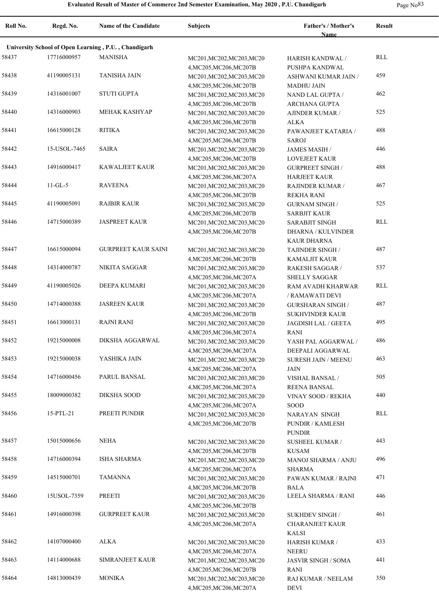| $\sim$ | I |
|--------|---|
|--------|---|

| Roll No. | Regd. No.    | <b>Name of the Candidate</b>                         | <b>Subjects</b>                                                                 | Father's / Mother's<br><b>Name</b>                                    | <b>Result</b> |
|----------|--------------|------------------------------------------------------|---------------------------------------------------------------------------------|-----------------------------------------------------------------------|---------------|
|          |              | University School of Open Learning, P.U., Chandigarh |                                                                                 |                                                                       |               |
| 58437    | 17716000957  | <b>MANISHA</b>                                       | MC201, MC202, MC203, MC20                                                       | HARISH KANDWAL /                                                      | <b>RLL</b>    |
| 58438    | 41190005131  | <b>TANISHA JAIN</b>                                  | 4, MC205, MC206, MC207B<br>MC201, MC202, MC203, MC20<br>4, MC205, MC206, MC207B | PUSHPA KANDWAL<br>ASHWANI KUMAR JAIN /<br><b>MADHU JAIN</b>           | 459           |
| 58439    | 14316001007  | <b>STUTI GUPTA</b>                                   | MC201, MC202, MC203, MC20<br>4, MC205, MC206, MC207B                            | NAND LAL GUPTA /<br>ARCHANA GUPTA                                     | 462           |
| 58440    | 14316000903  | MEHAK KASHYAP                                        | MC201, MC202, MC203, MC20<br>4, MC205, MC206, MC207B                            | AJINDER KUMAR /<br><b>ALKA</b>                                        | 525           |
| 58441    | 16615000128  | <b>RITIKA</b>                                        | MC201, MC202, MC203, MC20<br>4, MC205, MC206, MC207B                            | PAWANJEET KATARIA /<br><b>SAROJ</b>                                   | 488           |
| 58442    | 15-USOL-7465 | <b>SAIRA</b>                                         | MC201, MC202, MC203, MC20                                                       | <b>JAMES MASIH/</b>                                                   | 446           |
| 58443    | 14916000417  | KAWALJEET KAUR                                       | 4, MC205, MC206, MC207B<br>MC201, MC202, MC203, MC20<br>4, MC205, MC206, MC207A | <b>LOVEJEET KAUR</b><br><b>GURPREET SINGH/</b><br><b>HARJEET KAUR</b> | 488           |
| 58444    | $11 - GL-5$  | <b>RAVEENA</b>                                       | MC201, MC202, MC203, MC20<br>4, MC205, MC206, MC207B                            | RAJINDER KUMAR /<br><b>REKHA RANI</b>                                 | 467           |
| 58445    | 41190005091  | <b>RAJBIR KAUR</b>                                   | MC201, MC202, MC203, MC20<br>4, MC205, MC206, MC207B                            | <b>GURNAM SINGH /</b><br><b>SARBJIT KAUR</b>                          | 525           |
| 58446    | 14715000389  | <b>JASPREET KAUR</b>                                 | MC201, MC202, MC203, MC20<br>4, MC205, MC206, MC207B                            | SARABJIT SINGH<br><b>DHARNA / KULVINDER</b><br>KAUR DHARNA            | RLL           |
| 58447    | 16615000094  | <b>GURPREET KAUR SAINI</b>                           | MC201, MC202, MC203, MC20<br>4, MC205, MC206, MC207B                            | TAJINDER SINGH /<br>KAMALJIT KAUR                                     | 487           |
| 58448    | 14314000787  | NIKITA SAGGAR                                        | MC201, MC202, MC203, MC20<br>4, MC205, MC206, MC207A                            | <b>RAKESH SAGGAR /</b><br>SHELLY SAGGAR                               | 537           |
| 58449    | 41190005026  | DEEPA KUMARI                                         | MC201, MC202, MC203, MC20<br>4, MC205, MC206, MC207A                            | RAM AVADH KHARWAR<br>/ RAMAWATI DEVI                                  | <b>RLL</b>    |
| 58450    | 14714000388  | <b>JASREEN KAUR</b>                                  | MC201, MC202, MC203, MC20<br>4, MC205, MC206, MC207B                            | GURSHARAN SINGH /<br>SUKHVINDER KAUR                                  | 487           |
| 58451    | 16613000131  | <b>RAJNI RANI</b>                                    | MC201, MC202, MC203, MC20                                                       | JAGDISH LAL / GEETA                                                   | 495           |
| 58452    | 19215000008  | DIKSHA AGGARWAL                                      | 4, MC205, MC206, MC207A<br>MC201, MC202, MC203, MC20                            | RANI<br>YASH PAL AGGARWAL /<br>DEEPALI AGGARWAL                       | 486           |
| 58453    | 19215000038  | YASHIKA JAIN                                         | 4, MC205, MC206, MC207A<br>MC201, MC202, MC203, MC20                            | <b>SURESH JAIN / MEENU</b><br>JAIN                                    | 463           |
| 58454    | 14716000456  | <b>PARUL BANSAL</b>                                  | 4, MC205, MC206, MC207A<br>MC201, MC202, MC203, MC20                            | VISHAL BANSAL /                                                       | 505           |
| 58455    | 18009000382  | <b>DIKSHA SOOD</b>                                   | 4, MC205, MC206, MC207A<br>MC201, MC202, MC203, MC20                            | <b>REENA BANSAL</b><br><b>VINAY SOOD / REKHA</b>                      | 440           |
| 58456    | 15-PTL-21    | PREETI PUNDIR                                        | 4,MC205,MC206,MC207A<br>MC201, MC202, MC203, MC20<br>4, MC205, MC206, MC207B    | <b>SOOD</b><br>NARAYAN SINGH<br>PUNDIR / KAMLESH<br><b>PUNDIR</b>     | RLL           |
| 58457    | 15015000656  | <b>NEHA</b>                                          | MC201, MC202, MC203, MC20<br>4, MC205, MC206, MC207B                            | SUSHEEL KUMAR /<br>KUSAM                                              | 443           |
| 58458    | 14716000394  | <b>ISHA SHARMA</b>                                   | MC201, MC202, MC203, MC20<br>4, MC205, MC206, MC207A                            | MANOJ SHARMA / ANJU<br>SHARMA                                         | 496           |
| 58459    | 14515000701  | TAMANNA                                              | MC201, MC202, MC203, MC20                                                       | PAWAN KUMAR / RAJNI                                                   | 471           |
| 58460    | 15USOL-7359  | PREETI                                               | 4, MC205, MC206, MC207B<br>MC201, MC202, MC203, MC20                            | <b>BALA</b><br>LEELA SHARMA / RANI                                    | 446           |
| 58461    | 14916000398  | <b>GURPREET KAUR</b>                                 | 4, MC205, MC206, MC207B<br>MC201, MC202, MC203, MC20<br>4, MC205, MC206, MC207A | <b>SUKHDEV SINGH/</b><br><b>CHARANJEET KAUR</b><br><b>KALSI</b>       | 461           |
| 58462    | 14107000400  | ALKA                                                 | MC201, MC202, MC203, MC20<br>4, MC205, MC206, MC207A                            | <b>HARISH KUMAR /</b><br>NEERU                                        | 433           |
| 58463    | 14114000688  | SIMRANJEET KAUR                                      | MC201, MC202, MC203, MC20<br>4, MC205, MC206, MC207B                            | <b>JASVIR SINGH / SOMA</b><br>RANI                                    | 441           |
| 58464    | 14813000439  | <b>MONIKA</b>                                        | MC201, MC202, MC203, MC20<br>4, MC205, MC206, MC207A                            | RAJ KUMAR / NEELAM<br>DEVI                                            | 350           |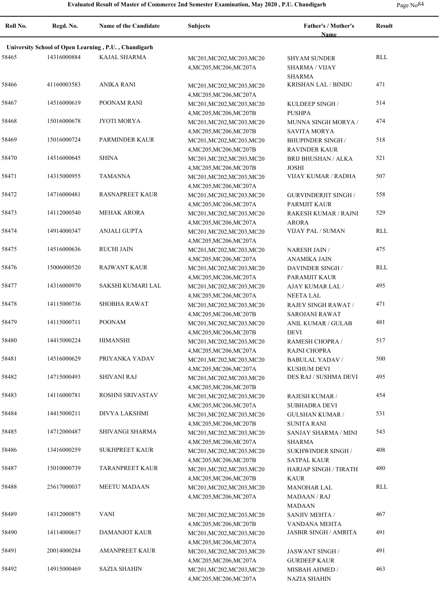| Page No <sup>84</sup> | $\checkmark$ |
|-----------------------|--------------|
|-----------------------|--------------|

| Roll No. | Regd. No.   | <b>Name of the Candidate</b>                         | <b>Subjects</b>                                                                 | <b>Father's / Mother's</b><br><b>Name</b>                     | <b>Result</b> |
|----------|-------------|------------------------------------------------------|---------------------------------------------------------------------------------|---------------------------------------------------------------|---------------|
|          |             | University School of Open Learning, P.U., Chandigarh |                                                                                 |                                                               |               |
| 58465    | 14316000884 | <b>KAJAL SHARMA</b>                                  | MC201, MC202, MC203, MC20<br>4, MC205, MC206, MC207A                            | <b>SHYAM SUNDER</b><br><b>SHARMA / VIJAY</b><br><b>SHARMA</b> | RLL           |
| 58466    | 41160003583 | ANIKA RANI                                           | MC201, MC202, MC203, MC20<br>4, MC205, MC206, MC207A                            | KRISHAN LAL / BINDU                                           | 471           |
| 58467    | 14516000619 | POONAM RANI                                          | MC201, MC202, MC203, MC20                                                       | KULDEEP SINGH /                                               | 514           |
| 58468    | 15016000678 | JYOTI MORYA                                          | 4, MC205, MC206, MC207B<br>MC201, MC202, MC203, MC20                            | <b>PUSHPA</b><br>MUNNA SINGH MORYA /                          | 474           |
| 58469    | 15016000724 | <b>PARMINDER KAUR</b>                                | 4, MC205, MC206, MC207B<br>MC201, MC202, MC203, MC20                            | <b>SAVITA MORYA</b><br><b>BHUPINDER SINGH /</b>               | 518           |
| 58470    | 14516000645 | <b>SHINA</b>                                         | 4, MC205, MC206, MC207B<br>MC201, MC202, MC203, MC20                            | <b>RAVINDER KAUR</b><br><b>BRIJ BHUSHAN / ALKA</b>            | 521           |
| 58471    | 14315000955 | <b>TAMANNA</b>                                       | 4, MC205, MC206, MC207B<br>MC201, MC202, MC203, MC20                            | <b>JOSHI</b><br>VIJAY KUMAR / RADHA                           | 507           |
| 58472    | 14716000481 | <b>RASNAPREET KAUR</b>                               | 4, MC205, MC206, MC207A<br>MC201, MC202, MC203, MC20                            | <b>GURVINDERJIT SINGH /</b>                                   | 558           |
| 58473    | 14112000540 | <b>MEHAK ARORA</b>                                   | 4, MC205, MC206, MC207A<br>MC201, MC202, MC203, MC20                            | PARMJIT KAUR<br>RAKESH KUMAR / RAJNI                          | 529           |
| 58474    | 14914000347 | <b>ANJALI GUPTA</b>                                  | 4, MC205, MC206, MC207A<br>MC201, MC202, MC203, MC20                            | <b>ARORA</b><br>VIJAY PAL / SUMAN                             | RLL           |
| 58475    | 14516000636 | <b>RUCHI JAIN</b>                                    | 4, MC205, MC206, MC207A<br>MC201, MC202, MC203, MC20                            | <b>NARESH JAIN/</b>                                           | 475           |
| 58476    | 15006000520 | <b>RAJWANT KAUR</b>                                  | 4, MC205, MC206, MC207A<br>MC201, MC202, MC203, MC20                            | ANAMIKA JAIN<br>DAVINDER SINGH/                               | RLL           |
| 58477    | 14316000970 | SAKSHI KUMARI LAL                                    | 4, MC205, MC206, MC207A<br>MC201, MC202, MC203, MC20                            | PARAMJIT KAUR<br>AJAY KUMAR LAL /                             | 495           |
| 58478    | 14115000736 | <b>SHOBHA RAWAT</b>                                  | 4, MC205, MC206, MC207A<br>MC201, MC202, MC203, MC20                            | NEETA LAL<br>RAJEY SINGH RAWAT /                              | 471           |
| 58479    | 14115000711 | <b>POONAM</b>                                        | 4, MC205, MC206, MC207B<br>MC201, MC202, MC203, MC20                            | SAROJANI RAWAT<br>ANIL KUMAR / GULAB                          | 481           |
| 58480    | 14415000224 | <b>HIMANSHI</b>                                      | 4, MC205, MC206, MC207B<br>MC201, MC202, MC203, MC20                            | <b>DEVI</b><br>RAMESH CHOPRA /                                | 517           |
| 58481    | 14516000629 | PRIYANKA YADAV                                       | 4, MC205, MC206, MC207A<br>MC201, MC202, MC203, MC20                            | RAJNI CHOPRA<br><b>BABULAL YADAV /</b>                        | 500           |
| 58482    | 14715000493 | <b>SHIVANI RAJ</b>                                   | 4, MC205, MC206, MC207A<br>MC201, MC202, MC203, MC20                            | <b>KUSHUM DEVI</b><br>DES RAJ / SUSHMA DEVI                   | 495           |
| 58483    | 14116000781 | ROSHNI SRIVASTAV                                     | 4, MC205, MC206, MC207B<br>MC201, MC202, MC203, MC20                            | <b>RAJESH KUMAR /</b>                                         | 454           |
| 58484    | 14415000211 | <b>DIVYA LAKSHMI</b>                                 | 4, MC205, MC206, MC207A<br>MC201, MC202, MC203, MC20                            | SUBHADRA DEVI<br><b>GULSHAN KUMAR /</b>                       | 531           |
| 58485    | 14712000487 | SHIVANGI SHARMA                                      | 4, MC205, MC206, MC207B<br>MC201, MC202, MC203, MC20                            | <b>SUNITA RANI</b><br>SANJAY SHARMA / MINI                    | 543           |
| 58486    | 13416000259 | <b>SUKHPREET KAUR</b>                                | 4, MC205, MC206, MC207A<br>MC201, MC202, MC203, MC20                            | <b>SHARMA</b><br>SUKHWINDER SINGH /                           | 408           |
| 58487    | 15010000739 | <b>TARANPREET KAUR</b>                               | 4, MC205, MC206, MC207B<br>MC201, MC202, MC203, MC20                            | SATPAL KAUR<br>HARJAP SINGH / TIRATH                          | 480           |
| 58488    | 25617000037 | <b>MEETU MADAAN</b>                                  | 4, MC205, MC206, MC207B<br>MC201, MC202, MC203, MC20<br>4, MC205, MC206, MC207A | KAUR<br><b>MANOHAR LAL</b><br><b>MADAAN/RAJ</b>               | RLL           |
| 58489    | 14312000875 | <b>VANI</b>                                          | MC201, MC202, MC203, MC20                                                       | <b>MADAAN</b><br>SANJIV MEHTA /                               | 467           |
| 58490    | 14114000617 | <b>DAMANJOT KAUR</b>                                 | 4, MC205, MC206, MC207B<br>MC201, MC202, MC203, MC20                            | VANDANA MEHTA<br><b>JASBIR SINGH / AMRITA</b>                 | 491           |
| 58491    | 20014000284 | <b>AMANPREET KAUR</b>                                | 4, MC205, MC206, MC207A                                                         |                                                               | 491           |
|          |             |                                                      | MC201, MC202, MC203, MC20<br>4, MC205, MC206, MC207A                            | <b>JASWANT SINGH/</b><br><b>GURDEEP KAUR</b>                  |               |
| 58492    | 14915000469 | <b>SAZIA SHAHIN</b>                                  | MC201, MC202, MC203, MC20<br>4, MC205, MC206, MC207A                            | <b>MISBAH AHMED /</b><br><b>NAZIA SHAHIN</b>                  | 463           |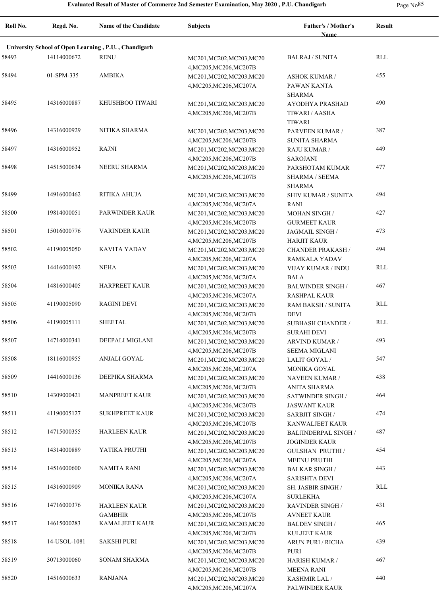| Roll No. | Regd. No.                                            | <b>Name of the Candidate</b>          | Subjects                                             | <b>Father's / Mother's</b><br><b>Name</b>            | Result     |  |  |  |
|----------|------------------------------------------------------|---------------------------------------|------------------------------------------------------|------------------------------------------------------|------------|--|--|--|
|          | University School of Open Learning, P.U., Chandigarh |                                       |                                                      |                                                      |            |  |  |  |
| 58493    | 14114000672                                          | <b>RENU</b>                           | MC201, MC202, MC203, MC20<br>4, MC205, MC206, MC207B | <b>BALRAJ / SUNITA</b>                               | RLL        |  |  |  |
| 58494    | 01-SPM-335                                           | <b>AMBIKA</b>                         | MC201, MC202, MC203, MC20<br>4, MC205, MC206, MC207A | <b>ASHOK KUMAR /</b><br>PAWAN KANTA<br><b>SHARMA</b> | 455        |  |  |  |
| 58495    | 14316000887                                          | KHUSHBOO TIWARI                       | MC201, MC202, MC203, MC20<br>4, MC205, MC206, MC207B | AYODHYA PRASHAD<br>TIWARI / AASHA<br><b>TIWARI</b>   | 490        |  |  |  |
| 58496    | 14316000929                                          | NITIKA SHARMA                         | MC201, MC202, MC203, MC20<br>4, MC205, MC206, MC207B | PARVEEN KUMAR /<br>SUNITA SHARMA                     | 387        |  |  |  |
| 58497    | 14316000952                                          | <b>RAJNI</b>                          | MC201, MC202, MC203, MC20<br>4, MC205, MC206, MC207B | RAJU KUMAR /<br><b>SAROJANI</b>                      | 449        |  |  |  |
| 58498    | 14515000634                                          | <b>NEERU SHARMA</b>                   | MC201, MC202, MC203, MC20<br>4, MC205, MC206, MC207B | PARSHOTAM KUMAR<br>SHARMA / SEEMA<br><b>SHARMA</b>   | 477        |  |  |  |
| 58499    | 14916000462                                          | RITIKA AHUJA                          | MC201, MC202, MC203, MC20<br>4, MC205, MC206, MC207A | <b>SHIV KUMAR / SUNITA</b><br>RANI                   | 494        |  |  |  |
| 58500    | 19814000051                                          | PARWINDER KAUR                        | MC201, MC202, MC203, MC20<br>4, MC205, MC206, MC207B | <b>MOHAN SINGH/</b><br><b>GURMEET KAUR</b>           | 427        |  |  |  |
| 58501    | 15016000776                                          | <b>VARINDER KAUR</b>                  | MC201, MC202, MC203, MC20<br>4, MC205, MC206, MC207B | JAGMAIL SINGH /<br><b>HARJIT KAUR</b>                | 473        |  |  |  |
| 58502    | 41190005050                                          | <b>KAVITA YADAV</b>                   | MC201, MC202, MC203, MC20<br>4, MC205, MC206, MC207A | <b>CHANDER PRAKASH /</b><br>RAMKALA YADAV            | 494        |  |  |  |
| 58503    | 14416000192                                          | <b>NEHA</b>                           | MC201, MC202, MC203, MC20<br>4, MC205, MC206, MC207A | VIJAY KUMAR / INDU<br><b>BALA</b>                    | RLL        |  |  |  |
| 58504    | 14816000405                                          | <b>HARPREET KAUR</b>                  | MC201, MC202, MC203, MC20<br>4, MC205, MC206, MC207A | <b>BALWINDER SINGH/</b><br><b>RASHPAL KAUR</b>       | 467        |  |  |  |
| 58505    | 41190005090                                          | <b>RAGINI DEVI</b>                    | MC201, MC202, MC203, MC20<br>4, MC205, MC206, MC207B | RAM BAKSH / SUNITA<br><b>DEVI</b>                    | <b>RLL</b> |  |  |  |
| 58506    | 41190005111                                          | <b>SHEETAL</b>                        | MC201, MC202, MC203, MC20<br>4, MC205, MC206, MC207B | <b>SUBHASH CHANDER /</b><br><b>SURAHI DEVI</b>       | <b>RLL</b> |  |  |  |
| 58507    | 14714000341                                          | DEEPALI MIGLANI                       | MC201, MC202, MC203, MC20<br>4, MC205, MC206, MC207B | ARVIND KUMAR /<br><b>SEEMA MIGLANI</b>               | 493        |  |  |  |
| 58508    | 18116000955                                          | ANJALI GOYAL                          | MC201, MC202, MC203, MC20<br>4, MC205, MC206, MC207A | LALIT GOYAL /<br>MONIKA GOYAL                        | 547        |  |  |  |
| 58509    | 14416000136                                          | DEEPIKA SHARMA                        | MC201, MC202, MC203, MC20<br>4, MC205, MC206, MC207B | NAVEEN KUMAR /<br><b>ANITA SHARMA</b>                | 438        |  |  |  |
| 58510    | 14309000421                                          | <b>MANPREET KAUR</b>                  | MC201, MC202, MC203, MC20<br>4, MC205, MC206, MC207B | SATWINDER SINGH /<br><b>JASWANT KAUR</b>             | 464        |  |  |  |
| 58511    | 41190005127                                          | <b>SUKHPREET KAUR</b>                 | MC201, MC202, MC203, MC20<br>4, MC205, MC206, MC207B | <b>SARBJIT SINGH /</b><br>KANWALJEET KAUR            | 474        |  |  |  |
| 58512    | 14715000355                                          | <b>HARLEEN KAUR</b>                   | MC201, MC202, MC203, MC20<br>4, MC205, MC206, MC207B | <b>BALJINDERPAL SINGH /</b><br><b>JOGINDER KAUR</b>  | 487        |  |  |  |
| 58513    | 14314000889                                          | YATIKA PRUTHI                         | MC201, MC202, MC203, MC20<br>4, MC205, MC206, MC207A | <b>GULSHAN PRUTHI /</b><br><b>MEENU PRUTHI</b>       | 454        |  |  |  |
| 58514    | 14516000600                                          | NAMITA RANI                           | MC201, MC202, MC203, MC20<br>4, MC205, MC206, MC207A | <b>BALKAR SINGH /</b><br><b>SARISHTA DEVI</b>        | 443        |  |  |  |
| 58515    | 14316000909                                          | <b>MONIKA RANA</b>                    | MC201, MC202, MC203, MC20<br>4, MC205, MC206, MC207A | SH. JASBIR SINGH /<br><b>SURLEKHA</b>                | RLL        |  |  |  |
| 58516    | 14716000376                                          | <b>HARLEEN KAUR</b><br><b>GAMBHIR</b> | MC201, MC202, MC203, MC20<br>4, MC205, MC206, MC207B | <b>RAVINDER SINGH/</b><br><b>AVNEET KAUR</b>         | 431        |  |  |  |
| 58517    | 14615000283                                          | <b>KAMALJEET KAUR</b>                 | MC201, MC202, MC203, MC20<br>4, MC205, MC206, MC207B | <b>BALDEV SINGH/</b><br><b>KULJEET KAUR</b>          | 465        |  |  |  |
| 58518    | 14-USOL-1081                                         | <b>SAKSHI PURI</b>                    | MC201, MC202, MC203, MC20<br>4, MC205, MC206, MC207B | ARUN PURI / RICHA<br>PURI                            | 439        |  |  |  |
| 58519    | 30713000060                                          | <b>SONAM SHARMA</b>                   | MC201, MC202, MC203, MC20<br>4, MC205, MC206, MC207B | HARISH KUMAR /<br><b>MEENA RANI</b>                  | 467        |  |  |  |
| 58520    | 14516000633                                          | RANJANA                               | MC201, MC202, MC203, MC20<br>4, MC205, MC206, MC207A | <b>KASHMIR LAL/</b><br>PALWINDER KAUR                | 440        |  |  |  |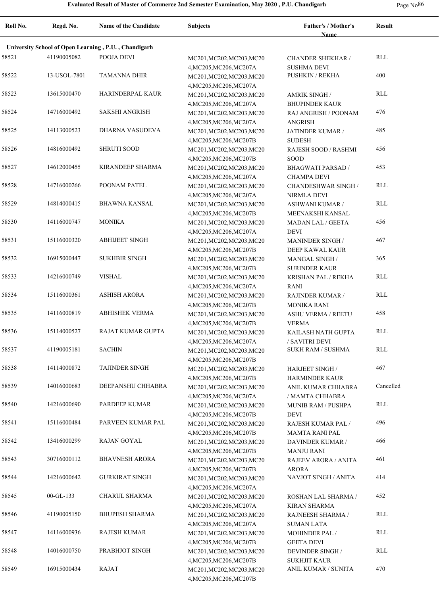| Roll No. | Regd. No.                                            | Name of the Candidate   | <b>Subjects</b>                                      | <b>Father's / Mother's</b><br><b>Name</b>  | <b>Result</b> |  |  |  |
|----------|------------------------------------------------------|-------------------------|------------------------------------------------------|--------------------------------------------|---------------|--|--|--|
|          |                                                      |                         |                                                      |                                            |               |  |  |  |
|          | University School of Open Learning, P.U., Chandigarh |                         |                                                      |                                            |               |  |  |  |
| 58521    | 41190005082                                          | POOJA DEVI              | MC201, MC202, MC203, MC20                            | <b>CHANDER SHEKHAR /</b>                   | RLL           |  |  |  |
|          |                                                      |                         | 4, MC205, MC206, MC207A                              | <b>SUSHMA DEVI</b>                         |               |  |  |  |
| 58522    | 13-USOL-7801                                         | <b>TAMANNA DHIR</b>     | MC201, MC202, MC203, MC20                            | <b>PUSHKIN / REKHA</b>                     | 400           |  |  |  |
| 58523    | 13615000470                                          | HARINDERPAL KAUR        | 4, MC205, MC206, MC207A                              |                                            | <b>RLL</b>    |  |  |  |
|          |                                                      |                         | MC201, MC202, MC203, MC20                            | <b>AMRIK SINGH /</b>                       |               |  |  |  |
| 58524    | 14716000492                                          | <b>SAKSHI ANGRISH</b>   | 4, MC205, MC206, MC207A                              | <b>BHUPINDER KAUR</b>                      | 476           |  |  |  |
|          |                                                      |                         | MC201, MC202, MC203, MC20                            | RAJ ANGRISH / POONAM<br><b>ANGRISH</b>     |               |  |  |  |
| 58525    | 14113000523                                          | DHARNA VASUDEVA         | 4, MC205, MC206, MC207A<br>MC201, MC202, MC203, MC20 | JATINDER KUMAR /                           | 485           |  |  |  |
|          |                                                      |                         | 4, MC205, MC206, MC207B                              | <b>SUDESH</b>                              |               |  |  |  |
| 58526    | 14816000492                                          | <b>SHRUTI SOOD</b>      | MC201, MC202, MC203, MC20                            | RAJESH SOOD / RASHMI                       | 456           |  |  |  |
|          |                                                      |                         | 4, MC205, MC206, MC207B                              | SOOD                                       |               |  |  |  |
| 58527    | 14612000455                                          | <b>KIRANDEEP SHARMA</b> | MC201, MC202, MC203, MC20                            | <b>BHAGWATI PARSAD /</b>                   | 453           |  |  |  |
|          |                                                      |                         | 4, MC205, MC206, MC207A                              | <b>CHAMPA DEVI</b>                         |               |  |  |  |
| 58528    | 14716000266                                          | POONAM PATEL            | MC201, MC202, MC203, MC20                            | <b>CHANDESHWAR SINGH /</b>                 | RLL           |  |  |  |
|          |                                                      |                         | 4, MC205, MC206, MC207A                              | NIRMLA DEVI                                |               |  |  |  |
| 58529    | 14814000415                                          | <b>BHAWNA KANSAL</b>    | MC201, MC202, MC203, MC20                            | <b>ASHWANI KUMAR /</b>                     | <b>RLL</b>    |  |  |  |
|          |                                                      |                         | 4, MC205, MC206, MC207B                              | MEENAKSHI KANSAL                           |               |  |  |  |
| 58530    | 14116000747                                          | <b>MONIKA</b>           | MC201, MC202, MC203, MC20                            | <b>MADAN LAL / GEETA</b>                   | 456           |  |  |  |
|          |                                                      |                         | 4, MC205, MC206, MC207A                              | <b>DEVI</b>                                |               |  |  |  |
| 58531    | 15116000320                                          | <b>ABHIJEET SINGH</b>   | MC201, MC202, MC203, MC20                            | <b>MANINDER SINGH /</b>                    | 467           |  |  |  |
|          |                                                      |                         | 4, MC205, MC206, MC207B                              | DEEP KAWAL KAUR                            |               |  |  |  |
| 58532    | 16915000447                                          | <b>SUKHBIR SINGH</b>    | MC201, MC202, MC203, MC20                            | <b>MANGAL SINGH/</b>                       | 365           |  |  |  |
|          |                                                      |                         | 4, MC205, MC206, MC207B                              | <b>SURINDER KAUR</b>                       |               |  |  |  |
| 58533    | 14216000749                                          | <b>VISHAL</b>           | MC201, MC202, MC203, MC20                            | KRISHAN PAL / REKHA                        | <b>RLL</b>    |  |  |  |
|          |                                                      |                         | 4, MC205, MC206, MC207A                              | <b>RANI</b>                                |               |  |  |  |
| 58534    | 15116000361                                          | <b>ASHISH ARORA</b>     | MC201, MC202, MC203, MC20                            | RAJINDER KUMAR /                           | <b>RLL</b>    |  |  |  |
|          |                                                      |                         | 4, MC205, MC206, MC207B                              | <b>MONIKA RANI</b>                         |               |  |  |  |
| 58535    | 14116000819                                          | <b>ABHISHEK VERMA</b>   | MC201, MC202, MC203, MC20                            | ASHU VERMA / REETU                         | 458           |  |  |  |
| 58536    | 15114000527                                          | RAJAT KUMAR GUPTA       | 4, MC205, MC206, MC207B                              | <b>VERMA</b>                               | RLL           |  |  |  |
|          |                                                      |                         | MC201, MC202, MC203, MC20                            | KAILASH NATH GUPTA                         |               |  |  |  |
| 58537    | 41190005181                                          | <b>SACHIN</b>           | 4, MC205, MC206, MC207A                              | / SAVITRI DEVI<br><b>SUKH RAM / SUSHMA</b> | RLL           |  |  |  |
|          |                                                      |                         | MC201, MC202, MC203, MC20<br>4, MC205, MC206, MC207B |                                            |               |  |  |  |
| 58538    | 14114000872                                          | <b>TAJINDER SINGH</b>   | MC201, MC202, MC203, MC20                            | <b>HARJEET SINGH/</b>                      | 467           |  |  |  |
|          |                                                      |                         | 4, MC205, MC206, MC207B                              | <b>HARMINDER KAUR</b>                      |               |  |  |  |
| 58539    | 14016000683                                          | DEEPANSHU CHHABRA       | MC201, MC202, MC203, MC20                            | ANIL KUMAR CHHABRA                         | Cancelled     |  |  |  |
|          |                                                      |                         | 4, MC205, MC206, MC207A                              | / MAMTA CHHABRA                            |               |  |  |  |
| 58540    | 14216000690                                          | PARDEEP KUMAR           | MC201, MC202, MC203, MC20                            | <b>MUNIB RAM / PUSHPA</b>                  | <b>RLL</b>    |  |  |  |
|          |                                                      |                         | 4, MC205, MC206, MC207B                              | <b>DEVI</b>                                |               |  |  |  |
| 58541    | 15116000484                                          | PARVEEN KUMAR PAL       | MC201, MC202, MC203, MC20                            | RAJESH KUMAR PAL/                          | 496           |  |  |  |
|          |                                                      |                         | 4, MC205, MC206, MC207B                              | <b>MAMTA RANI PAL</b>                      |               |  |  |  |
| 58542    | 13416000299                                          | <b>RAJAN GOYAL</b>      | MC201, MC202, MC203, MC20                            | DAVINDER KUMAR /                           | 466           |  |  |  |
|          |                                                      |                         | 4, MC205, MC206, MC207B                              | <b>MANJU RANI</b>                          |               |  |  |  |
| 58543    | 30716000112                                          | <b>BHAVNESH ARORA</b>   | MC201, MC202, MC203, MC20                            | RAJEEV ARORA / ANITA                       | 461           |  |  |  |
|          |                                                      |                         | 4, MC205, MC206, MC207B                              | <b>ARORA</b>                               |               |  |  |  |
| 58544    | 14216000642                                          | <b>GURKIRAT SINGH</b>   | MC201, MC202, MC203, MC20                            | NAVJOT SINGH / ANITA                       | 414           |  |  |  |
|          |                                                      |                         | 4, MC205, MC206, MC207A                              |                                            |               |  |  |  |
| 58545    | $00 - GL-133$                                        | CHARUL SHARMA           | MC201, MC202, MC203, MC20                            | ROSHAN LAL SHARMA /                        | 452           |  |  |  |
|          |                                                      |                         | 4, MC205, MC206, MC207A                              | <b>KIRAN SHARMA</b>                        |               |  |  |  |
| 58546    | 41190005150                                          | <b>BHUPESH SHARMA</b>   | MC201, MC202, MC203, MC20                            | RAJNEESH SHARMA /                          | RLL           |  |  |  |
|          |                                                      |                         | 4, MC205, MC206, MC207A                              | <b>SUMAN LATA</b>                          |               |  |  |  |
| 58547    | 14116000936                                          | RAJESH KUMAR            | MC201, MC202, MC203, MC20                            | <b>MOHINDER PAL/</b>                       | <b>RLL</b>    |  |  |  |
|          |                                                      |                         | 4, MC205, MC206, MC207B                              | <b>GEETA DEVI</b>                          |               |  |  |  |
| 58548    | 14016000750                                          | PRABHJOT SINGH          | MC201, MC202, MC203, MC20                            | <b>DEVINDER SINGH/</b>                     | <b>RLL</b>    |  |  |  |
|          |                                                      |                         | 4, MC205, MC206, MC207B                              | <b>SUKHJIT KAUR</b>                        |               |  |  |  |
| 58549    | 16915000434                                          | RAJAT                   | MC201, MC202, MC203, MC20                            | ANIL KUMAR / SUNITA                        | 470           |  |  |  |
|          |                                                      |                         | 4, MC205, MC206, MC207B                              |                                            |               |  |  |  |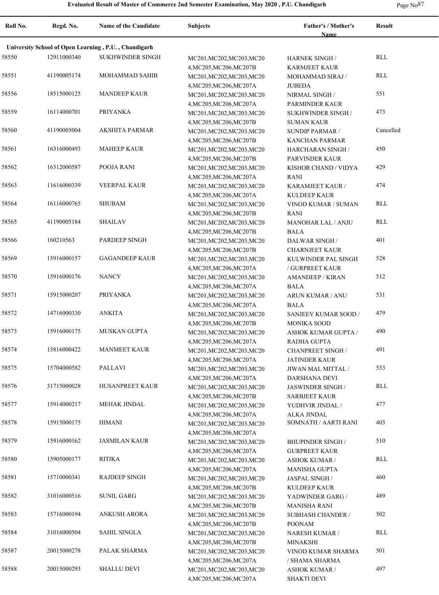**Roll No. Regd. No. Name of the Candidate Subjects Father's / Mother's Name Result University School of Open Learning , P.U. , Chandigarh** 58550 SUKHWINDER SINGH MC201,MC202,MC203,MC20 12911000340 RLL 4,MC205,MC206,MC207B HARNEK SINGH / KARMJEET KAUR 58551 MOHAMMAD SAHIB MC201,MC202,MC203,MC20 41190005174 RLL 4,MC205,MC206,MC207A MOHAMMAD SIRAJ / JUBEDA 58556 18515000125 MANDEEP KAUR MC201, MC202, MC203, MC20 NIRMAL SINGH 551 4,MC205,MC206,MC207A NIRMAL SINGH / PARMINDER KAUR 58559 16114000701 PRIYANKA MC201,MC202,MC203,MC20 SUKHWINDER SINGH 473 4,MC205,MC206,MC207B SUKHWINDER SINGH / SUMAN KAUR 58560 AKSHITA PARMAR MC201,MC202,MC203,MC20 41190005004 Cancelled 4,MC205,MC206,MC207B SUNDIP PARMAR / KANCHAN PARMAR 58561 16316000493 MAHEEP KAUR MC201, MC202, MC203, MC20 HARCHARAN SINGH 450 4,MC205,MC206,MC207B HARCHARAN SINGH / PARVINDER KAUR 58562 16312000587 POOJA RANI MC201, MC202, MC203, MC20 KISHOR CHAND / VIDYA 429 4,MC205,MC206,MC207A KISHOR CHAND / VIDYA RANI 58563 11616000339 VEERPAL KAUR MC201, MC202, MC203, MC20 KARAMJEET KAUR 474 4,MC205,MC206,MC207A KARAMJEET KAUR / KULDEEP KAUR 58564 16116000765 SHUBAM MC201,MC202,MC203,MC20 VINOD KUMAR / SUMAN RLL 4,MC205,MC206,MC207B VINOD KUMAR / SUMAN RANI 58565 41190005184 SHAILAV MC201,MC202,MC203,MC20 MANOHAR LAL / ANJU RLL 4,MC205,MC206,MC207B MANOHAR LAL / ANJU BALA 58566 PARDEEP SINGH MC201,MC202,MC203,MC20 160210563 401 4,MC205,MC206,MC207B DALWAR SINGH / CHARNJEET KAUR 58569 15916000157 GAGANDEEP KAUR MC201, MC202, MC203, MC20 KULWINDER PAL SINGH 528 4,MC205,MC206,MC207A KULWINDER PAL SINGH / GURPREET KAUR 58570 15916000176 NANCY MC201, MC201, MC202, MC203, MC20 AMANDEEP / KIRAN 512 4,MC205,MC206,MC207A AMANDEEP / KIRAN BALA 58571 15915000207 PRIYANKA MC201,MC202,MC203,MC20 ARUN KUMAR / ANU 531 4,MC205,MC206,MC207A ARUN KUMAR / ANU BALA 58572 14716000330 ANKITA MC201, MC202, MC203, MC20 SANJEEV KUMAR SOOD / 479 4,MC205,MC206,MC207B SANJEEV KUMAR SOOD / MONIKA SOOD 58573 MUSKAN GUPTA MC201,MC202,MC203,MC20 4,MC205,MC206,MC207A 15916000175 MUSKAN GUPTA MC201,MC202,MC203,MC20 ASHOK KUMAR GUPTA / 490 RADHA GUPTA 58574 15816000422 MANMEET KAUR MC201, MC202, MC203, MC20 CHANPREET SINGH 491 4,MC205,MC206,MC207A CHANPREET SINGH / JATINDER KAUR 58575 15704000582 PALLAVI MC201, MC201, MC202, MC203, MC20 JIWAN MAL MITTAL / 533 4,MC205,MC206,MC207A JIWAN MAL MITTAL / DARSHANA DEVI 58576 31715000028 HUSANPREET KAUR MC201, MC202, MC203, MC20 JASWINDER SINGH RLL 4,MC205,MC206,MC207B JASWINDER SINGH / SARBJEET KAUR 58577 MEHAK JINDAL MC201,MC202,MC203,MC20 15914000217 477 4,MC205,MC206,MC207A YUDHVIR JINDAL / ALKA JINDAL 58578 HIMANI MC201,MC202,MC203,MC20 15915000175 SOMNATH / AARTI RANI 403 4,MC205,MC206,MC207A 58579 15916000162 JASMILAN KAUR MC201, MC202, MC203, MC20 BHUPINDER SINGH 510 4,MC205,MC206,MC207A BHUPINDER SINGH / GURPREET KAUR 58580 RITIKA MC201,MC202,MC203,MC20 15905000177 RLL 4,MC205,MC206,MC207A ASHOK KUMAR / MANISHA GUPTA 58581 15710000341 RAJDEEP SINGH MC201, MC202, MC203, MC20 JASPAL SINGH 460 4,MC205,MC206,MC207B JASPAL SINGH / KULDEEP KAUR 58582 31016000516 SUNIL GARG MC201, MC202, MC203, MC20 YADWINDER GARG / 489 4,MC205,MC206,MC207B YADWINDER GARG / MANISHA RANI 58583 15716000194 ANKUSH ARORA MC201, MC202, MC203, MC20 SUBHASH CHANDER / 502 4,MC205,MC206,MC207B SUBHASH CHANDER / POONAM 58584 SAHIL SINGLA MC201,MC202,MC203,MC20 31016000504 RLL 4,MC205,MC206,MC207B NARESH KUMAR / MINAKSHI 58587 20015000278 PALAK SHARMA MC201, MC202, MC203, MC20 VINOD KUMAR SHARMA 501 4,MC205,MC206,MC207A VINOD KUMAR SHARMA / SHAMA SHARMA 58588 20015000293 SHALLU DEVI MC201, MC202, MC203, MC20 ASHOK KUMAR / 497 4,MC205,MC206,MC207A ASHOK KUMAR / SHAKTI DEVI